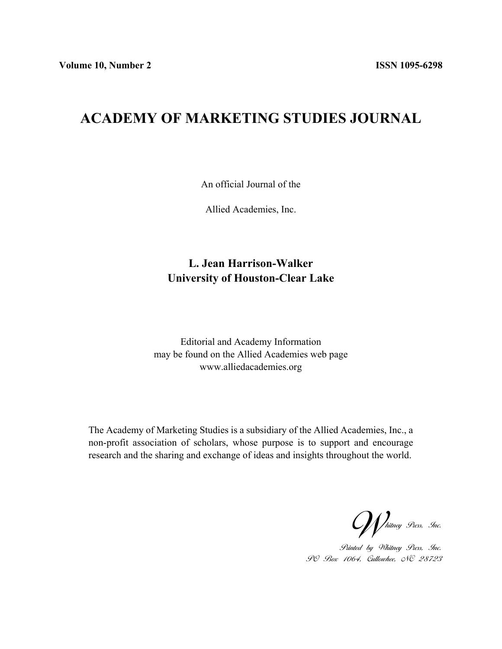## **ACADEMY OF MARKETING STUDIES JOURNAL**

An official Journal of the

Allied Academies, Inc.

## **L. Jean Harrison-Walker University of Houston-Clear Lake**

Editorial and Academy Information may be found on the Allied Academies web page www.alliedacademies.org

The Academy of Marketing Studies is a subsidiary of the Allied Academies, Inc., a non-profit association of scholars, whose purpose is to support and encourage research and the sharing and exchange of ideas and insights throughout the world.

Whitney Press, Inc.

Printed by Whitney Press, Inc. PO Box 1064, Cullowhee, NC 28723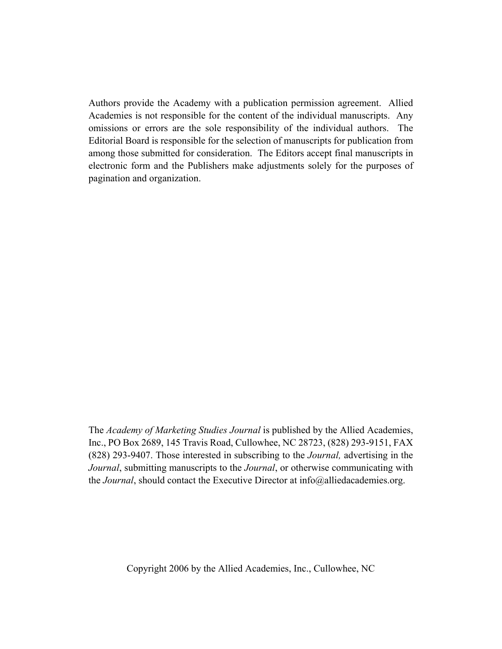Authors provide the Academy with a publication permission agreement. Allied Academies is not responsible for the content of the individual manuscripts. Any omissions or errors are the sole responsibility of the individual authors. The Editorial Board is responsible for the selection of manuscripts for publication from among those submitted for consideration. The Editors accept final manuscripts in electronic form and the Publishers make adjustments solely for the purposes of pagination and organization.

The *Academy of Marketing Studies Journal* is published by the Allied Academies, Inc., PO Box 2689, 145 Travis Road, Cullowhee, NC 28723, (828) 293-9151, FAX (828) 293-9407. Those interested in subscribing to the *Journal,* advertising in the *Journal*, submitting manuscripts to the *Journal*, or otherwise communicating with the *Journal*, should contact the Executive Director at info@alliedacademies.org.

Copyright 2006 by the Allied Academies, Inc., Cullowhee, NC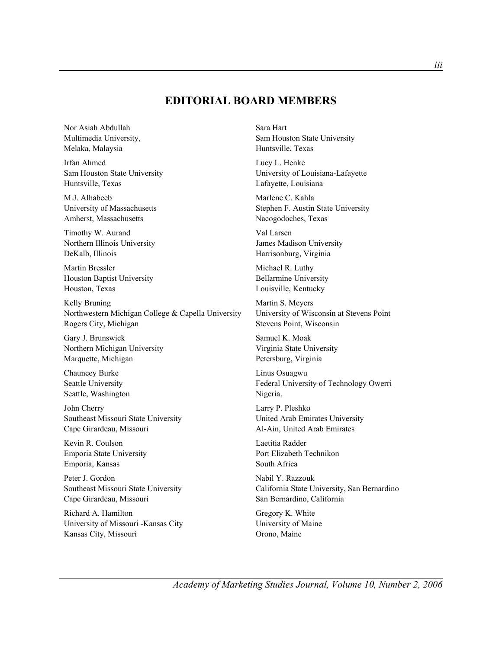## **EDITORIAL BOARD MEMBERS**

Nor Asiah Abdullah Multimedia University, Melaka, Malaysia

Irfan Ahmed Sam Houston State University Huntsville, Texas

M.J. Alhabeeb University of Massachusetts Amherst, Massachusetts

Timothy W. Aurand Northern Illinois University DeKalb, Illinois

Martin Bressler Houston Baptist University Houston, Texas

Kelly Bruning Northwestern Michigan College & Capella University Rogers City, Michigan

Gary J. Brunswick Northern Michigan University Marquette, Michigan

Chauncey Burke Seattle University Seattle, Washington

John Cherry Southeast Missouri State University Cape Girardeau, Missouri

Kevin R. Coulson Emporia State University Emporia, Kansas

Peter J. Gordon Southeast Missouri State University Cape Girardeau, Missouri

Richard A. Hamilton University of Missouri -Kansas City Kansas City, Missouri

Sara Hart Sam Houston State University Huntsville, Texas

Lucy L. Henke University of Louisiana-Lafayette Lafayette, Louisiana

Marlene C. Kahla Stephen F. Austin State University Nacogodoches, Texas

Val Larsen James Madison University Harrisonburg, Virginia

Michael R. Luthy Bellarmine University Louisville, Kentucky

Martin S. Meyers University of Wisconsin at Stevens Point Stevens Point, Wisconsin

Samuel K. Moak Virginia State University Petersburg, Virginia

Linus Osuagwu Federal University of Technology Owerri Nigeria.

Larry P. Pleshko United Arab Emirates University Al-Ain, United Arab Emirates

Laetitia Radder Port Elizabeth Technikon South Africa

Nabil Y. Razzouk California State University, San Bernardino San Bernardino, California

Gregory K. White University of Maine Orono, Maine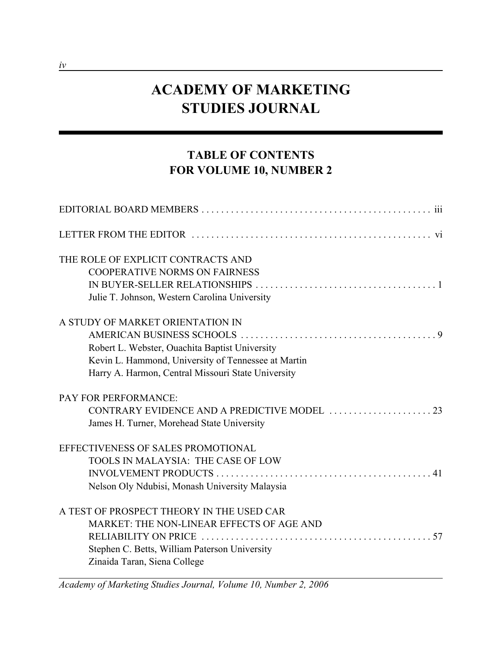# **ACADEMY OF MARKETING STUDIES JOURNAL**

## **TABLE OF CONTENTS FOR VOLUME 10, NUMBER 2**

| THE ROLE OF EXPLICIT CONTRACTS AND                  |  |
|-----------------------------------------------------|--|
| <b>COOPERATIVE NORMS ON FAIRNESS</b>                |  |
|                                                     |  |
| Julie T. Johnson, Western Carolina University       |  |
| A STUDY OF MARKET ORIENTATION IN                    |  |
|                                                     |  |
| Robert L. Webster, Ouachita Baptist University      |  |
| Kevin L. Hammond, University of Tennessee at Martin |  |
| Harry A. Harmon, Central Missouri State University  |  |
| <b>PAY FOR PERFORMANCE:</b>                         |  |
|                                                     |  |
| James H. Turner, Morehead State University          |  |
| EFFECTIVENESS OF SALES PROMOTIONAL                  |  |
| TOOLS IN MALAYSIA: THE CASE OF LOW                  |  |
|                                                     |  |
| Nelson Oly Ndubisi, Monash University Malaysia      |  |
| A TEST OF PROSPECT THEORY IN THE USED CAR           |  |
| MARKET: THE NON-LINEAR EFFECTS OF AGE AND           |  |
| RELIABILITY ON PRICE                                |  |
| Stephen C. Betts, William Paterson University       |  |
| Zinaida Taran, Siena College                        |  |

*Academy of Marketing Studies Journal, Volume 10, Number 2, 2006*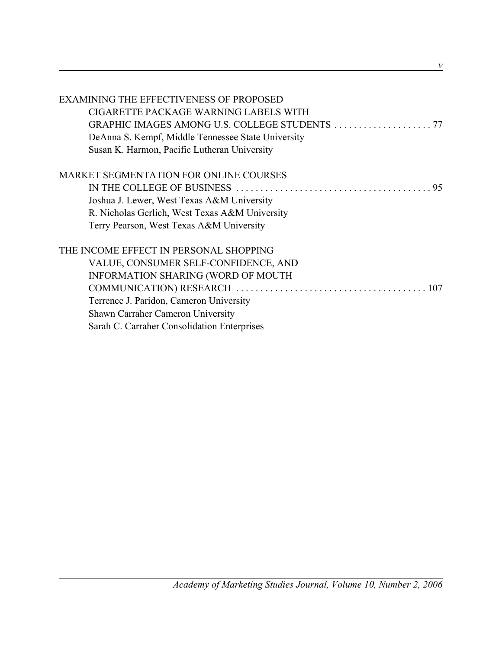| <b>EXAMINING THE EFFECTIVENESS OF PROPOSED</b>     |
|----------------------------------------------------|
| CIGARETTE PACKAGE WARNING LABELS WITH              |
|                                                    |
| DeAnna S. Kempf, Middle Tennessee State University |
| Susan K. Harmon, Pacific Lutheran University       |
| <b>MARKET SEGMENTATION FOR ONLINE COURSES</b>      |
|                                                    |
| Joshua J. Lewer, West Texas A&M University         |
| R. Nicholas Gerlich, West Texas A&M University     |
| Terry Pearson, West Texas A&M University           |
| THE INCOME EFFECT IN PERSONAL SHOPPING             |
| VALUE, CONSUMER SELF-CONFIDENCE, AND               |
| INFORMATION SHARING (WORD OF MOUTH                 |
|                                                    |
| Terrence J. Paridon, Cameron University            |
| <b>Shawn Carraher Cameron University</b>           |
| Sarah C. Carraher Consolidation Enterprises        |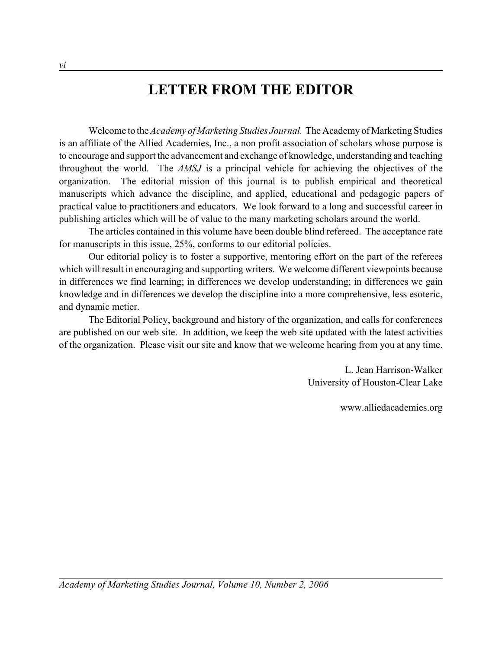## **LETTER FROM THE EDITOR**

Welcome to the *Academy of Marketing Studies Journal.* The Academy of Marketing Studies is an affiliate of the Allied Academies, Inc., a non profit association of scholars whose purpose is to encourage and support the advancement and exchange of knowledge, understanding and teaching throughout the world. The *AMSJ* is a principal vehicle for achieving the objectives of the organization. The editorial mission of this journal is to publish empirical and theoretical manuscripts which advance the discipline, and applied, educational and pedagogic papers of practical value to practitioners and educators. We look forward to a long and successful career in publishing articles which will be of value to the many marketing scholars around the world.

The articles contained in this volume have been double blind refereed. The acceptance rate for manuscripts in this issue, 25%, conforms to our editorial policies.

Our editorial policy is to foster a supportive, mentoring effort on the part of the referees which will result in encouraging and supporting writers. We welcome different viewpoints because in differences we find learning; in differences we develop understanding; in differences we gain knowledge and in differences we develop the discipline into a more comprehensive, less esoteric, and dynamic metier.

The Editorial Policy, background and history of the organization, and calls for conferences are published on our web site. In addition, we keep the web site updated with the latest activities of the organization. Please visit our site and know that we welcome hearing from you at any time.

> L. Jean Harrison-Walker University of Houston-Clear Lake

> > www.alliedacademies.org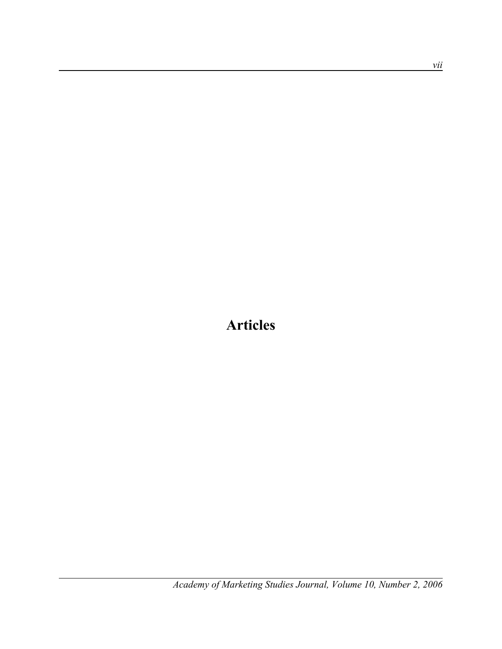**Articles**

*Academy of Marketing Studies Journal, Volume 10, Number 2, 2006*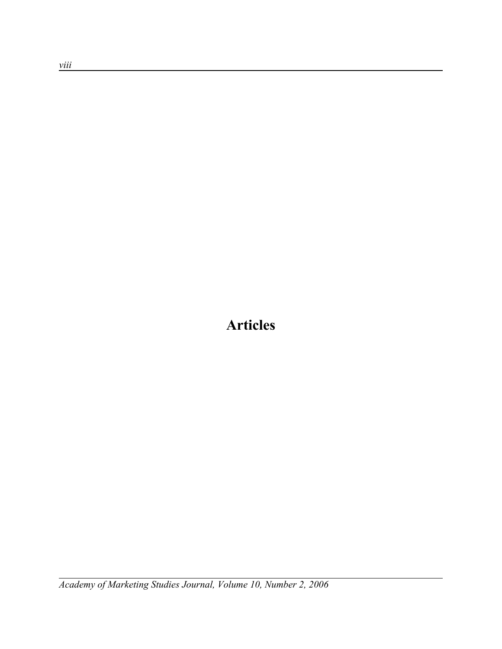**Articles**

*Academy of Marketing Studies Journal, Volume 10, Number 2, 2006*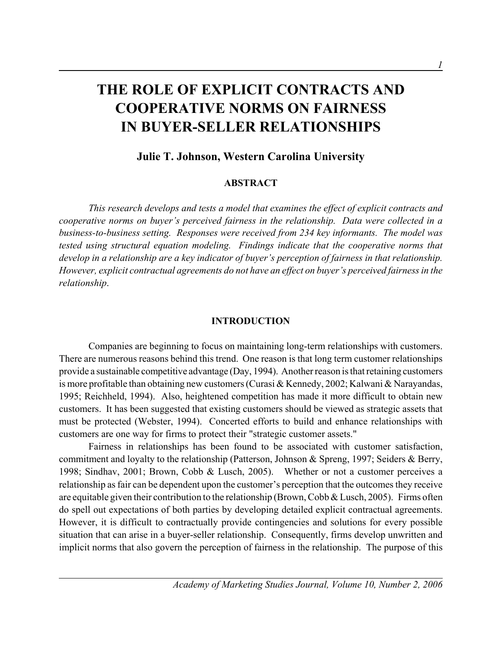# **THE ROLE OF EXPLICIT CONTRACTS AND COOPERATIVE NORMS ON FAIRNESS IN BUYER-SELLER RELATIONSHIPS**

## **Julie T. Johnson, Western Carolina University**

#### **ABSTRACT**

*This research develops and tests a model that examines the effect of explicit contracts and cooperative norms on buyer's perceived fairness in the relationship. Data were collected in a business-to-business setting. Responses were received from 234 key informants. The model was tested using structural equation modeling. Findings indicate that the cooperative norms that develop in a relationship are a key indicator of buyer's perception of fairness in that relationship. However, explicit contractual agreements do not have an effect on buyer's perceived fairness in the relationship*.

#### **INTRODUCTION**

Companies are beginning to focus on maintaining long-term relationships with customers. There are numerous reasons behind this trend. One reason is that long term customer relationships provide a sustainable competitive advantage (Day, 1994). Another reason is that retaining customers is more profitable than obtaining new customers (Curasi & Kennedy, 2002; Kalwani & Narayandas, 1995; Reichheld, 1994). Also, heightened competition has made it more difficult to obtain new customers. It has been suggested that existing customers should be viewed as strategic assets that must be protected (Webster, 1994). Concerted efforts to build and enhance relationships with customers are one way for firms to protect their "strategic customer assets."

Fairness in relationships has been found to be associated with customer satisfaction, commitment and loyalty to the relationship (Patterson, Johnson & Spreng, 1997; Seiders & Berry, 1998; Sindhav, 2001; Brown, Cobb & Lusch, 2005). Whether or not a customer perceives a relationship as fair can be dependent upon the customer's perception that the outcomes they receive are equitable given their contribution to the relationship (Brown, Cobb & Lusch, 2005). Firms often do spell out expectations of both parties by developing detailed explicit contractual agreements. However, it is difficult to contractually provide contingencies and solutions for every possible situation that can arise in a buyer-seller relationship. Consequently, firms develop unwritten and implicit norms that also govern the perception of fairness in the relationship. The purpose of this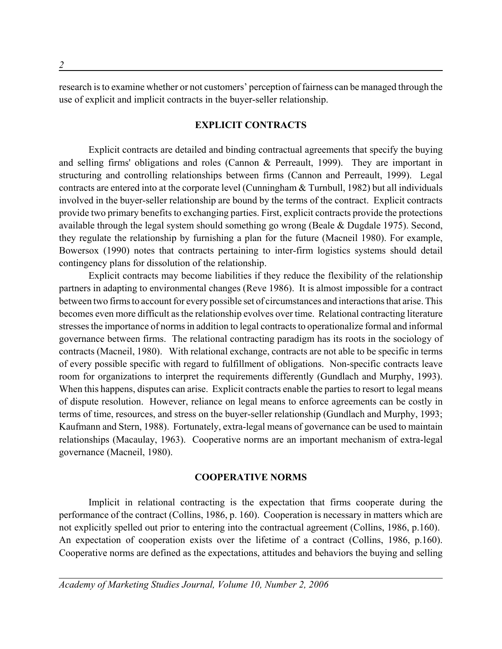research is to examine whether or not customers' perception of fairness can be managed through the use of explicit and implicit contracts in the buyer-seller relationship.

#### **EXPLICIT CONTRACTS**

Explicit contracts are detailed and binding contractual agreements that specify the buying and selling firms' obligations and roles (Cannon & Perreault, 1999). They are important in structuring and controlling relationships between firms (Cannon and Perreault, 1999). Legal contracts are entered into at the corporate level (Cunningham & Turnbull, 1982) but all individuals involved in the buyer-seller relationship are bound by the terms of the contract. Explicit contracts provide two primary benefits to exchanging parties. First, explicit contracts provide the protections available through the legal system should something go wrong (Beale & Dugdale 1975). Second, they regulate the relationship by furnishing a plan for the future (Macneil 1980). For example, Bowersox (1990) notes that contracts pertaining to inter-firm logistics systems should detail contingency plans for dissolution of the relationship.

Explicit contracts may become liabilities if they reduce the flexibility of the relationship partners in adapting to environmental changes (Reve 1986). It is almost impossible for a contract between two firms to account for every possible set of circumstances and interactions that arise. This becomes even more difficult as the relationship evolves over time. Relational contracting literature stresses the importance of norms in addition to legal contracts to operationalize formal and informal governance between firms. The relational contracting paradigm has its roots in the sociology of contracts (Macneil, 1980). With relational exchange, contracts are not able to be specific in terms of every possible specific with regard to fulfillment of obligations. Non-specific contracts leave room for organizations to interpret the requirements differently (Gundlach and Murphy, 1993). When this happens, disputes can arise. Explicit contracts enable the parties to resort to legal means of dispute resolution. However, reliance on legal means to enforce agreements can be costly in terms of time, resources, and stress on the buyer-seller relationship (Gundlach and Murphy, 1993; Kaufmann and Stern, 1988). Fortunately, extra-legal means of governance can be used to maintain relationships (Macaulay, 1963). Cooperative norms are an important mechanism of extra-legal governance (Macneil, 1980).

#### **COOPERATIVE NORMS**

Implicit in relational contracting is the expectation that firms cooperate during the performance of the contract (Collins, 1986, p. 160). Cooperation is necessary in matters which are not explicitly spelled out prior to entering into the contractual agreement (Collins, 1986, p.160). An expectation of cooperation exists over the lifetime of a contract (Collins, 1986, p.160). Cooperative norms are defined as the expectations, attitudes and behaviors the buying and selling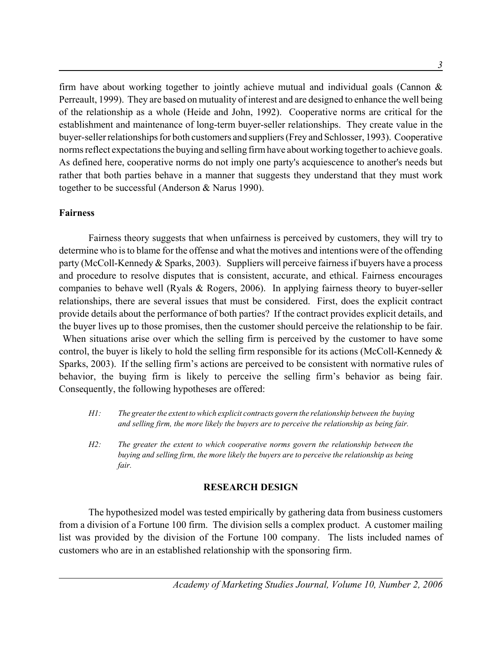firm have about working together to jointly achieve mutual and individual goals (Cannon  $\&$ Perreault, 1999). They are based on mutuality of interest and are designed to enhance the well being of the relationship as a whole (Heide and John, 1992). Cooperative norms are critical for the establishment and maintenance of long-term buyer-seller relationships. They create value in the buyer-seller relationships for both customers and suppliers (Frey and Schlosser, 1993). Cooperative norms reflect expectations the buying and selling firm have about working together to achieve goals. As defined here, cooperative norms do not imply one party's acquiescence to another's needs but rather that both parties behave in a manner that suggests they understand that they must work together to be successful (Anderson & Narus 1990).

## **Fairness**

Fairness theory suggests that when unfairness is perceived by customers, they will try to determine who is to blame for the offense and what the motives and intentions were of the offending party (McColl-Kennedy & Sparks, 2003). Suppliers will perceive fairness if buyers have a process and procedure to resolve disputes that is consistent, accurate, and ethical. Fairness encourages companies to behave well (Ryals & Rogers, 2006). In applying fairness theory to buyer-seller relationships, there are several issues that must be considered. First, does the explicit contract provide details about the performance of both parties? If the contract provides explicit details, and the buyer lives up to those promises, then the customer should perceive the relationship to be fair. When situations arise over which the selling firm is perceived by the customer to have some control, the buyer is likely to hold the selling firm responsible for its actions (McColl-Kennedy & Sparks, 2003). If the selling firm's actions are perceived to be consistent with normative rules of behavior, the buying firm is likely to perceive the selling firm's behavior as being fair. Consequently, the following hypotheses are offered:

- *H1: The greater the extent to which explicit contracts govern the relationship between the buying and selling firm, the more likely the buyers are to perceive the relationship as being fair.*
- *H2: The greater the extent to which cooperative norms govern the relationship between the buying and selling firm, the more likely the buyers are to perceive the relationship as being fair.*

## **RESEARCH DESIGN**

The hypothesized model was tested empirically by gathering data from business customers from a division of a Fortune 100 firm. The division sells a complex product. A customer mailing list was provided by the division of the Fortune 100 company. The lists included names of customers who are in an established relationship with the sponsoring firm.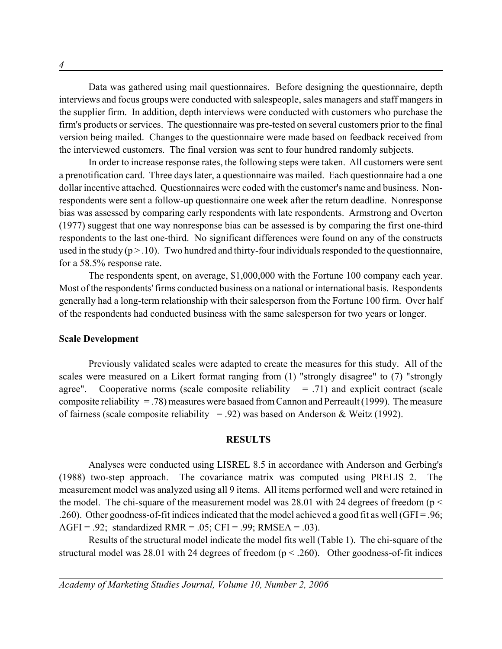Data was gathered using mail questionnaires. Before designing the questionnaire, depth interviews and focus groups were conducted with salespeople, sales managers and staff mangers in the supplier firm. In addition, depth interviews were conducted with customers who purchase the firm's products or services. The questionnaire was pre-tested on several customers prior to the final version being mailed. Changes to the questionnaire were made based on feedback received from the interviewed customers. The final version was sent to four hundred randomly subjects.

In order to increase response rates, the following steps were taken. All customers were sent a prenotification card. Three days later, a questionnaire was mailed. Each questionnaire had a one dollar incentive attached. Questionnaires were coded with the customer's name and business. Nonrespondents were sent a follow-up questionnaire one week after the return deadline. Nonresponse bias was assessed by comparing early respondents with late respondents. Armstrong and Overton (1977) suggest that one way nonresponse bias can be assessed is by comparing the first one-third respondents to the last one-third. No significant differences were found on any of the constructs used in the study  $(p > 0.10)$ . Two hundred and thirty-four individuals responded to the questionnaire, for a 58.5% response rate.

The respondents spent, on average, \$1,000,000 with the Fortune 100 company each year. Most of the respondents' firms conducted business on a national or international basis. Respondents generally had a long-term relationship with their salesperson from the Fortune 100 firm. Over half of the respondents had conducted business with the same salesperson for two years or longer.

#### **Scale Development**

Previously validated scales were adapted to create the measures for this study. All of the scales were measured on a Likert format ranging from (1) "strongly disagree" to (7) "strongly agree". Cooperative norms (scale composite reliability  $= .71$ ) and explicit contract (scale composite reliability  $=$  .78) measures were basaed from Cannon and Perreault (1999). The measure of fairness (scale composite reliability = .92) was based on Anderson & Weitz (1992).

#### **RESULTS**

Analyses were conducted using LISREL 8.5 in accordance with Anderson and Gerbing's (1988) two-step approach. The covariance matrix was computed using PRELIS 2. The measurement model was analyzed using all 9 items. All items performed well and were retained in the model. The chi-square of the measurement model was 28.01 with 24 degrees of freedom ( $p <$ .260). Other goodness-of-fit indices indicated that the model achieved a good fit as well (GFI = .96; AGFI = .92; standardized RMR = .05; CFI = .99; RMSEA = .03).

Results of the structural model indicate the model fits well (Table 1). The chi-square of the structural model was 28.01 with 24 degrees of freedom ( $p < .260$ ). Other goodness-of-fit indices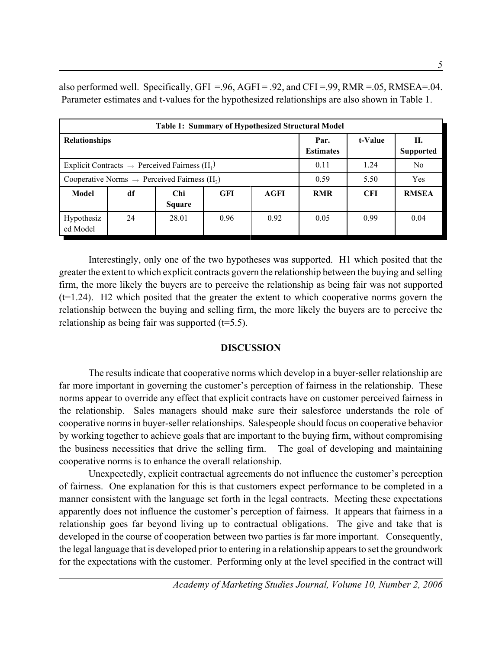also performed well. Specifically, GFI =.96, AGFI = .92, and CFI =.99, RMR =.05, RMSEA=.04. Parameter estimates and t-values for the hypothesized relationships are also shown in Table 1.

| <b>Table 1: Summary of Hypothesized Structural Model</b>              |    |                       |            |      |                          |            |                        |
|-----------------------------------------------------------------------|----|-----------------------|------------|------|--------------------------|------------|------------------------|
| <b>Relationships</b>                                                  |    |                       |            |      | Par.<br><b>Estimates</b> | t-Value    | Н.<br><b>Supported</b> |
| Explicit Contracts $\rightarrow$ Perceived Fairness (H <sub>1</sub> ) |    |                       |            | 0.11 | 1.24                     | No         |                        |
| Cooperative Norms $\rightarrow$ Perceived Fairness (H <sub>2</sub> )  |    |                       |            | 0.59 | 5.50                     | Yes        |                        |
| <b>Model</b>                                                          | df | Chi.<br><b>Square</b> | <b>GFI</b> | AGFI | <b>RMR</b>               | <b>CFI</b> | <b>RMSEA</b>           |
| Hypothesiz<br>ed Model                                                | 24 | 28.01                 | 0.96       | 0.92 | 0.05                     | 0.99       | 0.04                   |

Interestingly, only one of the two hypotheses was supported. H1 which posited that the greater the extent to which explicit contracts govern the relationship between the buying and selling firm, the more likely the buyers are to perceive the relationship as being fair was not supported (t=1.24). H2 which posited that the greater the extent to which cooperative norms govern the relationship between the buying and selling firm, the more likely the buyers are to perceive the relationship as being fair was supported  $(t=5.5)$ .

## **DISCUSSION**

The results indicate that cooperative norms which develop in a buyer-seller relationship are far more important in governing the customer's perception of fairness in the relationship. These norms appear to override any effect that explicit contracts have on customer perceived fairness in the relationship. Sales managers should make sure their salesforce understands the role of cooperative norms in buyer-seller relationships. Salespeople should focus on cooperative behavior by working together to achieve goals that are important to the buying firm, without compromising the business necessities that drive the selling firm. The goal of developing and maintaining cooperative norms is to enhance the overall relationship.

Unexpectedly, explicit contractual agreements do not influence the customer's perception of fairness. One explanation for this is that customers expect performance to be completed in a manner consistent with the language set forth in the legal contracts. Meeting these expectations apparently does not influence the customer's perception of fairness. It appears that fairness in a relationship goes far beyond living up to contractual obligations. The give and take that is developed in the course of cooperation between two parties is far more important. Consequently, the legal language that is developed prior to entering in a relationship appears to set the groundwork for the expectations with the customer. Performing only at the level specified in the contract will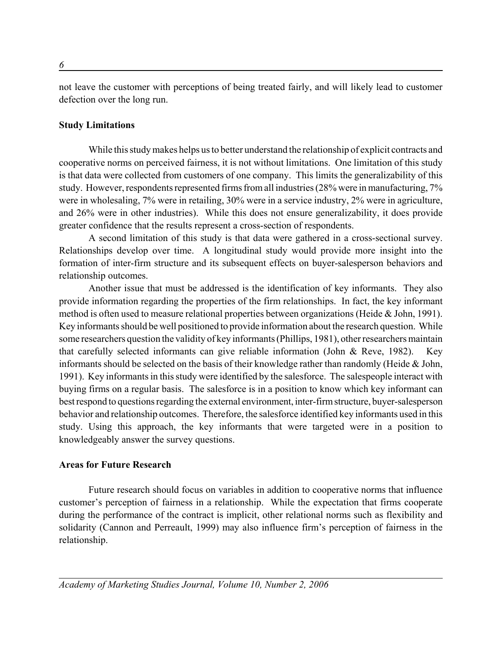not leave the customer with perceptions of being treated fairly, and will likely lead to customer defection over the long run.

## **Study Limitations**

While this study makes helps us to better understand the relationship of explicit contracts and cooperative norms on perceived fairness, it is not without limitations. One limitation of this study is that data were collected from customers of one company. This limits the generalizability of this study. However, respondents represented firms from all industries (28% were in manufacturing, 7% were in wholesaling, 7% were in retailing, 30% were in a service industry, 2% were in agriculture, and 26% were in other industries). While this does not ensure generalizability, it does provide greater confidence that the results represent a cross-section of respondents.

A second limitation of this study is that data were gathered in a cross-sectional survey. Relationships develop over time. A longitudinal study would provide more insight into the formation of inter-firm structure and its subsequent effects on buyer-salesperson behaviors and relationship outcomes.

Another issue that must be addressed is the identification of key informants. They also provide information regarding the properties of the firm relationships. In fact, the key informant method is often used to measure relational properties between organizations (Heide & John, 1991). Key informants should be well positioned to provide information about the research question. While some researchers question the validity of key informants (Phillips, 1981), other researchers maintain that carefully selected informants can give reliable information (John & Reve, 1982). Key informants should be selected on the basis of their knowledge rather than randomly (Heide & John, 1991). Key informants in this study were identified by the salesforce. The salespeople interact with buying firms on a regular basis. The salesforce is in a position to know which key informant can best respond to questions regarding the external environment, inter-firm structure, buyer-salesperson behavior and relationship outcomes. Therefore, the salesforce identified key informants used in this study. Using this approach, the key informants that were targeted were in a position to knowledgeably answer the survey questions.

### **Areas for Future Research**

Future research should focus on variables in addition to cooperative norms that influence customer's perception of fairness in a relationship. While the expectation that firms cooperate during the performance of the contract is implicit, other relational norms such as flexibility and solidarity (Cannon and Perreault, 1999) may also influence firm's perception of fairness in the relationship.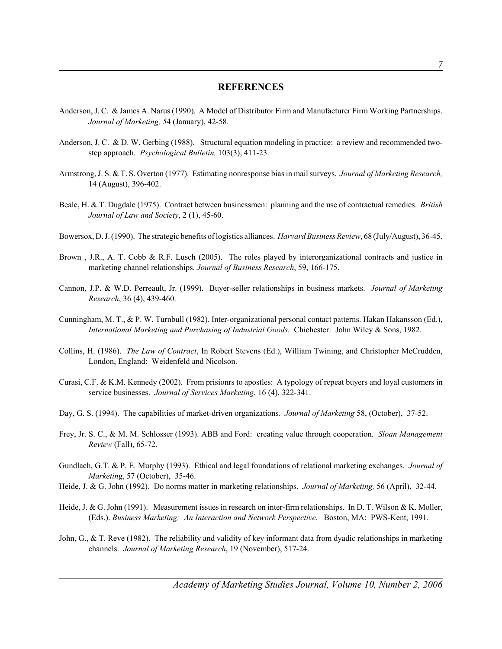#### **REFERENCES**

- Anderson, J. C. & James A. Narus (1990). A Model of Distributor Firm and Manufacturer Firm Working Partnerships. *Journal of Marketing, 5*4 (January), 42-58.
- Anderson, J. C. & D. W. Gerbing (1988). Structural equation modeling in practice: a review and recommended twostep approach. *Psychological Bulletin,* 103(3), 411-23.
- Armstrong, J. S. & T. S. Overton (1977). Estimating nonresponse bias in mail surveys. *Journal of Marketing Research,* 14 (August), 396-402.
- Beale, H. & T. Dugdale (1975). Contract between businessmen: planning and the use of contractual remedies. *British Journal of Law and Society*, 2 (1), 45-60.
- Bowersox, D. J. (1990). The strategic benefits of logistics alliances. *Harvard Business Review*, 68 (July/August), 36-45.
- Brown , J.R., A. T. Cobb & R.F. Lusch (2005). The roles played by interorganizational contracts and justice in marketing channel relationships. *Journal of Business Research*, 59, 166-175.
- Cannon, J.P. & W.D. Perreault, Jr. (1999). Buyer-seller relationships in business markets. *Journal of Marketing Research*, 36 (4), 439-460.
- Cunningham, M. T., & P. W. Turnbull (1982). Inter-organizational personal contact patterns. Hakan Hakansson (Ed.), *International Marketing and Purchasing of Industrial Goods.* Chichester: John Wiley & Sons, 1982.
- Collins, H. (1986). *The Law of Contract*, In Robert Stevens (Ed.), William Twining, and Christopher McCrudden, London, England: Weidenfeld and Nicolson.
- Curasi, C.F. & K.M. Kennedy (2002). From prisionrs to apostles: A typology of repeat buyers and loyal customers in service businesses. *Journal of Services Marketing*, 16 (4), 322-341.
- Day, G. S. (1994). The capabilities of market-driven organizations. *Journal of Marketing* 58, (October), 37-52.
- Frey, Jr. S. C., & M. M. Schlosser (1993). ABB and Ford: creating value through cooperation. *Sloan Management Review* (Fall), 65-72.
- Gundlach, G.T. & P. E. Murphy (1993). Ethical and legal foundations of relational marketing exchanges. *Journal of Marketin*g, 57 (October), 35-46.
- Heide, J. & G. John (1992). Do norms matter in marketing relationships. *Journal of Marketing,* 56 (April), 32-44.
- Heide, J. & G. John (1991). Measurement issues in research on inter-firm relationships. In D. T. Wilson & K. Moller, (Eds.). *Business Marketing: An Interaction and Network Perspective.* Boston, MA: PWS-Kent, 1991.
- John, G.,  $\&$  T. Reve (1982). The reliability and validity of key informant data from dyadic relationships in marketing channels. *Journal of Marketing Research*, 19 (November), 517-24.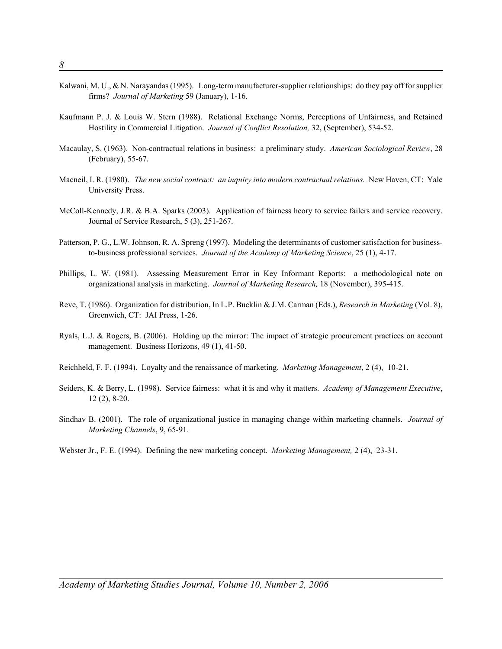- Kalwani, M. U., & N. Narayandas (1995). Long-term manufacturer-supplier relationships: do they pay off for supplier firms? *Journal of Marketing* 59 (January), 1-16.
- Kaufmann P. J. & Louis W. Stern (1988). Relational Exchange Norms, Perceptions of Unfairness, and Retained Hostility in Commercial Litigation. *Journal of Conflict Resolution,* 32, (September), 534-52.
- Macaulay, S. (1963). Non-contractual relations in business: a preliminary study. *American Sociological Review*, 28 (February), 55-67.
- Macneil, I. R. (1980). *The new social contract: an inquiry into modern contractual relations.* New Haven, CT: Yale University Press.
- McColl-Kennedy, J.R. & B.A. Sparks (2003). Application of fairness heory to service failers and service recovery. Journal of Service Research, 5 (3), 251-267.
- Patterson, P. G., L.W. Johnson, R. A. Spreng (1997). Modeling the determinants of customer satisfaction for businessto-business professional services. *Journal of the Academy of Marketing Science*, 25 (1), 4-17.
- Phillips, L. W. (1981). Assessing Measurement Error in Key Informant Reports: a methodological note on organizational analysis in marketing. *Journal of Marketing Research,* 18 (November), 395-415.
- Reve, T. (1986). Organization for distribution, In L.P. Bucklin & J.M. Carman (Eds.), *Research in Marketing* (Vol. 8), Greenwich, CT: JAI Press, 1-26.
- Ryals, L.J. & Rogers, B. (2006). Holding up the mirror: The impact of strategic procurement practices on account management. Business Horizons, 49 (1), 41-50.
- Reichheld, F. F. (1994). Loyalty and the renaissance of marketing. *Marketing Management*, 2 (4), 10-21.
- Seiders, K. & Berry, L. (1998). Service fairness: what it is and why it matters. *Academy of Management Executive*, 12 (2), 8-20.
- Sindhav B. (2001). The role of organizational justice in managing change within marketing channels. *Journal of Marketing Channels*, 9, 65-91.
- Webster Jr., F. E. (1994). Defining the new marketing concept. *Marketing Management,* 2 (4), 23-31.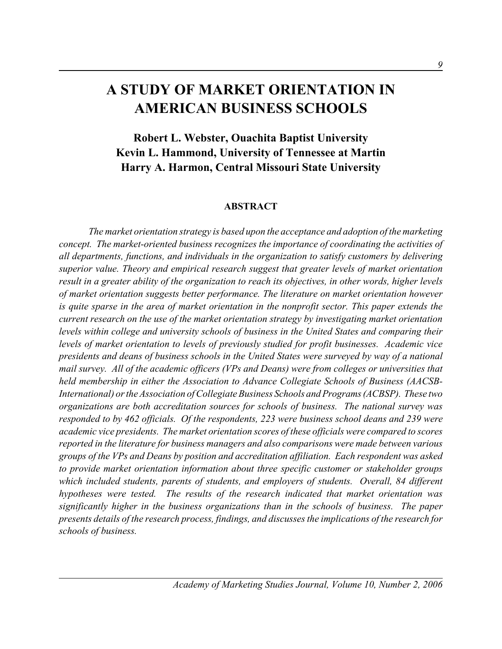## **A STUDY OF MARKET ORIENTATION IN AMERICAN BUSINESS SCHOOLS**

**Robert L. Webster, Ouachita Baptist University Kevin L. Hammond, University of Tennessee at Martin Harry A. Harmon, Central Missouri State University**

#### **ABSTRACT**

*The market orientation strategy is based upon the acceptance and adoption of the marketing concept. The market-oriented business recognizes the importance of coordinating the activities of all departments, functions, and individuals in the organization to satisfy customers by delivering superior value. Theory and empirical research suggest that greater levels of market orientation result in a greater ability of the organization to reach its objectives, in other words, higher levels of market orientation suggests better performance. The literature on market orientation however is quite sparse in the area of market orientation in the nonprofit sector. This paper extends the current research on the use of the market orientation strategy by investigating market orientation levels within college and university schools of business in the United States and comparing their levels of market orientation to levels of previously studied for profit businesses. Academic vice presidents and deans of business schools in the United States were surveyed by way of a national mail survey. All of the academic officers (VPs and Deans) were from colleges or universities that held membership in either the Association to Advance Collegiate Schools of Business (AACSB-International) or the Association of Collegiate Business Schools and Programs (ACBSP). These two organizations are both accreditation sources for schools of business. The national survey was responded to by 462 officials. Of the respondents, 223 were business school deans and 239 were academic vice presidents. The market orientation scores of these officials were compared to scores reported in the literature for business managers and also comparisons were made between various groups of the VPs and Deans by position and accreditation affiliation. Each respondent was asked to provide market orientation information about three specific customer or stakeholder groups which included students, parents of students, and employers of students. Overall, 84 different hypotheses were tested. The results of the research indicated that market orientation was significantly higher in the business organizations than in the schools of business. The paper presents details of the research process, findings, and discusses the implications of the research for schools of business.*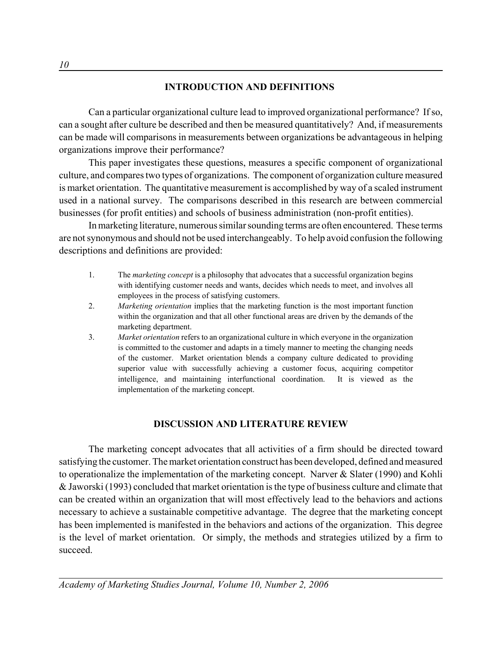## **INTRODUCTION AND DEFINITIONS**

Can a particular organizational culture lead to improved organizational performance? If so, can a sought after culture be described and then be measured quantitatively? And, if measurements can be made will comparisons in measurements between organizations be advantageous in helping organizations improve their performance?

This paper investigates these questions, measures a specific component of organizational culture, and compares two types of organizations. The component of organization culture measured is market orientation. The quantitative measurement is accomplished by way of a scaled instrument used in a national survey. The comparisons described in this research are between commercial businesses (for profit entities) and schools of business administration (non-profit entities).

In marketing literature, numerous similar sounding terms are often encountered. These terms are not synonymous and should not be used interchangeably. To help avoid confusion the following descriptions and definitions are provided:

- 1. The *marketing concept* is a philosophy that advocates that a successful organization begins with identifying customer needs and wants, decides which needs to meet, and involves all employees in the process of satisfying customers.
- 2. *Marketing orientation* implies that the marketing function is the most important function within the organization and that all other functional areas are driven by the demands of the marketing department.
- 3. *Market orientation* refers to an organizational culture in which everyone in the organization is committed to the customer and adapts in a timely manner to meeting the changing needs of the customer. Market orientation blends a company culture dedicated to providing superior value with successfully achieving a customer focus, acquiring competitor intelligence, and maintaining interfunctional coordination. It is viewed as the implementation of the marketing concept.

### **DISCUSSION AND LITERATURE REVIEW**

The marketing concept advocates that all activities of a firm should be directed toward satisfying the customer. The market orientation construct has been developed, defined and measured to operationalize the implementation of the marketing concept. Narver & Slater (1990) and Kohli & Jaworski (1993) concluded that market orientation is the type of business culture and climate that can be created within an organization that will most effectively lead to the behaviors and actions necessary to achieve a sustainable competitive advantage. The degree that the marketing concept has been implemented is manifested in the behaviors and actions of the organization. This degree is the level of market orientation. Or simply, the methods and strategies utilized by a firm to succeed.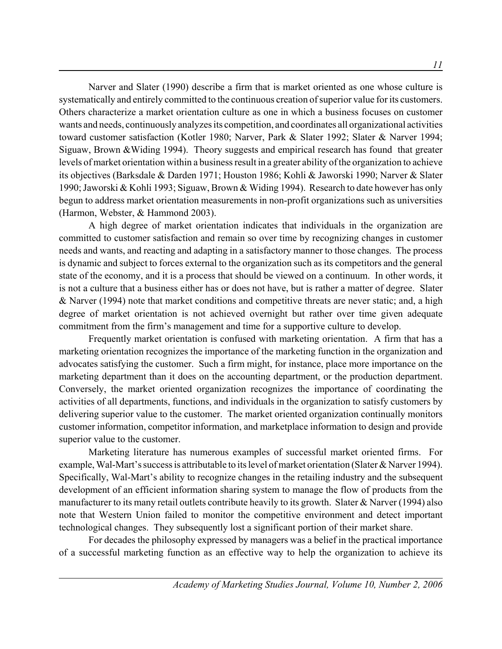Narver and Slater (1990) describe a firm that is market oriented as one whose culture is systematically and entirely committed to the continuous creation of superior value for its customers. Others characterize a market orientation culture as one in which a business focuses on customer wants and needs, continuously analyzes its competition, and coordinates all organizational activities toward customer satisfaction (Kotler 1980; Narver, Park & Slater 1992; Slater & Narver 1994; Siguaw, Brown &Widing 1994). Theory suggests and empirical research has found that greater levels of market orientation within a business result in a greater ability of the organization to achieve its objectives (Barksdale & Darden 1971; Houston 1986; Kohli & Jaworski 1990; Narver & Slater 1990; Jaworski & Kohli 1993; Siguaw, Brown & Widing 1994). Research to date however has only begun to address market orientation measurements in non-profit organizations such as universities (Harmon, Webster, & Hammond 2003).

A high degree of market orientation indicates that individuals in the organization are committed to customer satisfaction and remain so over time by recognizing changes in customer needs and wants, and reacting and adapting in a satisfactory manner to those changes. The process is dynamic and subject to forces external to the organization such as its competitors and the general state of the economy, and it is a process that should be viewed on a continuum. In other words, it is not a culture that a business either has or does not have, but is rather a matter of degree. Slater & Narver (1994) note that market conditions and competitive threats are never static; and, a high degree of market orientation is not achieved overnight but rather over time given adequate commitment from the firm's management and time for a supportive culture to develop.

Frequently market orientation is confused with marketing orientation. A firm that has a marketing orientation recognizes the importance of the marketing function in the organization and advocates satisfying the customer. Such a firm might, for instance, place more importance on the marketing department than it does on the accounting department, or the production department. Conversely, the market oriented organization recognizes the importance of coordinating the activities of all departments, functions, and individuals in the organization to satisfy customers by delivering superior value to the customer. The market oriented organization continually monitors customer information, competitor information, and marketplace information to design and provide superior value to the customer.

Marketing literature has numerous examples of successful market oriented firms. For example, Wal-Mart's success is attributable to its level of market orientation (Slater & Narver 1994). Specifically, Wal-Mart's ability to recognize changes in the retailing industry and the subsequent development of an efficient information sharing system to manage the flow of products from the manufacturer to its many retail outlets contribute heavily to its growth. Slater & Narver (1994) also note that Western Union failed to monitor the competitive environment and detect important technological changes. They subsequently lost a significant portion of their market share.

For decades the philosophy expressed by managers was a belief in the practical importance of a successful marketing function as an effective way to help the organization to achieve its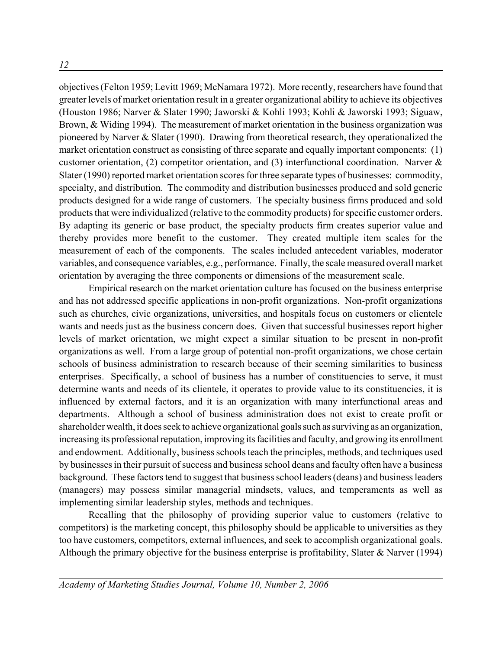*12*

objectives (Felton 1959; Levitt 1969; McNamara 1972). More recently, researchers have found that greater levels of market orientation result in a greater organizational ability to achieve its objectives (Houston 1986; Narver & Slater 1990; Jaworski & Kohli 1993; Kohli & Jaworski 1993; Siguaw, Brown, & Widing 1994). The measurement of market orientation in the business organization was pioneered by Narver & Slater (1990). Drawing from theoretical research, they operationalized the market orientation construct as consisting of three separate and equally important components: (1) customer orientation, (2) competitor orientation, and (3) interfunctional coordination. Narver & Slater (1990) reported market orientation scores for three separate types of businesses: commodity, specialty, and distribution. The commodity and distribution businesses produced and sold generic products designed for a wide range of customers. The specialty business firms produced and sold products that were individualized (relative to the commodity products) for specific customer orders. By adapting its generic or base product, the specialty products firm creates superior value and thereby provides more benefit to the customer. They created multiple item scales for the measurement of each of the components. The scales included antecedent variables, moderator variables, and consequence variables, e.g., performance. Finally, the scale measured overall market orientation by averaging the three components or dimensions of the measurement scale.

Empirical research on the market orientation culture has focused on the business enterprise and has not addressed specific applications in non-profit organizations. Non-profit organizations such as churches, civic organizations, universities, and hospitals focus on customers or clientele wants and needs just as the business concern does. Given that successful businesses report higher levels of market orientation, we might expect a similar situation to be present in non-profit organizations as well. From a large group of potential non-profit organizations, we chose certain schools of business administration to research because of their seeming similarities to business enterprises. Specifically, a school of business has a number of constituencies to serve, it must determine wants and needs of its clientele, it operates to provide value to its constituencies, it is influenced by external factors, and it is an organization with many interfunctional areas and departments. Although a school of business administration does not exist to create profit or shareholder wealth, it does seek to achieve organizational goals such as surviving as an organization, increasing its professional reputation, improving its facilities and faculty, and growing its enrollment and endowment. Additionally, business schools teach the principles, methods, and techniques used by businesses in their pursuit of success and business school deans and faculty often have a business background. These factors tend to suggest that business school leaders (deans) and business leaders (managers) may possess similar managerial mindsets, values, and temperaments as well as implementing similar leadership styles, methods and techniques.

Recalling that the philosophy of providing superior value to customers (relative to competitors) is the marketing concept, this philosophy should be applicable to universities as they too have customers, competitors, external influences, and seek to accomplish organizational goals. Although the primary objective for the business enterprise is profitability, Slater & Narver (1994)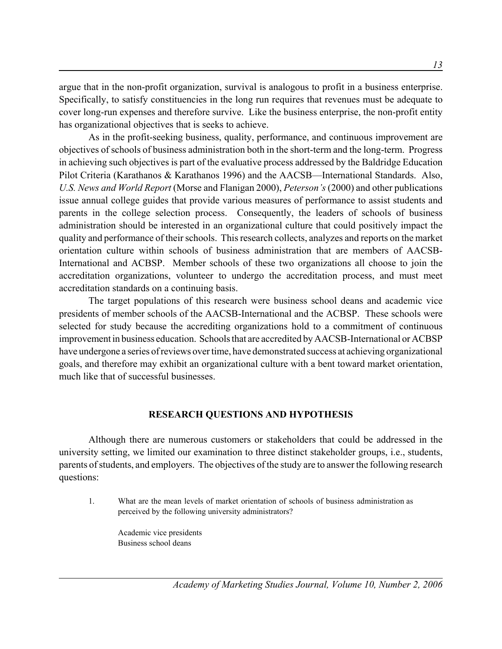argue that in the non-profit organization, survival is analogous to profit in a business enterprise. Specifically, to satisfy constituencies in the long run requires that revenues must be adequate to cover long-run expenses and therefore survive. Like the business enterprise, the non-profit entity has organizational objectives that is seeks to achieve.

As in the profit-seeking business, quality, performance, and continuous improvement are objectives of schools of business administration both in the short-term and the long-term. Progress in achieving such objectives is part of the evaluative process addressed by the Baldridge Education Pilot Criteria (Karathanos & Karathanos 1996) and the AACSB—International Standards. Also, *U.S. News and World Report* (Morse and Flanigan 2000), *Peterson's* (2000) and other publications issue annual college guides that provide various measures of performance to assist students and parents in the college selection process. Consequently, the leaders of schools of business administration should be interested in an organizational culture that could positively impact the quality and performance of their schools. This research collects, analyzes and reports on the market orientation culture within schools of business administration that are members of AACSB-International and ACBSP. Member schools of these two organizations all choose to join the accreditation organizations, volunteer to undergo the accreditation process, and must meet accreditation standards on a continuing basis.

The target populations of this research were business school deans and academic vice presidents of member schools of the AACSB-International and the ACBSP. These schools were selected for study because the accrediting organizations hold to a commitment of continuous improvement in business education. Schools that are accredited by AACSB-International or ACBSP have undergone a series of reviews over time, have demonstrated success at achieving organizational goals, and therefore may exhibit an organizational culture with a bent toward market orientation, much like that of successful businesses.

### **RESEARCH QUESTIONS AND HYPOTHESIS**

Although there are numerous customers or stakeholders that could be addressed in the university setting, we limited our examination to three distinct stakeholder groups, i.e., students, parents of students, and employers. The objectives of the study are to answer the following research questions:

1. What are the mean levels of market orientation of schools of business administration as perceived by the following university administrators?

Academic vice presidents Business school deans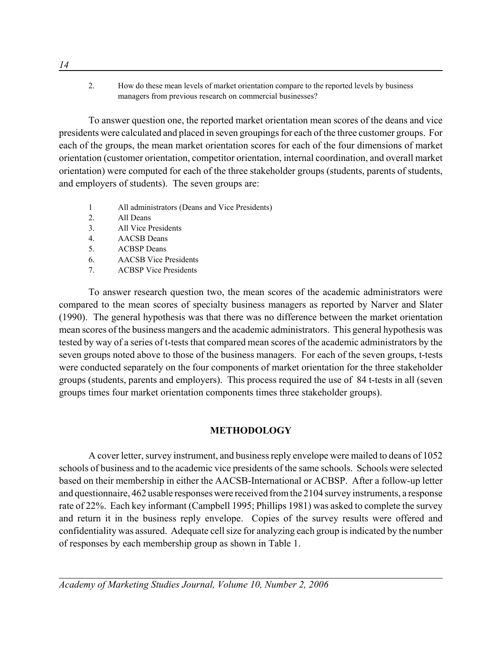2. How do these mean levels of market orientation compare to the reported levels by business managers from previous research on commercial businesses?

To answer question one, the reported market orientation mean scores of the deans and vice presidents were calculated and placed in seven groupings for each of the three customer groups. For each of the groups, the mean market orientation scores for each of the four dimensions of market orientation (customer orientation, competitor orientation, internal coordination, and overall market orientation) were computed for each of the three stakeholder groups (students, parents of students, and employers of students). The seven groups are:

- 1 All administrators (Deans and Vice Presidents)
- 2. All Deans
- 3. All Vice Presidents
- 4. AACSB Deans
- 5. ACBSP Deans
- 6. AACSB Vice Presidents
- 7. ACBSP Vice Presidents

To answer research question two, the mean scores of the academic administrators were compared to the mean scores of specialty business managers as reported by Narver and Slater (1990). The general hypothesis was that there was no difference between the market orientation mean scores of the business mangers and the academic administrators. This general hypothesis was tested by way of a series of t-tests that compared mean scores of the academic administrators by the seven groups noted above to those of the business managers. For each of the seven groups, t-tests were conducted separately on the four components of market orientation for the three stakeholder groups (students, parents and employers). This process required the use of 84 t-tests in all (seven groups times four market orientation components times three stakeholder groups).

### **METHODOLOGY**

A cover letter, survey instrument, and business reply envelope were mailed to deans of 1052 schools of business and to the academic vice presidents of the same schools. Schools were selected based on their membership in either the AACSB-International or ACBSP. After a follow-up letter and questionnaire, 462 usable responses were received from the 2104 survey instruments, a response rate of 22%. Each key informant (Campbell 1995; Phillips 1981) was asked to complete the survey and return it in the business reply envelope. Copies of the survey results were offered and confidentiality was assured. Adequate cell size for analyzing each group is indicated by the number of responses by each membership group as shown in Table 1.

*14*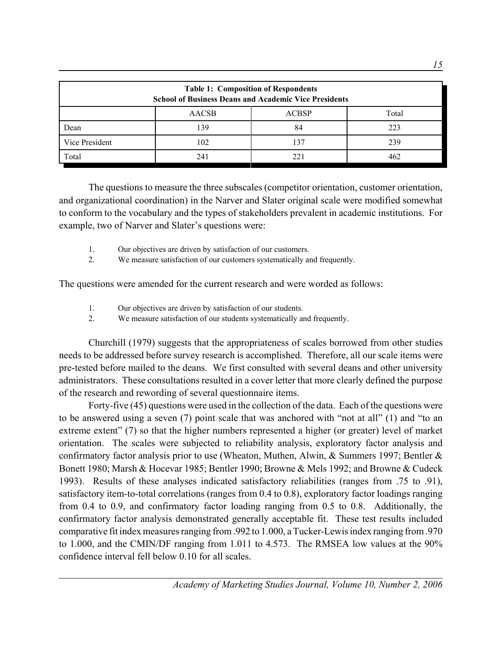| <b>Table 1: Composition of Respondents</b><br><b>School of Business Deans and Academic Vice Presidents</b> |              |              |       |  |  |  |
|------------------------------------------------------------------------------------------------------------|--------------|--------------|-------|--|--|--|
|                                                                                                            | <b>AACSB</b> | <b>ACBSP</b> | Total |  |  |  |
| Dean                                                                                                       | 139          | 84           | 223   |  |  |  |
| Vice President                                                                                             | 102          | 137          | 239   |  |  |  |
| Total                                                                                                      | 241          | 221          | 462   |  |  |  |

The questions to measure the three subscales (competitor orientation, customer orientation, and organizational coordination) in the Narver and Slater original scale were modified somewhat to conform to the vocabulary and the types of stakeholders prevalent in academic institutions. For example, two of Narver and Slater's questions were:

- 1. Our objectives are driven by satisfaction of our customers.
- 2. We measure satisfaction of our customers systematically and frequently.

The questions were amended for the current research and were worded as follows:

- 1. Our objectives are driven by satisfaction of our students.
- 2. We measure satisfaction of our students systematically and frequently.

Churchill (1979) suggests that the appropriateness of scales borrowed from other studies needs to be addressed before survey research is accomplished. Therefore, all our scale items were pre-tested before mailed to the deans. We first consulted with several deans and other university administrators. These consultations resulted in a cover letter that more clearly defined the purpose of the research and rewording of several questionnaire items.

Forty-five (45) questions were used in the collection of the data. Each of the questions were to be answered using a seven (7) point scale that was anchored with "not at all" (1) and "to an extreme extent" (7) so that the higher numbers represented a higher (or greater) level of market orientation. The scales were subjected to reliability analysis, exploratory factor analysis and confirmatory factor analysis prior to use (Wheaton, Muthen, Alwin, & Summers 1997; Bentler & Bonett 1980; Marsh & Hocevar 1985; Bentler 1990; Browne & Mels 1992; and Browne & Cudeck 1993). Results of these analyses indicated satisfactory reliabilities (ranges from .75 to .91), satisfactory item-to-total correlations (ranges from 0.4 to 0.8), exploratory factor loadings ranging from 0.4 to 0.9, and confirmatory factor loading ranging from 0.5 to 0.8. Additionally, the confirmatory factor analysis demonstrated generally acceptable fit. These test results included comparative fit index measures ranging from .992 to 1.000, a Tucker-Lewis index ranging from .970 to 1.000, and the CMIN/DF ranging from 1.011 to 4.573. The RMSEA low values at the 90% confidence interval fell below 0.10 for all scales.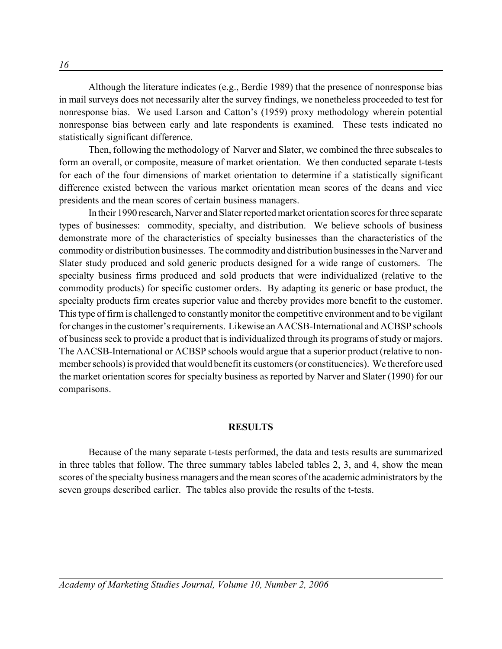Although the literature indicates (e.g., Berdie 1989) that the presence of nonresponse bias in mail surveys does not necessarily alter the survey findings, we nonetheless proceeded to test for nonresponse bias. We used Larson and Catton's (1959) proxy methodology wherein potential nonresponse bias between early and late respondents is examined. These tests indicated no statistically significant difference.

Then, following the methodology of Narver and Slater, we combined the three subscales to form an overall, or composite, measure of market orientation. We then conducted separate t-tests for each of the four dimensions of market orientation to determine if a statistically significant difference existed between the various market orientation mean scores of the deans and vice presidents and the mean scores of certain business managers.

In their 1990 research, Narver and Slater reported market orientation scores for three separate types of businesses: commodity, specialty, and distribution. We believe schools of business demonstrate more of the characteristics of specialty businesses than the characteristics of the commodity or distribution businesses. The commodity and distribution businesses in the Narver and Slater study produced and sold generic products designed for a wide range of customers. The specialty business firms produced and sold products that were individualized (relative to the commodity products) for specific customer orders. By adapting its generic or base product, the specialty products firm creates superior value and thereby provides more benefit to the customer. This type of firm is challenged to constantly monitor the competitive environment and to be vigilant for changes in the customer's requirements. Likewise an AACSB-International and ACBSP schools of business seek to provide a product that is individualized through its programs of study or majors. The AACSB-International or ACBSP schools would argue that a superior product (relative to nonmember schools) is provided that would benefit its customers (or constituencies). We therefore used the market orientation scores for specialty business as reported by Narver and Slater (1990) for our comparisons.

#### **RESULTS**

Because of the many separate t-tests performed, the data and tests results are summarized in three tables that follow. The three summary tables labeled tables 2, 3, and 4, show the mean scores of the specialty business managers and the mean scores of the academic administrators by the seven groups described earlier. The tables also provide the results of the t-tests.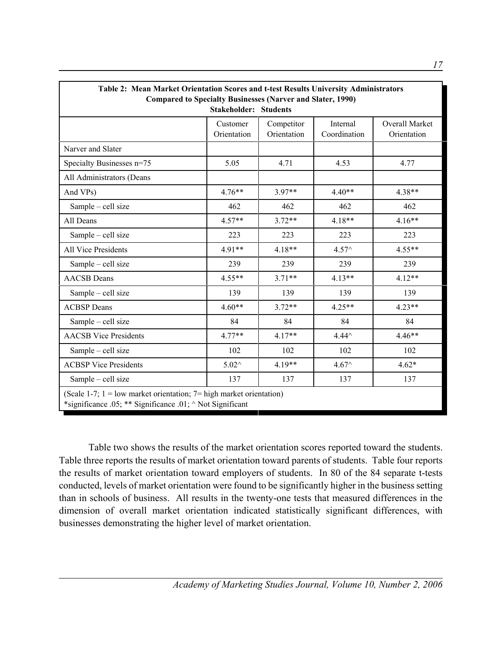| Table 2: Mean Market Orientation Scores and t-test Results University Administrators<br><b>Compared to Specialty Businesses (Narver and Slater, 1990)</b> |                                                                                                                                                          |          |                 |          |  |  |  |
|-----------------------------------------------------------------------------------------------------------------------------------------------------------|----------------------------------------------------------------------------------------------------------------------------------------------------------|----------|-----------------|----------|--|--|--|
|                                                                                                                                                           | <b>Stakeholder: Students</b><br>Internal<br><b>Overall Market</b><br>Customer<br>Competitor<br>Orientation<br>Orientation<br>Coordination<br>Orientation |          |                 |          |  |  |  |
| Narver and Slater                                                                                                                                         |                                                                                                                                                          |          |                 |          |  |  |  |
| Specialty Businesses n=75                                                                                                                                 | 5.05                                                                                                                                                     | 4.71     | 4.53            | 4.77     |  |  |  |
| All Administrators (Deans                                                                                                                                 |                                                                                                                                                          |          |                 |          |  |  |  |
| And VPs)                                                                                                                                                  | $4.76**$                                                                                                                                                 | $3.97**$ | $4.40**$        | $4.38**$ |  |  |  |
| Sample - cell size                                                                                                                                        | 462                                                                                                                                                      | 462      | 462             | 462      |  |  |  |
| All Deans                                                                                                                                                 | $4.57**$                                                                                                                                                 | $3.72**$ | 4.18**          | $4.16**$ |  |  |  |
| Sample - cell size                                                                                                                                        | 223                                                                                                                                                      | 223      | 223             | 223      |  |  |  |
| All Vice Presidents                                                                                                                                       | $4.91**$                                                                                                                                                 | $4.18**$ | $4.57^{\circ}$  | $4.55**$ |  |  |  |
| Sample - cell size                                                                                                                                        | 239                                                                                                                                                      | 239      | 239             | 239      |  |  |  |
| <b>AACSB</b> Deans                                                                                                                                        | $4.55**$                                                                                                                                                 | $3.71**$ | $4.13**$        | $4.12**$ |  |  |  |
| Sample - cell size                                                                                                                                        | 139                                                                                                                                                      | 139      | 139             | 139      |  |  |  |
| <b>ACBSP</b> Deans                                                                                                                                        | $4.60**$                                                                                                                                                 | $3.72**$ | $4.25**$        | $4.23**$ |  |  |  |
| Sample - cell size                                                                                                                                        | 84                                                                                                                                                       | 84       | 84              | 84       |  |  |  |
| <b>AACSB</b> Vice Presidents                                                                                                                              | $4.77**$                                                                                                                                                 | $4.17**$ | $4.44^{\wedge}$ | $4.46**$ |  |  |  |
| Sample - cell size                                                                                                                                        | 102                                                                                                                                                      | 102      | 102             | 102      |  |  |  |
| <b>ACBSP</b> Vice Presidents                                                                                                                              | $5.02^{\wedge}$                                                                                                                                          | $4.19**$ | $4.67^{\circ}$  | $4.62*$  |  |  |  |
| Sample - cell size                                                                                                                                        | 137                                                                                                                                                      | 137      | 137             | 137      |  |  |  |
| (Scale 1-7; $1 =$ low market orientation; $7 =$ high market orientation)<br>*significance .05; ** Significance .01; ^ Not Significant                     |                                                                                                                                                          |          |                 |          |  |  |  |

Table two shows the results of the market orientation scores reported toward the students. Table three reports the results of market orientation toward parents of students. Table four reports the results of market orientation toward employers of students. In 80 of the 84 separate t-tests conducted, levels of market orientation were found to be significantly higher in the business setting than in schools of business. All results in the twenty-one tests that measured differences in the dimension of overall market orientation indicated statistically significant differences, with businesses demonstrating the higher level of market orientation.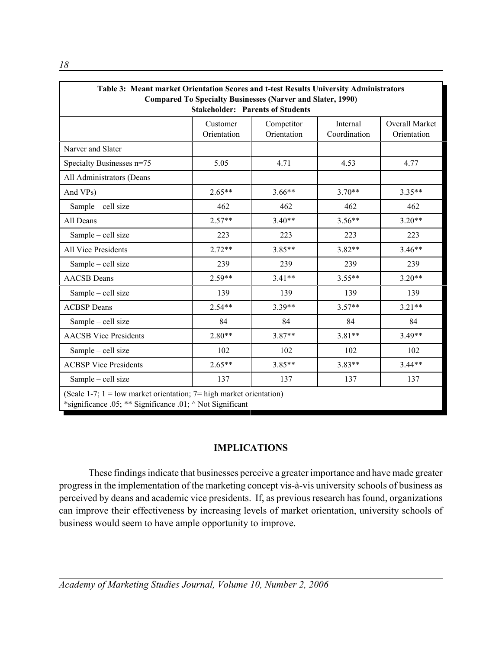| Table 3: Meant market Orientation Scores and t-test Results University Administrators<br><b>Compared To Specialty Businesses (Narver and Slater, 1990)</b><br><b>Stakeholder: Parents of Students</b> |                         |                           |                          |                               |  |
|-------------------------------------------------------------------------------------------------------------------------------------------------------------------------------------------------------|-------------------------|---------------------------|--------------------------|-------------------------------|--|
|                                                                                                                                                                                                       | Customer<br>Orientation | Competitor<br>Orientation | Internal<br>Coordination | Overall Market<br>Orientation |  |
| Narver and Slater                                                                                                                                                                                     |                         |                           |                          |                               |  |
| Specialty Businesses n=75                                                                                                                                                                             | 5.05                    | 4.71                      | 4.53                     | 4.77                          |  |
| All Administrators (Deans                                                                                                                                                                             |                         |                           |                          |                               |  |
| And VPs)                                                                                                                                                                                              | $2.65**$                | $3.66**$                  | $3.70**$                 | $3.35**$                      |  |
| Sample - cell size                                                                                                                                                                                    | 462                     | 462                       | 462                      | 462                           |  |
| All Deans                                                                                                                                                                                             | $2.57**$                | $3.40**$                  | $3.56**$                 | $3.20**$                      |  |
| Sample - cell size                                                                                                                                                                                    | 223                     | 223                       | 223                      | 223                           |  |
| All Vice Presidents                                                                                                                                                                                   | $2.72**$                | $3.85**$                  | $3.82**$                 | $3.46**$                      |  |
| Sample - cell size                                                                                                                                                                                    | 239                     | 239                       | 239                      | 239                           |  |
| <b>AACSB</b> Deans                                                                                                                                                                                    | $2.59**$                | $3.41**$                  | $3.55**$                 | $3.20**$                      |  |
| Sample - cell size                                                                                                                                                                                    | 139                     | 139                       | 139                      | 139                           |  |
| <b>ACBSP</b> Deans                                                                                                                                                                                    | $2.54**$                | $3.39**$                  | $3.57**$                 | $3.21**$                      |  |
| Sample - cell size                                                                                                                                                                                    | 84                      | 84                        | 84                       | 84                            |  |
| <b>AACSB</b> Vice Presidents                                                                                                                                                                          | $2.80**$                | $3.87**$                  | $3.81**$                 | $3.49**$                      |  |
| Sample - cell size                                                                                                                                                                                    | 102                     | 102                       | 102                      | 102                           |  |
| <b>ACBSP Vice Presidents</b>                                                                                                                                                                          | $2.65**$                | $3.85**$                  | $3.83**$                 | $3.44**$                      |  |
| Sample - cell size                                                                                                                                                                                    | 137                     | 137                       | 137                      | 137                           |  |
| (Scale 1-7; $1 =$ low market orientation; $7 =$ high market orientation)<br>*significance .05; ** Significance .01; $\land$ Not Significant                                                           |                         |                           |                          |                               |  |

## **IMPLICATIONS**

These findings indicate that businesses perceive a greater importance and have made greater progress in the implementation of the marketing concept vis-à-vis university schools of business as perceived by deans and academic vice presidents. If, as previous research has found, organizations can improve their effectiveness by increasing levels of market orientation, university schools of business would seem to have ample opportunity to improve.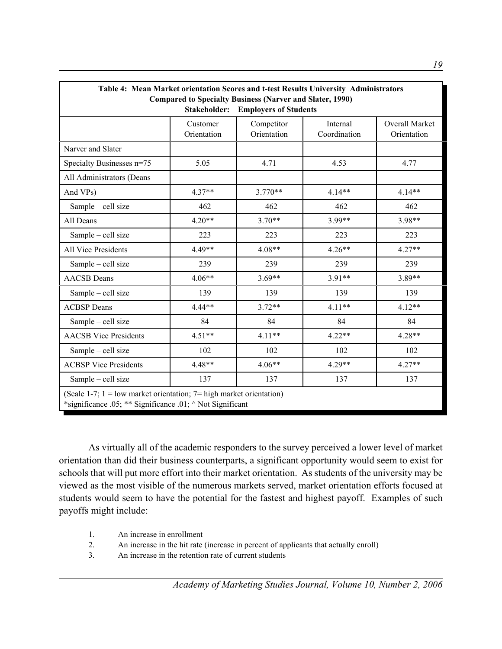| Table 4: Mean Market orientation Scores and t-test Results University Administrators<br><b>Compared to Specialty Business (Narver and Slater, 1990)</b><br>Stakeholder:<br><b>Employers of Students</b> |                         |                           |                          |                               |  |  |
|---------------------------------------------------------------------------------------------------------------------------------------------------------------------------------------------------------|-------------------------|---------------------------|--------------------------|-------------------------------|--|--|
|                                                                                                                                                                                                         | Customer<br>Orientation | Competitor<br>Orientation | Internal<br>Coordination | Overall Market<br>Orientation |  |  |
| Narver and Slater                                                                                                                                                                                       |                         |                           |                          |                               |  |  |
| Specialty Businesses n=75                                                                                                                                                                               | 5.05                    | 4.71                      | 4.53                     | 4.77                          |  |  |
| All Administrators (Deans                                                                                                                                                                               |                         |                           |                          |                               |  |  |
| And VPs)                                                                                                                                                                                                | $4.37**$                | $3.770**$                 | $4.14**$                 | $4.14**$                      |  |  |
| Sample - cell size                                                                                                                                                                                      | 462                     | 462                       | 462                      | 462                           |  |  |
| All Deans                                                                                                                                                                                               | $4.20**$                | $3.70**$                  | 3.99**                   | 3.98**                        |  |  |
| Sample - cell size                                                                                                                                                                                      | 223                     | 223                       | 223                      | 223                           |  |  |
| All Vice Presidents                                                                                                                                                                                     | 4.49**                  | $4.08**$                  | $4.26**$                 | $4.27**$                      |  |  |
| Sample - cell size                                                                                                                                                                                      | 239                     | 239                       | 239                      | 239                           |  |  |
| <b>AACSB</b> Deans                                                                                                                                                                                      | $4.06**$                | $3.69**$                  | $3.91**$                 | 3.89**                        |  |  |
| Sample - cell size                                                                                                                                                                                      | 139                     | 139                       | 139                      | 139                           |  |  |
| <b>ACBSP</b> Deans                                                                                                                                                                                      | $4.44**$                | $3.72**$                  | $4.11**$                 | $4.12**$                      |  |  |
| Sample - cell size                                                                                                                                                                                      | 84                      | 84                        | 84                       | 84                            |  |  |
| <b>AACSB</b> Vice Presidents                                                                                                                                                                            | $4.51**$                | $4.11**$                  | $4.22**$                 | $4.28**$                      |  |  |
| Sample - cell size                                                                                                                                                                                      | 102                     | 102                       | 102                      | 102                           |  |  |
| <b>ACBSP Vice Presidents</b>                                                                                                                                                                            | 4.48**                  | $4.06**$                  | $4.29**$                 | $4.27**$                      |  |  |
| Sample - cell size                                                                                                                                                                                      | 137                     | 137                       | 137                      | 137                           |  |  |
| (Scale 1-7; $1 =$ low market orientation; $7 =$ high market orientation)<br>*significance .05; ** Significance .01; ^ Not Significant                                                                   |                         |                           |                          |                               |  |  |

As virtually all of the academic responders to the survey perceived a lower level of market orientation than did their business counterparts, a significant opportunity would seem to exist for schools that will put more effort into their market orientation. As students of the university may be viewed as the most visible of the numerous markets served, market orientation efforts focused at students would seem to have the potential for the fastest and highest payoff. Examples of such payoffs might include:

- 1. An increase in enrollment
- 2. An increase in the hit rate (increase in percent of applicants that actually enroll)
- 3. An increase in the retention rate of current students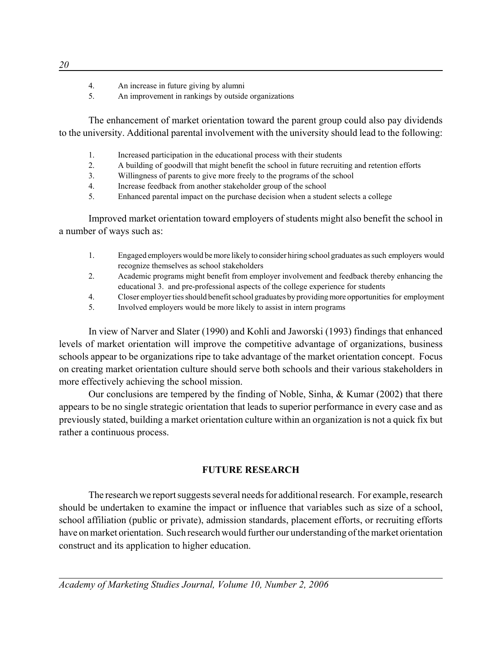- 4. An increase in future giving by alumni
- 5. An improvement in rankings by outside organizations

The enhancement of market orientation toward the parent group could also pay dividends to the university. Additional parental involvement with the university should lead to the following:

- 1. Increased participation in the educational process with their students
- 2. A building of goodwill that might benefit the school in future recruiting and retention efforts
- 3. Willingness of parents to give more freely to the programs of the school
- 4. Increase feedback from another stakeholder group of the school
- 5. Enhanced parental impact on the purchase decision when a student selects a college

Improved market orientation toward employers of students might also benefit the school in a number of ways such as:

- 1. Engaged employers would be more likely to consider hiring school graduates as such employers would recognize themselves as school stakeholders
- 2. Academic programs might benefit from employer involvement and feedback thereby enhancing the educational 3. and pre-professional aspects of the college experience for students
- 4. Closer employer ties should benefit school graduates by providing more opportunities for employment
- 5. Involved employers would be more likely to assist in intern programs

In view of Narver and Slater (1990) and Kohli and Jaworski (1993) findings that enhanced levels of market orientation will improve the competitive advantage of organizations, business schools appear to be organizations ripe to take advantage of the market orientation concept. Focus on creating market orientation culture should serve both schools and their various stakeholders in more effectively achieving the school mission.

Our conclusions are tempered by the finding of Noble, Sinha, & Kumar (2002) that there appears to be no single strategic orientation that leads to superior performance in every case and as previously stated, building a market orientation culture within an organization is not a quick fix but rather a continuous process.

## **FUTURE RESEARCH**

The research we report suggests several needs for additional research. For example, research should be undertaken to examine the impact or influence that variables such as size of a school, school affiliation (public or private), admission standards, placement efforts, or recruiting efforts have on market orientation. Such research would further our understanding of the market orientation construct and its application to higher education.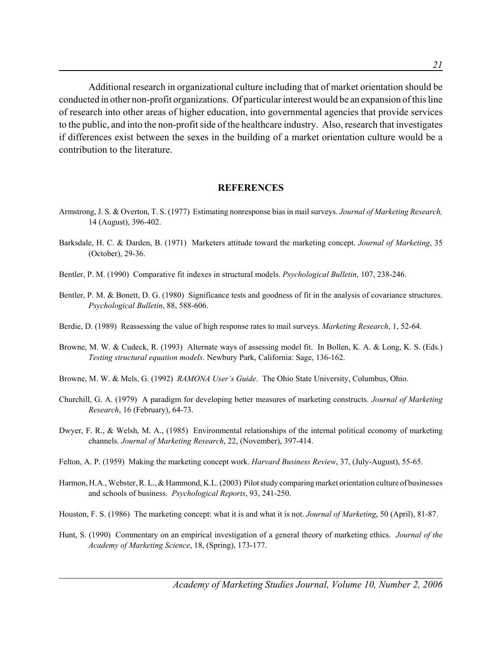*21*

Additional research in organizational culture including that of market orientation should be conducted in other non-profit organizations. Of particular interest would be an expansion of this line of research into other areas of higher education, into governmental agencies that provide services to the public, and into the non-profit side of the healthcare industry. Also, research that investigates if differences exist between the sexes in the building of a market orientation culture would be a contribution to the literature.

#### **REFERENCES**

- Armstrong, J. S. & Overton, T. S. (1977) Estimating nonresponse bias in mail surveys. *Journal of Marketing Research,* 14 (August), 396-402.
- Barksdale, H. C. & Darden, B. (1971) Marketers attitude toward the marketing concept. *Journal of Marketing*, 35 (October), 29-36.
- Bentler, P. M. (1990) Comparative fit indexes in structural models. *Psychological Bulletin*, 107, 238-246.
- Bentler, P. M. & Bonett, D. G. (1980) Significance tests and goodness of fit in the analysis of covariance structures. *Psychological Bulletin*, 88, 588-606.
- Berdie, D. (1989) Reassessing the value of high response rates to mail surveys. *Marketing Research*, 1, 52-64.
- Browne, M. W. & Cudeck, R. (1993) Alternate ways of assessing model fit. In Bollen, K. A. & Long, K. S. (Eds.) *Testing structural equation models*. Newbury Park, California: Sage, 136-162.
- Browne, M. W. & Mels, G. (1992) *RAMONA User's Guide*. The Ohio State University, Columbus, Ohio.
- Churchill, G. A. (1979) A paradigm for developing better measures of marketing constructs. *Journal of Marketing Research*, 16 (February), 64-73.
- Dwyer, F. R., & Welsh, M. A., (1985) Environmental relationships of the internal political economy of marketing channels. *Journal of Marketing Research*, 22, (November), 397-414.
- Felton, A. P. (1959) Making the marketing concept work. *Harvard Business Review*, 37, (July-August), 55-65.
- Harmon, H.A., Webster, R. L., & Hammond, K.L. (2003) Pilot study comparing market orientation culture of businesses and schools of business. *Psychological Reports*, 93, 241-250.
- Houston, F. S. (1986) The marketing concept: what it is and what it is not. *Journal of Marketing*, 50 (April), 81-87.
- Hunt, S. (1990) Commentary on an empirical investigation of a general theory of marketing ethics. *Journal of the Academy of Marketing Science*, 18, (Spring), 173-177.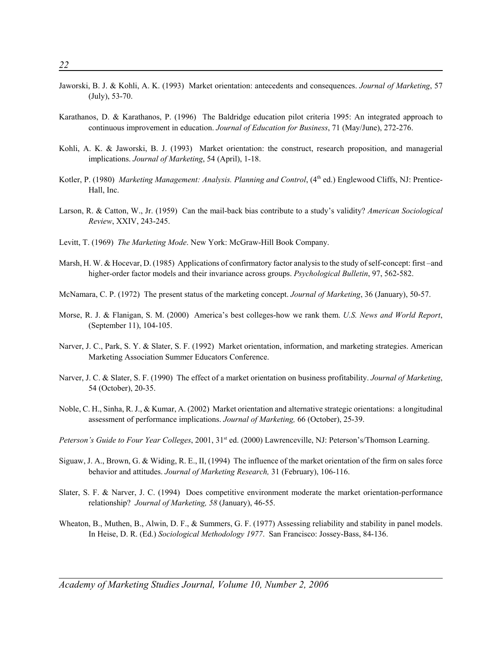- Jaworski, B. J. & Kohli, A. K. (1993) Market orientation: antecedents and consequences. *Journal of Marketing*, 57 (July), 53-70.
- Karathanos, D. & Karathanos, P. (1996) The Baldridge education pilot criteria 1995: An integrated approach to continuous improvement in education. *Journal of Education for Business*, 71 (May/June), 272-276.
- Kohli, A. K. & Jaworski, B. J. (1993) Market orientation: the construct, research proposition, and managerial implications. *Journal of Marketing*, 54 (April), 1-18.
- Kotler, P. (1980) *Marketing Management: Analysis. Planning and Control*, (4<sup>th</sup> ed.) Englewood Cliffs, NJ: Prentice-Hall, Inc.
- Larson, R. & Catton, W., Jr. (1959) Can the mail-back bias contribute to a study's validity? *American Sociological Review*, XXIV, 243-245.
- Levitt, T. (1969) *The Marketing Mode*. New York: McGraw-Hill Book Company.
- Marsh, H. W. & Hocevar, D. (1985) Applications of confirmatory factor analysis to the study of self-concept: first –and higher-order factor models and their invariance across groups. *Psychological Bulletin*, 97, 562-582.
- McNamara, C. P. (1972) The present status of the marketing concept. *Journal of Marketing*, 36 (January), 50-57.
- Morse, R. J. & Flanigan, S. M. (2000) America's best colleges-how we rank them. *U.S. News and World Report*, (September 11), 104-105.
- Narver, J. C., Park, S. Y. & Slater, S. F. (1992) Market orientation, information, and marketing strategies. American Marketing Association Summer Educators Conference.
- Narver, J. C. & Slater, S. F. (1990) The effect of a market orientation on business profitability. *Journal of Marketing*, 54 (October), 20-35.
- Noble, C. H., Sinha, R. J., & Kumar, A. (2002) Market orientation and alternative strategic orientations: a longitudinal assessment of performance implications. *Journal of Marketing,* 66 (October), 25-39.
- Peterson's Guide to Four Year Colleges, 2001, 31<sup>st</sup> ed. (2000) Lawrenceville, NJ: Peterson's/Thomson Learning.
- Siguaw, J. A., Brown, G. & Widing, R. E., II, (1994) The influence of the market orientation of the firm on sales force behavior and attitudes. *Journal of Marketing Research,* 31 (February), 106-116.
- Slater, S. F. & Narver, J. C. (1994) Does competitive environment moderate the market orientation-performance relationship? *Journal of Marketing, 58* (January), 46-55.
- Wheaton, B., Muthen, B., Alwin, D. F., & Summers, G. F. (1977) Assessing reliability and stability in panel models. In Heise, D. R. (Ed.) *Sociological Methodology 1977*. San Francisco: Jossey-Bass, 84-136.

*Academy of Marketing Studies Journal, Volume 10, Number 2, 2006*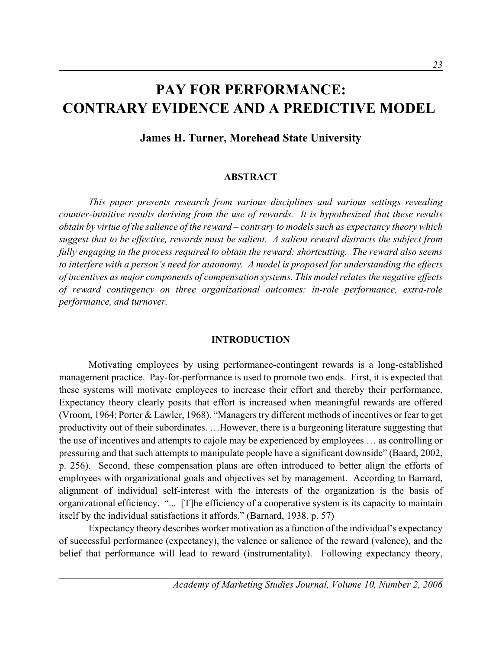## **PAY FOR PERFORMANCE: CONTRARY EVIDENCE AND A PREDICTIVE MODEL**

**James H. Turner, Morehead State University**

### **ABSTRACT**

*This paper presents research from various disciplines and various settings revealing counter-intuitive results deriving from the use of rewards. It is hypothesized that these results obtain by virtue of the salience of the reward – contrary to models such as expectancy theory which suggest that to be effective, rewards must be salient. A salient reward distracts the subject from fully engaging in the process required to obtain the reward: shortcutting. The reward also seems to interfere with a person's need for autonomy. A model is proposed for understanding the effects of incentives as major components of compensation systems. This model relates the negative effects of reward contingency on three organizational outcomes: in-role performance, extra-role performance, and turnover.* 

#### **INTRODUCTION**

Motivating employees by using performance-contingent rewards is a long-established management practice. Pay-for-performance is used to promote two ends. First, it is expected that these systems will motivate employees to increase their effort and thereby their performance. Expectancy theory clearly posits that effort is increased when meaningful rewards are offered (Vroom, 1964; Porter & Lawler, 1968). "Managers try different methods of incentives or fear to get productivity out of their subordinates. …However, there is a burgeoning literature suggesting that the use of incentives and attempts to cajole may be experienced by employees … as controlling or pressuring and that such attempts to manipulate people have a significant downside" (Baard, 2002, p. 256). Second, these compensation plans are often introduced to better align the efforts of employees with organizational goals and objectives set by management. According to Barnard, alignment of individual self-interest with the interests of the organization is the basis of organizational efficiency. "... [T]he efficiency of a cooperative system is its capacity to maintain itself by the individual satisfactions it affords." (Barnard, 1938, p. 57)

Expectancy theory describes worker motivation as a function of the individual's expectancy of successful performance (expectancy), the valence or salience of the reward (valence), and the belief that performance will lead to reward (instrumentality). Following expectancy theory,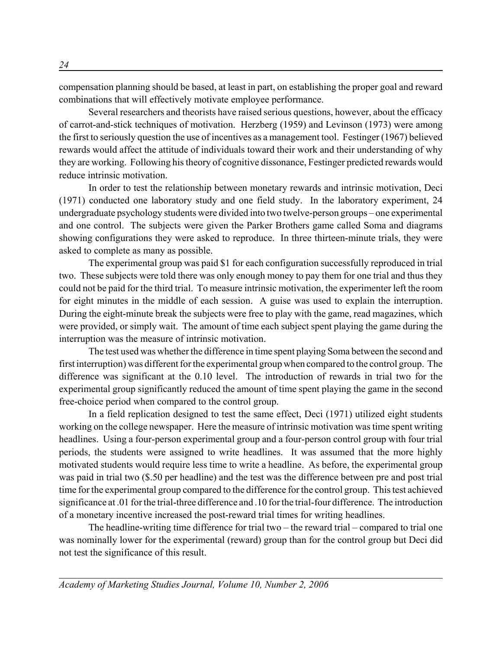compensation planning should be based, at least in part, on establishing the proper goal and reward combinations that will effectively motivate employee performance.

Several researchers and theorists have raised serious questions, however, about the efficacy of carrot-and-stick techniques of motivation. Herzberg (1959) and Levinson (1973) were among the first to seriously question the use of incentives as a management tool. Festinger (1967) believed rewards would affect the attitude of individuals toward their work and their understanding of why they are working. Following his theory of cognitive dissonance, Festinger predicted rewards would reduce intrinsic motivation.

In order to test the relationship between monetary rewards and intrinsic motivation, Deci (1971) conducted one laboratory study and one field study. In the laboratory experiment, 24 undergraduate psychology students were divided into two twelve-person groups – one experimental and one control. The subjects were given the Parker Brothers game called Soma and diagrams showing configurations they were asked to reproduce. In three thirteen-minute trials, they were asked to complete as many as possible.

The experimental group was paid \$1 for each configuration successfully reproduced in trial two. These subjects were told there was only enough money to pay them for one trial and thus they could not be paid for the third trial. To measure intrinsic motivation, the experimenter left the room for eight minutes in the middle of each session. A guise was used to explain the interruption. During the eight-minute break the subjects were free to play with the game, read magazines, which were provided, or simply wait. The amount of time each subject spent playing the game during the interruption was the measure of intrinsic motivation.

The test used was whether the difference in time spent playing Soma between the second and first interruption) was different for the experimental group when compared to the control group. The difference was significant at the 0.10 level. The introduction of rewards in trial two for the experimental group significantly reduced the amount of time spent playing the game in the second free-choice period when compared to the control group.

In a field replication designed to test the same effect, Deci (1971) utilized eight students working on the college newspaper. Here the measure of intrinsic motivation was time spent writing headlines. Using a four-person experimental group and a four-person control group with four trial periods, the students were assigned to write headlines. It was assumed that the more highly motivated students would require less time to write a headline. As before, the experimental group was paid in trial two (\$.50 per headline) and the test was the difference between pre and post trial time for the experimental group compared to the difference for the control group. This test achieved significance at .01 for the trial-three difference and .10 for the trial-four difference. The introduction of a monetary incentive increased the post-reward trial times for writing headlines.

The headline-writing time difference for trial two – the reward trial – compared to trial one was nominally lower for the experimental (reward) group than for the control group but Deci did not test the significance of this result.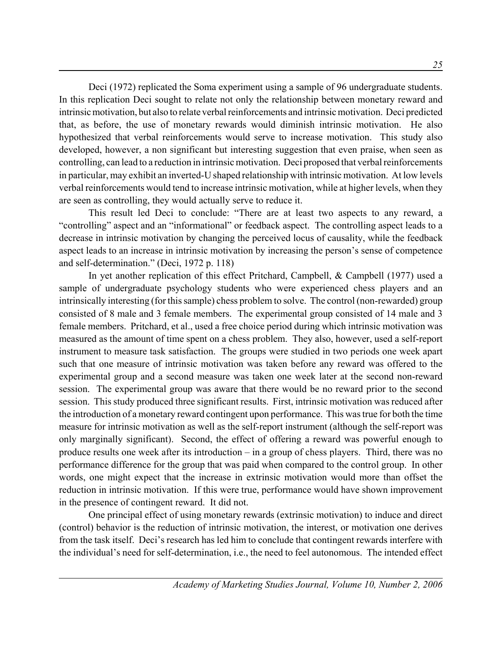Deci (1972) replicated the Soma experiment using a sample of 96 undergraduate students. In this replication Deci sought to relate not only the relationship between monetary reward and intrinsic motivation, but also to relate verbal reinforcements and intrinsic motivation. Deci predicted that, as before, the use of monetary rewards would diminish intrinsic motivation. He also hypothesized that verbal reinforcements would serve to increase motivation. This study also developed, however, a non significant but interesting suggestion that even praise, when seen as controlling, can lead to a reduction in intrinsic motivation. Deci proposed that verbal reinforcements in particular, may exhibit an inverted-U shaped relationship with intrinsic motivation. At low levels verbal reinforcements would tend to increase intrinsic motivation, while at higher levels, when they are seen as controlling, they would actually serve to reduce it.

This result led Deci to conclude: "There are at least two aspects to any reward, a "controlling" aspect and an "informational" or feedback aspect. The controlling aspect leads to a decrease in intrinsic motivation by changing the perceived locus of causality, while the feedback aspect leads to an increase in intrinsic motivation by increasing the person's sense of competence and self-determination." (Deci, 1972 p. 118)

In yet another replication of this effect Pritchard, Campbell, & Campbell (1977) used a sample of undergraduate psychology students who were experienced chess players and an intrinsically interesting (for this sample) chess problem to solve. The control (non-rewarded) group consisted of 8 male and 3 female members. The experimental group consisted of 14 male and 3 female members. Pritchard, et al., used a free choice period during which intrinsic motivation was measured as the amount of time spent on a chess problem. They also, however, used a self-report instrument to measure task satisfaction. The groups were studied in two periods one week apart such that one measure of intrinsic motivation was taken before any reward was offered to the experimental group and a second measure was taken one week later at the second non-reward session. The experimental group was aware that there would be no reward prior to the second session. This study produced three significant results. First, intrinsic motivation was reduced after the introduction of a monetary reward contingent upon performance. This was true for both the time measure for intrinsic motivation as well as the self-report instrument (although the self-report was only marginally significant). Second, the effect of offering a reward was powerful enough to produce results one week after its introduction – in a group of chess players. Third, there was no performance difference for the group that was paid when compared to the control group. In other words, one might expect that the increase in extrinsic motivation would more than offset the reduction in intrinsic motivation. If this were true, performance would have shown improvement in the presence of contingent reward. It did not.

One principal effect of using monetary rewards (extrinsic motivation) to induce and direct (control) behavior is the reduction of intrinsic motivation, the interest, or motivation one derives from the task itself. Deci's research has led him to conclude that contingent rewards interfere with the individual's need for self-determination, i.e., the need to feel autonomous. The intended effect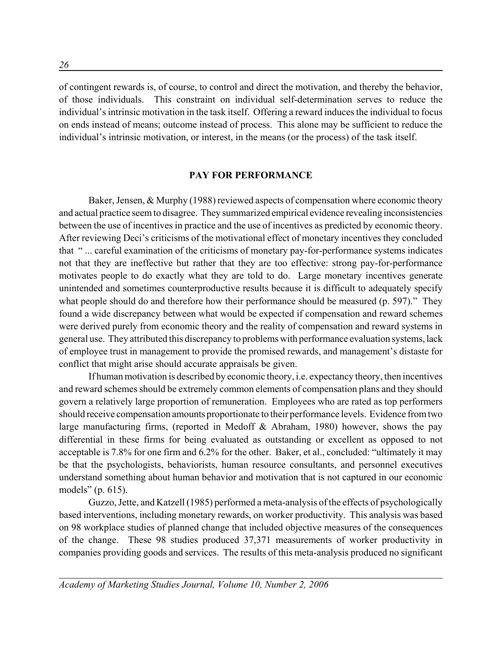of contingent rewards is, of course, to control and direct the motivation, and thereby the behavior, of those individuals. This constraint on individual self-determination serves to reduce the individual's intrinsic motivation in the task itself. Offering a reward induces the individual to focus on ends instead of means; outcome instead of process. This alone may be sufficient to reduce the individual's intrinsic motivation, or interest, in the means (or the process) of the task itself.

#### **PAY FOR PERFORMANCE**

Baker, Jensen, & Murphy (1988) reviewed aspects of compensation where economic theory and actual practice seem to disagree. They summarized empirical evidence revealing inconsistencies between the use of incentives in practice and the use of incentives as predicted by economic theory. After reviewing Deci's criticisms of the motivational effect of monetary incentives they concluded that " ... careful examination of the criticisms of monetary pay-for-performance systems indicates not that they are ineffective but rather that they are too effective: strong pay-for-performance motivates people to do exactly what they are told to do. Large monetary incentives generate unintended and sometimes counterproductive results because it is difficult to adequately specify what people should do and therefore how their performance should be measured (p. 597)." They found a wide discrepancy between what would be expected if compensation and reward schemes were derived purely from economic theory and the reality of compensation and reward systems in general use. They attributed this discrepancy to problems with performance evaluation systems, lack of employee trust in management to provide the promised rewards, and management's distaste for conflict that might arise should accurate appraisals be given.

If human motivation is described by economic theory, i.e. expectancy theory, then incentives and reward schemes should be extremely common elements of compensation plans and they should govern a relatively large proportion of remuneration. Employees who are rated as top performers should receive compensation amounts proportionate to their performance levels. Evidence from two large manufacturing firms, (reported in Medoff & Abraham, 1980) however, shows the pay differential in these firms for being evaluated as outstanding or excellent as opposed to not acceptable is 7.8% for one firm and 6.2% for the other. Baker, et al., concluded: "ultimately it may be that the psychologists, behaviorists, human resource consultants, and personnel executives understand something about human behavior and motivation that is not captured in our economic models" (p. 615).

Guzzo, Jette, and Katzell (1985) performed a meta-analysis of the effects of psychologically based interventions, including monetary rewards, on worker productivity. This analysis was based on 98 workplace studies of planned change that included objective measures of the consequences of the change. These 98 studies produced 37,371 measurements of worker productivity in companies providing goods and services. The results of this meta-analysis produced no significant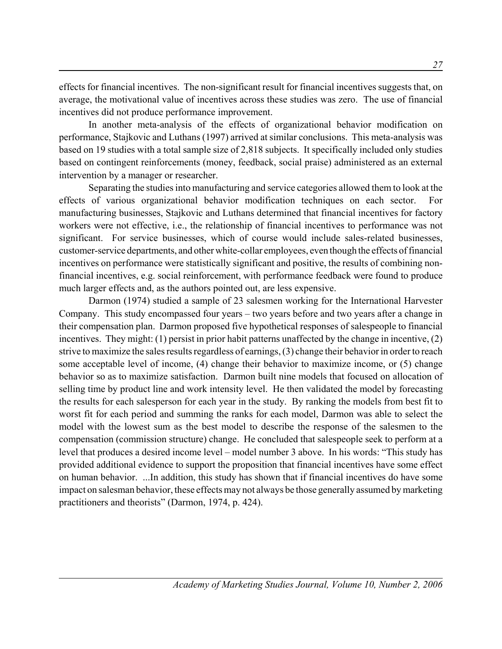effects for financial incentives. The non-significant result for financial incentives suggests that, on average, the motivational value of incentives across these studies was zero. The use of financial incentives did not produce performance improvement.

In another meta-analysis of the effects of organizational behavior modification on performance, Stajkovic and Luthans (1997) arrived at similar conclusions. This meta-analysis was based on 19 studies with a total sample size of 2,818 subjects. It specifically included only studies based on contingent reinforcements (money, feedback, social praise) administered as an external intervention by a manager or researcher.

Separating the studies into manufacturing and service categories allowed them to look at the effects of various organizational behavior modification techniques on each sector. For manufacturing businesses, Stajkovic and Luthans determined that financial incentives for factory workers were not effective, i.e., the relationship of financial incentives to performance was not significant. For service businesses, which of course would include sales-related businesses, customer-service departments, and other white-collar employees, even though the effects of financial incentives on performance were statistically significant and positive, the results of combining nonfinancial incentives, e.g. social reinforcement, with performance feedback were found to produce much larger effects and, as the authors pointed out, are less expensive.

Darmon (1974) studied a sample of 23 salesmen working for the International Harvester Company. This study encompassed four years – two years before and two years after a change in their compensation plan. Darmon proposed five hypothetical responses of salespeople to financial incentives. They might: (1) persist in prior habit patterns unaffected by the change in incentive, (2) strive to maximize the sales results regardless of earnings, (3) change their behavior in order to reach some acceptable level of income, (4) change their behavior to maximize income, or (5) change behavior so as to maximize satisfaction. Darmon built nine models that focused on allocation of selling time by product line and work intensity level. He then validated the model by forecasting the results for each salesperson for each year in the study. By ranking the models from best fit to worst fit for each period and summing the ranks for each model, Darmon was able to select the model with the lowest sum as the best model to describe the response of the salesmen to the compensation (commission structure) change. He concluded that salespeople seek to perform at a level that produces a desired income level – model number 3 above. In his words: "This study has provided additional evidence to support the proposition that financial incentives have some effect on human behavior. ...In addition, this study has shown that if financial incentives do have some impact on salesman behavior, these effects may not always be those generally assumed by marketing practitioners and theorists" (Darmon, 1974, p. 424).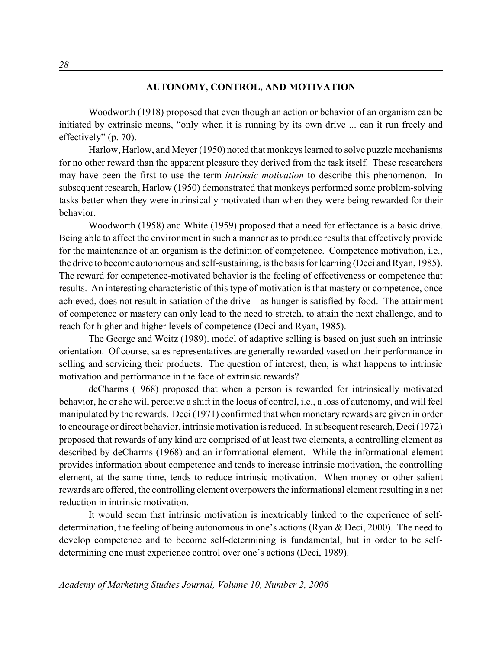## **AUTONOMY, CONTROL, AND MOTIVATION**

Woodworth (1918) proposed that even though an action or behavior of an organism can be initiated by extrinsic means, "only when it is running by its own drive ... can it run freely and effectively" (p. 70).

Harlow, Harlow, and Meyer (1950) noted that monkeys learned to solve puzzle mechanisms for no other reward than the apparent pleasure they derived from the task itself. These researchers may have been the first to use the term *intrinsic motivation* to describe this phenomenon. In subsequent research, Harlow (1950) demonstrated that monkeys performed some problem-solving tasks better when they were intrinsically motivated than when they were being rewarded for their behavior.

Woodworth (1958) and White (1959) proposed that a need for effectance is a basic drive. Being able to affect the environment in such a manner as to produce results that effectively provide for the maintenance of an organism is the definition of competence. Competence motivation, i.e., the drive to become autonomous and self-sustaining, is the basis for learning (Deci and Ryan, 1985). The reward for competence-motivated behavior is the feeling of effectiveness or competence that results. An interesting characteristic of this type of motivation is that mastery or competence, once achieved, does not result in satiation of the drive – as hunger is satisfied by food. The attainment of competence or mastery can only lead to the need to stretch, to attain the next challenge, and to reach for higher and higher levels of competence (Deci and Ryan, 1985).

The George and Weitz (1989). model of adaptive selling is based on just such an intrinsic orientation. Of course, sales representatives are generally rewarded vased on their performance in selling and servicing their products. The question of interest, then, is what happens to intrinsic motivation and performance in the face of extrinsic rewards?

deCharms (1968) proposed that when a person is rewarded for intrinsically motivated behavior, he or she will perceive a shift in the locus of control, i.e., a loss of autonomy, and will feel manipulated by the rewards. Deci (1971) confirmed that when monetary rewards are given in order to encourage or direct behavior, intrinsic motivation is reduced. In subsequent research, Deci (1972) proposed that rewards of any kind are comprised of at least two elements, a controlling element as described by deCharms (1968) and an informational element. While the informational element provides information about competence and tends to increase intrinsic motivation, the controlling element, at the same time, tends to reduce intrinsic motivation. When money or other salient rewards are offered, the controlling element overpowers the informational element resulting in a net reduction in intrinsic motivation.

It would seem that intrinsic motivation is inextricably linked to the experience of selfdetermination, the feeling of being autonomous in one's actions (Ryan & Deci, 2000). The need to develop competence and to become self-determining is fundamental, but in order to be selfdetermining one must experience control over one's actions (Deci, 1989).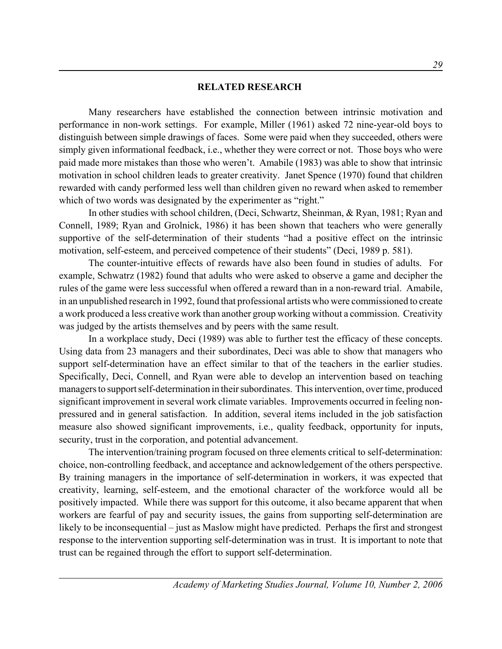## **RELATED RESEARCH**

Many researchers have established the connection between intrinsic motivation and performance in non-work settings. For example, Miller (1961) asked 72 nine-year-old boys to distinguish between simple drawings of faces. Some were paid when they succeeded, others were simply given informational feedback, i.e., whether they were correct or not. Those boys who were paid made more mistakes than those who weren't. Amabile (1983) was able to show that intrinsic motivation in school children leads to greater creativity. Janet Spence (1970) found that children rewarded with candy performed less well than children given no reward when asked to remember which of two words was designated by the experimenter as "right."

In other studies with school children, (Deci, Schwartz, Sheinman, & Ryan, 1981; Ryan and Connell, 1989; Ryan and Grolnick, 1986) it has been shown that teachers who were generally supportive of the self-determination of their students "had a positive effect on the intrinsic motivation, self-esteem, and perceived competence of their students" (Deci, 1989 p. 581).

The counter-intuitive effects of rewards have also been found in studies of adults. For example, Schwatrz (1982) found that adults who were asked to observe a game and decipher the rules of the game were less successful when offered a reward than in a non-reward trial. Amabile, in an unpublished research in 1992, found that professional artists who were commissioned to create a work produced a less creative work than another group working without a commission. Creativity was judged by the artists themselves and by peers with the same result.

In a workplace study, Deci (1989) was able to further test the efficacy of these concepts. Using data from 23 managers and their subordinates, Deci was able to show that managers who support self-determination have an effect similar to that of the teachers in the earlier studies. Specifically, Deci, Connell, and Ryan were able to develop an intervention based on teaching managers to support self-determination in their subordinates. This intervention, over time, produced significant improvement in several work climate variables. Improvements occurred in feeling nonpressured and in general satisfaction. In addition, several items included in the job satisfaction measure also showed significant improvements, i.e., quality feedback, opportunity for inputs, security, trust in the corporation, and potential advancement.

The intervention/training program focused on three elements critical to self-determination: choice, non-controlling feedback, and acceptance and acknowledgement of the others perspective. By training managers in the importance of self-determination in workers, it was expected that creativity, learning, self-esteem, and the emotional character of the workforce would all be positively impacted. While there was support for this outcome, it also became apparent that when workers are fearful of pay and security issues, the gains from supporting self-determination are likely to be inconsequential – just as Maslow might have predicted. Perhaps the first and strongest response to the intervention supporting self-determination was in trust. It is important to note that trust can be regained through the effort to support self-determination.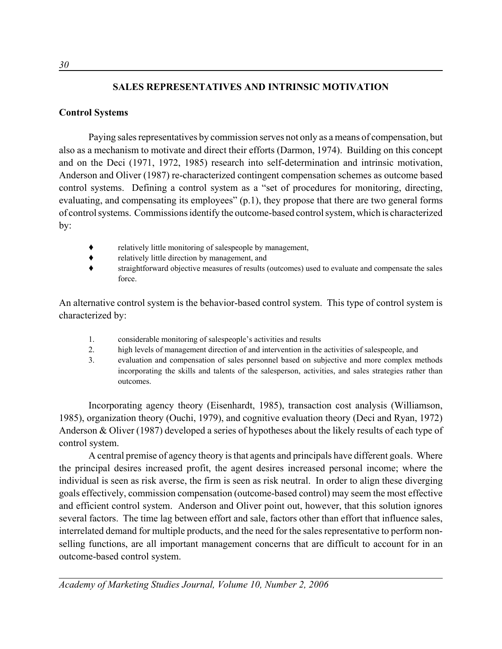# **SALES REPRESENTATIVES AND INTRINSIC MOTIVATION**

# **Control Systems**

Paying sales representatives by commission serves not only as a means of compensation, but also as a mechanism to motivate and direct their efforts (Darmon, 1974). Building on this concept and on the Deci (1971, 1972, 1985) research into self-determination and intrinsic motivation, Anderson and Oliver (1987) re-characterized contingent compensation schemes as outcome based control systems. Defining a control system as a "set of procedures for monitoring, directing, evaluating, and compensating its employees" (p.1), they propose that there are two general forms of control systems. Commissions identify the outcome-based control system, which is characterized by:

- ' relatively little monitoring of salespeople by management,
- ' relatively little direction by management, and
- ' straightforward objective measures of results (outcomes) used to evaluate and compensate the sales force.

An alternative control system is the behavior-based control system. This type of control system is characterized by:

- 1. considerable monitoring of salespeople's activities and results
- 2. high levels of management direction of and intervention in the activities of salespeople, and
- 3. evaluation and compensation of sales personnel based on subjective and more complex methods incorporating the skills and talents of the salesperson, activities, and sales strategies rather than outcomes.

Incorporating agency theory (Eisenhardt, 1985), transaction cost analysis (Williamson, 1985), organization theory (Ouchi, 1979), and cognitive evaluation theory (Deci and Ryan, 1972) Anderson & Oliver (1987) developed a series of hypotheses about the likely results of each type of control system.

A central premise of agency theory is that agents and principals have different goals. Where the principal desires increased profit, the agent desires increased personal income; where the individual is seen as risk averse, the firm is seen as risk neutral. In order to align these diverging goals effectively, commission compensation (outcome-based control) may seem the most effective and efficient control system. Anderson and Oliver point out, however, that this solution ignores several factors. The time lag between effort and sale, factors other than effort that influence sales, interrelated demand for multiple products, and the need for the sales representative to perform nonselling functions, are all important management concerns that are difficult to account for in an outcome-based control system.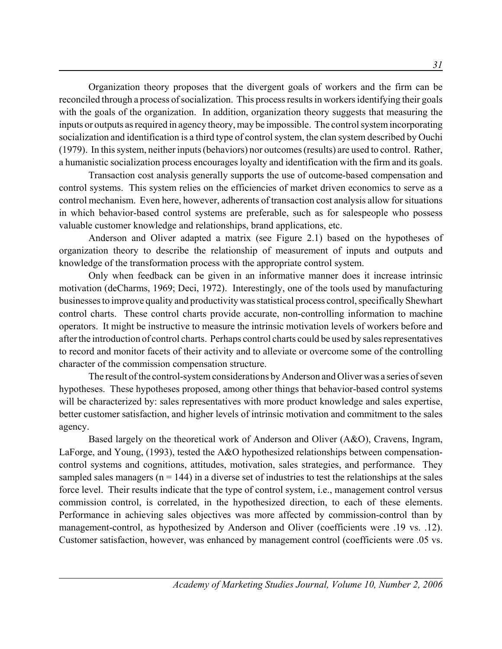Organization theory proposes that the divergent goals of workers and the firm can be reconciled through a process of socialization. This process results in workers identifying their goals with the goals of the organization. In addition, organization theory suggests that measuring the inputs or outputs as required in agency theory, may be impossible. The control system incorporating socialization and identification is a third type of control system, the clan system described by Ouchi (1979). In this system, neither inputs (behaviors) nor outcomes (results) are used to control. Rather, a humanistic socialization process encourages loyalty and identification with the firm and its goals.

Transaction cost analysis generally supports the use of outcome-based compensation and control systems. This system relies on the efficiencies of market driven economics to serve as a control mechanism. Even here, however, adherents of transaction cost analysis allow for situations in which behavior-based control systems are preferable, such as for salespeople who possess valuable customer knowledge and relationships, brand applications, etc.

Anderson and Oliver adapted a matrix (see Figure 2.1) based on the hypotheses of organization theory to describe the relationship of measurement of inputs and outputs and knowledge of the transformation process with the appropriate control system.

Only when feedback can be given in an informative manner does it increase intrinsic motivation (deCharms, 1969; Deci, 1972). Interestingly, one of the tools used by manufacturing businesses to improve quality and productivity was statistical process control, specifically Shewhart control charts. These control charts provide accurate, non-controlling information to machine operators. It might be instructive to measure the intrinsic motivation levels of workers before and after the introduction of control charts. Perhaps control charts could be used by sales representatives to record and monitor facets of their activity and to alleviate or overcome some of the controlling character of the commission compensation structure.

The result of the control-system considerations by Anderson and Oliver was a series of seven hypotheses. These hypotheses proposed, among other things that behavior-based control systems will be characterized by: sales representatives with more product knowledge and sales expertise, better customer satisfaction, and higher levels of intrinsic motivation and commitment to the sales agency.

Based largely on the theoretical work of Anderson and Oliver (A&O), Cravens, Ingram, LaForge, and Young, (1993), tested the A&O hypothesized relationships between compensationcontrol systems and cognitions, attitudes, motivation, sales strategies, and performance. They sampled sales managers ( $n = 144$ ) in a diverse set of industries to test the relationships at the sales force level. Their results indicate that the type of control system, i.e., management control versus commission control, is correlated, in the hypothesized direction, to each of these elements. Performance in achieving sales objectives was more affected by commission-control than by management-control, as hypothesized by Anderson and Oliver (coefficients were .19 vs. .12). Customer satisfaction, however, was enhanced by management control (coefficients were .05 vs.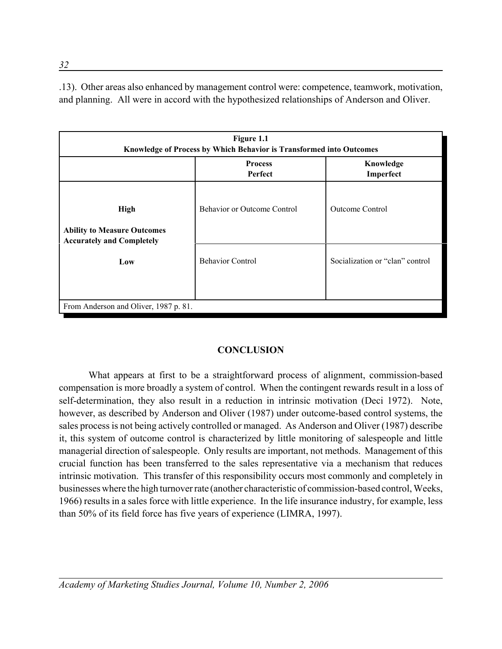.13). Other areas also enhanced by management control were: competence, teamwork, motivation, and planning. All were in accord with the hypothesized relationships of Anderson and Oliver.

| Figure 1.1<br>Knowledge of Process by Which Behavior is Transformed into Outcomes     |                                    |                                 |  |  |
|---------------------------------------------------------------------------------------|------------------------------------|---------------------------------|--|--|
|                                                                                       | <b>Process</b><br>Perfect          | Knowledge<br>Imperfect          |  |  |
| <b>High</b><br><b>Ability to Measure Outcomes</b><br><b>Accurately and Completely</b> | <b>Behavior or Outcome Control</b> | <b>Outcome Control</b>          |  |  |
| Low                                                                                   | <b>Behavior Control</b>            | Socialization or "clan" control |  |  |
| From Anderson and Oliver, 1987 p. 81.                                                 |                                    |                                 |  |  |

# **CONCLUSION**

What appears at first to be a straightforward process of alignment, commission-based compensation is more broadly a system of control. When the contingent rewards result in a loss of self-determination, they also result in a reduction in intrinsic motivation (Deci 1972). Note, however, as described by Anderson and Oliver (1987) under outcome-based control systems, the sales process is not being actively controlled or managed. As Anderson and Oliver (1987) describe it, this system of outcome control is characterized by little monitoring of salespeople and little managerial direction of salespeople. Only results are important, not methods. Management of this crucial function has been transferred to the sales representative via a mechanism that reduces intrinsic motivation. This transfer of this responsibility occurs most commonly and completely in businesses where the high turnover rate (another characteristic of commission-based control, Weeks, 1966) results in a sales force with little experience. In the life insurance industry, for example, less than 50% of its field force has five years of experience (LIMRA, 1997).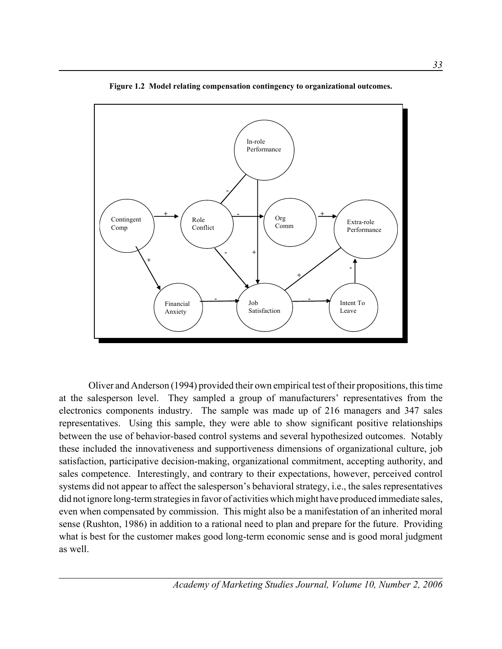

**Figure 1.2 Model relating compensation contingency to organizational outcomes.**

Oliver and Anderson (1994) provided their own empirical test of their propositions, this time at the salesperson level. They sampled a group of manufacturers' representatives from the electronics components industry. The sample was made up of 216 managers and 347 sales representatives. Using this sample, they were able to show significant positive relationships between the use of behavior-based control systems and several hypothesized outcomes. Notably these included the innovativeness and supportiveness dimensions of organizational culture, job satisfaction, participative decision-making, organizational commitment, accepting authority, and sales competence. Interestingly, and contrary to their expectations, however, perceived control systems did not appear to affect the salesperson's behavioral strategy, i.e., the sales representatives did not ignore long-term strategies in favor of activities which might have produced immediate sales, even when compensated by commission. This might also be a manifestation of an inherited moral sense (Rushton, 1986) in addition to a rational need to plan and prepare for the future. Providing what is best for the customer makes good long-term economic sense and is good moral judgment as well.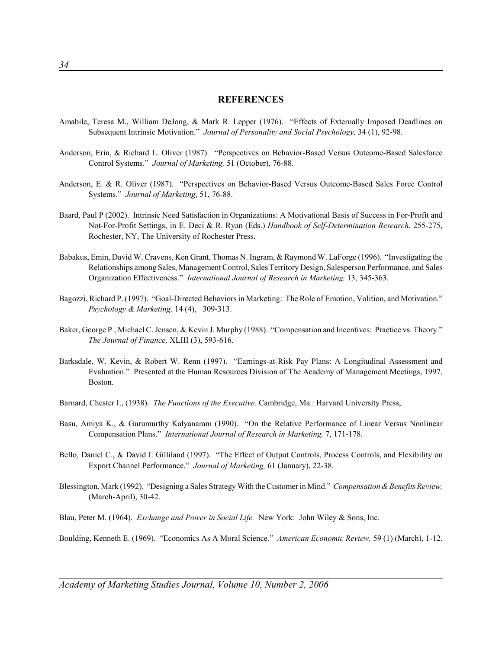#### **REFERENCES**

- Amabile, Teresa M., William DeJong, & Mark R. Lepper (1976). "Effects of Externally Imposed Deadlines on Subsequent Intrinsic Motivation." *Journal of Personality and Social Psychology,* 34 (1), 92-98.
- Anderson, Erin, & Richard L. Oliver (1987). "Perspectives on Behavior-Based Versus Outcome-Based Salesforce Control Systems." *Journal of Marketing,* 51 (October), 76-88.
- Anderson, E. & R. Oliver (1987). "Perspectives on Behavior-Based Versus Outcome-Based Sales Force Control Systems." *Journal of Marketing*, 51, 76-88.
- Baard, Paul P (2002). Intrinsic Need Satisfaction in Organizations: A Motivational Basis of Success in For-Profit and Not-For-Profit Settings, in E. Deci & R. Ryan (Eds.) *Handbook of Self-Determination Research*, 255-275, Rochester, NY, The University of Rochester Press.
- Babakus, Emin, David W. Cravens, Ken Grant, Thomas N. Ingram, & Raymond W. LaForge (1996). "Investigating the Relationships among Sales, Management Control, Sales Territory Design, Salesperson Performance, and Sales Organization Effectiveness." *International Journal of Research in Marketing,* 13, 345-363.
- Bagozzi, Richard P. (1997). "Goal-Directed Behaviors in Marketing: The Role of Emotion, Volition, and Motivation." *Psychology & Marketing,* 14 (4), 309-313.
- Baker, George P., Michael C. Jensen, & Kevin J. Murphy (1988). "Compensation and Incentives: Practice vs. Theory." *The Journal of Finance,* XLIII (3), 593-616.
- Barksdale, W. Kevin, & Robert W. Renn (1997). "Earnings-at-Risk Pay Plans: A Longitudinal Assessment and Evaluation." Presented at the Human Resources Division of The Academy of Management Meetings, 1997, Boston.
- Barnard, Chester I., (1938). *The Functions of the Executive.* Cambridge, Ma.: Harvard University Press,
- Basu, Amiya K., & Gurumurthy Kalyanaram (1990). "On the Relative Performance of Linear Versus Nonlinear Compensation Plans." *International Journal of Research in Marketing,* 7, 171-178.
- Bello, Daniel C., & David I. Gilliland (1997). "The Effect of Output Controls, Process Controls, and Flexibility on Export Channel Performance." *Journal of Marketing,* 61 (January), 22-38.
- Blessington, Mark (1992). "Designing a Sales Strategy With the Customer in Mind." *Compensation & Benefits Review,* (March-April), 30-42.
- Blau, Peter M. (1964). *Exchange and Power in Social Life.* New York: John Wiley & Sons, Inc.

Boulding, Kenneth E. (1969). "Economics As A Moral Science." *American Economic Review,* 59 (1) (March), 1-12.

*Academy of Marketing Studies Journal, Volume 10, Number 2, 2006*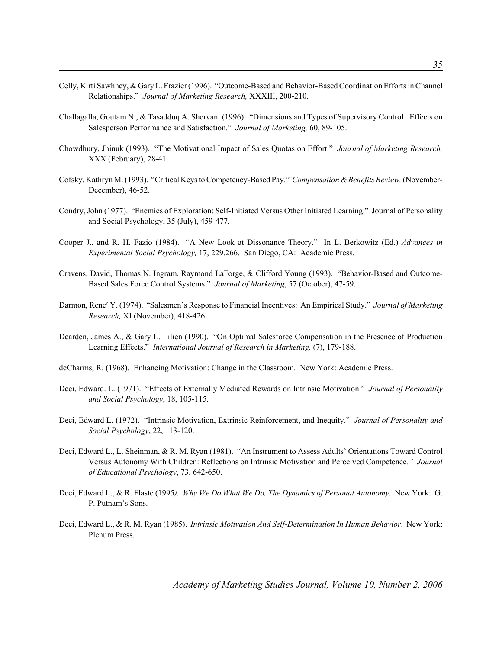- Celly, Kirti Sawhney, & Gary L. Frazier (1996). "Outcome-Based and Behavior-Based Coordination Efforts in Channel Relationships." *Journal of Marketing Research,* XXXIII, 200-210.
- Challagalla, Goutam N., & Tasadduq A. Shervani (1996). "Dimensions and Types of Supervisory Control: Effects on Salesperson Performance and Satisfaction." *Journal of Marketing,* 60, 89-105.
- Chowdhury, Jhinuk (1993). "The Motivational Impact of Sales Quotas on Effort." *Journal of Marketing Research,* XXX (February), 28-41.
- Cofsky, Kathryn M. (1993). "Critical Keys to Competency-Based Pay." *Compensation & Benefits Review,* (November-December), 46-52.
- Condry, John (1977). "Enemies of Exploration: Self-Initiated Versus Other Initiated Learning." Journal of Personality and Social Psychology, 35 (July), 459-477.
- Cooper J., and R. H. Fazio (1984). "A New Look at Dissonance Theory." In L. Berkowitz (Ed.) *Advances in Experimental Social Psychology,* 17, 229.266. San Diego, CA: Academic Press.
- Cravens, David, Thomas N. Ingram, Raymond LaForge, & Clifford Young (1993). "Behavior-Based and Outcome-Based Sales Force Control Systems." *Journal of Marketing*, 57 (October), 47-59.
- Darmon, Rene′ Y. (1974). "Salesmen's Response to Financial Incentives: An Empirical Study." *Journal of Marketing Research,* XI (November), 418-426.
- Dearden, James A., & Gary L. Lilien (1990). "On Optimal Salesforce Compensation in the Presence of Production Learning Effects." *International Journal of Research in Marketing, (7), 179-188.*
- deCharms, R. (1968). Enhancing Motivation: Change in the Classroom. New York: Academic Press.
- Deci, Edward. L. (1971). "Effects of Externally Mediated Rewards on Intrinsic Motivation." *Journal of Personality and Social Psychology*, 18, 105-115.
- Deci, Edward L. (1972). "Intrinsic Motivation, Extrinsic Reinforcement, and Inequity." *Journal of Personality and Social Psychology*, 22, 113-120.
- Deci, Edward L., L. Sheinman, & R. M. Ryan (1981). "An Instrument to Assess Adults' Orientations Toward Control Versus Autonomy With Children: Reflections on Intrinsic Motivation and Perceived Competence*." Journal of Educational Psychology*, 73, 642-650.
- Deci, Edward L., & R. Flaste (1995*). Why We Do What We Do, The Dynamics of Personal Autonomy.* New York: G. P. Putnam's Sons.
- Deci, Edward L., & R. M. Ryan (1985). *Intrinsic Motivation And Self-Determination In Human Behavior*. New York: Plenum Press.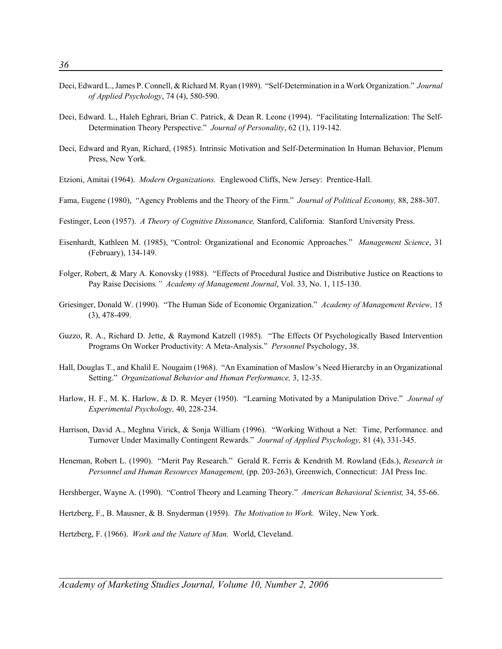- Deci, Edward L., James P. Connell, & Richard M. Ryan (1989). "Self-Determination in a Work Organization." *Journal of Applied Psychology*, 74 (4), 580-590.
- Deci, Edward. L., Haleh Eghrari, Brian C. Patrick, & Dean R. Leone (1994). "Facilitating Internalization: The Self-Determination Theory Perspective." *Journal of Personality*, 62 (1), 119-142.
- Deci, Edward and Ryan, Richard, (1985). Intrinsic Motivation and Self-Determination In Human Behavior, Plenum Press, New York.
- Etzioni, Amitai (1964). *Modern Organizations.* Englewood Cliffs, New Jersey: Prentice-Hall.
- Fama, Eugene (1980), "Agency Problems and the Theory of the Firm." *Journal of Political Economy,* 88, 288-307.
- Festinger, Leon (1957). *A Theory of Cognitive Dissonance,* Stanford, California: Stanford University Press.
- Eisenhardt, Kathleen M. (1985), "Control: Organizational and Economic Approaches." *Management Science*, 31 (February), 134-149.
- Folger, Robert, & Mary A. Konovsky (1988). "Effects of Procedural Justice and Distributive Justice on Reactions to Pay Raise Decisions*." Academy of Management Journal*, Vol. 33, No. 1, 115-130.
- Griesinger, Donald W. (1990). "The Human Side of Economic Organization." *Academy of Management Review,* 15 (3), 478-499.
- Guzzo, R. A., Richard D. Jette, & Raymond Katzell (1985). "The Effects Of Psychologically Based Intervention Programs On Worker Productivity: A Meta-Analysis." *Personnel* Psychology, 38.
- Hall, Douglas T., and Khalil E. Nougaim (1968). "An Examination of Maslow's Need Hierarchy in an Organizational Setting." *Organizational Behavior and Human Performance,* 3, 12-35.
- Harlow, H. F., M. K. Harlow, & D. R. Meyer (1950). "Learning Motivated by a Manipulation Drive." *Journal of Experimental Psychology,* 40, 228-234.
- Harrison, David A., Meghna Virick, & Sonja William (1996). "Working Without a Net: Time, Performance. and Turnover Under Maximally Contingent Rewards." *Journal of Applied Psychology,* 81 (4), 331-345.
- Heneman, Robert L. (1990). "Merit Pay Research." Gerald R. Ferris & Kendrith M. Rowland (Eds.), *Research in Personnel and Human Resources Management,* (pp. 203-263), Greenwich, Connecticut: JAI Press Inc.
- Hershberger, Wayne A. (1990). "Control Theory and Learning Theory." *American Behavioral Scientist,* 34, 55-66.
- Hertzberg, F., B. Mausner, & B. Snyderman (1959). *The Motivation to Work.* Wiley, New York.

Hertzberg, F. (1966). *Work and the Nature of Man.* World, Cleveland.

*Academy of Marketing Studies Journal, Volume 10, Number 2, 2006*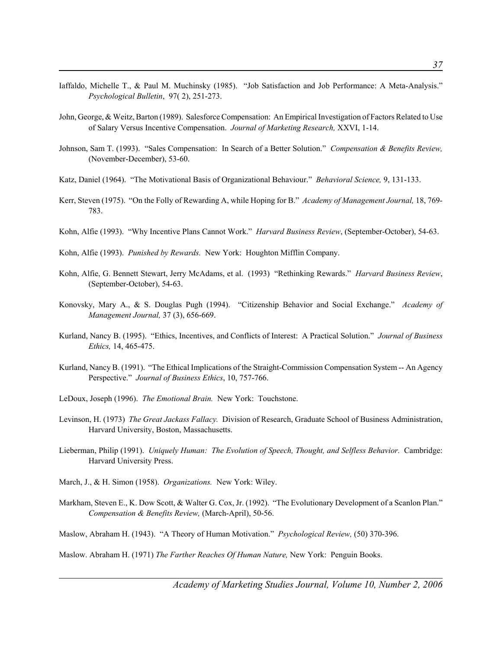- Iaffaldo, Michelle T., & Paul M. Muchinsky (1985). "Job Satisfaction and Job Performance: A Meta-Analysis." *Psychological Bulletin*, 97( 2), 251-273.
- John, George, & Weitz, Barton (1989). Salesforce Compensation: An Empirical Investigation of Factors Related to Use of Salary Versus Incentive Compensation. *Journal of Marketing Research,* XXVI, 1-14.
- Johnson, Sam T. (1993). "Sales Compensation: In Search of a Better Solution." *Compensation & Benefits Review,* (November-December), 53-60.
- Katz, Daniel (1964). "The Motivational Basis of Organizational Behaviour." *Behavioral Science,* 9, 131-133.
- Kerr, Steven (1975). "On the Folly of Rewarding A, while Hoping for B." *Academy of Management Journal,* 18, 769- 783.
- Kohn, Alfie (1993). "Why Incentive Plans Cannot Work." *Harvard Business Review*, (September-October), 54-63.
- Kohn, Alfie (1993). *Punished by Rewards.* New York: Houghton Mifflin Company.
- Kohn, Alfie, G. Bennett Stewart, Jerry McAdams, et al. (1993) "Rethinking Rewards." *Harvard Business Review*, (September-October), 54-63.
- Konovsky, Mary A., & S. Douglas Pugh (1994). "Citizenship Behavior and Social Exchange." *Academy of Management Journal,* 37 (3), 656-669.
- Kurland, Nancy B. (1995). "Ethics, Incentives, and Conflicts of Interest: A Practical Solution." *Journal of Business Ethics,* 14, 465-475.
- Kurland, Nancy B. (1991). "The Ethical Implications of the Straight-Commission Compensation System -- An Agency Perspective." *Journal of Business Ethics*, 10, 757-766.
- LeDoux, Joseph (1996). *The Emotional Brain.* New York: Touchstone.
- Levinson, H. (1973) *The Great Jackass Fallacy.* Division of Research, Graduate School of Business Administration, Harvard University, Boston, Massachusetts.
- Lieberman, Philip (1991). *Uniquely Human: The Evolution of Speech, Thought, and Selfless Behavior.* Cambridge: Harvard University Press.
- March, J., & H. Simon (1958). *Organizations.* New York: Wiley.
- Markham, Steven E., K. Dow Scott, & Walter G. Cox, Jr. (1992). "The Evolutionary Development of a Scanlon Plan." *Compensation & Benefits Review,* (March-April), 50-56.
- Maslow, Abraham H. (1943). "A Theory of Human Motivation." *Psychological Review,* (50) 370-396.

Maslow. Abraham H. (1971) *The Farther Reaches Of Human Nature,* New York: Penguin Books.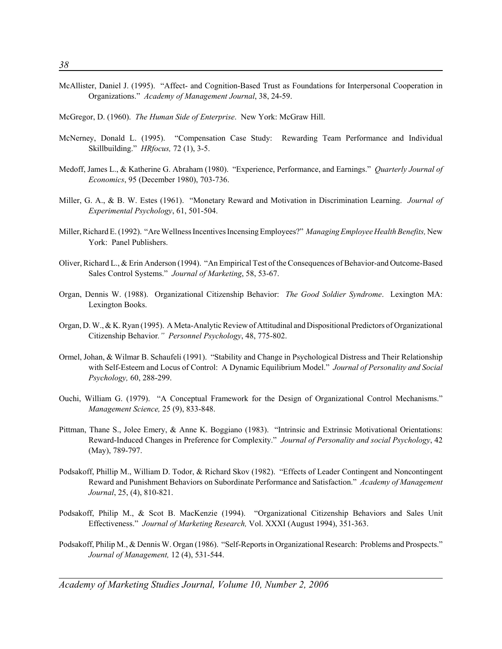- McAllister, Daniel J. (1995). "Affect- and Cognition-Based Trust as Foundations for Interpersonal Cooperation in Organizations." *Academy of Management Journal*, 38, 24-59.
- McGregor, D. (1960). *The Human Side of Enterprise*. New York: McGraw Hill.
- McNerney, Donald L. (1995). "Compensation Case Study: Rewarding Team Performance and Individual Skillbuilding." *HRfocus,* 72 (1), 3-5.
- Medoff, James L., & Katherine G. Abraham (1980). "Experience, Performance, and Earnings." *Quarterly Journal of Economics*, 95 (December 1980), 703-736.
- Miller, G. A., & B. W. Estes (1961). "Monetary Reward and Motivation in Discrimination Learning. *Journal of Experimental Psychology*, 61, 501-504.
- Miller, Richard E. (1992). "Are Wellness Incentives Incensing Employees?" *Managing Employee Health Benefits,* New York: Panel Publishers.
- Oliver, Richard L., & Erin Anderson (1994). "An Empirical Test of the Consequences of Behavior-and Outcome-Based Sales Control Systems." *Journal of Marketing*, 58, 53-67.
- Organ, Dennis W. (1988). Organizational Citizenship Behavior: *The Good Soldier Syndrome*. Lexington MA: Lexington Books.
- Organ, D. W., & K. Ryan (1995). A Meta-Analytic Review of Attitudinal and Dispositional Predictors of Organizational Citizenship Behavior*." Personnel Psychology*, 48, 775-802.
- Ormel, Johan, & Wilmar B. Schaufeli (1991). "Stability and Change in Psychological Distress and Their Relationship with Self-Esteem and Locus of Control: A Dynamic Equilibrium Model." *Journal of Personality and Social Psychology,* 60, 288-299.
- Ouchi, William G. (1979). "A Conceptual Framework for the Design of Organizational Control Mechanisms." *Management Science,* 25 (9), 833-848.
- Pittman, Thane S., Jolee Emery, & Anne K. Boggiano (1983). "Intrinsic and Extrinsic Motivational Orientations: Reward-Induced Changes in Preference for Complexity." *Journal of Personality and social Psychology*, 42 (May), 789-797.
- Podsakoff, Phillip M., William D. Todor, & Richard Skov (1982). "Effects of Leader Contingent and Noncontingent Reward and Punishment Behaviors on Subordinate Performance and Satisfaction." *Academy of Management Journal*, 25, (4), 810-821.
- Podsakoff, Philip M., & Scot B. MacKenzie (1994). "Organizational Citizenship Behaviors and Sales Unit Effectiveness." *Journal of Marketing Research,* Vol. XXXI (August 1994), 351-363.
- Podsakoff, Philip M., & Dennis W. Organ (1986). "Self-Reports in Organizational Research: Problems and Prospects." *Journal of Management,* 12 (4), 531-544.

*Academy of Marketing Studies Journal, Volume 10, Number 2, 2006*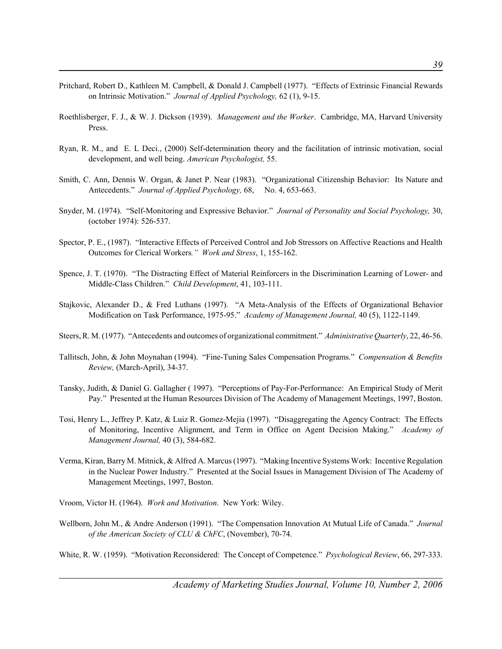- Pritchard, Robert D., Kathleen M. Campbell, & Donald J. Campbell (1977). "Effects of Extrinsic Financial Rewards on Intrinsic Motivation." *Journal of Applied Psychology,* 62 (1), 9-15.
- Roethlisberger, F. J., & W. J. Dickson (1939). *Management and the Worker*. Cambridge, MA, Harvard University Press.
- Ryan, R. M., and E. L Deci., (2000) Self-determination theory and the facilitation of intrinsic motivation, social development, and well being. *American Psychologist,* 55.
- Smith, C. Ann, Dennis W. Organ, & Janet P. Near (1983). "Organizational Citizenship Behavior: Its Nature and Antecedents." *Journal of Applied Psychology,* 68, No. 4, 653-663.
- Snyder, M. (1974). "Self-Monitoring and Expressive Behavior." *Journal of Personality and Social Psychology,* 30, (october 1974): 526-537.
- Spector, P. E., (1987). "Interactive Effects of Perceived Control and Job Stressors on Affective Reactions and Health Outcomes for Clerical Workers*." Work and Stress*, 1, 155-162.
- Spence, J. T. (1970). "The Distracting Effect of Material Reinforcers in the Discrimination Learning of Lower- and Middle-Class Children." *Child Development*, 41, 103-111.
- Stajkovic, Alexander D., & Fred Luthans (1997). "A Meta-Analysis of the Effects of Organizational Behavior Modification on Task Performance, 1975-95." *Academy of Management Journal,* 40 (5), 1122-1149.
- Steers, R. M. (1977). "Antecedents and outcomes of organizational commitment." *Administrative Quarterly*, 22, 46-56.
- Tallitsch, John, & John Moynahan (1994). "Fine-Tuning Sales Compensation Programs." *Compensation & Benefits Review,* (March-April), 34-37.
- Tansky, Judith, & Daniel G. Gallagher ( 1997). "Perceptions of Pay-For-Performance: An Empirical Study of Merit Pay." Presented at the Human Resources Division of The Academy of Management Meetings, 1997, Boston.
- Tosi, Henry L., Jeffrey P. Katz, & Luiz R. Gomez-Mejia (1997). "Disaggregating the Agency Contract: The Effects of Monitoring, Incentive Alignment, and Term in Office on Agent Decision Making." *Academy of Management Journal,* 40 (3), 584-682.
- Verma, Kiran, Barry M. Mitnick, & Alfred A. Marcus (1997). "Making Incentive Systems Work: Incentive Regulation in the Nuclear Power Industry." Presented at the Social Issues in Management Division of The Academy of Management Meetings, 1997, Boston.
- Vroom, Victor H. (1964). *Work and Motivation*. New York: Wiley.
- Wellborn, John M., & Andre Anderson (1991). "The Compensation Innovation At Mutual Life of Canada." *Journal of the American Society of CLU & ChFC*, (November), 70-74.

White, R. W. (1959). "Motivation Reconsidered: The Concept of Competence." *Psychological Review*, 66, 297-333.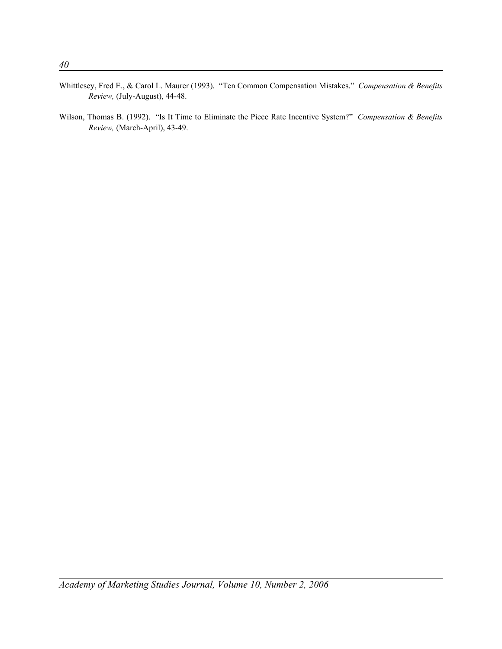- Whittlesey, Fred E., & Carol L. Maurer (1993). "Ten Common Compensation Mistakes." *Compensation & Benefits Review,* (July-August), 44-48.
- Wilson, Thomas B. (1992). "Is It Time to Eliminate the Piece Rate Incentive System?" *Compensation & Benefits Review,* (March-April), 43-49.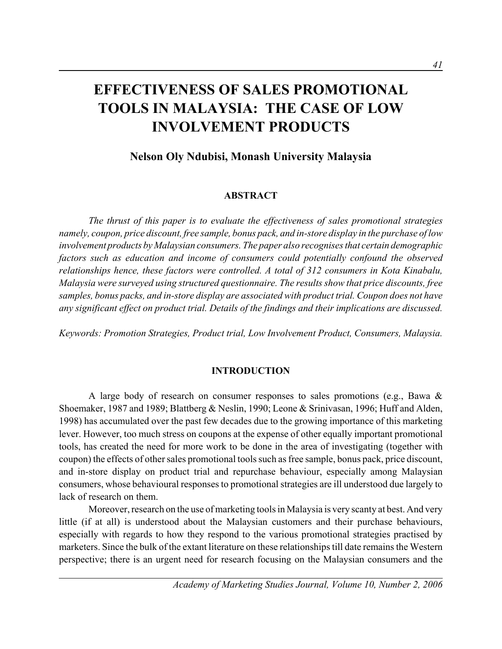# **EFFECTIVENESS OF SALES PROMOTIONAL TOOLS IN MALAYSIA: THE CASE OF LOW INVOLVEMENT PRODUCTS**

# **Nelson Oly Ndubisi, Monash University Malaysia**

## **ABSTRACT**

*The thrust of this paper is to evaluate the effectiveness of sales promotional strategies namely, coupon, price discount, free sample, bonus pack, and in-store display in the purchase of low involvement products by Malaysian consumers. The paper also recognises that certain demographic factors such as education and income of consumers could potentially confound the observed relationships hence, these factors were controlled. A total of 312 consumers in Kota Kinabalu, Malaysia were surveyed using structured questionnaire. The results show that price discounts, free samples, bonus packs, and in-store display are associated with product trial. Coupon does not have any significant effect on product trial. Details of the findings and their implications are discussed.*

*Keywords: Promotion Strategies, Product trial, Low Involvement Product, Consumers, Malaysia.*

## **INTRODUCTION**

A large body of research on consumer responses to sales promotions (e.g., Bawa & Shoemaker, 1987 and 1989; Blattberg & Neslin, 1990; Leone & Srinivasan, 1996; Huff and Alden, 1998) has accumulated over the past few decades due to the growing importance of this marketing lever. However, too much stress on coupons at the expense of other equally important promotional tools, has created the need for more work to be done in the area of investigating (together with coupon) the effects of other sales promotional tools such as free sample, bonus pack, price discount, and in-store display on product trial and repurchase behaviour, especially among Malaysian consumers, whose behavioural responses to promotional strategies are ill understood due largely to lack of research on them.

Moreover, research on the use of marketing tools in Malaysia is very scanty at best. And very little (if at all) is understood about the Malaysian customers and their purchase behaviours, especially with regards to how they respond to the various promotional strategies practised by marketers. Since the bulk of the extant literature on these relationships till date remains the Western perspective; there is an urgent need for research focusing on the Malaysian consumers and the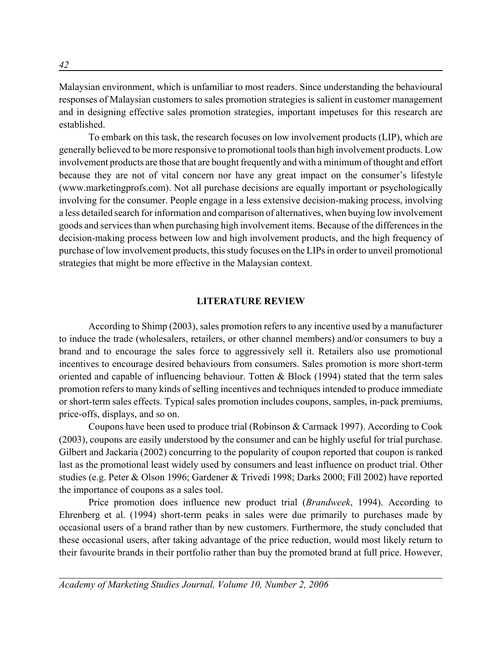Malaysian environment, which is unfamiliar to most readers. Since understanding the behavioural responses of Malaysian customers to sales promotion strategies is salient in customer management and in designing effective sales promotion strategies, important impetuses for this research are established.

To embark on this task, the research focuses on low involvement products (LIP), which are generally believed to be more responsive to promotional tools than high involvement products. Low involvement products are those that are bought frequently and with a minimum of thought and effort because they are not of vital concern nor have any great impact on the consumer's lifestyle (www.marketingprofs.com). Not all purchase decisions are equally important or psychologically involving for the consumer. People engage in a less extensive decision-making process, involving a less detailed search for information and comparison of alternatives, when buying low involvement goods and services than when purchasing high involvement items. Because of the differences in the decision-making process between low and high involvement products, and the high frequency of purchase of low involvement products, this study focuses on the LIPs in order to unveil promotional strategies that might be more effective in the Malaysian context.

#### **LITERATURE REVIEW**

According to Shimp (2003), sales promotion refers to any incentive used by a manufacturer to induce the trade (wholesalers, retailers, or other channel members) and/or consumers to buy a brand and to encourage the sales force to aggressively sell it. Retailers also use promotional incentives to encourage desired behaviours from consumers. Sales promotion is more short-term oriented and capable of influencing behaviour. Totten  $\&$  Block (1994) stated that the term sales promotion refers to many kinds of selling incentives and techniques intended to produce immediate or short-term sales effects. Typical sales promotion includes coupons, samples, in-pack premiums, price-offs, displays, and so on.

Coupons have been used to produce trial (Robinson & Carmack 1997). According to Cook (2003), coupons are easily understood by the consumer and can be highly useful for trial purchase. Gilbert and Jackaria (2002) concurring to the popularity of coupon reported that coupon is ranked last as the promotional least widely used by consumers and least influence on product trial. Other studies (e.g. Peter & Olson 1996; Gardener & Trivedi 1998; Darks 2000; Fill 2002) have reported the importance of coupons as a sales tool.

Price promotion does influence new product trial (*Brandweek*, 1994). According to Ehrenberg et al. (1994) short-term peaks in sales were due primarily to purchases made by occasional users of a brand rather than by new customers. Furthermore, the study concluded that these occasional users, after taking advantage of the price reduction, would most likely return to their favourite brands in their portfolio rather than buy the promoted brand at full price. However,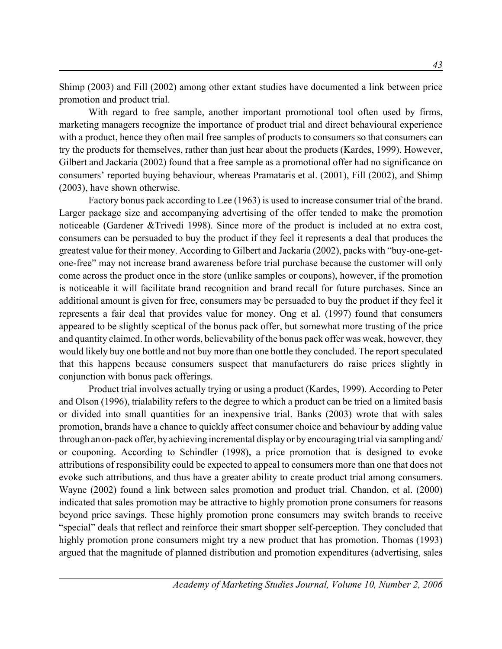Shimp (2003) and Fill (2002) among other extant studies have documented a link between price promotion and product trial.

With regard to free sample, another important promotional tool often used by firms, marketing managers recognize the importance of product trial and direct behavioural experience with a product, hence they often mail free samples of products to consumers so that consumers can try the products for themselves, rather than just hear about the products (Kardes, 1999). However, Gilbert and Jackaria (2002) found that a free sample as a promotional offer had no significance on consumers' reported buying behaviour, whereas Pramataris et al. (2001), Fill (2002), and Shimp (2003), have shown otherwise.

Factory bonus pack according to Lee (1963) is used to increase consumer trial of the brand. Larger package size and accompanying advertising of the offer tended to make the promotion noticeable (Gardener &Trivedi 1998). Since more of the product is included at no extra cost, consumers can be persuaded to buy the product if they feel it represents a deal that produces the greatest value for their money. According to Gilbert and Jackaria (2002), packs with "buy-one-getone-free" may not increase brand awareness before trial purchase because the customer will only come across the product once in the store (unlike samples or coupons), however, if the promotion is noticeable it will facilitate brand recognition and brand recall for future purchases. Since an additional amount is given for free, consumers may be persuaded to buy the product if they feel it represents a fair deal that provides value for money. Ong et al. (1997) found that consumers appeared to be slightly sceptical of the bonus pack offer, but somewhat more trusting of the price and quantity claimed. In other words, believability of the bonus pack offer was weak, however, they would likely buy one bottle and not buy more than one bottle they concluded. The report speculated that this happens because consumers suspect that manufacturers do raise prices slightly in conjunction with bonus pack offerings.

Product trial involves actually trying or using a product (Kardes, 1999). According to Peter and Olson (1996), trialability refers to the degree to which a product can be tried on a limited basis or divided into small quantities for an inexpensive trial. Banks (2003) wrote that with sales promotion, brands have a chance to quickly affect consumer choice and behaviour by adding value through an on-pack offer, by achieving incremental display or by encouraging trial via sampling and/ or couponing. According to Schindler (1998), a price promotion that is designed to evoke attributions of responsibility could be expected to appeal to consumers more than one that does not evoke such attributions, and thus have a greater ability to create product trial among consumers. Wayne (2002) found a link between sales promotion and product trial. Chandon, et al. (2000) indicated that sales promotion may be attractive to highly promotion prone consumers for reasons beyond price savings. These highly promotion prone consumers may switch brands to receive "special" deals that reflect and reinforce their smart shopper self-perception. They concluded that highly promotion prone consumers might try a new product that has promotion. Thomas (1993) argued that the magnitude of planned distribution and promotion expenditures (advertising, sales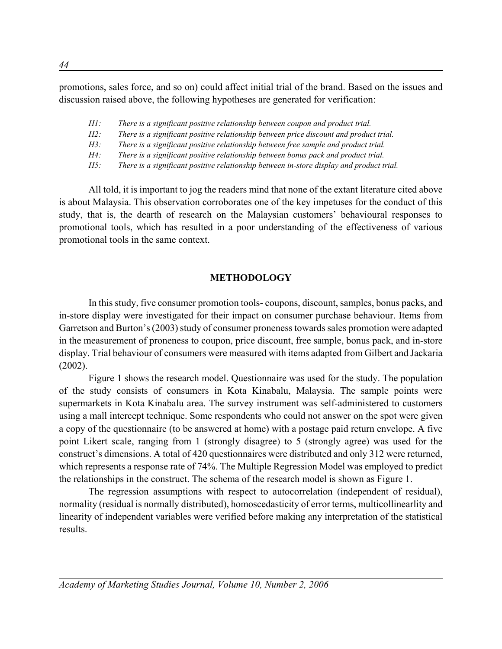promotions, sales force, and so on) could affect initial trial of the brand. Based on the issues and discussion raised above, the following hypotheses are generated for verification:

- *H1: There is a significant positive relationship between coupon and product trial.*
- *H2: There is a significant positive relationship between price discount and product trial.*
- *H3: There is a significant positive relationship between free sample and product trial.*
- *H4: There is a significant positive relationship between bonus pack and product trial.*
- *H5: There is a significant positive relationship between in-store display and product trial.*

All told, it is important to jog the readers mind that none of the extant literature cited above is about Malaysia. This observation corroborates one of the key impetuses for the conduct of this study, that is, the dearth of research on the Malaysian customers' behavioural responses to promotional tools, which has resulted in a poor understanding of the effectiveness of various promotional tools in the same context.

# **METHODOLOGY**

In this study, five consumer promotion tools- coupons, discount, samples, bonus packs, and in-store display were investigated for their impact on consumer purchase behaviour. Items from Garretson and Burton's (2003) study of consumer proneness towards sales promotion were adapted in the measurement of proneness to coupon, price discount, free sample, bonus pack, and in-store display. Trial behaviour of consumers were measured with items adapted from Gilbert and Jackaria (2002).

Figure 1 shows the research model. Questionnaire was used for the study. The population of the study consists of consumers in Kota Kinabalu, Malaysia. The sample points were supermarkets in Kota Kinabalu area. The survey instrument was self-administered to customers using a mall intercept technique. Some respondents who could not answer on the spot were given a copy of the questionnaire (to be answered at home) with a postage paid return envelope. A five point Likert scale, ranging from 1 (strongly disagree) to 5 (strongly agree) was used for the construct's dimensions. A total of 420 questionnaires were distributed and only 312 were returned, which represents a response rate of 74%. The Multiple Regression Model was employed to predict the relationships in the construct. The schema of the research model is shown as Figure 1.

The regression assumptions with respect to autocorrelation (independent of residual), normality (residual is normally distributed), homoscedasticity of error terms, multicollinearlity and linearity of independent variables were verified before making any interpretation of the statistical results.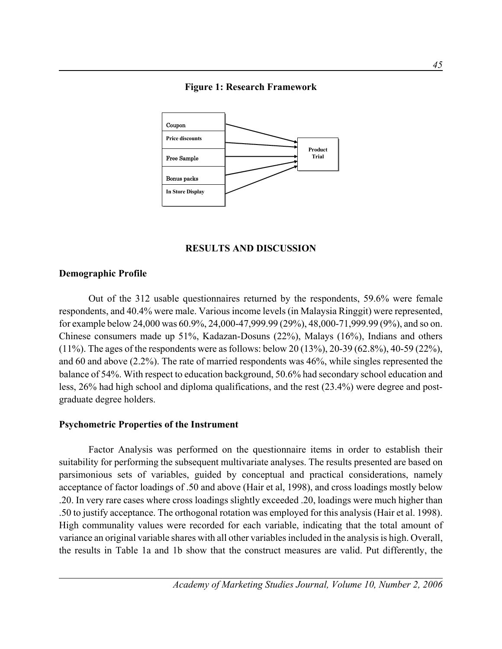

## **Figure 1: Research Framework**

## **RESULTS AND DISCUSSION**

## **Demographic Profile**

Out of the 312 usable questionnaires returned by the respondents, 59.6% were female respondents, and 40.4% were male. Various income levels (in Malaysia Ringgit) were represented, for example below 24,000 was 60.9%, 24,000-47,999.99 (29%), 48,000-71,999.99 (9%), and so on. Chinese consumers made up 51%, Kadazan-Dosuns (22%), Malays (16%), Indians and others (11%). The ages of the respondents were as follows: below 20 (13%), 20-39 (62.8%), 40-59 (22%), and 60 and above (2.2%). The rate of married respondents was 46%, while singles represented the balance of 54%. With respect to education background, 50.6% had secondary school education and less, 26% had high school and diploma qualifications, and the rest (23.4%) were degree and postgraduate degree holders.

#### **Psychometric Properties of the Instrument**

Factor Analysis was performed on the questionnaire items in order to establish their suitability for performing the subsequent multivariate analyses. The results presented are based on parsimonious sets of variables, guided by conceptual and practical considerations, namely acceptance of factor loadings of .50 and above (Hair et al, 1998), and cross loadings mostly below .20. In very rare cases where cross loadings slightly exceeded .20, loadings were much higher than .50 to justify acceptance. The orthogonal rotation was employed for this analysis (Hair et al. 1998). High communality values were recorded for each variable, indicating that the total amount of variance an original variable shares with all other variables included in the analysis is high. Overall, the results in Table 1a and 1b show that the construct measures are valid. Put differently, the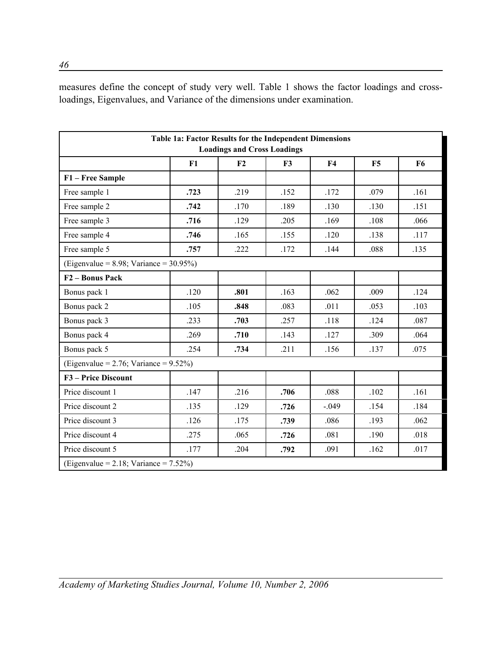measures define the concept of study very well. Table 1 shows the factor loadings and crossloadings, Eigenvalues, and Variance of the dimensions under examination.

|                                               | Table 1a: Factor Results for the Independent Dimensions | <b>Loadings and Cross Loadings</b> |      |                |      |                |
|-----------------------------------------------|---------------------------------------------------------|------------------------------------|------|----------------|------|----------------|
|                                               | F1                                                      | F2                                 | F3   | F <sub>4</sub> | F5   | F <sub>6</sub> |
| F1 - Free Sample                              |                                                         |                                    |      |                |      |                |
| Free sample 1                                 | .723                                                    | .219                               | .152 | .172           | .079 | .161           |
| Free sample 2                                 | .742                                                    | .170                               | .189 | .130           | .130 | .151           |
| Free sample 3                                 | .716                                                    | .129                               | .205 | .169           | .108 | .066           |
| Free sample 4                                 | .746                                                    | .165                               | .155 | .120           | .138 | .117           |
| Free sample 5                                 | .757                                                    | .222                               | .172 | .144           | .088 | .135           |
| (Eigenvalue = $8.98$ ; Variance = $30.95\%$ ) |                                                         |                                    |      |                |      |                |
| F <sub>2</sub> – Bonus Pack                   |                                                         |                                    |      |                |      |                |
| Bonus pack 1                                  | .120                                                    | .801                               | .163 | .062           | .009 | .124           |
| Bonus pack 2                                  | .105                                                    | .848                               | .083 | .011           | .053 | .103           |
| Bonus pack 3                                  | .233                                                    | .703                               | .257 | .118           | .124 | .087           |
| Bonus pack 4                                  | .269                                                    | .710                               | .143 | .127           | .309 | .064           |
| Bonus pack 5                                  | .254                                                    | .734                               | .211 | .156           | .137 | .075           |
| (Eigenvalue = $2.76$ ; Variance = $9.52\%$ )  |                                                         |                                    |      |                |      |                |
| F3 - Price Discount                           |                                                         |                                    |      |                |      |                |
| Price discount 1                              | .147                                                    | .216                               | .706 | .088           | .102 | .161           |
| Price discount 2                              | .135                                                    | .129                               | .726 | $-.049$        | .154 | .184           |
| Price discount 3                              | .126                                                    | .175                               | .739 | .086           | .193 | .062           |
| Price discount 4                              | .275                                                    | .065                               | .726 | .081           | .190 | .018           |
| Price discount 5                              | .177                                                    | .204                               | .792 | .091           | .162 | .017           |
| (Eigenvalue = 2.18; Variance = $7.52\%$ )     |                                                         |                                    |      |                |      |                |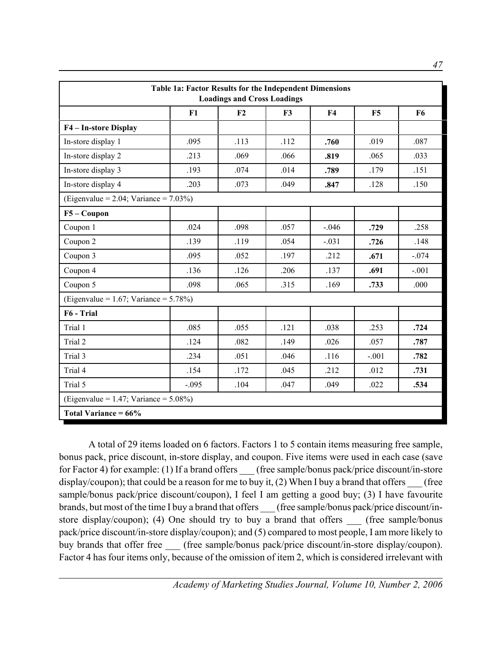| Table 1a: Factor Results for the Independent Dimensions<br><b>Loadings and Cross Loadings</b> |         |      |                |                |         |                |  |
|-----------------------------------------------------------------------------------------------|---------|------|----------------|----------------|---------|----------------|--|
|                                                                                               | F1      | F2   | F <sub>3</sub> | F <sub>4</sub> | F5      | F <sub>6</sub> |  |
| F4 - In-store Display                                                                         |         |      |                |                |         |                |  |
| In-store display 1                                                                            | .095    | .113 | .112           | .760           | .019    | .087           |  |
| In-store display 2                                                                            | .213    | .069 | .066           | .819           | .065    | .033           |  |
| In-store display 3                                                                            | .193    | .074 | .014           | .789           | .179    | .151           |  |
| In-store display 4                                                                            | .203    | .073 | .049           | .847           | .128    | .150           |  |
| (Eigenvalue = $2.04$ ; Variance = $7.03\%$ )                                                  |         |      |                |                |         |                |  |
| $F5 - Coupon$                                                                                 |         |      |                |                |         |                |  |
| Coupon 1                                                                                      | .024    | .098 | .057           | $-0.046$       | .729    | .258           |  |
| Coupon 2                                                                                      | .139    | .119 | .054           | $-.031$        | .726    | .148           |  |
| Coupon 3                                                                                      | .095    | .052 | .197           | .212           | .671    | $-.074$        |  |
| Coupon 4                                                                                      | .136    | .126 | .206           | .137           | .691    | $-.001$        |  |
| Coupon 5                                                                                      | .098    | .065 | .315           | .169           | .733    | .000           |  |
| (Eigenvalue = $1.67$ ; Variance = $5.78\%$ )                                                  |         |      |                |                |         |                |  |
| F6 - Trial                                                                                    |         |      |                |                |         |                |  |
| Trial 1                                                                                       | .085    | .055 | .121           | .038           | .253    | .724           |  |
| Trial 2                                                                                       | .124    | .082 | .149           | .026           | .057    | .787           |  |
| Trial 3                                                                                       | .234    | .051 | .046           | .116           | $-.001$ | .782           |  |
| Trial 4                                                                                       | .154    | .172 | .045           | .212           | .012    | .731           |  |
| Trial 5                                                                                       | $-.095$ | .104 | .047           | .049           | .022    | .534           |  |
| (Eigenvalue = 1.47; Variance = $5.08\%$ )                                                     |         |      |                |                |         |                |  |
| Total Variance = $66\%$                                                                       |         |      |                |                |         |                |  |

A total of 29 items loaded on 6 factors. Factors 1 to 5 contain items measuring free sample, bonus pack, price discount, in-store display, and coupon. Five items were used in each case (save for Factor 4) for example: (1) If a brand offers (free sample/bonus pack/price discount/in-store display/coupon); that could be a reason for me to buy it,  $(2)$  When I buy a brand that offers (free sample/bonus pack/price discount/coupon), I feel I am getting a good buy; (3) I have favourite brands, but most of the time I buy a brand that offers (free sample/bonus pack/price discount/instore display/coupon); (4) One should try to buy a brand that offers (free sample/bonus pack/price discount/in-store display/coupon); and (5) compared to most people, I am more likely to buy brands that offer free (free sample/bonus pack/price discount/in-store display/coupon). Factor 4 has four items only, because of the omission of item 2, which is considered irrelevant with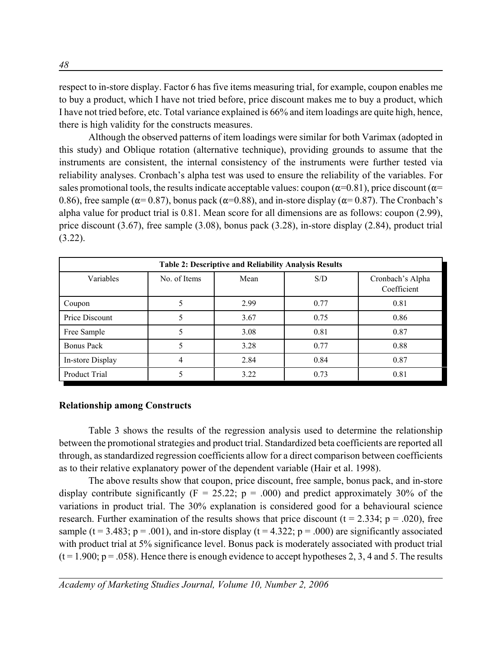respect to in-store display. Factor 6 has five items measuring trial, for example, coupon enables me to buy a product, which I have not tried before, price discount makes me to buy a product, which I have not tried before, etc. Total variance explained is 66% and item loadings are quite high, hence, there is high validity for the constructs measures.

Although the observed patterns of item loadings were similar for both Varimax (adopted in this study) and Oblique rotation (alternative technique), providing grounds to assume that the instruments are consistent, the internal consistency of the instruments were further tested via reliability analyses. Cronbach's alpha test was used to ensure the reliability of the variables. For sales promotional tools, the results indicate acceptable values: coupon ( $\alpha$ =0.81), price discount ( $\alpha$ = 0.86), free sample ( $\alpha$ = 0.87), bonus pack ( $\alpha$ =0.88), and in-store display ( $\alpha$ = 0.87). The Cronbach's alpha value for product trial is 0.81. Mean score for all dimensions are as follows: coupon (2.99), price discount (3.67), free sample (3.08), bonus pack (3.28), in-store display (2.84), product trial  $(3.22)$ .

| <b>Table 2: Descriptive and Reliability Analysis Results</b> |              |      |      |                                 |
|--------------------------------------------------------------|--------------|------|------|---------------------------------|
| Variables                                                    | No. of Items | Mean | S/D  | Cronbach's Alpha<br>Coefficient |
| Coupon                                                       |              | 2.99 | 0.77 | 0.81                            |
| Price Discount                                               |              | 3.67 | 0.75 | 0.86                            |
| Free Sample                                                  |              | 3.08 | 0.81 | 0.87                            |
| Bonus Pack                                                   |              | 3.28 | 0.77 | 0.88                            |
| In-store Display                                             |              | 2.84 | 0.84 | 0.87                            |
| Product Trial                                                |              | 3.22 | 0.73 | 0.81                            |

## **Relationship among Constructs**

Table 3 shows the results of the regression analysis used to determine the relationship between the promotional strategies and product trial. Standardized beta coefficients are reported all through, as standardized regression coefficients allow for a direct comparison between coefficients as to their relative explanatory power of the dependent variable (Hair et al. 1998).

The above results show that coupon, price discount, free sample, bonus pack, and in-store display contribute significantly ( $F = 25.22$ ;  $p = .000$ ) and predict approximately 30% of the variations in product trial. The 30% explanation is considered good for a behavioural science research. Further examination of the results shows that price discount ( $t = 2.334$ ;  $p = .020$ ), free sample ( $t = 3.483$ ;  $p = .001$ ), and in-store display ( $t = 4.322$ ;  $p = .000$ ) are significantly associated with product trial at 5% significance level. Bonus pack is moderately associated with product trial  $(t = 1.900; p = .058)$ . Hence there is enough evidence to accept hypotheses 2, 3, 4 and 5. The results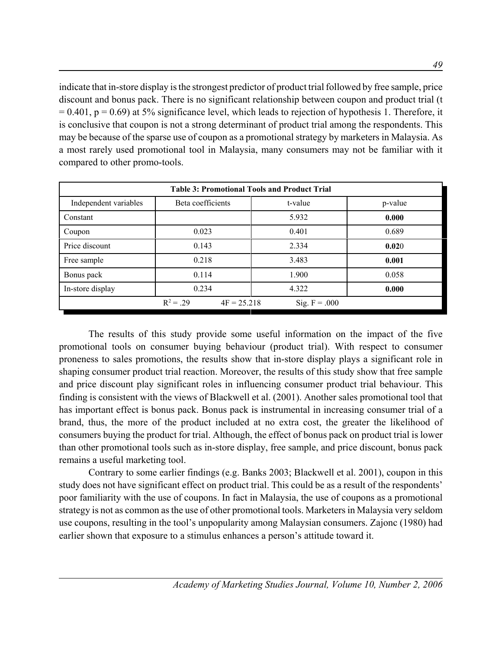indicate that in-store display is the strongest predictor of product trial followed by free sample, price discount and bonus pack. There is no significant relationship between coupon and product trial (t  $= 0.401$ ,  $p = 0.69$ ) at 5% significance level, which leads to rejection of hypothesis 1. Therefore, it is conclusive that coupon is not a strong determinant of product trial among the respondents. This may be because of the sparse use of coupon as a promotional strategy by marketers in Malaysia. As a most rarely used promotional tool in Malaysia, many consumers may not be familiar with it compared to other promo-tools.

| <b>Table 3: Promotional Tools and Product Trial</b> |                              |                 |         |  |
|-----------------------------------------------------|------------------------------|-----------------|---------|--|
| Independent variables                               | Beta coefficients            | t-value         | p-value |  |
| Constant                                            |                              | 5.932           | 0.000   |  |
| Coupon                                              | 0.023                        | 0.401           | 0.689   |  |
| Price discount                                      | 0.143                        | 2.334           | 0.020   |  |
| Free sample                                         | 0.218                        | 3.483           | 0.001   |  |
| Bonus pack                                          | 0.114                        | 1.900           | 0.058   |  |
| In-store display                                    | 0.234                        | 4.322           | 0.000   |  |
|                                                     | $R^2 = .29$<br>$4F = 25.218$ | Sig. $F = .000$ |         |  |

The results of this study provide some useful information on the impact of the five promotional tools on consumer buying behaviour (product trial). With respect to consumer proneness to sales promotions, the results show that in-store display plays a significant role in shaping consumer product trial reaction. Moreover, the results of this study show that free sample and price discount play significant roles in influencing consumer product trial behaviour. This finding is consistent with the views of Blackwell et al. (2001). Another sales promotional tool that has important effect is bonus pack. Bonus pack is instrumental in increasing consumer trial of a brand, thus, the more of the product included at no extra cost, the greater the likelihood of consumers buying the product for trial. Although, the effect of bonus pack on product trial is lower than other promotional tools such as in-store display, free sample, and price discount, bonus pack remains a useful marketing tool.

Contrary to some earlier findings (e.g. Banks 2003; Blackwell et al. 2001), coupon in this study does not have significant effect on product trial. This could be as a result of the respondents' poor familiarity with the use of coupons. In fact in Malaysia, the use of coupons as a promotional strategy is not as common as the use of other promotional tools. Marketers in Malaysia very seldom use coupons, resulting in the tool's unpopularity among Malaysian consumers. Zajonc (1980) had earlier shown that exposure to a stimulus enhances a person's attitude toward it.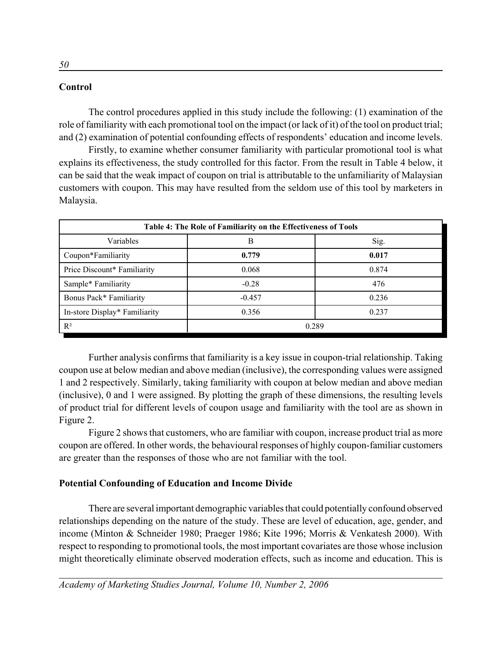# **Control**

The control procedures applied in this study include the following: (1) examination of the role of familiarity with each promotional tool on the impact (or lack of it) of the tool on product trial; and (2) examination of potential confounding effects of respondents' education and income levels.

Firstly, to examine whether consumer familiarity with particular promotional tool is what explains its effectiveness, the study controlled for this factor. From the result in Table 4 below, it can be said that the weak impact of coupon on trial is attributable to the unfamiliarity of Malaysian customers with coupon. This may have resulted from the seldom use of this tool by marketers in Malaysia.

| Table 4: The Role of Familiarity on the Effectiveness of Tools |          |       |  |  |
|----------------------------------------------------------------|----------|-------|--|--|
| Variables                                                      | В        | Sig.  |  |  |
| Coupon*Familiarity                                             | 0.779    | 0.017 |  |  |
| Price Discount* Familiarity                                    | 0.068    | 0.874 |  |  |
| Sample* Familiarity                                            | $-0.28$  | 476   |  |  |
| Bonus Pack* Familiarity                                        | $-0.457$ | 0.236 |  |  |
| In-store Display* Familiarity                                  | 0.356    | 0.237 |  |  |
| $R^2$                                                          | 0.289    |       |  |  |

Further analysis confirms that familiarity is a key issue in coupon-trial relationship. Taking coupon use at below median and above median (inclusive), the corresponding values were assigned 1 and 2 respectively. Similarly, taking familiarity with coupon at below median and above median (inclusive), 0 and 1 were assigned. By plotting the graph of these dimensions, the resulting levels of product trial for different levels of coupon usage and familiarity with the tool are as shown in Figure 2.

Figure 2 shows that customers, who are familiar with coupon, increase product trial as more coupon are offered. In other words, the behavioural responses of highly coupon-familiar customers are greater than the responses of those who are not familiar with the tool.

# **Potential Confounding of Education and Income Divide**

There are several important demographic variables that could potentially confound observed relationships depending on the nature of the study. These are level of education, age, gender, and income (Minton & Schneider 1980; Praeger 1986; Kite 1996; Morris & Venkatesh 2000). With respect to responding to promotional tools, the most important covariates are those whose inclusion might theoretically eliminate observed moderation effects, such as income and education. This is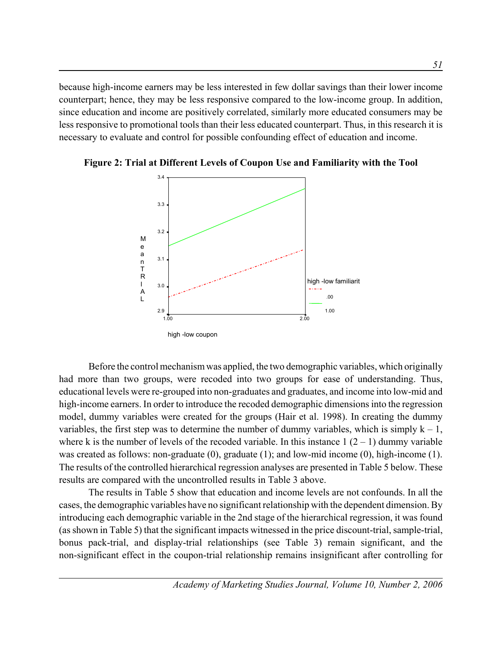because high-income earners may be less interested in few dollar savings than their lower income counterpart; hence, they may be less responsive compared to the low-income group. In addition, since education and income are positively correlated, similarly more educated consumers may be less responsive to promotional tools than their less educated counterpart. Thus, in this research it is necessary to evaluate and control for possible confounding effect of education and income.



**Figure 2: Trial at Different Levels of Coupon Use and Familiarity with the Tool**

Before the control mechanism was applied, the two demographic variables, which originally had more than two groups, were recoded into two groups for ease of understanding. Thus, educational levels were re-grouped into non-graduates and graduates, and income into low-mid and high-income earners. In order to introduce the recoded demographic dimensions into the regression model, dummy variables were created for the groups (Hair et al. 1998). In creating the dummy variables, the first step was to determine the number of dummy variables, which is simply  $k - 1$ , where k is the number of levels of the recoded variable. In this instance  $1(2-1)$  dummy variable was created as follows: non-graduate (0), graduate (1); and low-mid income (0), high-income (1). The results of the controlled hierarchical regression analyses are presented in Table 5 below. These results are compared with the uncontrolled results in Table 3 above.

The results in Table 5 show that education and income levels are not confounds. In all the cases, the demographic variables have no significant relationship with the dependent dimension. By introducing each demographic variable in the 2nd stage of the hierarchical regression, it was found (as shown in Table 5) that the significant impacts witnessed in the price discount-trial, sample-trial, bonus pack-trial, and display-trial relationships (see Table 3) remain significant, and the non-significant effect in the coupon-trial relationship remains insignificant after controlling for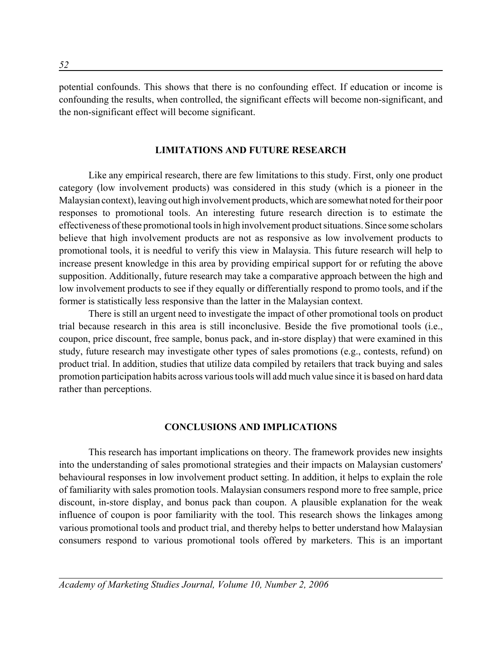potential confounds. This shows that there is no confounding effect. If education or income is confounding the results, when controlled, the significant effects will become non-significant, and the non-significant effect will become significant.

#### **LIMITATIONS AND FUTURE RESEARCH**

Like any empirical research, there are few limitations to this study. First, only one product category (low involvement products) was considered in this study (which is a pioneer in the Malaysian context), leaving out high involvement products, which are somewhat noted for their poor responses to promotional tools. An interesting future research direction is to estimate the effectiveness of these promotional tools in high involvement product situations. Since some scholars believe that high involvement products are not as responsive as low involvement products to promotional tools, it is needful to verify this view in Malaysia. This future research will help to increase present knowledge in this area by providing empirical support for or refuting the above supposition. Additionally, future research may take a comparative approach between the high and low involvement products to see if they equally or differentially respond to promo tools, and if the former is statistically less responsive than the latter in the Malaysian context.

There is still an urgent need to investigate the impact of other promotional tools on product trial because research in this area is still inconclusive. Beside the five promotional tools (i.e., coupon, price discount, free sample, bonus pack, and in-store display) that were examined in this study, future research may investigate other types of sales promotions (e.g., contests, refund) on product trial. In addition, studies that utilize data compiled by retailers that track buying and sales promotion participation habits across various tools will add much value since it is based on hard data rather than perceptions.

#### **CONCLUSIONS AND IMPLICATIONS**

This research has important implications on theory. The framework provides new insights into the understanding of sales promotional strategies and their impacts on Malaysian customers' behavioural responses in low involvement product setting. In addition, it helps to explain the role of familiarity with sales promotion tools. Malaysian consumers respond more to free sample, price discount, in-store display, and bonus pack than coupon. A plausible explanation for the weak influence of coupon is poor familiarity with the tool. This research shows the linkages among various promotional tools and product trial, and thereby helps to better understand how Malaysian consumers respond to various promotional tools offered by marketers. This is an important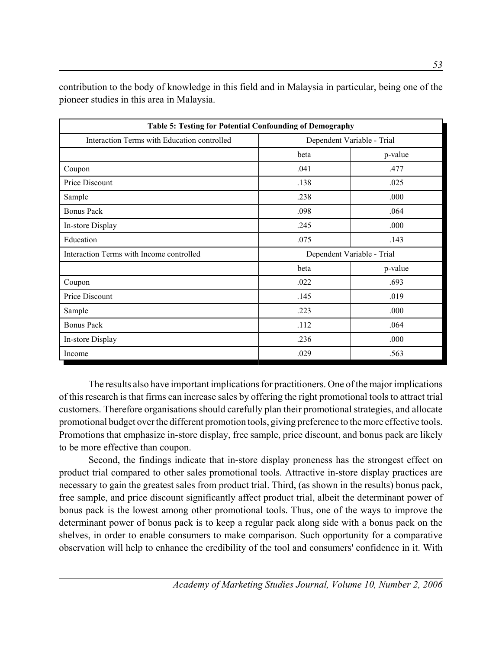**Table 5: Testing for Potential Confounding of Demography** Interaction Terms with Education controlled Dependent Variable - Trial beta p-value  $\text{Coupon}$  .041 .477 Price Discount ... 138 .025  $\text{Sample}$  .238 .000 Bonus Pack  $.064$ In-store Display .245 .000  $E$ ducation  $.143$ Interaction Terms with Income controlled Dependent Variable - Trial beta p-value  $\text{Coupon}$  .022 .693 Price Discount ... 019  $\text{Sample}$  .223 .000 Bonus Pack .112 .064 In-store Display .000  $1$   $0.029$   $0.563$ 

contribution to the body of knowledge in this field and in Malaysia in particular, being one of the pioneer studies in this area in Malaysia.

The results also have important implications for practitioners. One of the major implications of this research is that firms can increase sales by offering the right promotional tools to attract trial customers. Therefore organisations should carefully plan their promotional strategies, and allocate promotional budget over the different promotion tools, giving preference to the more effective tools. Promotions that emphasize in-store display, free sample, price discount, and bonus pack are likely to be more effective than coupon.

Second, the findings indicate that in-store display proneness has the strongest effect on product trial compared to other sales promotional tools. Attractive in-store display practices are necessary to gain the greatest sales from product trial. Third, (as shown in the results) bonus pack, free sample, and price discount significantly affect product trial, albeit the determinant power of bonus pack is the lowest among other promotional tools. Thus, one of the ways to improve the determinant power of bonus pack is to keep a regular pack along side with a bonus pack on the shelves, in order to enable consumers to make comparison. Such opportunity for a comparative observation will help to enhance the credibility of the tool and consumers' confidence in it. With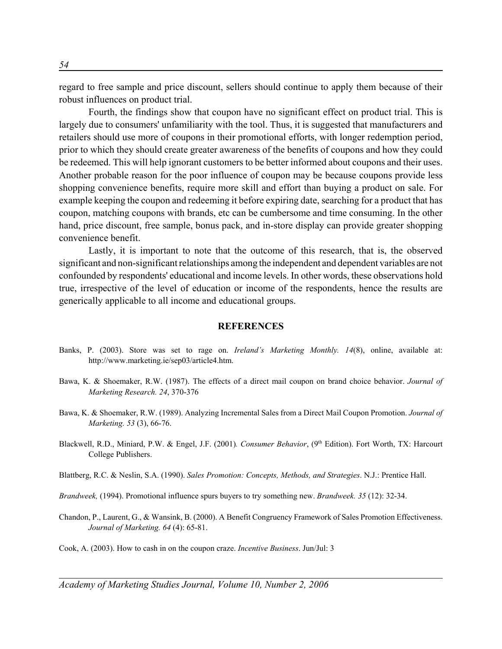regard to free sample and price discount, sellers should continue to apply them because of their robust influences on product trial.

Fourth, the findings show that coupon have no significant effect on product trial. This is largely due to consumers' unfamiliarity with the tool. Thus, it is suggested that manufacturers and retailers should use more of coupons in their promotional efforts, with longer redemption period, prior to which they should create greater awareness of the benefits of coupons and how they could be redeemed. This will help ignorant customers to be better informed about coupons and their uses. Another probable reason for the poor influence of coupon may be because coupons provide less shopping convenience benefits, require more skill and effort than buying a product on sale. For example keeping the coupon and redeeming it before expiring date, searching for a product that has coupon, matching coupons with brands, etc can be cumbersome and time consuming. In the other hand, price discount, free sample, bonus pack, and in-store display can provide greater shopping convenience benefit.

Lastly, it is important to note that the outcome of this research, that is, the observed significant and non-significant relationships among the independent and dependent variables are not confounded by respondents' educational and income levels. In other words, these observations hold true, irrespective of the level of education or income of the respondents, hence the results are generically applicable to all income and educational groups.

#### **REFERENCES**

- Banks, P. (2003). Store was set to rage on. *Ireland's Marketing Monthly. 14*(8), online, available at: http://www.marketing.ie/sep03/article4.htm.
- Bawa, K. & Shoemaker, R.W. (1987). The effects of a direct mail coupon on brand choice behavior. *Journal of Marketing Research. 24*, 370-376
- Bawa, K. & Shoemaker, R.W. (1989). Analyzing Incremental Sales from a Direct Mail Coupon Promotion. *Journal of Marketing. 53* (3), 66-76.
- Blackwell, R.D., Miniard, P.W. & Engel, J.F. (2001). Consumer Behavior, (9<sup>th</sup> Edition). Fort Worth, TX: Harcourt College Publishers.
- Blattberg, R.C. & Neslin, S.A. (1990). *Sales Promotion: Concepts, Methods, and Strategies*. N.J.: Prentice Hall.
- *Brandweek,* (1994). Promotional influence spurs buyers to try something new. *Brandweek. 35* (12): 32-34.
- Chandon, P., Laurent, G., & Wansink, B. (2000). A Benefit Congruency Framework of Sales Promotion Effectiveness. *Journal of Marketing. 64* (4): 65-81.
- Cook, A. (2003). How to cash in on the coupon craze. *Incentive Business*. Jun/Jul: 3

*Academy of Marketing Studies Journal, Volume 10, Number 2, 2006*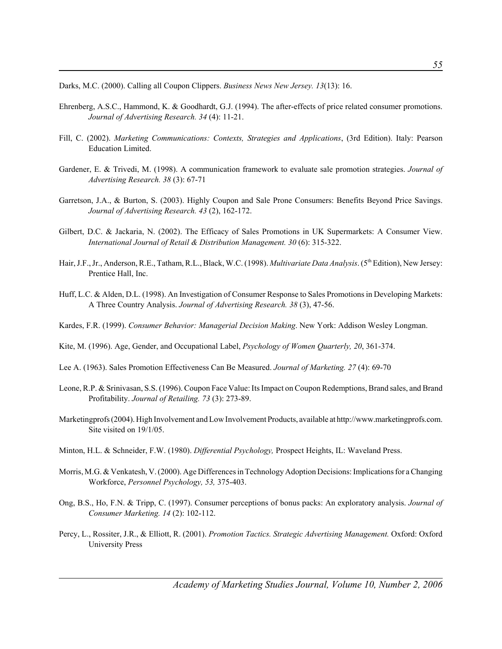Darks, M.C. (2000). Calling all Coupon Clippers. *Business News New Jersey. 13*(13): 16.

- Ehrenberg, A.S.C., Hammond, K. & Goodhardt, G.J. (1994). The after-effects of price related consumer promotions. *Journal of Advertising Research. 34* (4): 11-21.
- Fill, C. (2002). *Marketing Communications: Contexts, Strategies and Applications*, (3rd Edition). Italy: Pearson Education Limited.
- Gardener, E. & Trivedi, M. (1998). A communication framework to evaluate sale promotion strategies. *Journal of Advertising Research. 38* (3): 67-71
- Garretson, J.A., & Burton, S. (2003). Highly Coupon and Sale Prone Consumers: Benefits Beyond Price Savings. *Journal of Advertising Research. 43* (2), 162-172.
- Gilbert, D.C. & Jackaria, N. (2002). The Efficacy of Sales Promotions in UK Supermarkets: A Consumer View. International Journal of Retail & Distribution Management. 30 (6): 315-322.
- Hair, J.F., Jr., Anderson, R.E., Tatham, R.L., Black, W.C. (1998). *Multivariate Data Analysis*. (5<sup>th</sup> Edition), New Jersey: Prentice Hall, Inc.
- Huff, L.C. & Alden, D.L. (1998). An Investigation of Consumer Response to Sales Promotions in Developing Markets: A Three Country Analysis. *Journal of Advertising Research. 38* (3), 47-56.
- Kardes, F.R. (1999). *Consumer Behavior: Managerial Decision Making*. New York: Addison Wesley Longman.
- Kite, M. (1996). Age, Gender, and Occupational Label, *Psychology of Women Quarterly, 20*, 361-374.
- Lee A. (1963). Sales Promotion Effectiveness Can Be Measured. *Journal of Marketing. 27* (4): 69-70
- Leone, R.P. & Srinivasan, S.S. (1996). Coupon Face Value: Its Impact on Coupon Redemptions, Brand sales, and Brand Profitability. *Journal of Retailing. 73* (3): 273-89.
- Marketingprofs (2004). High Involvement and Low Involvement Products, available at http://www.marketingprofs.com. Site visited on 19/1/05.
- Minton, H.L. & Schneider, F.W. (1980). *Differential Psychology,* Prospect Heights, IL: Waveland Press.
- Morris, M.G. & Venkatesh, V. (2000). Age Differences in Technology Adoption Decisions: Implications for a Changing Workforce, *Personnel Psychology, 53,* 375-403.
- Ong, B.S., Ho, F.N. & Tripp, C. (1997). Consumer perceptions of bonus packs: An exploratory analysis. *Journal of Consumer Marketing. 14* (2): 102-112.
- Percy, L., Rossiter, J.R., & Elliott, R. (2001). *Promotion Tactics. Strategic Advertising Management.* Oxford: Oxford University Press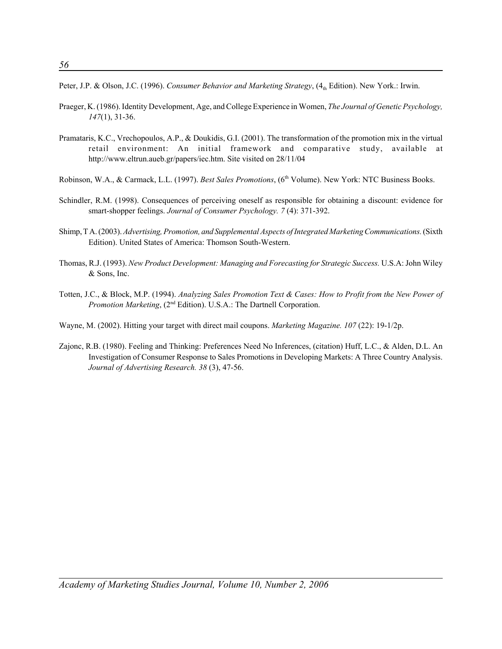Peter, J.P. & Olson, J.C. (1996). *Consumer Behavior and Marketing Strategy*, (4<sub>th</sub> Edition). New York.: Irwin.

- Praeger, K. (1986). Identity Development, Age, and College Experience in Women, *The Journal of Genetic Psychology, 147*(1), 31-36.
- Pramataris, K.C., Vrechopoulos, A.P., & Doukidis, G.I. (2001). The transformation of the promotion mix in the virtual retail environment: An initial framework and comparative study, available at http://www.eltrun.aueb.gr/papers/iec.htm. Site visited on 28/11/04
- Robinson, W.A., & Carmack, L.L. (1997). *Best Sales Promotions*, (6<sup>th</sup> Volume). New York: NTC Business Books.
- Schindler, R.M. (1998). Consequences of perceiving oneself as responsible for obtaining a discount: evidence for smart-shopper feelings. *Journal of Consumer Psychology. 7* (4): 371-392.
- Shimp, T A. (2003). *Advertising, Promotion, and Supplemental Aspects of Integrated Marketing Communications.* (Sixth Edition). United States of America: Thomson South-Western.
- Thomas, R.J. (1993). *New Product Development: Managing and Forecasting for Strategic Success.* U.S.A: John Wiley & Sons, Inc.
- Totten, J.C., & Block, M.P. (1994). *Analyzing Sales Promotion Text & Cases: How to Profit from the New Power of Promotion Marketing*, (2<sup>nd</sup> Edition). U.S.A.: The Dartnell Corporation.
- Wayne, M. (2002). Hitting your target with direct mail coupons. *Marketing Magazine. 107* (22): 19-1/2p.
- Zajonc, R.B. (1980). Feeling and Thinking: Preferences Need No Inferences, (citation) Huff, L.C., & Alden, D.L. An Investigation of Consumer Response to Sales Promotions in Developing Markets: A Three Country Analysis. *Journal of Advertising Research. 38* (3), 47-56.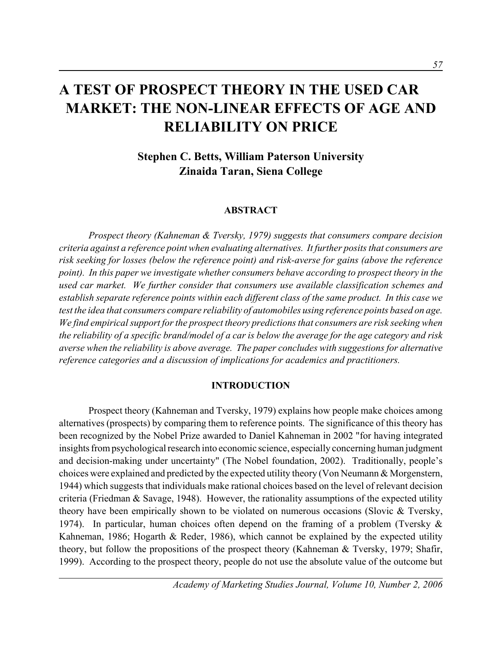# **A TEST OF PROSPECT THEORY IN THE USED CAR MARKET: THE NON-LINEAR EFFECTS OF AGE AND RELIABILITY ON PRICE**

# **Stephen C. Betts, William Paterson University Zinaida Taran, Siena College**

## **ABSTRACT**

*Prospect theory (Kahneman & Tversky, 1979) suggests that consumers compare decision criteria against a reference point when evaluating alternatives. It further posits that consumers are risk seeking for losses (below the reference point) and risk-averse for gains (above the reference point). In this paper we investigate whether consumers behave according to prospect theory in the used car market. We further consider that consumers use available classification schemes and establish separate reference points within each different class of the same product. In this case we test the idea that consumers compare reliability of automobiles using reference points based on age. We find empirical support for the prospect theory predictions that consumers are risk seeking when the reliability of a specific brand/model of a car is below the average for the age category and risk averse when the reliability is above average. The paper concludes with suggestions for alternative reference categories and a discussion of implications for academics and practitioners.*

## **INTRODUCTION**

Prospect theory (Kahneman and Tversky, 1979) explains how people make choices among alternatives (prospects) by comparing them to reference points. The significance of this theory has been recognized by the Nobel Prize awarded to Daniel Kahneman in 2002 "for having integrated insights from psychological research into economic science, especially concerning human judgment and decision-making under uncertainty" (The Nobel foundation, 2002). Traditionally, people's choices were explained and predicted by the expected utility theory (Von Neumann & Morgenstern, 1944) which suggests that individuals make rational choices based on the level of relevant decision criteria (Friedman  $\&$  Savage, 1948). However, the rationality assumptions of the expected utility theory have been empirically shown to be violated on numerous occasions (Slovic & Tversky, 1974). In particular, human choices often depend on the framing of a problem (Tversky & Kahneman, 1986; Hogarth & Reder, 1986), which cannot be explained by the expected utility theory, but follow the propositions of the prospect theory (Kahneman & Tversky, 1979; Shafir, 1999). According to the prospect theory, people do not use the absolute value of the outcome but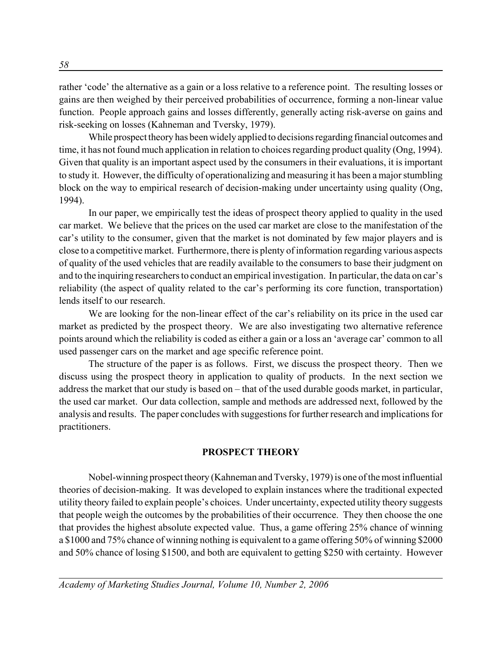rather 'code' the alternative as a gain or a loss relative to a reference point. The resulting losses or gains are then weighed by their perceived probabilities of occurrence, forming a non-linear value function. People approach gains and losses differently, generally acting risk-averse on gains and risk-seeking on losses (Kahneman and Tversky, 1979).

While prospect theory has been widely applied to decisions regarding financial outcomes and time, it has not found much application in relation to choices regarding product quality (Ong, 1994). Given that quality is an important aspect used by the consumers in their evaluations, it is important to study it. However, the difficulty of operationalizing and measuring it has been a major stumbling block on the way to empirical research of decision-making under uncertainty using quality (Ong, 1994).

In our paper, we empirically test the ideas of prospect theory applied to quality in the used car market. We believe that the prices on the used car market are close to the manifestation of the car's utility to the consumer, given that the market is not dominated by few major players and is close to a competitive market. Furthermore, there is plenty of information regarding various aspects of quality of the used vehicles that are readily available to the consumers to base their judgment on and to the inquiring researchers to conduct an empirical investigation. In particular, the data on car's reliability (the aspect of quality related to the car's performing its core function, transportation) lends itself to our research.

We are looking for the non-linear effect of the car's reliability on its price in the used car market as predicted by the prospect theory. We are also investigating two alternative reference points around which the reliability is coded as either a gain or a loss an 'average car' common to all used passenger cars on the market and age specific reference point.

The structure of the paper is as follows. First, we discuss the prospect theory. Then we discuss using the prospect theory in application to quality of products. In the next section we address the market that our study is based on – that of the used durable goods market, in particular, the used car market. Our data collection, sample and methods are addressed next, followed by the analysis and results. The paper concludes with suggestions for further research and implications for practitioners.

## **PROSPECT THEORY**

Nobel-winning prospect theory (Kahneman and Tversky, 1979) is one of the most influential theories of decision-making. It was developed to explain instances where the traditional expected utility theory failed to explain people's choices. Under uncertainty, expected utility theory suggests that people weigh the outcomes by the probabilities of their occurrence. They then choose the one that provides the highest absolute expected value. Thus, a game offering 25% chance of winning a \$1000 and 75% chance of winning nothing is equivalent to a game offering 50% of winning \$2000 and 50% chance of losing \$1500, and both are equivalent to getting \$250 with certainty. However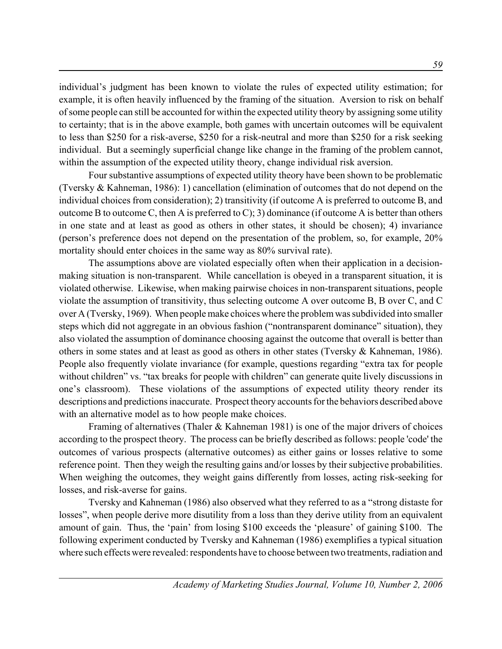individual's judgment has been known to violate the rules of expected utility estimation; for example, it is often heavily influenced by the framing of the situation. Aversion to risk on behalf of some people can still be accounted for within the expected utility theory by assigning some utility to certainty; that is in the above example, both games with uncertain outcomes will be equivalent to less than \$250 for a risk-averse, \$250 for a risk-neutral and more than \$250 for a risk seeking individual. But a seemingly superficial change like change in the framing of the problem cannot, within the assumption of the expected utility theory, change individual risk aversion.

Four substantive assumptions of expected utility theory have been shown to be problematic (Tversky & Kahneman, 1986): 1) cancellation (elimination of outcomes that do not depend on the individual choices from consideration); 2) transitivity (if outcome A is preferred to outcome B, and outcome B to outcome C, then A is preferred to C); 3) dominance (if outcome A is better than others in one state and at least as good as others in other states, it should be chosen); 4) invariance (person's preference does not depend on the presentation of the problem, so, for example, 20% mortality should enter choices in the same way as 80% survival rate).

The assumptions above are violated especially often when their application in a decisionmaking situation is non-transparent. While cancellation is obeyed in a transparent situation, it is violated otherwise. Likewise, when making pairwise choices in non-transparent situations, people violate the assumption of transitivity, thus selecting outcome A over outcome B, B over C, and C over A (Tversky, 1969). When people make choices where the problem was subdivided into smaller steps which did not aggregate in an obvious fashion ("nontransparent dominance" situation), they also violated the assumption of dominance choosing against the outcome that overall is better than others in some states and at least as good as others in other states (Tversky & Kahneman, 1986). People also frequently violate invariance (for example, questions regarding "extra tax for people without children" vs. "tax breaks for people with children" can generate quite lively discussions in one's classroom). These violations of the assumptions of expected utility theory render its descriptions and predictions inaccurate. Prospect theory accounts for the behaviors described above with an alternative model as to how people make choices.

Framing of alternatives (Thaler & Kahneman 1981) is one of the major drivers of choices according to the prospect theory. The process can be briefly described as follows: people 'code' the outcomes of various prospects (alternative outcomes) as either gains or losses relative to some reference point. Then they weigh the resulting gains and/or losses by their subjective probabilities. When weighing the outcomes, they weight gains differently from losses, acting risk-seeking for losses, and risk-averse for gains.

Tversky and Kahneman (1986) also observed what they referred to as a "strong distaste for losses", when people derive more disutility from a loss than they derive utility from an equivalent amount of gain. Thus, the 'pain' from losing \$100 exceeds the 'pleasure' of gaining \$100. The following experiment conducted by Tversky and Kahneman (1986) exemplifies a typical situation where such effects were revealed: respondents have to choose between two treatments, radiation and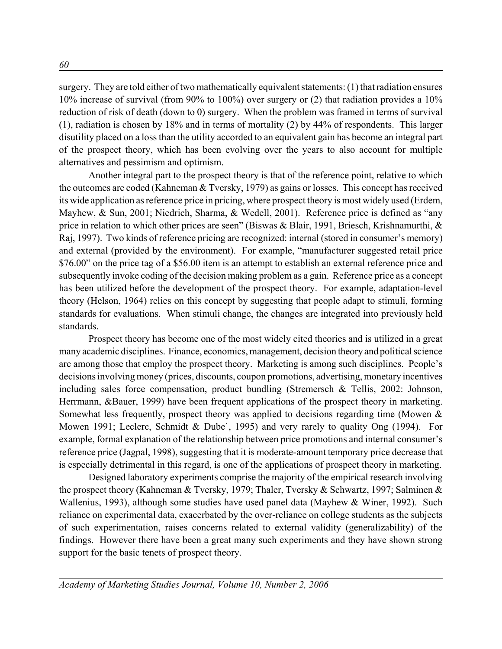surgery. They are told either of two mathematically equivalent statements: (1) that radiation ensures 10% increase of survival (from 90% to 100%) over surgery or (2) that radiation provides a 10% reduction of risk of death (down to 0) surgery. When the problem was framed in terms of survival (1), radiation is chosen by 18% and in terms of mortality (2) by 44% of respondents. This larger disutility placed on a loss than the utility accorded to an equivalent gain has become an integral part of the prospect theory, which has been evolving over the years to also account for multiple alternatives and pessimism and optimism.

Another integral part to the prospect theory is that of the reference point, relative to which the outcomes are coded (Kahneman & Tversky, 1979) as gains or losses. This concept has received its wide application as reference price in pricing, where prospect theory is most widely used (Erdem, Mayhew, & Sun, 2001; Niedrich, Sharma, & Wedell, 2001). Reference price is defined as "any price in relation to which other prices are seen" (Biswas & Blair, 1991, Briesch, Krishnamurthi, & Raj, 1997). Two kinds of reference pricing are recognized: internal (stored in consumer's memory) and external (provided by the environment). For example, "manufacturer suggested retail price \$76.00" on the price tag of a \$56.00 item is an attempt to establish an external reference price and subsequently invoke coding of the decision making problem as a gain. Reference price as a concept has been utilized before the development of the prospect theory. For example, adaptation-level theory (Helson, 1964) relies on this concept by suggesting that people adapt to stimuli, forming standards for evaluations. When stimuli change, the changes are integrated into previously held standards.

Prospect theory has become one of the most widely cited theories and is utilized in a great many academic disciplines. Finance, economics, management, decision theory and political science are among those that employ the prospect theory. Marketing is among such disciplines. People's decisions involving money (prices, discounts, coupon promotions, advertising, monetary incentives including sales force compensation, product bundling (Stremersch & Tellis, 2002: Johnson, Herrmann, &Bauer, 1999) have been frequent applications of the prospect theory in marketing. Somewhat less frequently, prospect theory was applied to decisions regarding time (Mowen & Mowen 1991; Leclerc, Schmidt & Dube', 1995) and very rarely to quality Ong (1994). For example, formal explanation of the relationship between price promotions and internal consumer's reference price (Jagpal, 1998), suggesting that it is moderate-amount temporary price decrease that is especially detrimental in this regard, is one of the applications of prospect theory in marketing.

Designed laboratory experiments comprise the majority of the empirical research involving the prospect theory (Kahneman & Tversky, 1979; Thaler, Tversky & Schwartz, 1997; Salminen & Wallenius, 1993), although some studies have used panel data (Mayhew & Winer, 1992). Such reliance on experimental data, exacerbated by the over-reliance on college students as the subjects of such experimentation, raises concerns related to external validity (generalizability) of the findings. However there have been a great many such experiments and they have shown strong support for the basic tenets of prospect theory.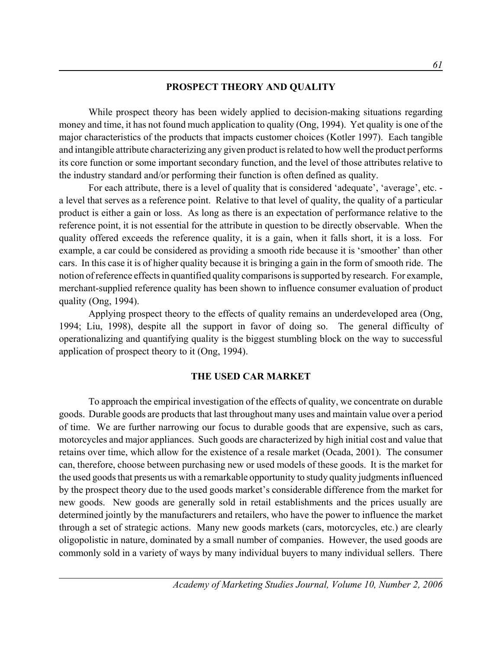## **PROSPECT THEORY AND QUALITY**

While prospect theory has been widely applied to decision-making situations regarding money and time, it has not found much application to quality (Ong, 1994). Yet quality is one of the major characteristics of the products that impacts customer choices (Kotler 1997). Each tangible and intangible attribute characterizing any given product is related to how well the product performs its core function or some important secondary function, and the level of those attributes relative to the industry standard and/or performing their function is often defined as quality.

For each attribute, there is a level of quality that is considered 'adequate', 'average', etc. a level that serves as a reference point. Relative to that level of quality, the quality of a particular product is either a gain or loss. As long as there is an expectation of performance relative to the reference point, it is not essential for the attribute in question to be directly observable. When the quality offered exceeds the reference quality, it is a gain, when it falls short, it is a loss. For example, a car could be considered as providing a smooth ride because it is 'smoother' than other cars. In this case it is of higher quality because it is bringing a gain in the form of smooth ride. The notion of reference effects in quantified quality comparisons is supported by research. For example, merchant-supplied reference quality has been shown to influence consumer evaluation of product quality (Ong, 1994).

Applying prospect theory to the effects of quality remains an underdeveloped area (Ong, 1994; Liu, 1998), despite all the support in favor of doing so. The general difficulty of operationalizing and quantifying quality is the biggest stumbling block on the way to successful application of prospect theory to it (Ong, 1994).

## **THE USED CAR MARKET**

To approach the empirical investigation of the effects of quality, we concentrate on durable goods. Durable goods are products that last throughout many uses and maintain value over a period of time. We are further narrowing our focus to durable goods that are expensive, such as cars, motorcycles and major appliances. Such goods are characterized by high initial cost and value that retains over time, which allow for the existence of a resale market (Ocada, 2001). The consumer can, therefore, choose between purchasing new or used models of these goods. It is the market for the used goods that presents us with a remarkable opportunity to study quality judgments influenced by the prospect theory due to the used goods market's considerable difference from the market for new goods. New goods are generally sold in retail establishments and the prices usually are determined jointly by the manufacturers and retailers, who have the power to influence the market through a set of strategic actions. Many new goods markets (cars, motorcycles, etc.) are clearly oligopolistic in nature, dominated by a small number of companies. However, the used goods are commonly sold in a variety of ways by many individual buyers to many individual sellers. There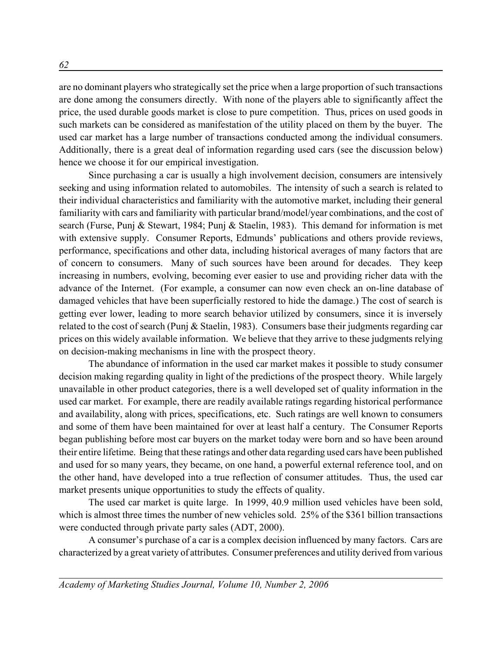are no dominant players who strategically set the price when a large proportion of such transactions are done among the consumers directly. With none of the players able to significantly affect the price, the used durable goods market is close to pure competition. Thus, prices on used goods in such markets can be considered as manifestation of the utility placed on them by the buyer. The used car market has a large number of transactions conducted among the individual consumers. Additionally, there is a great deal of information regarding used cars (see the discussion below) hence we choose it for our empirical investigation.

Since purchasing a car is usually a high involvement decision, consumers are intensively seeking and using information related to automobiles. The intensity of such a search is related to their individual characteristics and familiarity with the automotive market, including their general familiarity with cars and familiarity with particular brand/model/year combinations, and the cost of search (Furse, Punj & Stewart, 1984; Punj & Staelin, 1983). This demand for information is met with extensive supply. Consumer Reports, Edmunds' publications and others provide reviews, performance, specifications and other data, including historical averages of many factors that are of concern to consumers. Many of such sources have been around for decades. They keep increasing in numbers, evolving, becoming ever easier to use and providing richer data with the advance of the Internet. (For example, a consumer can now even check an on-line database of damaged vehicles that have been superficially restored to hide the damage.) The cost of search is getting ever lower, leading to more search behavior utilized by consumers, since it is inversely related to the cost of search (Punj & Staelin, 1983). Consumers base their judgments regarding car prices on this widely available information. We believe that they arrive to these judgments relying on decision-making mechanisms in line with the prospect theory.

The abundance of information in the used car market makes it possible to study consumer decision making regarding quality in light of the predictions of the prospect theory. While largely unavailable in other product categories, there is a well developed set of quality information in the used car market. For example, there are readily available ratings regarding historical performance and availability, along with prices, specifications, etc. Such ratings are well known to consumers and some of them have been maintained for over at least half a century. The Consumer Reports began publishing before most car buyers on the market today were born and so have been around their entire lifetime. Being that these ratings and other data regarding used cars have been published and used for so many years, they became, on one hand, a powerful external reference tool, and on the other hand, have developed into a true reflection of consumer attitudes. Thus, the used car market presents unique opportunities to study the effects of quality.

The used car market is quite large. In 1999, 40.9 million used vehicles have been sold, which is almost three times the number of new vehicles sold. 25% of the \$361 billion transactions were conducted through private party sales (ADT, 2000).

A consumer's purchase of a car is a complex decision influenced by many factors. Cars are characterized by a great variety of attributes. Consumer preferences and utility derived from various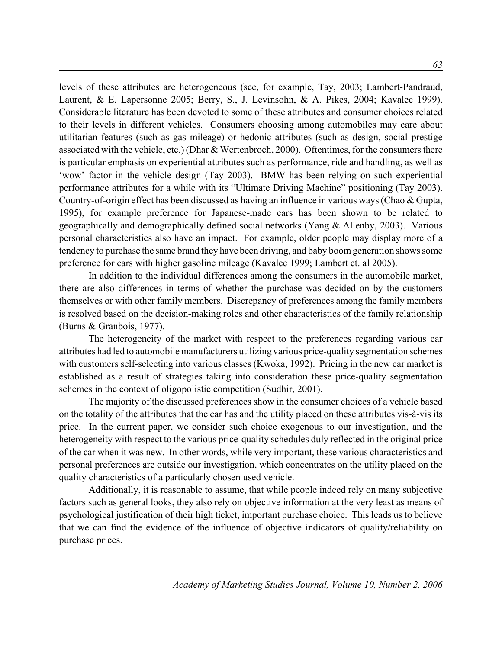levels of these attributes are heterogeneous (see, for example, Tay, 2003; Lambert-Pandraud, Laurent, & E. Lapersonne 2005; Berry, S., J. Levinsohn, & A. Pikes, 2004; Kavalec 1999). Considerable literature has been devoted to some of these attributes and consumer choices related to their levels in different vehicles. Consumers choosing among automobiles may care about utilitarian features (such as gas mileage) or hedonic attributes (such as design, social prestige associated with the vehicle, etc.) (Dhar & Wertenbroch, 2000). Oftentimes, for the consumers there is particular emphasis on experiential attributes such as performance, ride and handling, as well as 'wow' factor in the vehicle design (Tay 2003). BMW has been relying on such experiential performance attributes for a while with its "Ultimate Driving Machine" positioning (Tay 2003). Country-of-origin effect has been discussed as having an influence in various ways (Chao & Gupta, 1995), for example preference for Japanese-made cars has been shown to be related to geographically and demographically defined social networks (Yang & Allenby, 2003). Various personal characteristics also have an impact. For example, older people may display more of a tendency to purchase the same brand they have been driving, and baby boom generation shows some preference for cars with higher gasoline mileage (Kavalec 1999; Lambert et. al 2005).

In addition to the individual differences among the consumers in the automobile market, there are also differences in terms of whether the purchase was decided on by the customers themselves or with other family members. Discrepancy of preferences among the family members is resolved based on the decision-making roles and other characteristics of the family relationship (Burns & Granbois, 1977).

The heterogeneity of the market with respect to the preferences regarding various car attributes had led to automobile manufacturers utilizing various price-quality segmentation schemes with customers self-selecting into various classes (Kwoka, 1992). Pricing in the new car market is established as a result of strategies taking into consideration these price-quality segmentation schemes in the context of oligopolistic competition (Sudhir, 2001).

The majority of the discussed preferences show in the consumer choices of a vehicle based on the totality of the attributes that the car has and the utility placed on these attributes vis-à-vis its price. In the current paper, we consider such choice exogenous to our investigation, and the heterogeneity with respect to the various price-quality schedules duly reflected in the original price of the car when it was new. In other words, while very important, these various characteristics and personal preferences are outside our investigation, which concentrates on the utility placed on the quality characteristics of a particularly chosen used vehicle.

Additionally, it is reasonable to assume, that while people indeed rely on many subjective factors such as general looks, they also rely on objective information at the very least as means of psychological justification of their high ticket, important purchase choice. This leads us to believe that we can find the evidence of the influence of objective indicators of quality/reliability on purchase prices.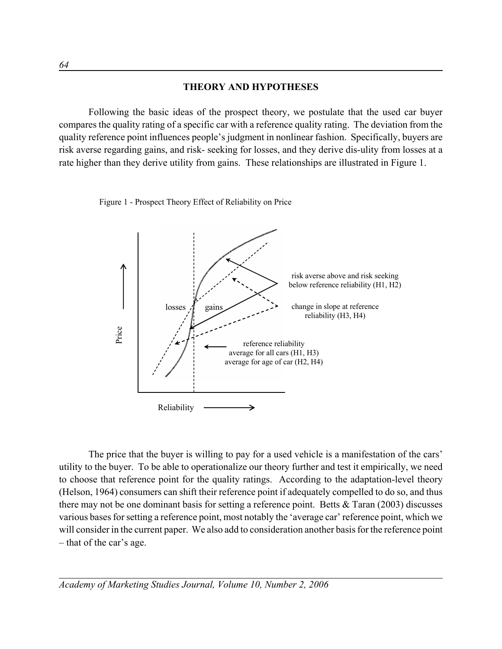## **THEORY AND HYPOTHESES**

Following the basic ideas of the prospect theory, we postulate that the used car buyer compares the quality rating of a specific car with a reference quality rating. The deviation from the quality reference point influences people's judgment in nonlinear fashion. Specifically, buyers are risk averse regarding gains, and risk- seeking for losses, and they derive dis-ulity from losses at a rate higher than they derive utility from gains. These relationships are illustrated in Figure 1.

Figure 1 - Prospect Theory Effect of Reliability on Price



The price that the buyer is willing to pay for a used vehicle is a manifestation of the cars' utility to the buyer. To be able to operationalize our theory further and test it empirically, we need to choose that reference point for the quality ratings. According to the adaptation-level theory (Helson, 1964) consumers can shift their reference point if adequately compelled to do so, and thus there may not be one dominant basis for setting a reference point. Betts & Taran (2003) discusses various bases for setting a reference point, most notably the 'average car' reference point, which we will consider in the current paper. We also add to consideration another basis for the reference point – that of the car's age.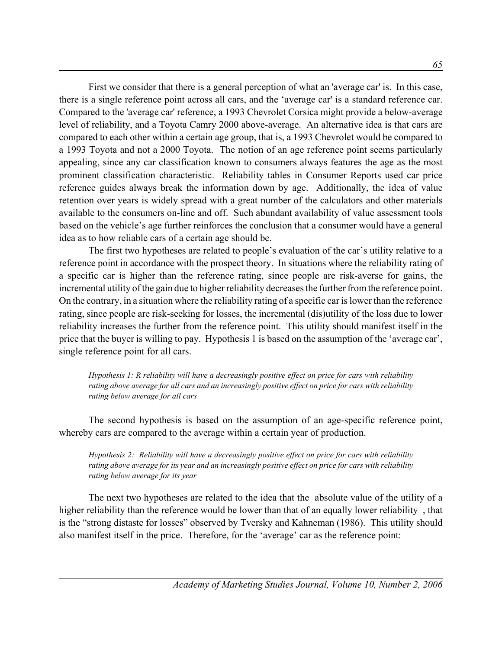First we consider that there is a general perception of what an 'average car' is. In this case, there is a single reference point across all cars, and the 'average car' is a standard reference car. Compared to the 'average car' reference, a 1993 Chevrolet Corsica might provide a below-average level of reliability, and a Toyota Camry 2000 above-average. An alternative idea is that cars are compared to each other within a certain age group, that is, a 1993 Chevrolet would be compared to a 1993 Toyota and not a 2000 Toyota. The notion of an age reference point seems particularly appealing, since any car classification known to consumers always features the age as the most prominent classification characteristic. Reliability tables in Consumer Reports used car price reference guides always break the information down by age. Additionally, the idea of value retention over years is widely spread with a great number of the calculators and other materials available to the consumers on-line and off. Such abundant availability of value assessment tools based on the vehicle's age further reinforces the conclusion that a consumer would have a general idea as to how reliable cars of a certain age should be.

The first two hypotheses are related to people's evaluation of the car's utility relative to a reference point in accordance with the prospect theory. In situations where the reliability rating of a specific car is higher than the reference rating, since people are risk-averse for gains, the incremental utility of the gain due to higher reliability decreases the further from the reference point. On the contrary, in a situation where the reliability rating of a specific car is lower than the reference rating, since people are risk-seeking for losses, the incremental (dis)utility of the loss due to lower reliability increases the further from the reference point. This utility should manifest itself in the price that the buyer is willing to pay. Hypothesis 1 is based on the assumption of the 'average car', single reference point for all cars.

*Hypothesis 1: R reliability will have a decreasingly positive effect on price for cars with reliability rating above average for all cars and an increasingly positive effect on price for cars with reliability rating below average for all cars*

The second hypothesis is based on the assumption of an age-specific reference point, whereby cars are compared to the average within a certain year of production.

*Hypothesis 2: Reliability will have a decreasingly positive effect on price for cars with reliability rating above average for its year and an increasingly positive effect on price for cars with reliability rating below average for its year*

The next two hypotheses are related to the idea that the absolute value of the utility of a higher reliability than the reference would be lower than that of an equally lower reliability , that is the "strong distaste for losses" observed by Tversky and Kahneman (1986). This utility should also manifest itself in the price. Therefore, for the 'average' car as the reference point: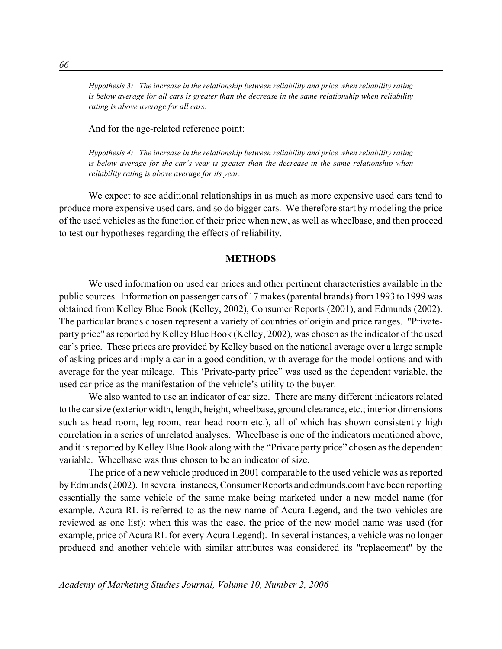*Hypothesis 3: The increase in the relationship between reliability and price when reliability rating is below average for all cars is greater than the decrease in the same relationship when reliability rating is above average for all cars.*

And for the age-related reference point:

*Hypothesis 4: The increase in the relationship between reliability and price when reliability rating is below average for the car's year is greater than the decrease in the same relationship when reliability rating is above average for its year.*

We expect to see additional relationships in as much as more expensive used cars tend to produce more expensive used cars, and so do bigger cars. We therefore start by modeling the price of the used vehicles as the function of their price when new, as well as wheelbase, and then proceed to test our hypotheses regarding the effects of reliability.

### **METHODS**

We used information on used car prices and other pertinent characteristics available in the public sources. Information on passenger cars of 17 makes (parental brands) from 1993 to 1999 was obtained from Kelley Blue Book (Kelley, 2002), Consumer Reports (2001), and Edmunds (2002). The particular brands chosen represent a variety of countries of origin and price ranges. "Privateparty price" as reported by Kelley Blue Book (Kelley, 2002), was chosen as the indicator of the used car's price. These prices are provided by Kelley based on the national average over a large sample of asking prices and imply a car in a good condition, with average for the model options and with average for the year mileage. This 'Private-party price" was used as the dependent variable, the used car price as the manifestation of the vehicle's utility to the buyer.

We also wanted to use an indicator of car size. There are many different indicators related to the car size (exterior width, length, height, wheelbase, ground clearance, etc.; interior dimensions such as head room, leg room, rear head room etc.), all of which has shown consistently high correlation in a series of unrelated analyses. Wheelbase is one of the indicators mentioned above, and it is reported by Kelley Blue Book along with the "Private party price" chosen as the dependent variable. Wheelbase was thus chosen to be an indicator of size.

The price of a new vehicle produced in 2001 comparable to the used vehicle was as reported by Edmunds (2002). In several instances, Consumer Reports and edmunds.com have been reporting essentially the same vehicle of the same make being marketed under a new model name (for example, Acura RL is referred to as the new name of Acura Legend, and the two vehicles are reviewed as one list); when this was the case, the price of the new model name was used (for example, price of Acura RL for every Acura Legend). In several instances, a vehicle was no longer produced and another vehicle with similar attributes was considered its "replacement" by the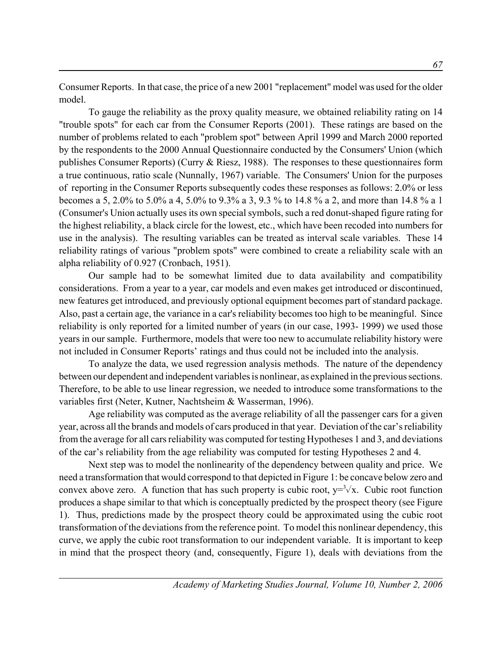Consumer Reports. In that case, the price of a new 2001 "replacement" model was used for the older model.

To gauge the reliability as the proxy quality measure, we obtained reliability rating on 14 "trouble spots" for each car from the Consumer Reports (2001). These ratings are based on the number of problems related to each "problem spot" between April 1999 and March 2000 reported by the respondents to the 2000 Annual Questionnaire conducted by the Consumers' Union (which publishes Consumer Reports) (Curry & Riesz, 1988). The responses to these questionnaires form a true continuous, ratio scale (Nunnally, 1967) variable. The Consumers' Union for the purposes of reporting in the Consumer Reports subsequently codes these responses as follows: 2.0% or less becomes a 5, 2.0% to 5.0% a 4, 5.0% to 9.3% a 3, 9.3 % to 14.8 % a 2, and more than 14.8 % a 1 (Consumer's Union actually uses its own special symbols, such a red donut-shaped figure rating for the highest reliability, a black circle for the lowest, etc., which have been recoded into numbers for use in the analysis). The resulting variables can be treated as interval scale variables. These 14 reliability ratings of various "problem spots" were combined to create a reliability scale with an alpha reliability of 0.927 (Cronbach, 1951).

Our sample had to be somewhat limited due to data availability and compatibility considerations. From a year to a year, car models and even makes get introduced or discontinued, new features get introduced, and previously optional equipment becomes part of standard package. Also, past a certain age, the variance in a car's reliability becomes too high to be meaningful. Since reliability is only reported for a limited number of years (in our case, 1993- 1999) we used those years in our sample. Furthermore, models that were too new to accumulate reliability history were not included in Consumer Reports' ratings and thus could not be included into the analysis.

To analyze the data, we used regression analysis methods. The nature of the dependency between our dependent and independent variables is nonlinear, as explained in the previous sections. Therefore, to be able to use linear regression, we needed to introduce some transformations to the variables first (Neter, Kutner, Nachtsheim & Wasserman, 1996).

Age reliability was computed as the average reliability of all the passenger cars for a given year, across all the brands and models of cars produced in that year. Deviation of the car's reliability from the average for all cars reliability was computed for testing Hypotheses 1 and 3, and deviations of the car's reliability from the age reliability was computed for testing Hypotheses 2 and 4.

Next step was to model the nonlinearity of the dependency between quality and price. We need a transformation that would correspond to that depicted in Figure 1: be concave below zero and convex above zero. A function that has such property is cubic root,  $y = \sqrt[3]{x}$ . Cubic root function produces a shape similar to that which is conceptually predicted by the prospect theory (see Figure 1). Thus, predictions made by the prospect theory could be approximated using the cubic root transformation of the deviations from the reference point. To model this nonlinear dependency, this curve, we apply the cubic root transformation to our independent variable. It is important to keep in mind that the prospect theory (and, consequently, Figure 1), deals with deviations from the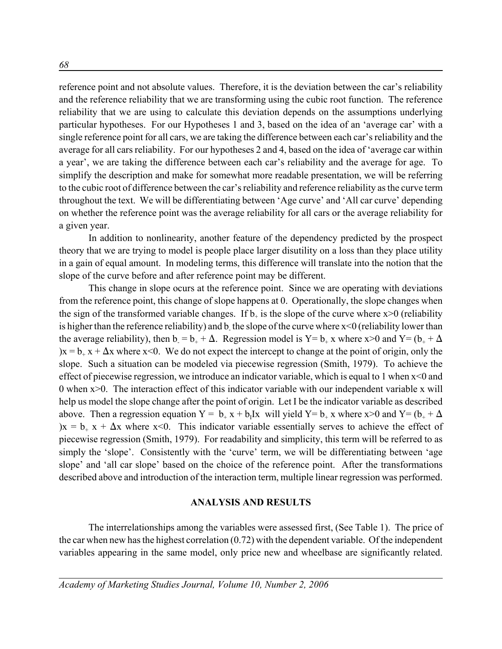reference point and not absolute values. Therefore, it is the deviation between the car's reliability and the reference reliability that we are transforming using the cubic root function. The reference reliability that we are using to calculate this deviation depends on the assumptions underlying particular hypotheses. For our Hypotheses 1 and 3, based on the idea of an 'average car' with a single reference point for all cars, we are taking the difference between each car's reliability and the average for all cars reliability. For our hypotheses 2 and 4, based on the idea of 'average car within a year', we are taking the difference between each car's reliability and the average for age. To simplify the description and make for somewhat more readable presentation, we will be referring to the cubic root of difference between the car's reliability and reference reliability as the curve term throughout the text. We will be differentiating between 'Age curve' and 'All car curve' depending on whether the reference point was the average reliability for all cars or the average reliability for a given year.

In addition to nonlinearity, another feature of the dependency predicted by the prospect theory that we are trying to model is people place larger disutility on a loss than they place utility in a gain of equal amount. In modeling terms, this difference will translate into the notion that the slope of the curve before and after reference point may be different.

This change in slope ocurs at the reference point. Since we are operating with deviations from the reference point, this change of slope happens at 0. Operationally, the slope changes when the sign of the transformed variable changes. If  $b_+$  is the slope of the curve where  $x>0$  (reliability is higher than the reference reliability) and b<sub>-</sub> the slope of the curve where  $x<0$  (reliability lower than the average reliability), then  $b_0 = b_+ + \Delta$ . Regression model is Y=  $b_+$  x where x>0 and Y= ( $b_+ + \Delta$ ) $x = b_+ x + \Delta x$  where  $x \le 0$ . We do not expect the intercept to change at the point of origin, only the slope. Such a situation can be modeled via piecewise regression (Smith, 1979). To achieve the effect of piecewise regression, we introduce an indicator variable, which is equal to 1 when x<0 and 0 when x>0. The interaction effect of this indicator variable with our independent variable x will help us model the slope change after the point of origin. Let I be the indicator variable as described above. Then a regression equation  $Y = b_+ x + b_1 Ix$  will yield  $Y = b_+ x$  where  $x > 0$  and  $Y = (b_+ + \Delta)$ )x =  $b_+$  x +  $\Delta$ x where x<0. This indicator variable essentially serves to achieve the effect of piecewise regression (Smith, 1979). For readability and simplicity, this term will be referred to as simply the 'slope'. Consistently with the 'curve' term, we will be differentiating between 'age slope' and 'all car slope' based on the choice of the reference point. After the transformations described above and introduction of the interaction term, multiple linear regression was performed.

### **ANALYSIS AND RESULTS**

The interrelationships among the variables were assessed first, (See Table 1). The price of the car when new has the highest correlation (0.72) with the dependent variable. Of the independent variables appearing in the same model, only price new and wheelbase are significantly related.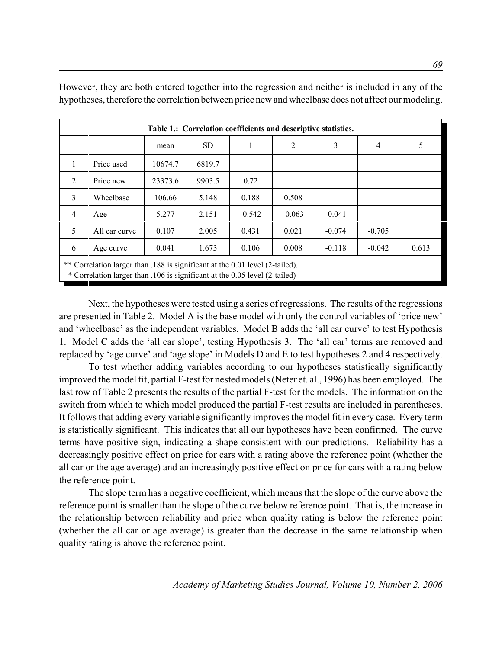|                | Table 1.: Correlation coefficients and descriptive statistics.                                                                                             |         |           |          |          |          |   |   |
|----------------|------------------------------------------------------------------------------------------------------------------------------------------------------------|---------|-----------|----------|----------|----------|---|---|
|                |                                                                                                                                                            | mean    | <b>SD</b> |          | 2        | 3        | 4 | 5 |
| $\mathbf{1}$   | Price used                                                                                                                                                 | 10674.7 | 6819.7    |          |          |          |   |   |
| 2              | Price new                                                                                                                                                  | 23373.6 | 9903.5    | 0.72     |          |          |   |   |
| 3              | Wheelbase                                                                                                                                                  | 106.66  | 5.148     | 0.188    | 0.508    |          |   |   |
| $\overline{4}$ | Age                                                                                                                                                        | 5.277   | 2.151     | $-0.542$ | $-0.063$ | $-0.041$ |   |   |
| 5              | 0.107<br>0.431<br>0.021<br>$-0.705$<br>All car curve<br>2.005<br>$-0.074$                                                                                  |         |           |          |          |          |   |   |
| 6              | 1.673<br>0.041<br>0.106<br>0.008<br>$-0.118$<br>$-0.042$<br>0.613<br>Age curve                                                                             |         |           |          |          |          |   |   |
|                | ** Correlation larger than .188 is significant at the 0.01 level (2-tailed).<br>* Correlation larger than .106 is significant at the 0.05 level (2-tailed) |         |           |          |          |          |   |   |

However, they are both entered together into the regression and neither is included in any of the hypotheses, therefore the correlation between price new and wheelbase does not affect our modeling.

Next, the hypotheses were tested using a series of regressions. The results of the regressions are presented in Table 2. Model A is the base model with only the control variables of 'price new' and 'wheelbase' as the independent variables. Model B adds the 'all car curve' to test Hypothesis 1. Model C adds the 'all car slope', testing Hypothesis 3. The 'all car' terms are removed and replaced by 'age curve' and 'age slope' in Models D and E to test hypotheses 2 and 4 respectively.

To test whether adding variables according to our hypotheses statistically significantly improved the model fit, partial F-test for nested models (Neter et. al., 1996) has been employed. The last row of Table 2 presents the results of the partial F-test for the models. The information on the switch from which to which model produced the partial F-test results are included in parentheses. It follows that adding every variable significantly improves the model fit in every case. Every term is statistically significant. This indicates that all our hypotheses have been confirmed. The curve terms have positive sign, indicating a shape consistent with our predictions. Reliability has a decreasingly positive effect on price for cars with a rating above the reference point (whether the all car or the age average) and an increasingly positive effect on price for cars with a rating below the reference point.

The slope term has a negative coefficient, which means that the slope of the curve above the reference point is smaller than the slope of the curve below reference point. That is, the increase in the relationship between reliability and price when quality rating is below the reference point (whether the all car or age average) is greater than the decrease in the same relationship when quality rating is above the reference point.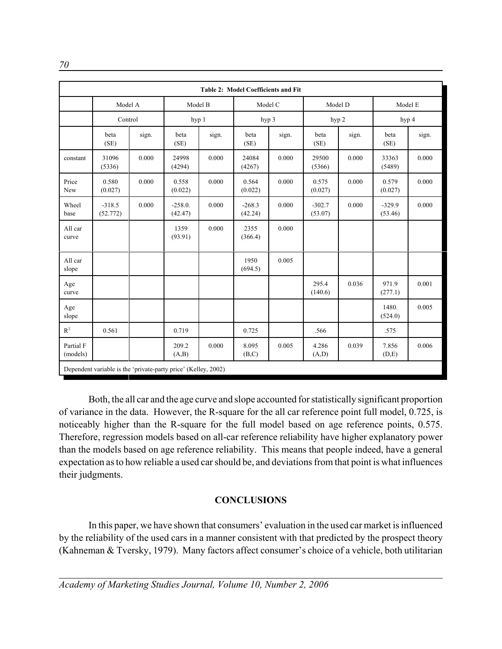|                       | Table 2: Model Coefficients and Fit                            |       |                      |       |                     |       |                     |       |                     |       |
|-----------------------|----------------------------------------------------------------|-------|----------------------|-------|---------------------|-------|---------------------|-------|---------------------|-------|
|                       | Model A                                                        |       | Model B              |       | Model C             |       | Model D             |       | Model E             |       |
|                       | Control                                                        |       | hyp 1                |       | hyp 3               |       | hyp 2               |       |                     | hyp 4 |
|                       | beta<br>(SE)                                                   | sign. | beta<br>(SE)         | sign. | beta<br>(SE)        | sign. | beta<br>(SE)        | sign. | beta<br>(SE)        | sign. |
| constant              | 31096<br>(5336)                                                | 0.000 | 24998<br>(4294)      | 0.000 | 24084<br>(4267)     | 0.000 | 29500<br>(5366)     | 0.000 | 33363<br>(5489)     | 0.000 |
| Price<br>New          | 0.580<br>(0.027)                                               | 0.000 | 0.558<br>(0.022)     | 0.000 | 0.564<br>(0.022)    | 0.000 | 0.575<br>(0.027)    | 0.000 | 0.579<br>(0.027)    | 0.000 |
| Wheel<br>base         | $-318.5$<br>(52.772)                                           | 0.000 | $-258.0.$<br>(42.47) | 0.000 | $-268.3$<br>(42.24) | 0.000 | $-302.7$<br>(53.07) | 0.000 | $-329.9$<br>(53.46) | 0.000 |
| All car<br>curve      |                                                                |       | 1359<br>(93.91)      | 0.000 | 2355<br>(366.4)     | 0.000 |                     |       |                     |       |
| All car<br>slope      |                                                                |       |                      |       | 1950<br>(694.5)     | 0.005 |                     |       |                     |       |
| Age<br>curve          |                                                                |       |                      |       |                     |       | 295.4<br>(140.6)    | 0.036 | 971.9<br>(277.1)    | 0.001 |
| Age<br>slope          |                                                                |       |                      |       |                     |       |                     |       | 1480.<br>(524.0)    | 0.005 |
| $R^2$                 | 0.561                                                          |       | 0.719                |       | 0.725               |       | .566                |       | .575                |       |
| Partial F<br>(models) |                                                                |       | 209.2<br>(A,B)       | 0.000 | 8.095<br>(B,C)      | 0.005 | 4.286<br>(A,D)      | 0.039 | 7.856<br>(D,E)      | 0.006 |
|                       | Dependent variable is the 'private-party price' (Kelley, 2002) |       |                      |       |                     |       |                     |       |                     |       |

Both, the all car and the age curve and slope accounted for statistically significant proportion of variance in the data. However, the R-square for the all car reference point full model, 0.725, is noticeably higher than the R-square for the full model based on age reference points, 0.575. Therefore, regression models based on all-car reference reliability have higher explanatory power than the models based on age reference reliability. This means that people indeed, have a general expectation as to how reliable a used car should be, and deviations from that point is what influences their judgments.

# **CONCLUSIONS**

In this paper, we have shown that consumers' evaluation in the used car market is influenced by the reliability of the used cars in a manner consistent with that predicted by the prospect theory (Kahneman & Tversky, 1979). Many factors affect consumer's choice of a vehicle, both utilitarian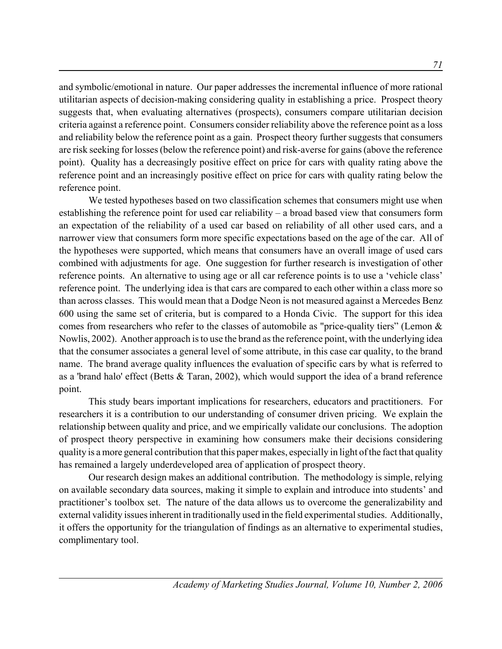and symbolic/emotional in nature. Our paper addresses the incremental influence of more rational utilitarian aspects of decision-making considering quality in establishing a price. Prospect theory suggests that, when evaluating alternatives (prospects), consumers compare utilitarian decision criteria against a reference point. Consumers consider reliability above the reference point as a loss and reliability below the reference point as a gain. Prospect theory further suggests that consumers are risk seeking for losses (below the reference point) and risk-averse for gains (above the reference point). Quality has a decreasingly positive effect on price for cars with quality rating above the reference point and an increasingly positive effect on price for cars with quality rating below the reference point.

We tested hypotheses based on two classification schemes that consumers might use when establishing the reference point for used car reliability – a broad based view that consumers form an expectation of the reliability of a used car based on reliability of all other used cars, and a narrower view that consumers form more specific expectations based on the age of the car. All of the hypotheses were supported, which means that consumers have an overall image of used cars combined with adjustments for age. One suggestion for further research is investigation of other reference points. An alternative to using age or all car reference points is to use a 'vehicle class' reference point. The underlying idea is that cars are compared to each other within a class more so than across classes. This would mean that a Dodge Neon is not measured against a Mercedes Benz 600 using the same set of criteria, but is compared to a Honda Civic. The support for this idea comes from researchers who refer to the classes of automobile as "price-quality tiers" (Lemon & Nowlis, 2002). Another approach is to use the brand as the reference point, with the underlying idea that the consumer associates a general level of some attribute, in this case car quality, to the brand name. The brand average quality influences the evaluation of specific cars by what is referred to as a 'brand halo' effect (Betts & Taran, 2002), which would support the idea of a brand reference point.

This study bears important implications for researchers, educators and practitioners. For researchers it is a contribution to our understanding of consumer driven pricing. We explain the relationship between quality and price, and we empirically validate our conclusions. The adoption of prospect theory perspective in examining how consumers make their decisions considering quality is a more general contribution that this paper makes, especially in light of the fact that quality has remained a largely underdeveloped area of application of prospect theory.

Our research design makes an additional contribution. The methodology is simple, relying on available secondary data sources, making it simple to explain and introduce into students' and practitioner's toolbox set. The nature of the data allows us to overcome the generalizability and external validity issues inherent in traditionally used in the field experimental studies. Additionally, it offers the opportunity for the triangulation of findings as an alternative to experimental studies, complimentary tool.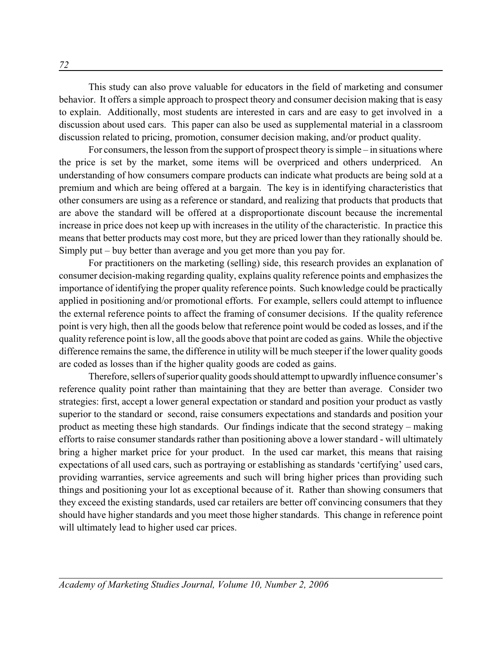This study can also prove valuable for educators in the field of marketing and consumer behavior. It offers a simple approach to prospect theory and consumer decision making that is easy to explain. Additionally, most students are interested in cars and are easy to get involved in a discussion about used cars. This paper can also be used as supplemental material in a classroom discussion related to pricing, promotion, consumer decision making, and/or product quality.

For consumers, the lesson from the support of prospect theory is simple – in situations where the price is set by the market, some items will be overpriced and others underpriced. An understanding of how consumers compare products can indicate what products are being sold at a premium and which are being offered at a bargain. The key is in identifying characteristics that other consumers are using as a reference or standard, and realizing that products that products that are above the standard will be offered at a disproportionate discount because the incremental increase in price does not keep up with increases in the utility of the characteristic. In practice this means that better products may cost more, but they are priced lower than they rationally should be. Simply put – buy better than average and you get more than you pay for.

For practitioners on the marketing (selling) side, this research provides an explanation of consumer decision-making regarding quality, explains quality reference points and emphasizes the importance of identifying the proper quality reference points. Such knowledge could be practically applied in positioning and/or promotional efforts. For example, sellers could attempt to influence the external reference points to affect the framing of consumer decisions. If the quality reference point is very high, then all the goods below that reference point would be coded as losses, and if the quality reference point is low, all the goods above that point are coded as gains. While the objective difference remains the same, the difference in utility will be much steeper if the lower quality goods are coded as losses than if the higher quality goods are coded as gains.

Therefore, sellers of superior quality goods should attempt to upwardly influence consumer's reference quality point rather than maintaining that they are better than average. Consider two strategies: first, accept a lower general expectation or standard and position your product as vastly superior to the standard or second, raise consumers expectations and standards and position your product as meeting these high standards. Our findings indicate that the second strategy – making efforts to raise consumer standards rather than positioning above a lower standard - will ultimately bring a higher market price for your product. In the used car market, this means that raising expectations of all used cars, such as portraying or establishing as standards 'certifying' used cars, providing warranties, service agreements and such will bring higher prices than providing such things and positioning your lot as exceptional because of it. Rather than showing consumers that they exceed the existing standards, used car retailers are better off convincing consumers that they should have higher standards and you meet those higher standards. This change in reference point will ultimately lead to higher used car prices.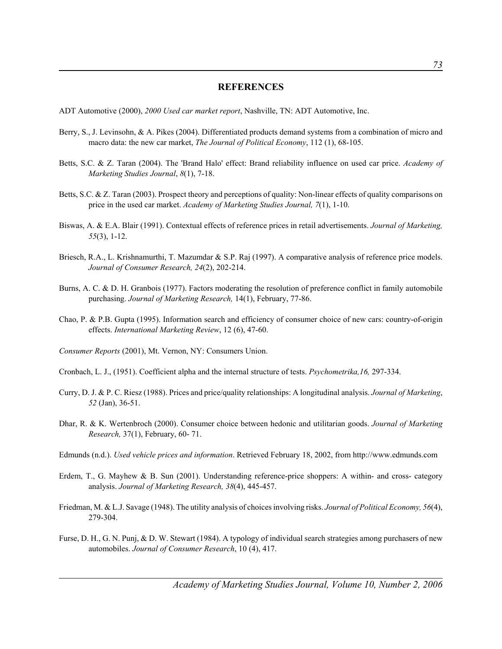#### **REFERENCES**

ADT Automotive (2000), *2000 Used car market report*, Nashville, TN: ADT Automotive, Inc.

- Berry, S., J. Levinsohn, & A. Pikes (2004). Differentiated products demand systems from a combination of micro and macro data: the new car market, *The Journal of Political Economy*, 112 (1), 68-105.
- Betts, S.C. & Z. Taran (2004). The 'Brand Halo' effect: Brand reliability influence on used car price. *Academy of Marketing Studies Journal*, *8*(1), 7-18.
- Betts, S.C. & Z. Taran (2003). Prospect theory and perceptions of quality: Non-linear effects of quality comparisons on price in the used car market. *Academy of Marketing Studies Journal, 7*(1), 1-10.
- Biswas, A. & E.A. Blair (1991). Contextual effects of reference prices in retail advertisements. *Journal of Marketing, 55*(3), 1-12.
- Briesch, R.A., L. Krishnamurthi, T. Mazumdar & S.P. Raj (1997). A comparative analysis of reference price models. *Journal of Consumer Research, 24*(2), 202-214.
- Burns, A. C. & D. H. Granbois (1977). Factors moderating the resolution of preference conflict in family automobile purchasing. *Journal of Marketing Research,* 14(1), February, 77-86.
- Chao, P. & P.B. Gupta (1995). Information search and efficiency of consumer choice of new cars: country-of-origin effects. *International Marketing Review*, 12 (6), 47-60.
- *Consumer Reports* (2001), Mt. Vernon, NY: Consumers Union.
- Cronbach, L. J., (1951). Coefficient alpha and the internal structure of tests. *Psychometrika,16,* 297-334.
- Curry, D. J. & P. C. Riesz (1988). Prices and price/quality relationships: A longitudinal analysis. *Journal of Marketing*, *52* (Jan), 36-51.
- Dhar, R. & K. Wertenbroch (2000). Consumer choice between hedonic and utilitarian goods. *Journal of Marketing Research,* 37(1), February, 60- 71.
- Edmunds (n.d.). *Used vehicle prices and information*. Retrieved February 18, 2002, from http://www.edmunds.com
- Erdem, T., G. Mayhew & B. Sun (2001). Understanding reference-price shoppers: A within- and cross- category analysis. *Journal of Marketing Research, 38*(4), 445-457.
- Friedman, M. & L.J. Savage (1948). The utility analysis of choices involving risks. *Journal of Political Economy, 56*(4), 279-304.
- Furse, D. H., G. N. Punj, & D. W. Stewart (1984). A typology of individual search strategies among purchasers of new automobiles. *Journal of Consumer Research*, 10 (4), 417.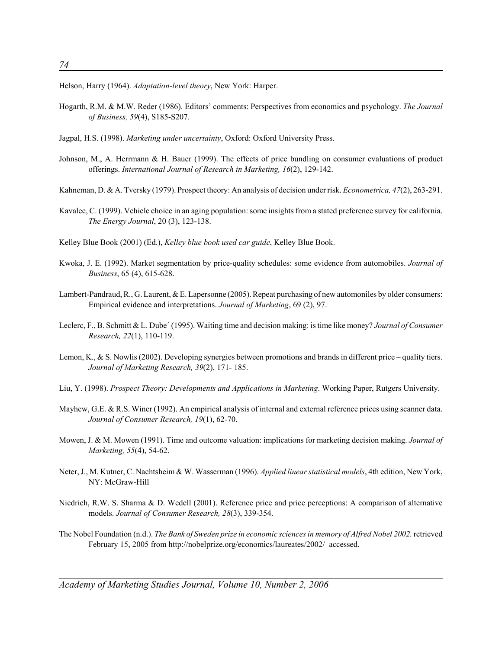Helson, Harry (1964). *Adaptation-level theory*, New York: Harper.

- Hogarth, R.M. & M.W. Reder (1986). Editors' comments: Perspectives from economics and psychology. *The Journal of Business, 59*(4), S185-S207.
- Jagpal, H.S. (1998). *Marketing under uncertainty*, Oxford: Oxford University Press.
- Johnson, M., A. Herrmann & H. Bauer (1999). The effects of price bundling on consumer evaluations of product offerings. *International Journal of Research in Marketing, 16*(2), 129-142.
- Kahneman, D. & A. Tversky (1979). Prospect theory: An analysis of decision under risk. *Econometrica, 47*(2), 263-291.
- Kavalec, C. (1999). Vehicle choice in an aging population: some insights from a stated preference survey for california. *The Energy Journal*, 20 (3), 123-138.
- Kelley Blue Book (2001) (Ed.), *Kelley blue book used car guide*, Kelley Blue Book.
- Kwoka, J. E. (1992). Market segmentation by price-quality schedules: some evidence from automobiles. *Journal of Business*, 65 (4), 615-628.
- Lambert-Pandraud, R., G. Laurent, & E. Lapersonne (2005). Repeat purchasing of new automoniles by older consumers: Empirical evidence and interpretations. *Journal of Marketing*, 69 (2), 97.
- Leclerc, F., B. Schmitt & L. Dube' (1995). Waiting time and decision making: is time like money? *Journal of Consumer Research, 22*(1), 110-119.
- Lemon, K., & S. Nowlis (2002). Developing synergies between promotions and brands in different price quality tiers. *Journal of Marketing Research, 39*(2), 171- 185.
- Liu, Y. (1998). *Prospect Theory: Developments and Applications in Marketing*. Working Paper, Rutgers University.
- Mayhew, G.E. & R.S. Winer (1992). An empirical analysis of internal and external reference prices using scanner data. *Journal of Consumer Research, 19*(1), 62-70.
- Mowen, J. & M. Mowen (1991). Time and outcome valuation: implications for marketing decision making. *Journal of Marketing, 55*(4), 54-62.
- Neter, J., M. Kutner, C. Nachtsheim & W. Wasserman (1996). *Applied linear statistical models*, 4th edition, New York, NY: McGraw-Hill
- Niedrich, R.W. S. Sharma & D. Wedell (2001). Reference price and price perceptions: A comparison of alternative models. *Journal of Consumer Research, 28*(3), 339-354.
- The Nobel Foundation (n.d.). *The Bank of Sweden prize in economic sciences in memory of Alfred Nobel 2002.* retrieved February 15, 2005 from http://nobelprize.org/economics/laureates/2002/ accessed.

*Academy of Marketing Studies Journal, Volume 10, Number 2, 2006*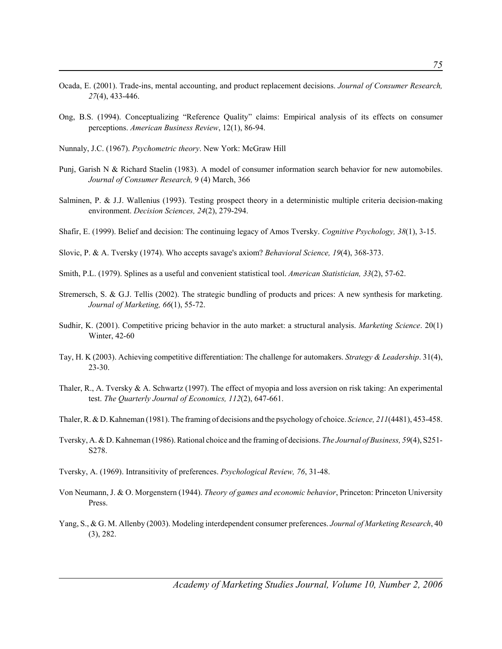- Ocada, E. (2001). Trade-ins, mental accounting, and product replacement decisions. *Journal of Consumer Research, 27*(4), 433-446.
- Ong, B.S. (1994). Conceptualizing "Reference Quality" claims: Empirical analysis of its effects on consumer perceptions. *American Business Review*, 12(1), 86-94.
- Nunnaly, J.C. (1967). *Psychometric theory*. New York: McGraw Hill
- Punj, Garish N & Richard Staelin (1983). A model of consumer information search behavior for new automobiles. *Journal of Consumer Research,* 9 (4) March, 366
- Salminen, P. & J.J. Wallenius (1993). Testing prospect theory in a deterministic multiple criteria decision-making environment. *Decision Sciences, 24*(2), 279-294.
- Shafir, E. (1999). Belief and decision: The continuing legacy of Amos Tversky. *Cognitive Psychology, 38*(1), 3-15.
- Slovic, P. & A. Tversky (1974). Who accepts savage's axiom? *Behavioral Science, 19*(4), 368-373.
- Smith, P.L. (1979). Splines as a useful and convenient statistical tool. *American Statistician, 33*(2), 57-62.
- Stremersch, S. & G.J. Tellis (2002). The strategic bundling of products and prices: A new synthesis for marketing. *Journal of Marketing, 66*(1), 55-72.
- Sudhir, K. (2001). Competitive pricing behavior in the auto market: a structural analysis. *Marketing Science*. 20(1) Winter, 42-60
- Tay, H. K (2003). Achieving competitive differentiation: The challenge for automakers. *Strategy & Leadership*. 31(4), 23-30.
- Thaler, R., A. Tversky & A. Schwartz (1997). The effect of myopia and loss aversion on risk taking: An experimental test. *The Quarterly Journal of Economics, 112*(2), 647-661.
- Thaler, R. & D. Kahneman (1981). The framing of decisions and the psychology of choice. *Science, 211*(4481), 453-458.
- Tversky, A. & D. Kahneman (1986). Rational choice and the framing of decisions. *The Journal of Business, 59*(4), S251- S278.
- Tversky, A. (1969). Intransitivity of preferences. *Psychological Review, 76*, 31-48.
- Von Neumann, J. & O. Morgenstern (1944). *Theory of games and economic behavior*, Princeton: Princeton University Press.
- Yang, S., & G. M. Allenby (2003). Modeling interdependent consumer preferences. *Journal of Marketing Research*, 40 (3), 282.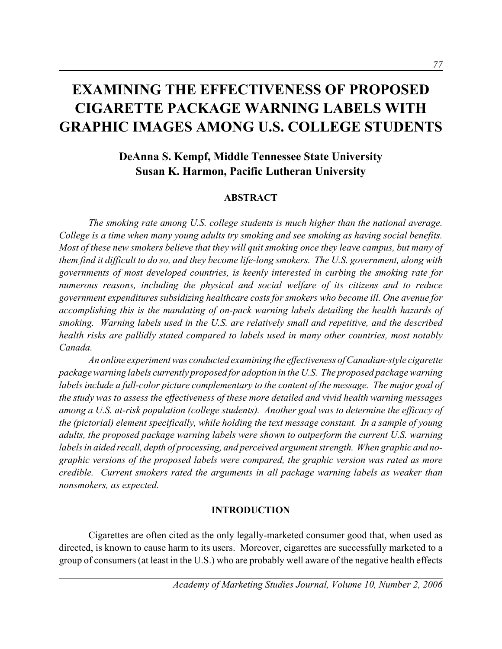# **EXAMINING THE EFFECTIVENESS OF PROPOSED CIGARETTE PACKAGE WARNING LABELS WITH GRAPHIC IMAGES AMONG U.S. COLLEGE STUDENTS**

# **DeAnna S. Kempf, Middle Tennessee State University Susan K. Harmon, Pacific Lutheran University**

### **ABSTRACT**

*The smoking rate among U.S. college students is much higher than the national average. College is a time when many young adults try smoking and see smoking as having social benefits. Most of these new smokers believe that they will quit smoking once they leave campus, but many of them find it difficult to do so, and they become life-long smokers. The U.S. government, along with governments of most developed countries, is keenly interested in curbing the smoking rate for numerous reasons, including the physical and social welfare of its citizens and to reduce government expenditures subsidizing healthcare costs for smokers who become ill. One avenue for accomplishing this is the mandating of on-pack warning labels detailing the health hazards of smoking. Warning labels used in the U.S. are relatively small and repetitive, and the described health risks are pallidly stated compared to labels used in many other countries, most notably Canada.* 

*An online experiment was conducted examining the effectiveness of Canadian-style cigarette package warning labels currently proposed for adoption in the U.S. The proposed package warning labels include a full-color picture complementary to the content of the message. The major goal of the study was to assess the effectiveness of these more detailed and vivid health warning messages among a U.S. at-risk population (college students). Another goal was to determine the efficacy of the (pictorial) element specifically, while holding the text message constant. In a sample of young adults, the proposed package warning labels were shown to outperform the current U.S. warning labels in aided recall, depth of processing, and perceived argument strength. When graphic and nographic versions of the proposed labels were compared, the graphic version was rated as more credible. Current smokers rated the arguments in all package warning labels as weaker than nonsmokers, as expected.*

### **INTRODUCTION**

Cigarettes are often cited as the only legally-marketed consumer good that, when used as directed, is known to cause harm to its users. Moreover, cigarettes are successfully marketed to a group of consumers (at least in the U.S.) who are probably well aware of the negative health effects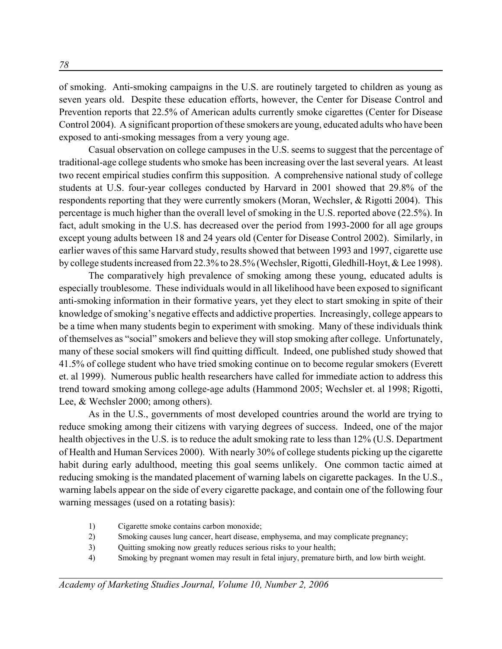of smoking. Anti-smoking campaigns in the U.S. are routinely targeted to children as young as seven years old. Despite these education efforts, however, the Center for Disease Control and Prevention reports that 22.5% of American adults currently smoke cigarettes (Center for Disease Control 2004). A significant proportion of these smokers are young, educated adults who have been exposed to anti-smoking messages from a very young age.

Casual observation on college campuses in the U.S. seems to suggest that the percentage of traditional-age college students who smoke has been increasing over the last several years. At least two recent empirical studies confirm this supposition. A comprehensive national study of college students at U.S. four-year colleges conducted by Harvard in 2001 showed that 29.8% of the respondents reporting that they were currently smokers (Moran, Wechsler, & Rigotti 2004). This percentage is much higher than the overall level of smoking in the U.S. reported above (22.5%). In fact, adult smoking in the U.S. has decreased over the period from 1993-2000 for all age groups except young adults between 18 and 24 years old (Center for Disease Control 2002). Similarly, in earlier waves of this same Harvard study, results showed that between 1993 and 1997, cigarette use by college students increased from 22.3% to 28.5% (Wechsler, Rigotti, Gledhill-Hoyt, & Lee 1998).

The comparatively high prevalence of smoking among these young, educated adults is especially troublesome. These individuals would in all likelihood have been exposed to significant anti-smoking information in their formative years, yet they elect to start smoking in spite of their knowledge of smoking's negative effects and addictive properties. Increasingly, college appears to be a time when many students begin to experiment with smoking. Many of these individuals think of themselves as "social" smokers and believe they will stop smoking after college. Unfortunately, many of these social smokers will find quitting difficult. Indeed, one published study showed that 41.5% of college student who have tried smoking continue on to become regular smokers (Everett et. al 1999). Numerous public health researchers have called for immediate action to address this trend toward smoking among college-age adults (Hammond 2005; Wechsler et. al 1998; Rigotti, Lee, & Wechsler 2000; among others).

As in the U.S., governments of most developed countries around the world are trying to reduce smoking among their citizens with varying degrees of success. Indeed, one of the major health objectives in the U.S. is to reduce the adult smoking rate to less than 12% (U.S. Department of Health and Human Services 2000). With nearly 30% of college students picking up the cigarette habit during early adulthood, meeting this goal seems unlikely. One common tactic aimed at reducing smoking is the mandated placement of warning labels on cigarette packages. In the U.S., warning labels appear on the side of every cigarette package, and contain one of the following four warning messages (used on a rotating basis):

- 1) Cigarette smoke contains carbon monoxide;
- 2) Smoking causes lung cancer, heart disease, emphysema, and may complicate pregnancy;
- 3) Quitting smoking now greatly reduces serious risks to your health;
- 4) Smoking by pregnant women may result in fetal injury, premature birth, and low birth weight.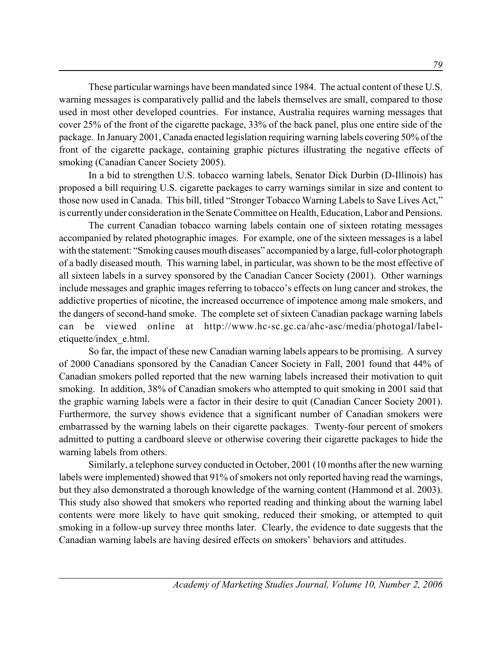These particular warnings have been mandated since 1984. The actual content of these U.S. warning messages is comparatively pallid and the labels themselves are small, compared to those used in most other developed countries. For instance, Australia requires warning messages that cover 25% of the front of the cigarette package, 33% of the back panel, plus one entire side of the package. In January 2001, Canada enacted legislation requiring warning labels covering 50% of the front of the cigarette package, containing graphic pictures illustrating the negative effects of smoking (Canadian Cancer Society 2005).

In a bid to strengthen U.S. tobacco warning labels, Senator Dick Durbin (D-Illinois) has proposed a bill requiring U.S. cigarette packages to carry warnings similar in size and content to those now used in Canada. This bill, titled "Stronger Tobacco Warning Labels to Save Lives Act," is currently under consideration in the Senate Committee on Health, Education, Labor and Pensions.

The current Canadian tobacco warning labels contain one of sixteen rotating messages accompanied by related photographic images. For example, one of the sixteen messages is a label with the statement: "Smoking causes mouth diseases" accompanied by a large, full-color photograph of a badly diseased mouth. This warning label, in particular, was shown to be the most effective of all sixteen labels in a survey sponsored by the Canadian Cancer Society (2001). Other warnings include messages and graphic images referring to tobacco's effects on lung cancer and strokes, the addictive properties of nicotine, the increased occurrence of impotence among male smokers, and the dangers of second-hand smoke. The complete set of sixteen Canadian package warning labels can be viewed online at http://www.hc-sc.gc.ca/ahc-asc/media/photogal/labeletiquette/index\_e.html.

So far, the impact of these new Canadian warning labels appears to be promising. A survey of 2000 Canadians sponsored by the Canadian Cancer Society in Fall, 2001 found that 44% of Canadian smokers polled reported that the new warning labels increased their motivation to quit smoking. In addition, 38% of Canadian smokers who attempted to quit smoking in 2001 said that the graphic warning labels were a factor in their desire to quit (Canadian Cancer Society 2001). Furthermore, the survey shows evidence that a significant number of Canadian smokers were embarrassed by the warning labels on their cigarette packages. Twenty-four percent of smokers admitted to putting a cardboard sleeve or otherwise covering their cigarette packages to hide the warning labels from others.

Similarly, a telephone survey conducted in October, 2001 (10 months after the new warning labels were implemented) showed that 91% of smokers not only reported having read the warnings, but they also demonstrated a thorough knowledge of the warning content (Hammond et al. 2003). This study also showed that smokers who reported reading and thinking about the warning label contents were more likely to have quit smoking, reduced their smoking, or attempted to quit smoking in a follow-up survey three months later. Clearly, the evidence to date suggests that the Canadian warning labels are having desired effects on smokers' behaviors and attitudes.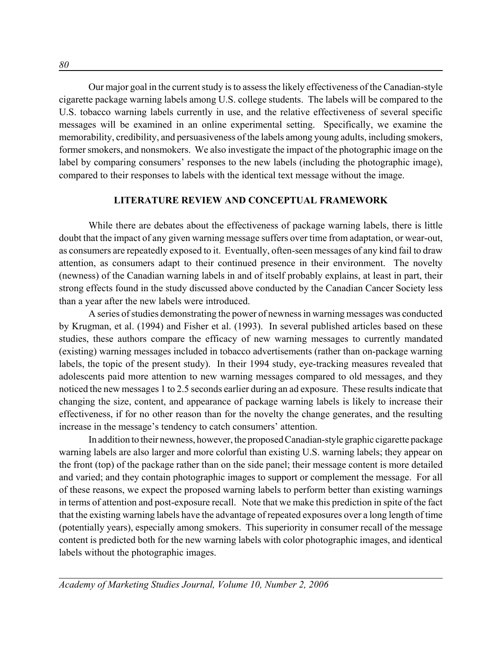Our major goal in the current study is to assess the likely effectiveness of the Canadian-style cigarette package warning labels among U.S. college students. The labels will be compared to the U.S. tobacco warning labels currently in use, and the relative effectiveness of several specific messages will be examined in an online experimental setting. Specifically, we examine the memorability, credibility, and persuasiveness of the labels among young adults, including smokers, former smokers, and nonsmokers. We also investigate the impact of the photographic image on the label by comparing consumers' responses to the new labels (including the photographic image), compared to their responses to labels with the identical text message without the image.

### **LITERATURE REVIEW AND CONCEPTUAL FRAMEWORK**

While there are debates about the effectiveness of package warning labels, there is little doubt that the impact of any given warning message suffers over time from adaptation, or wear-out, as consumers are repeatedly exposed to it. Eventually, often-seen messages of any kind fail to draw attention, as consumers adapt to their continued presence in their environment. The novelty (newness) of the Canadian warning labels in and of itself probably explains, at least in part, their strong effects found in the study discussed above conducted by the Canadian Cancer Society less than a year after the new labels were introduced.

A series of studies demonstrating the power of newness in warning messages was conducted by Krugman, et al. (1994) and Fisher et al. (1993). In several published articles based on these studies, these authors compare the efficacy of new warning messages to currently mandated (existing) warning messages included in tobacco advertisements (rather than on-package warning labels, the topic of the present study). In their 1994 study, eye-tracking measures revealed that adolescents paid more attention to new warning messages compared to old messages, and they noticed the new messages 1 to 2.5 seconds earlier during an ad exposure. These results indicate that changing the size, content, and appearance of package warning labels is likely to increase their effectiveness, if for no other reason than for the novelty the change generates, and the resulting increase in the message's tendency to catch consumers' attention.

In addition to their newness, however, the proposed Canadian-style graphic cigarette package warning labels are also larger and more colorful than existing U.S. warning labels; they appear on the front (top) of the package rather than on the side panel; their message content is more detailed and varied; and they contain photographic images to support or complement the message. For all of these reasons, we expect the proposed warning labels to perform better than existing warnings in terms of attention and post-exposure recall. Note that we make this prediction in spite of the fact that the existing warning labels have the advantage of repeated exposures over a long length of time (potentially years), especially among smokers. This superiority in consumer recall of the message content is predicted both for the new warning labels with color photographic images, and identical labels without the photographic images.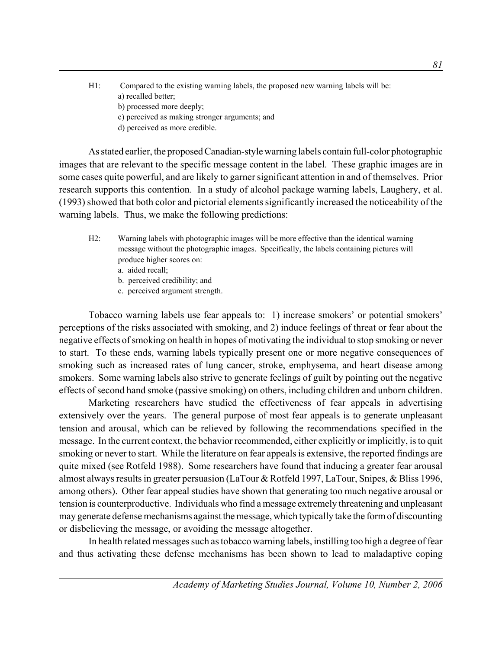H1: Compared to the existing warning labels, the proposed new warning labels will be: a) recalled better; b) processed more deeply; c) perceived as making stronger arguments; and d) perceived as more credible.

As stated earlier, the proposed Canadian-style warning labels contain full-color photographic images that are relevant to the specific message content in the label. These graphic images are in some cases quite powerful, and are likely to garner significant attention in and of themselves. Prior research supports this contention. In a study of alcohol package warning labels, Laughery, et al. (1993) showed that both color and pictorial elements significantly increased the noticeability of the warning labels. Thus, we make the following predictions:

- H2: Warning labels with photographic images will be more effective than the identical warning message without the photographic images. Specifically, the labels containing pictures will produce higher scores on:
	- a. aided recall;
	- b. perceived credibility; and
	- c. perceived argument strength.

Tobacco warning labels use fear appeals to: 1) increase smokers' or potential smokers' perceptions of the risks associated with smoking, and 2) induce feelings of threat or fear about the negative effects of smoking on health in hopes of motivating the individual to stop smoking or never to start. To these ends, warning labels typically present one or more negative consequences of smoking such as increased rates of lung cancer, stroke, emphysema, and heart disease among smokers. Some warning labels also strive to generate feelings of guilt by pointing out the negative effects of second hand smoke (passive smoking) on others, including children and unborn children.

Marketing researchers have studied the effectiveness of fear appeals in advertising extensively over the years. The general purpose of most fear appeals is to generate unpleasant tension and arousal, which can be relieved by following the recommendations specified in the message. In the current context, the behavior recommended, either explicitly or implicitly, is to quit smoking or never to start. While the literature on fear appeals is extensive, the reported findings are quite mixed (see Rotfeld 1988). Some researchers have found that inducing a greater fear arousal almost always results in greater persuasion (LaTour & Rotfeld 1997, LaTour, Snipes, & Bliss 1996, among others). Other fear appeal studies have shown that generating too much negative arousal or tension is counterproductive. Individuals who find a message extremely threatening and unpleasant may generate defense mechanisms against the message, which typically take the form of discounting or disbelieving the message, or avoiding the message altogether.

In health related messages such as tobacco warning labels, instilling too high a degree of fear and thus activating these defense mechanisms has been shown to lead to maladaptive coping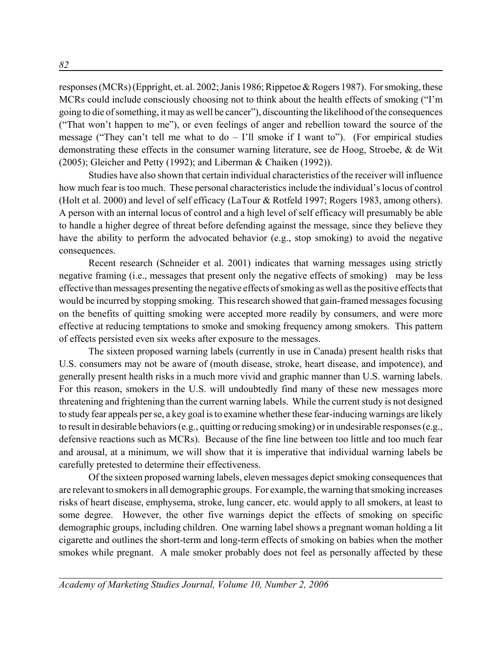responses (MCRs) (Eppright, et. al. 2002; Janis 1986; Rippetoe & Rogers 1987). For smoking, these MCRs could include consciously choosing not to think about the health effects of smoking ("I'm going to die of something, it may as well be cancer"), discounting the likelihood of the consequences ("That won't happen to me"), or even feelings of anger and rebellion toward the source of the message ("They can't tell me what to  $do - I'll$  smoke if I want to"). (For empirical studies demonstrating these effects in the consumer warning literature, see de Hoog, Stroebe, & de Wit (2005); Gleicher and Petty (1992); and Liberman & Chaiken (1992)).

Studies have also shown that certain individual characteristics of the receiver will influence how much fear is too much. These personal characteristics include the individual's locus of control (Holt et al. 2000) and level of self efficacy (LaTour & Rotfeld 1997; Rogers 1983, among others). A person with an internal locus of control and a high level of self efficacy will presumably be able to handle a higher degree of threat before defending against the message, since they believe they have the ability to perform the advocated behavior (e.g., stop smoking) to avoid the negative consequences.

Recent research (Schneider et al. 2001) indicates that warning messages using strictly negative framing (i.e., messages that present only the negative effects of smoking) may be less effective than messages presenting the negative effects of smoking as well as the positive effects that would be incurred by stopping smoking. This research showed that gain-framed messages focusing on the benefits of quitting smoking were accepted more readily by consumers, and were more effective at reducing temptations to smoke and smoking frequency among smokers. This pattern of effects persisted even six weeks after exposure to the messages.

The sixteen proposed warning labels (currently in use in Canada) present health risks that U.S. consumers may not be aware of (mouth disease, stroke, heart disease, and impotence), and generally present health risks in a much more vivid and graphic manner than U.S. warning labels. For this reason, smokers in the U.S. will undoubtedly find many of these new messages more threatening and frightening than the current warning labels. While the current study is not designed to study fear appeals per se, a key goal is to examine whether these fear-inducing warnings are likely to result in desirable behaviors (e.g., quitting or reducing smoking) or in undesirable responses (e.g., defensive reactions such as MCRs). Because of the fine line between too little and too much fear and arousal, at a minimum, we will show that it is imperative that individual warning labels be carefully pretested to determine their effectiveness.

Of the sixteen proposed warning labels, eleven messages depict smoking consequences that are relevant to smokers in all demographic groups. For example, the warning that smoking increases risks of heart disease, emphysema, stroke, lung cancer, etc. would apply to all smokers, at least to some degree. However, the other five warnings depict the effects of smoking on specific demographic groups, including children. One warning label shows a pregnant woman holding a lit cigarette and outlines the short-term and long-term effects of smoking on babies when the mother smokes while pregnant. A male smoker probably does not feel as personally affected by these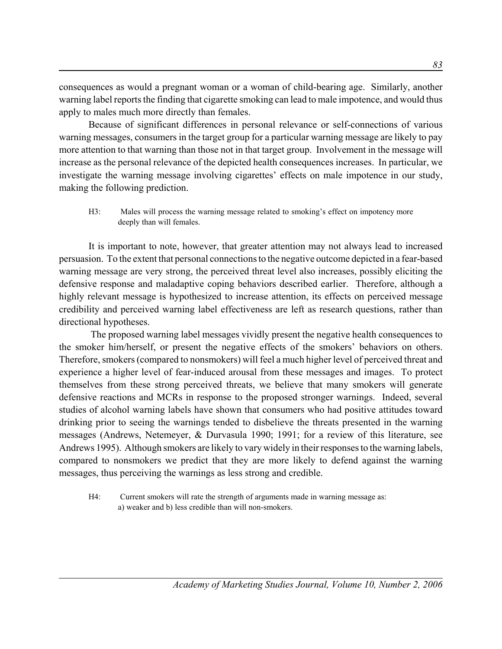consequences as would a pregnant woman or a woman of child-bearing age. Similarly, another warning label reports the finding that cigarette smoking can lead to male impotence, and would thus apply to males much more directly than females.

Because of significant differences in personal relevance or self-connections of various warning messages, consumers in the target group for a particular warning message are likely to pay more attention to that warning than those not in that target group. Involvement in the message will increase as the personal relevance of the depicted health consequences increases. In particular, we investigate the warning message involving cigarettes' effects on male impotence in our study, making the following prediction.

H3: Males will process the warning message related to smoking's effect on impotency more deeply than will females.

It is important to note, however, that greater attention may not always lead to increased persuasion. To the extent that personal connections to the negative outcome depicted in a fear-based warning message are very strong, the perceived threat level also increases, possibly eliciting the defensive response and maladaptive coping behaviors described earlier. Therefore, although a highly relevant message is hypothesized to increase attention, its effects on perceived message credibility and perceived warning label effectiveness are left as research questions, rather than directional hypotheses.

 The proposed warning label messages vividly present the negative health consequences to the smoker him/herself, or present the negative effects of the smokers' behaviors on others. Therefore, smokers (compared to nonsmokers) will feel a much higher level of perceived threat and experience a higher level of fear-induced arousal from these messages and images. To protect themselves from these strong perceived threats, we believe that many smokers will generate defensive reactions and MCRs in response to the proposed stronger warnings. Indeed, several studies of alcohol warning labels have shown that consumers who had positive attitudes toward drinking prior to seeing the warnings tended to disbelieve the threats presented in the warning messages (Andrews, Netemeyer, & Durvasula 1990; 1991; for a review of this literature, see Andrews 1995). Although smokers are likely to vary widely in their responses to the warning labels, compared to nonsmokers we predict that they are more likely to defend against the warning messages, thus perceiving the warnings as less strong and credible.

H4: Current smokers will rate the strength of arguments made in warning message as: a) weaker and b) less credible than will non-smokers.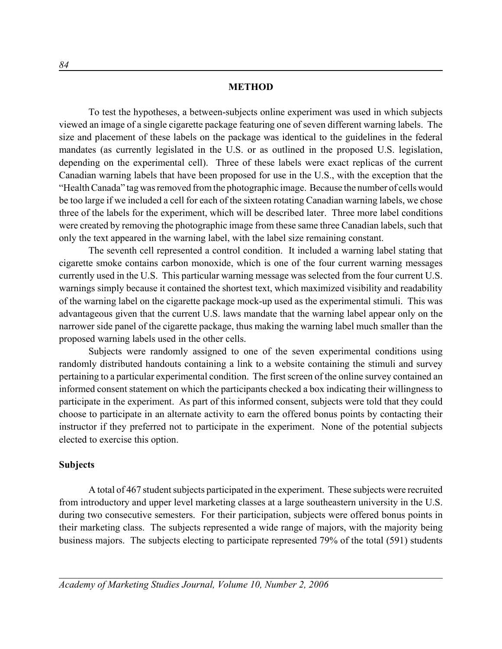### **METHOD**

To test the hypotheses, a between-subjects online experiment was used in which subjects viewed an image of a single cigarette package featuring one of seven different warning labels. The size and placement of these labels on the package was identical to the guidelines in the federal mandates (as currently legislated in the U.S. or as outlined in the proposed U.S. legislation, depending on the experimental cell). Three of these labels were exact replicas of the current Canadian warning labels that have been proposed for use in the U.S., with the exception that the "Health Canada" tag was removed from the photographic image. Because the number of cells would be too large if we included a cell for each of the sixteen rotating Canadian warning labels, we chose three of the labels for the experiment, which will be described later. Three more label conditions were created by removing the photographic image from these same three Canadian labels, such that only the text appeared in the warning label, with the label size remaining constant.

The seventh cell represented a control condition. It included a warning label stating that cigarette smoke contains carbon monoxide, which is one of the four current warning messages currently used in the U.S. This particular warning message was selected from the four current U.S. warnings simply because it contained the shortest text, which maximized visibility and readability of the warning label on the cigarette package mock-up used as the experimental stimuli. This was advantageous given that the current U.S. laws mandate that the warning label appear only on the narrower side panel of the cigarette package, thus making the warning label much smaller than the proposed warning labels used in the other cells.

Subjects were randomly assigned to one of the seven experimental conditions using randomly distributed handouts containing a link to a website containing the stimuli and survey pertaining to a particular experimental condition. The first screen of the online survey contained an informed consent statement on which the participants checked a box indicating their willingness to participate in the experiment. As part of this informed consent, subjects were told that they could choose to participate in an alternate activity to earn the offered bonus points by contacting their instructor if they preferred not to participate in the experiment. None of the potential subjects elected to exercise this option.

### **Subjects**

A total of 467 student subjects participated in the experiment. These subjects were recruited from introductory and upper level marketing classes at a large southeastern university in the U.S. during two consecutive semesters. For their participation, subjects were offered bonus points in their marketing class. The subjects represented a wide range of majors, with the majority being business majors. The subjects electing to participate represented 79% of the total (591) students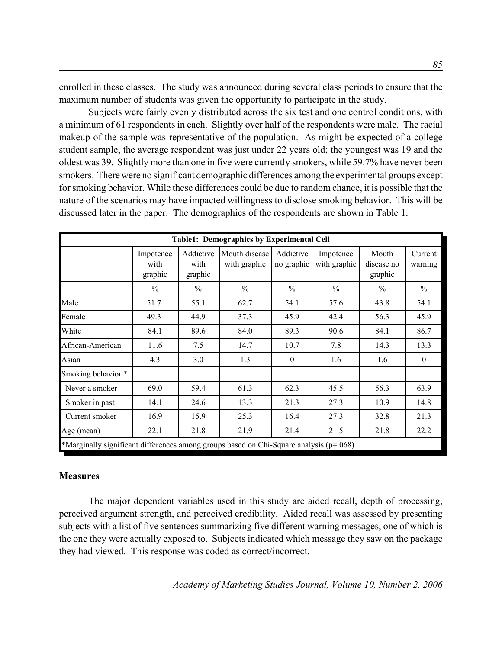enrolled in these classes. The study was announced during several class periods to ensure that the maximum number of students was given the opportunity to participate in the study.

Subjects were fairly evenly distributed across the six test and one control conditions, with a minimum of 61 respondents in each. Slightly over half of the respondents were male. The racial makeup of the sample was representative of the population. As might be expected of a college student sample, the average respondent was just under 22 years old; the youngest was 19 and the oldest was 39. Slightly more than one in five were currently smokers, while 59.7% have never been smokers. There were no significant demographic differences among the experimental groups except for smoking behavior. While these differences could be due to random chance, it is possible that the nature of the scenarios may have impacted willingness to disclose smoking behavior. This will be discussed later in the paper. The demographics of the respondents are shown in Table 1.

| <b>Table1: Demographics by Experimental Cell</b>                                       |                              |                              |                               |                         |                           |                                |                    |
|----------------------------------------------------------------------------------------|------------------------------|------------------------------|-------------------------------|-------------------------|---------------------------|--------------------------------|--------------------|
|                                                                                        | Impotence<br>with<br>graphic | Addictive<br>with<br>graphic | Mouth disease<br>with graphic | Addictive<br>no graphic | Impotence<br>with graphic | Mouth<br>disease no<br>graphic | Current<br>warning |
|                                                                                        | $\frac{0}{0}$                | $\frac{0}{0}$                | $\frac{0}{0}$                 | $\frac{0}{0}$           | $\frac{0}{0}$             | $\frac{0}{0}$                  | $\frac{0}{0}$      |
| Male                                                                                   | 51.7                         | 55.1                         | 62.7                          | 54.1                    | 57.6                      | 43.8                           | 54.1               |
| Female                                                                                 | 49.3                         | 44.9                         | 37.3                          | 45.9                    | 42.4                      | 56.3                           | 45.9               |
| White                                                                                  | 84.1                         | 89.6                         | 84.0                          | 89.3                    | 90.6                      | 84.1                           | 86.7               |
| African-American                                                                       | 11.6                         | 7.5                          | 14.7                          | 10.7                    | 7.8                       | 14.3                           | 13.3               |
| Asian                                                                                  | 4.3                          | 3.0                          | 1.3                           | $\theta$                | 1.6                       | 1.6                            | $\theta$           |
| Smoking behavior *                                                                     |                              |                              |                               |                         |                           |                                |                    |
| Never a smoker                                                                         | 69.0                         | 59.4                         | 61.3                          | 62.3                    | 45.5                      | 56.3                           | 63.9               |
| Smoker in past                                                                         | 14.1                         | 24.6                         | 13.3                          | 21.3                    | 27.3                      | 10.9                           | 14.8               |
| Current smoker                                                                         | 16.9                         | 15.9                         | 25.3                          | 16.4                    | 27.3                      | 32.8                           | 21.3               |
| Age (mean)                                                                             | 22.1                         | 21.8                         | 21.9                          | 21.4                    | 21.5                      | 21.8                           | 22.2               |
| *Marginally significant differences among groups based on Chi-Square analysis (p=.068) |                              |                              |                               |                         |                           |                                |                    |

# **Measures**

The major dependent variables used in this study are aided recall, depth of processing, perceived argument strength, and perceived credibility. Aided recall was assessed by presenting subjects with a list of five sentences summarizing five different warning messages, one of which is the one they were actually exposed to. Subjects indicated which message they saw on the package they had viewed. This response was coded as correct/incorrect.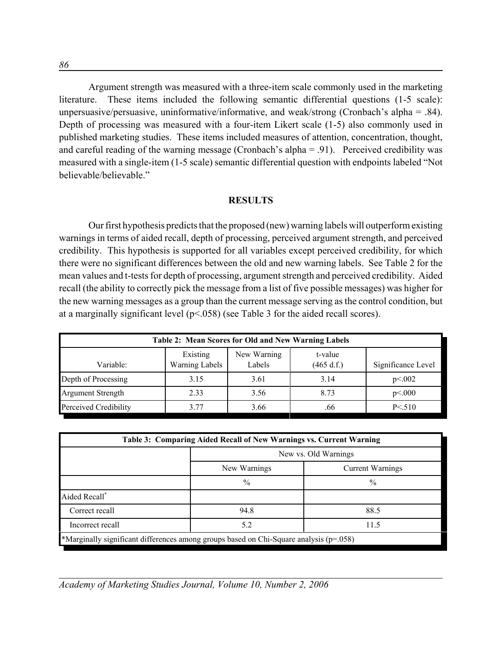Argument strength was measured with a three-item scale commonly used in the marketing literature. These items included the following semantic differential questions (1-5 scale): unpersuasive/persuasive, uninformative/informative, and weak/strong (Cronbach's alpha = .84). Depth of processing was measured with a four-item Likert scale (1-5) also commonly used in published marketing studies. These items included measures of attention, concentration, thought, and careful reading of the warning message (Cronbach's alpha = .91). Perceived credibility was measured with a single-item (1-5 scale) semantic differential question with endpoints labeled "Not believable/believable."

### **RESULTS**

Our first hypothesis predicts that the proposed (new) warning labels will outperform existing warnings in terms of aided recall, depth of processing, perceived argument strength, and perceived credibility. This hypothesis is supported for all variables except perceived credibility, for which there were no significant differences between the old and new warning labels. See Table 2 for the mean values and t-tests for depth of processing, argument strength and perceived credibility. Aided recall (the ability to correctly pick the message from a list of five possible messages) was higher for the new warning messages as a group than the current message serving as the control condition, but at a marginally significant level  $(p<0.058)$  (see Table 3 for the aided recall scores).

| Table 2: Mean Scores for Old and New Warning Labels |                                   |                       |                       |                    |  |  |
|-----------------------------------------------------|-----------------------------------|-----------------------|-----------------------|--------------------|--|--|
| Variable:                                           | Existing<br><b>Warning Labels</b> | New Warning<br>Labels | t-value<br>(465 d.f.) | Significance Level |  |  |
| Depth of Processing                                 | 3.15                              | 3.61                  | 3.14                  | p<0.002            |  |  |
| <b>Argument Strength</b>                            | 2.33                              | 3.56                  | 8.73                  | p<.000             |  |  |
| Perceived Credibility                               | 3.77                              | 3.66                  | .66                   | $P \le 510$        |  |  |

| Table 3: Comparing Aided Recall of New Warnings vs. Current Warning                    |                      |                         |  |  |  |  |
|----------------------------------------------------------------------------------------|----------------------|-------------------------|--|--|--|--|
|                                                                                        | New vs. Old Warnings |                         |  |  |  |  |
|                                                                                        | New Warnings         | <b>Current Warnings</b> |  |  |  |  |
|                                                                                        | $\%$                 | $\%$                    |  |  |  |  |
| Aided Recall*                                                                          |                      |                         |  |  |  |  |
| Correct recall<br>94.8<br>88.5                                                         |                      |                         |  |  |  |  |
| 5.2<br>11.5<br>Incorrect recall                                                        |                      |                         |  |  |  |  |
| *Marginally significant differences among groups based on Chi-Square analysis (p=.058) |                      |                         |  |  |  |  |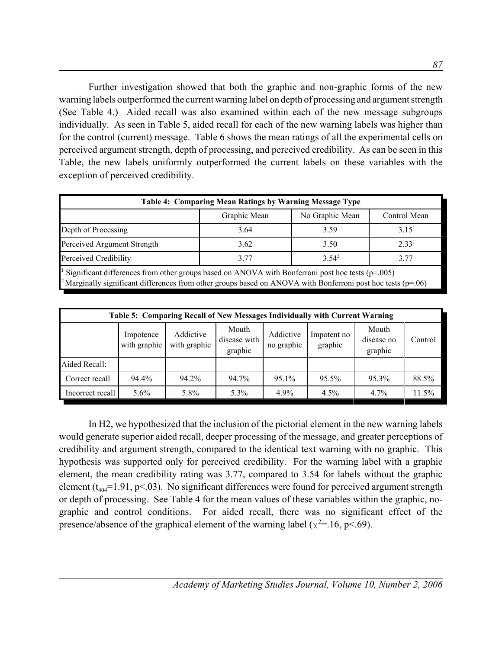Further investigation showed that both the graphic and non-graphic forms of the new warning labels outperformed the current warning label on depth of processing and argument strength (See Table 4.) Aided recall was also examined within each of the new message subgroups individually. As seen in Table 5, aided recall for each of the new warning labels was higher than for the control (current) message. Table 6 shows the mean ratings of all the experimental cells on perceived argument strength, depth of processing, and perceived credibility. As can be seen in this Table, the new labels uniformly outperformed the current labels on these variables with the exception of perceived credibility.

| Table 4: Comparing Mean Ratings by Warning Message Type                                                         |                   |                 |                   |  |  |  |
|-----------------------------------------------------------------------------------------------------------------|-------------------|-----------------|-------------------|--|--|--|
|                                                                                                                 | Graphic Mean      | No Graphic Mean | Control Mean      |  |  |  |
| Depth of Processing                                                                                             | 3.64              | 3.59            | 3.15 <sup>1</sup> |  |  |  |
| Perceived Argument Strength                                                                                     | 2.33 <sup>1</sup> |                 |                   |  |  |  |
| $3.54^2$<br>Perceived Credibility<br>3.77                                                                       |                   |                 |                   |  |  |  |
| <sup>1</sup> Significant differences from other groups based on ANOVA with Bonferroni post hoc tests $(p-0.05)$ |                   |                 |                   |  |  |  |

 Significant differences from other groups based on ANOVA with Bonferroni post hoc tests (p=.005) <sup>2</sup>Marginally significant differences from other groups based on ANOVA with Bonferroni post hoc tests ( $p=06$ )

| Table 5: Comparing Recall of New Messages Individually with Current Warning |                           |                           |                                  |                         |                        |                                |         |
|-----------------------------------------------------------------------------|---------------------------|---------------------------|----------------------------------|-------------------------|------------------------|--------------------------------|---------|
|                                                                             | Impotence<br>with graphic | Addictive<br>with graphic | Mouth<br>disease with<br>graphic | Addictive<br>no graphic | Impotent no<br>graphic | Mouth<br>disease no<br>graphic | Control |
| Aided Recall:                                                               |                           |                           |                                  |                         |                        |                                |         |
| Correct recall                                                              | 94.4%                     | 94.2%                     | 94.7%                            | 95.1%                   | 95.5%                  | 95.3%                          | 88.5%   |
| Incorrect recall                                                            | $5.6\%$                   | 5.8%                      | 5.3%                             | 4.9%                    | 4.5%                   | $4.7\%$                        | 11.5%   |

In H2, we hypothesized that the inclusion of the pictorial element in the new warning labels would generate superior aided recall, deeper processing of the message, and greater perceptions of credibility and argument strength, compared to the identical text warning with no graphic. This hypothesis was supported only for perceived credibility. For the warning label with a graphic element, the mean credibility rating was 3.77, compared to 3.54 for labels without the graphic element ( $t_{404}$ =1.91, p<.03). No significant differences were found for perceived argument strength or depth of processing. See Table 4 for the mean values of these variables within the graphic, nographic and control conditions. For aided recall, there was no significant effect of the presence/absence of the graphical element of the warning label ( $\chi^2$ =.16, p<.69).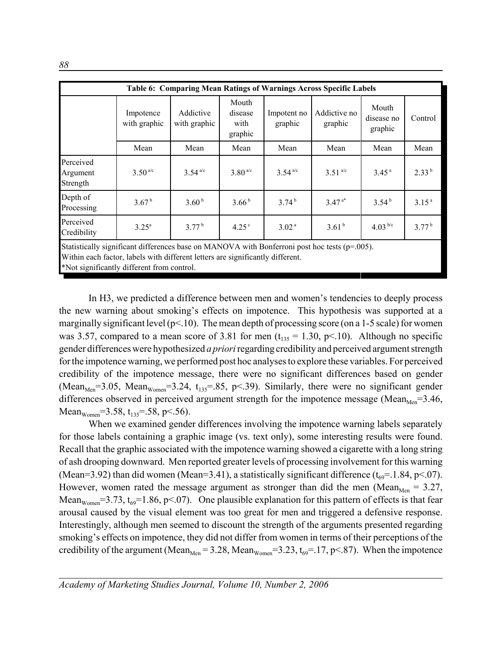|                                                                                                                                                                     | Table 6: Comparing Mean Ratings of Warnings Across Specific Labels                                 |                           |                                     |                        |                         |                                |            |  |
|---------------------------------------------------------------------------------------------------------------------------------------------------------------------|----------------------------------------------------------------------------------------------------|---------------------------|-------------------------------------|------------------------|-------------------------|--------------------------------|------------|--|
|                                                                                                                                                                     | Impotence<br>with graphic                                                                          | Addictive<br>with graphic | Mouth<br>disease<br>with<br>graphic | Impotent no<br>graphic | Addictive no<br>graphic | Mouth<br>disease no<br>graphic | Control    |  |
|                                                                                                                                                                     | Mean                                                                                               | Mean                      | Mean                                | Mean                   | Mean                    | Mean                           | Mean       |  |
| Perceived<br>Argument<br>Strength                                                                                                                                   | $3.50^{a/c}$                                                                                       | $3.54^{ a/c}$             | $3.80^{a/c}$                        | $3.54^{ a/c}$          | $3.51^{a/c}$            | 3.45 <sup>a</sup>              | $2.33^{b}$ |  |
| Depth of<br>3.67 <sup>b</sup><br>3.60 <sup>b</sup><br>3.74 <sup>b</sup><br>$3.47^{a*}$<br>3.66 <sup>b</sup><br>3.54 <sup>b</sup><br>3.15 <sup>a</sup><br>Processing |                                                                                                    |                           |                                     |                        |                         |                                |            |  |
| Perceived<br>Credibility                                                                                                                                            | $3.25^{\rm a}$                                                                                     | $3.77^{b}$                | $4.25^{\circ}$                      | 3.02 <sup>a</sup>      | 3.61 <sup>b</sup>       | 4.03 $b/c$                     | $3.77^{b}$ |  |
|                                                                                                                                                                     | Statistically significant differences base on MANOVA with Bonferroni post hoc tests ( $p=0.005$ ). |                           |                                     |                        |                         |                                |            |  |

Within each factor, labels with different letters are significantly different.

\*Not significantly different from control.

In H3, we predicted a difference between men and women's tendencies to deeply process the new warning about smoking's effects on impotence. This hypothesis was supported at a marginally significant level ( $p<10$ ). The mean depth of processing score (on a 1-5 scale) for women was 3.57, compared to a mean score of 3.81 for men  $(t<sub>135</sub> = 1.30, p<.10)$ . Although no specific gender differences were hypothesized *a priori* regarding credibility and perceived argument strength for the impotence warning, we performed post hoc analyses to explore these variables. For perceived credibility of the impotence message, there were no significant differences based on gender (Mean<sub>Men</sub>=3.05, Mean<sub>Women</sub>=3.24,  $t_{135}$ =.85, p<.39). Similarly, there were no significant gender differences observed in perceived argument strength for the impotence message (Mean<sub>Men</sub>=3.46, Mean<sub>Women</sub>=3.58,  $t_{135}$ =.58, p<.56).

When we examined gender differences involving the impotence warning labels separately for those labels containing a graphic image (vs. text only), some interesting results were found. Recall that the graphic associated with the impotence warning showed a cigarette with a long string of ash drooping downward. Men reported greater levels of processing involvement for this warning (Mean=3.92) than did women (Mean=3.41), a statistically significant difference  $(t_{69} = 1.84, p < 07)$ . However, women rated the message argument as stronger than did the men (Mean<sub>Men</sub> = 3.27, Mean<sub>Women</sub>=3.73,  $t_{69}$ =1.86, p<.07). One plausible explanation for this pattern of effects is that fear arousal caused by the visual element was too great for men and triggered a defensive response. Interestingly, although men seemed to discount the strength of the arguments presented regarding smoking's effects on impotence, they did not differ from women in terms of their perceptions of the credibility of the argument (Mean<sub>Men</sub> = 3.28, Mean<sub>Women</sub> = 3.23,  $t_{69}$  = 17, p < 87). When the impotence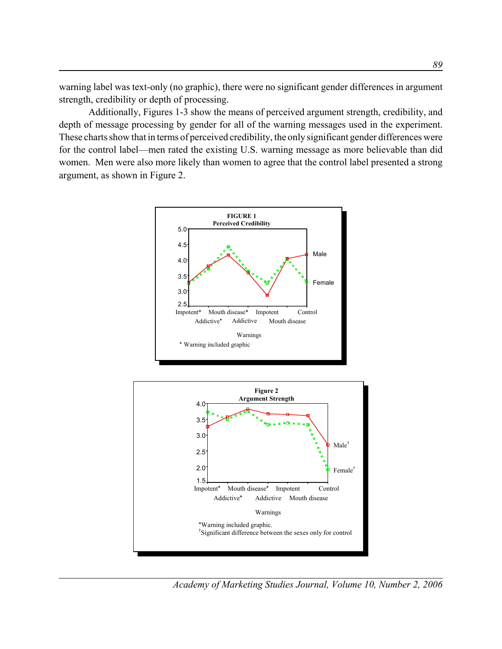warning label was text-only (no graphic), there were no significant gender differences in argument strength, credibility or depth of processing.

Additionally, Figures 1-3 show the means of perceived argument strength, credibility, and depth of message processing by gender for all of the warning messages used in the experiment. These charts show that in terms of perceived credibility, the only significant gender differences were for the control label—men rated the existing U.S. warning message as more believable than did women. Men were also more likely than women to agree that the control label presented a strong argument, as shown in Figure 2.





*Academy of Marketing Studies Journal, Volume 10, Number 2, 2006*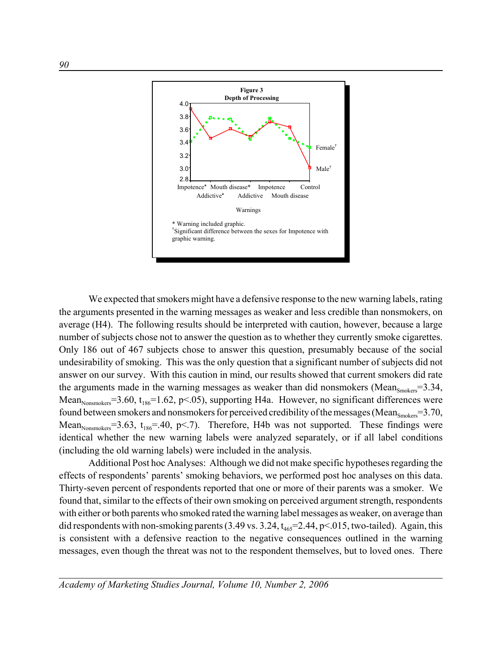

We expected that smokers might have a defensive response to the new warning labels, rating the arguments presented in the warning messages as weaker and less credible than nonsmokers, on average (H4). The following results should be interpreted with caution, however, because a large number of subjects chose not to answer the question as to whether they currently smoke cigarettes. Only 186 out of 467 subjects chose to answer this question, presumably because of the social undesirability of smoking. This was the only question that a significant number of subjects did not answer on our survey. With this caution in mind, our results showed that current smokers did rate the arguments made in the warning messages as weaker than did nonsmokers (Mean $_{\text{smokes}}=3.34$ , Mean<sub>Nonsmokers</sub>=3.60, t<sub>186</sub>=1.62, p<.05), supporting H4a. However, no significant differences were found between smokers and nonsmokers for perceived credibility of the messages (Mean $_{\rm{smokes}}=3.70$ , Mean<sub>Nonsmokers</sub>=3.63, t<sub>186</sub>=.40, p<.7). Therefore, H4b was not supported. These findings were identical whether the new warning labels were analyzed separately, or if all label conditions (including the old warning labels) were included in the analysis.

Additional Post hoc Analyses: Although we did not make specific hypotheses regarding the effects of respondents' parents' smoking behaviors, we performed post hoc analyses on this data. Thirty-seven percent of respondents reported that one or more of their parents was a smoker. We found that, similar to the effects of their own smoking on perceived argument strength, respondents with either or both parents who smoked rated the warning label messages as weaker, on average than did respondents with non-smoking parents  $(3.49 \text{ vs. } 3.24, t_{465} = 2.44, p < 0.015,$  two-tailed). Again, this is consistent with a defensive reaction to the negative consequences outlined in the warning messages, even though the threat was not to the respondent themselves, but to loved ones. There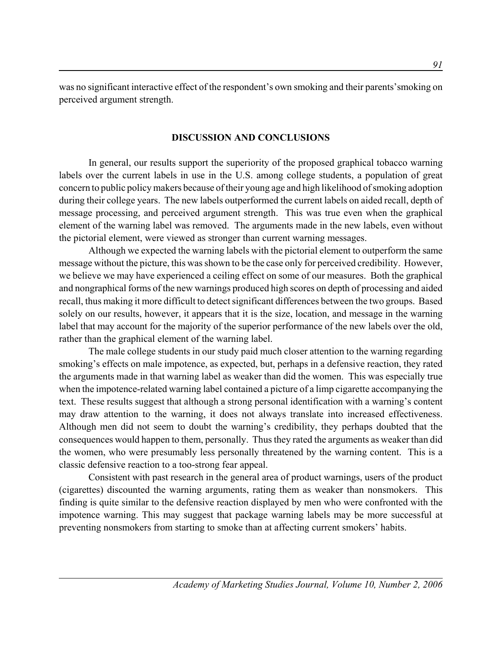was no significant interactive effect of the respondent's own smoking and their parents'smoking on perceived argument strength.

### **DISCUSSION AND CONCLUSIONS**

In general, our results support the superiority of the proposed graphical tobacco warning labels over the current labels in use in the U.S. among college students, a population of great concern to public policy makers because of their young age and high likelihood of smoking adoption during their college years. The new labels outperformed the current labels on aided recall, depth of message processing, and perceived argument strength. This was true even when the graphical element of the warning label was removed. The arguments made in the new labels, even without the pictorial element, were viewed as stronger than current warning messages.

Although we expected the warning labels with the pictorial element to outperform the same message without the picture, this was shown to be the case only for perceived credibility. However, we believe we may have experienced a ceiling effect on some of our measures. Both the graphical and nongraphical forms of the new warnings produced high scores on depth of processing and aided recall, thus making it more difficult to detect significant differences between the two groups. Based solely on our results, however, it appears that it is the size, location, and message in the warning label that may account for the majority of the superior performance of the new labels over the old, rather than the graphical element of the warning label.

The male college students in our study paid much closer attention to the warning regarding smoking's effects on male impotence, as expected, but, perhaps in a defensive reaction, they rated the arguments made in that warning label as weaker than did the women. This was especially true when the impotence-related warning label contained a picture of a limp cigarette accompanying the text. These results suggest that although a strong personal identification with a warning's content may draw attention to the warning, it does not always translate into increased effectiveness. Although men did not seem to doubt the warning's credibility, they perhaps doubted that the consequences would happen to them, personally. Thus they rated the arguments as weaker than did the women, who were presumably less personally threatened by the warning content. This is a classic defensive reaction to a too-strong fear appeal.

Consistent with past research in the general area of product warnings, users of the product (cigarettes) discounted the warning arguments, rating them as weaker than nonsmokers. This finding is quite similar to the defensive reaction displayed by men who were confronted with the impotence warning. This may suggest that package warning labels may be more successful at preventing nonsmokers from starting to smoke than at affecting current smokers' habits.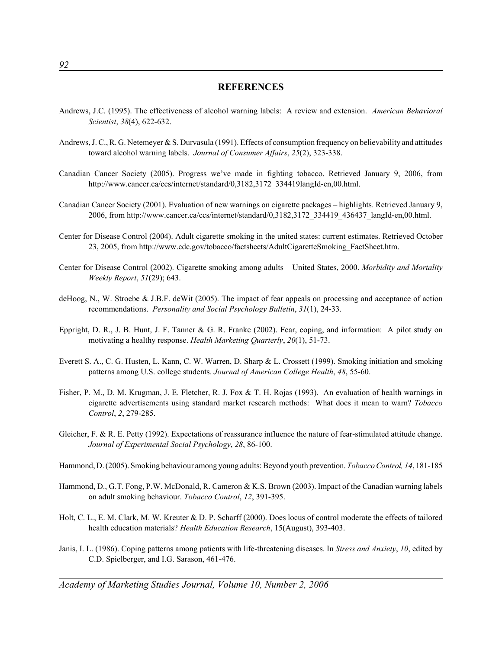### **REFERENCES**

- Andrews, J.C. (1995). The effectiveness of alcohol warning labels: A review and extension. *American Behavioral Scientist*, *38*(4), 622-632.
- Andrews, J. C., R. G. Netemeyer & S. Durvasula (1991). Effects of consumption frequency on believability and attitudes toward alcohol warning labels. *Journal of Consumer Affairs*, *25*(2), 323-338.
- Canadian Cancer Society (2005). Progress we've made in fighting tobacco. Retrieved January 9, 2006, from http://www.cancer.ca/ccs/internet/standard/0,3182,3172\_334419langId-en,00.html.
- Canadian Cancer Society (2001). Evaluation of new warnings on cigarette packages highlights. Retrieved January 9, 2006, from http://www.cancer.ca/ccs/internet/standard/0,3182,3172\_334419\_436437\_langId-en,00.html.
- Center for Disease Control (2004). Adult cigarette smoking in the united states: current estimates. Retrieved October 23, 2005, from http://www.cdc.gov/tobacco/factsheets/AdultCigaretteSmoking\_FactSheet.htm.
- Center for Disease Control (2002). Cigarette smoking among adults United States, 2000. *Morbidity and Mortality Weekly Report*, *51*(29); 643.
- deHoog, N., W. Stroebe & J.B.F. deWit (2005). The impact of fear appeals on processing and acceptance of action recommendations. *Personality and Social Psychology Bulletin*, *31*(1), 24-33.
- Eppright, D. R., J. B. Hunt, J. F. Tanner & G. R. Franke (2002). Fear, coping, and information: A pilot study on motivating a healthy response. *Health Marketing Quarterly*, *20*(1), 51-73.
- Everett S. A., C. G. Husten, L. Kann, C. W. Warren, D. Sharp & L. Crossett (1999). Smoking initiation and smoking patterns among U.S. college students. *Journal of American College Health*, *48*, 55-60.
- Fisher, P. M., D. M. Krugman, J. E. Fletcher, R. J. Fox & T. H. Rojas (1993). An evaluation of health warnings in cigarette advertisements using standard market research methods: What does it mean to warn? *Tobacco Control*, *2*, 279-285.
- Gleicher, F. & R. E. Petty (1992). Expectations of reassurance influence the nature of fear-stimulated attitude change. *Journal of Experimental Social Psychology*, *28*, 86-100.
- Hammond, D. (2005). Smoking behaviour among young adults: Beyond youth prevention. *Tobacco Control, 14*, 181-185
- Hammond, D., G.T. Fong, P.W. McDonald, R. Cameron & K.S. Brown (2003). Impact of the Canadian warning labels on adult smoking behaviour. *Tobacco Control*, *12*, 391-395.
- Holt, C. L., E. M. Clark, M. W. Kreuter & D. P. Scharff (2000). Does locus of control moderate the effects of tailored health education materials? *Health Education Research*, 15(August), 393-403.
- Janis, I. L. (1986). Coping patterns among patients with life-threatening diseases. In *Stress and Anxiety*, *10*, edited by C.D. Spielberger, and I.G. Sarason, 461-476.

*Academy of Marketing Studies Journal, Volume 10, Number 2, 2006*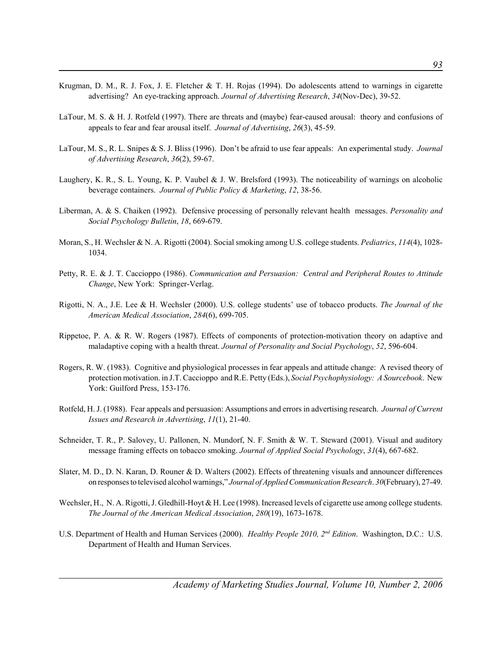- Krugman, D. M., R. J. Fox, J. E. Fletcher & T. H. Rojas (1994). Do adolescents attend to warnings in cigarette advertising? An eye-tracking approach. *Journal of Advertising Research*, *34*(Nov-Dec), 39-52.
- LaTour, M. S. & H. J. Rotfeld (1997). There are threats and (maybe) fear-caused arousal: theory and confusions of appeals to fear and fear arousal itself. *Journal of Advertising*, *26*(3), 45-59.
- LaTour, M. S., R. L. Snipes & S. J. Bliss (1996). Don't be afraid to use fear appeals: An experimental study. *Journal of Advertising Research*, *36*(2), 59-67.
- Laughery, K. R., S. L. Young, K. P. Vaubel & J. W. Brelsford (1993). The noticeability of warnings on alcoholic beverage containers. *Journal of Public Policy & Marketing*, *12*, 38-56.
- Liberman, A. & S. Chaiken (1992). Defensive processing of personally relevant health messages. *Personality and Social Psychology Bulletin*, *18*, 669-679.
- Moran, S., H. Wechsler & N. A. Rigotti (2004). Social smoking among U.S. college students. *Pediatrics*, *114*(4), 1028- 1034.
- Petty, R. E. & J. T. Caccioppo (1986). *Communication and Persuasion: Central and Peripheral Routes to Attitude Change*, New York: Springer-Verlag.
- Rigotti, N. A., J.E. Lee & H. Wechsler (2000). U.S. college students' use of tobacco products. *The Journal of the American Medical Association*, *284*(6), 699-705.
- Rippetoe, P. A. & R. W. Rogers (1987). Effects of components of protection-motivation theory on adaptive and maladaptive coping with a health threat. *Journal of Personality and Social Psychology*, *52*, 596-604.
- Rogers, R. W. (1983). Cognitive and physiological processes in fear appeals and attitude change: A revised theory of protection motivation. in J.T. Caccioppo and R.E. Petty (Eds.), *Social Psychophysiology: A Sourcebook*. New York: Guilford Press, 153-176.
- Rotfeld, H. J. (1988). Fear appeals and persuasion: Assumptions and errors in advertising research. *Journal of Current Issues and Research in Advertising*, *11*(1), 21-40.
- Schneider, T. R., P. Salovey, U. Pallonen, N. Mundorf, N. F. Smith & W. T. Steward (2001). Visual and auditory message framing effects on tobacco smoking. *Journal of Applied Social Psychology*, *31*(4), 667-682.
- Slater, M. D., D. N. Karan, D. Rouner & D. Walters (2002). Effects of threatening visuals and announcer differences on responses to televised alcohol warnings," *Journal of Applied Communication Research*. *30*(February), 27-49.
- Wechsler, H., N. A. Rigotti, J. Gledhill-Hoyt & H. Lee (1998). Increased levels of cigarette use among college students. *The Journal of the American Medical Association*, *280*(19), 1673-1678.
- U.S. Department of Health and Human Services (2000). *Healthy People 2010, 2nd Edition*. Washington, D.C.: U.S. Department of Health and Human Services.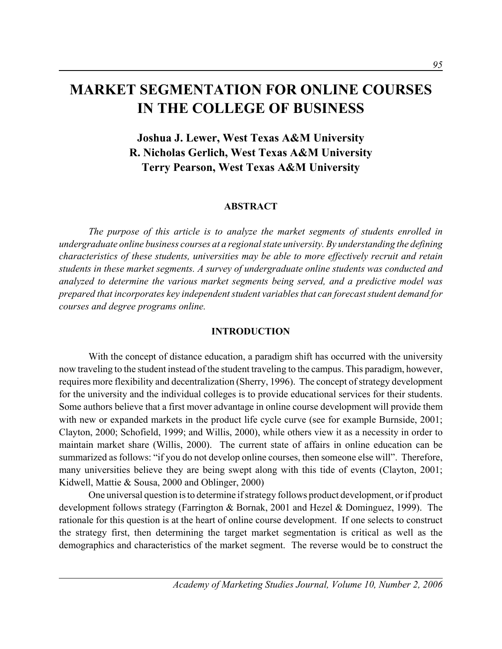# **MARKET SEGMENTATION FOR ONLINE COURSES IN THE COLLEGE OF BUSINESS**

# **Joshua J. Lewer, West Texas A&M University R. Nicholas Gerlich, West Texas A&M University Terry Pearson, West Texas A&M University**

### **ABSTRACT**

*The purpose of this article is to analyze the market segments of students enrolled in undergraduate online business courses at a regional state university. By understanding the defining characteristics of these students, universities may be able to more effectively recruit and retain students in these market segments. A survey of undergraduate online students was conducted and analyzed to determine the various market segments being served, and a predictive model was prepared that incorporates key independent student variables that can forecast student demand for courses and degree programs online.*

### **INTRODUCTION**

With the concept of distance education, a paradigm shift has occurred with the university now traveling to the student instead of the student traveling to the campus. This paradigm, however, requires more flexibility and decentralization (Sherry, 1996). The concept of strategy development for the university and the individual colleges is to provide educational services for their students. Some authors believe that a first mover advantage in online course development will provide them with new or expanded markets in the product life cycle curve (see for example Burnside, 2001; Clayton, 2000; Schofield, 1999; and Willis, 2000), while others view it as a necessity in order to maintain market share (Willis, 2000). The current state of affairs in online education can be summarized as follows: "if you do not develop online courses, then someone else will". Therefore, many universities believe they are being swept along with this tide of events (Clayton, 2001; Kidwell, Mattie & Sousa, 2000 and Oblinger, 2000)

One universal question is to determine if strategy follows product development, or if product development follows strategy (Farrington & Bornak, 2001 and Hezel & Dominguez, 1999). The rationale for this question is at the heart of online course development. If one selects to construct the strategy first, then determining the target market segmentation is critical as well as the demographics and characteristics of the market segment. The reverse would be to construct the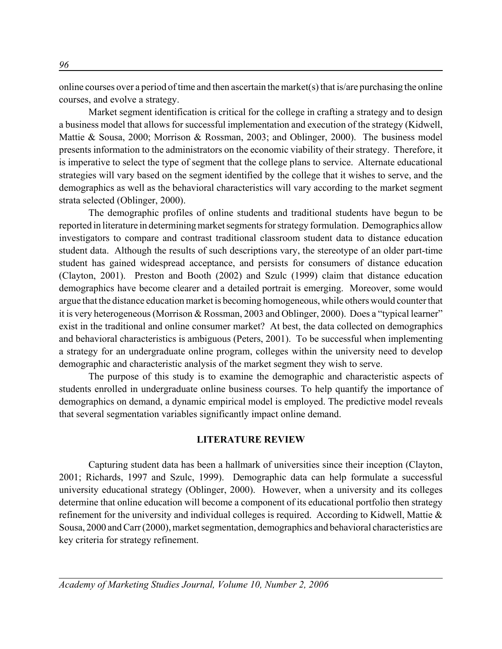online courses over a period of time and then ascertain the market(s) that is/are purchasing the online courses, and evolve a strategy.

Market segment identification is critical for the college in crafting a strategy and to design a business model that allows for successful implementation and execution of the strategy (Kidwell, Mattie & Sousa, 2000; Morrison & Rossman, 2003; and Oblinger, 2000). The business model presents information to the administrators on the economic viability of their strategy. Therefore, it is imperative to select the type of segment that the college plans to service. Alternate educational strategies will vary based on the segment identified by the college that it wishes to serve, and the demographics as well as the behavioral characteristics will vary according to the market segment strata selected (Oblinger, 2000).

The demographic profiles of online students and traditional students have begun to be reported in literature in determining market segments for strategy formulation. Demographics allow investigators to compare and contrast traditional classroom student data to distance education student data. Although the results of such descriptions vary, the stereotype of an older part-time student has gained widespread acceptance, and persists for consumers of distance education (Clayton, 2001). Preston and Booth (2002) and Szulc (1999) claim that distance education demographics have become clearer and a detailed portrait is emerging. Moreover, some would argue that the distance education market is becoming homogeneous, while others would counter that it is very heterogeneous (Morrison & Rossman, 2003 and Oblinger, 2000). Does a "typical learner" exist in the traditional and online consumer market? At best, the data collected on demographics and behavioral characteristics is ambiguous (Peters, 2001). To be successful when implementing a strategy for an undergraduate online program, colleges within the university need to develop demographic and characteristic analysis of the market segment they wish to serve.

The purpose of this study is to examine the demographic and characteristic aspects of students enrolled in undergraduate online business courses. To help quantify the importance of demographics on demand, a dynamic empirical model is employed. The predictive model reveals that several segmentation variables significantly impact online demand.

### **LITERATURE REVIEW**

Capturing student data has been a hallmark of universities since their inception (Clayton, 2001; Richards, 1997 and Szulc, 1999). Demographic data can help formulate a successful university educational strategy (Oblinger, 2000). However, when a university and its colleges determine that online education will become a component of its educational portfolio then strategy refinement for the university and individual colleges is required. According to Kidwell, Mattie & Sousa, 2000 and Carr (2000), market segmentation, demographics and behavioral characteristics are key criteria for strategy refinement.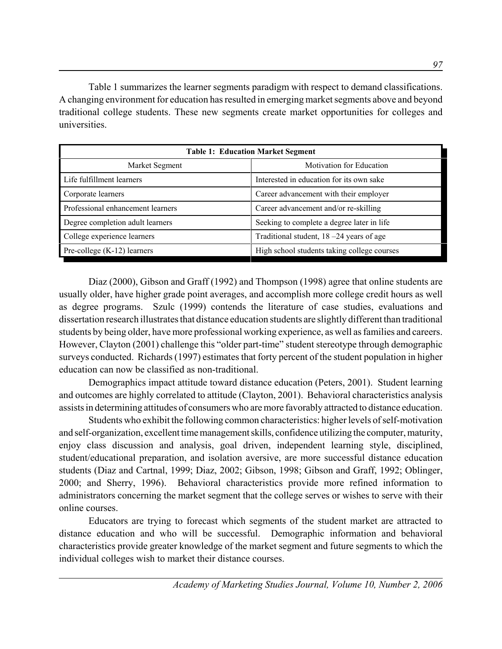Table 1 summarizes the learner segments paradigm with respect to demand classifications. A changing environment for education has resulted in emerging market segments above and beyond traditional college students. These new segments create market opportunities for colleges and universities.

| <b>Table 1: Education Market Segment</b> |                                             |  |  |  |
|------------------------------------------|---------------------------------------------|--|--|--|
| Market Segment                           | <b>Motivation for Education</b>             |  |  |  |
| Life fulfillment learners                | Interested in education for its own sake    |  |  |  |
| Corporate learners                       | Career advancement with their employer      |  |  |  |
| Professional enhancement learners        | Career advancement and/or re-skilling       |  |  |  |
| Degree completion adult learners         | Seeking to complete a degree later in life  |  |  |  |
| College experience learners              | Traditional student, 18 -24 years of age    |  |  |  |
| Pre-college $(K-12)$ learners            | High school students taking college courses |  |  |  |

Diaz (2000), Gibson and Graff (1992) and Thompson (1998) agree that online students are usually older, have higher grade point averages, and accomplish more college credit hours as well as degree programs. Szulc (1999) contends the literature of case studies, evaluations and dissertation research illustrates that distance education students are slightly different than traditional students by being older, have more professional working experience, as well as families and careers. However, Clayton (2001) challenge this "older part-time" student stereotype through demographic surveys conducted. Richards (1997) estimates that forty percent of the student population in higher education can now be classified as non-traditional.

Demographics impact attitude toward distance education (Peters, 2001). Student learning and outcomes are highly correlated to attitude (Clayton, 2001). Behavioral characteristics analysis assists in determining attitudes of consumers who are more favorably attracted to distance education.

Students who exhibit the following common characteristics: higher levels of self-motivation and self-organization, excellent time management skills, confidence utilizing the computer, maturity, enjoy class discussion and analysis, goal driven, independent learning style, disciplined, student/educational preparation, and isolation aversive, are more successful distance education students (Diaz and Cartnal, 1999; Diaz, 2002; Gibson, 1998; Gibson and Graff, 1992; Oblinger, 2000; and Sherry, 1996). Behavioral characteristics provide more refined information to administrators concerning the market segment that the college serves or wishes to serve with their online courses.

Educators are trying to forecast which segments of the student market are attracted to distance education and who will be successful. Demographic information and behavioral characteristics provide greater knowledge of the market segment and future segments to which the individual colleges wish to market their distance courses.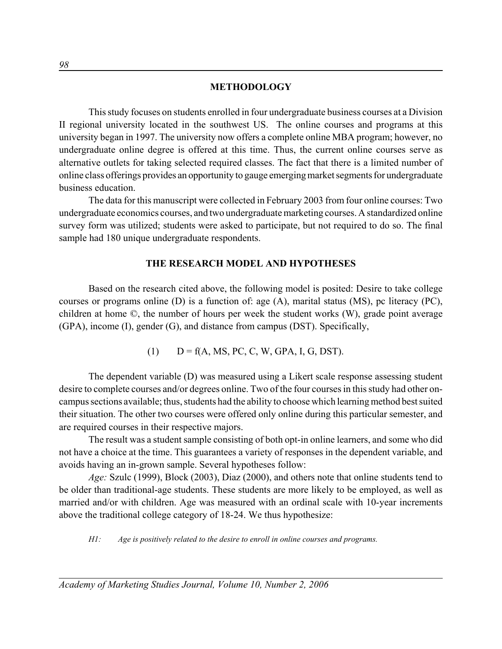#### **METHODOLOGY**

This study focuses on students enrolled in four undergraduate business courses at a Division II regional university located in the southwest US. The online courses and programs at this university began in 1997. The university now offers a complete online MBA program; however, no undergraduate online degree is offered at this time. Thus, the current online courses serve as alternative outlets for taking selected required classes. The fact that there is a limited number of online class offerings provides an opportunity to gauge emerging market segments for undergraduate business education.

The data for this manuscript were collected in February 2003 from four online courses: Two undergraduate economics courses, and two undergraduate marketing courses. A standardized online survey form was utilized; students were asked to participate, but not required to do so. The final sample had 180 unique undergraduate respondents.

### **THE RESEARCH MODEL AND HYPOTHESES**

Based on the research cited above, the following model is posited: Desire to take college courses or programs online (D) is a function of: age (A), marital status (MS), pc literacy (PC), children at home ©, the number of hours per week the student works (W), grade point average (GPA), income (I), gender (G), and distance from campus (DST). Specifically,

(1)  $D = f(A, MS, PC, C, W, GPA, I, G, DST).$ 

The dependent variable (D) was measured using a Likert scale response assessing student desire to complete courses and/or degrees online. Two of the four courses in this study had other oncampus sections available; thus, students had the ability to choose which learning method best suited their situation. The other two courses were offered only online during this particular semester, and are required courses in their respective majors.

The result was a student sample consisting of both opt-in online learners, and some who did not have a choice at the time. This guarantees a variety of responses in the dependent variable, and avoids having an in-grown sample. Several hypotheses follow:

*Age:* Szulc (1999), Block (2003), Diaz (2000), and others note that online students tend to be older than traditional-age students. These students are more likely to be employed, as well as married and/or with children. Age was measured with an ordinal scale with 10-year increments above the traditional college category of 18-24. We thus hypothesize:

*H1: Age is positively related to the desire to enroll in online courses and programs.*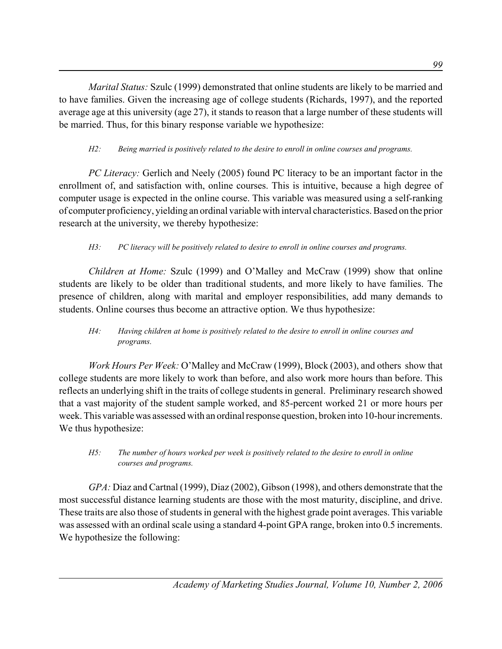*Marital Status:* Szulc (1999) demonstrated that online students are likely to be married and to have families. Given the increasing age of college students (Richards, 1997), and the reported average age at this university (age 27), it stands to reason that a large number of these students will be married. Thus, for this binary response variable we hypothesize:

# *H2: Being married is positively related to the desire to enroll in online courses and programs.*

*PC Literacy:* Gerlich and Neely (2005) found PC literacy to be an important factor in the enrollment of, and satisfaction with, online courses. This is intuitive, because a high degree of computer usage is expected in the online course. This variable was measured using a self-ranking of computer proficiency, yielding an ordinal variable with interval characteristics. Based on the prior research at the university, we thereby hypothesize:

# *H3: PC literacy will be positively related to desire to enroll in online courses and programs.*

*Children at Home:* Szulc (1999) and O'Malley and McCraw (1999) show that online students are likely to be older than traditional students, and more likely to have families. The presence of children, along with marital and employer responsibilities, add many demands to students. Online courses thus become an attractive option. We thus hypothesize:

# *H4: Having children at home is positively related to the desire to enroll in online courses and programs.*

*Work Hours Per Week:* O'Malley and McCraw (1999), Block (2003), and others show that college students are more likely to work than before, and also work more hours than before. This reflects an underlying shift in the traits of college students in general. Preliminary research showed that a vast majority of the student sample worked, and 85-percent worked 21 or more hours per week. This variable was assessed with an ordinal response question, broken into 10-hour increments. We thus hypothesize:

### *H5: The number of hours worked per week is positively related to the desire to enroll in online courses and programs.*

*GPA:* Diaz and Cartnal (1999), Diaz (2002), Gibson (1998), and others demonstrate that the most successful distance learning students are those with the most maturity, discipline, and drive. These traits are also those of students in general with the highest grade point averages. This variable was assessed with an ordinal scale using a standard 4-point GPA range, broken into 0.5 increments. We hypothesize the following: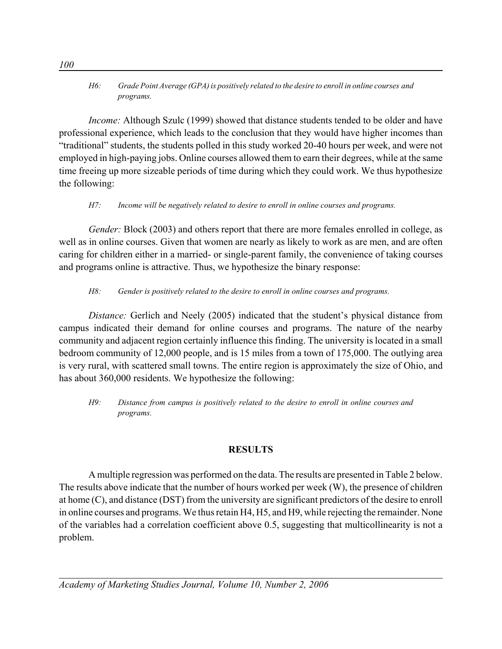### *H6: Grade Point Average (GPA) is positively related to the desire to enroll in online courses and programs.*

*Income:* Although Szulc (1999) showed that distance students tended to be older and have professional experience, which leads to the conclusion that they would have higher incomes than "traditional" students, the students polled in this study worked 20-40 hours per week, and were not employed in high-paying jobs. Online courses allowed them to earn their degrees, while at the same time freeing up more sizeable periods of time during which they could work. We thus hypothesize the following:

# *H7: Income will be negatively related to desire to enroll in online courses and programs.*

*Gender:* Block (2003) and others report that there are more females enrolled in college, as well as in online courses. Given that women are nearly as likely to work as are men, and are often caring for children either in a married- or single-parent family, the convenience of taking courses and programs online is attractive. Thus, we hypothesize the binary response:

# *H8: Gender is positively related to the desire to enroll in online courses and programs.*

*Distance:* Gerlich and Neely (2005) indicated that the student's physical distance from campus indicated their demand for online courses and programs. The nature of the nearby community and adjacent region certainly influence this finding. The university is located in a small bedroom community of 12,000 people, and is 15 miles from a town of 175,000. The outlying area is very rural, with scattered small towns. The entire region is approximately the size of Ohio, and has about 360,000 residents. We hypothesize the following:

*H9: Distance from campus is positively related to the desire to enroll in online courses and programs.*

# **RESULTS**

A multiple regression was performed on the data. The results are presented in Table 2 below. The results above indicate that the number of hours worked per week (W), the presence of children at home (C), and distance (DST) from the university are significant predictors of the desire to enroll in online courses and programs. We thus retain H4, H5, and H9, while rejecting the remainder. None of the variables had a correlation coefficient above 0.5, suggesting that multicollinearity is not a problem.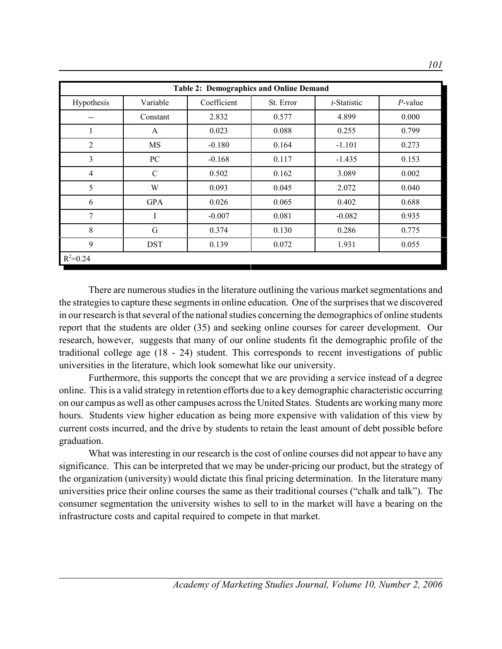| <b>Table 2: Demographics and Online Demand</b> |               |             |           |             |            |
|------------------------------------------------|---------------|-------------|-----------|-------------|------------|
| Hypothesis                                     | Variable      | Coefficient | St. Error | t-Statistic | $P$ -value |
| --                                             | Constant      | 2.832       | 0.577     | 4.899       | 0.000      |
|                                                | $\mathbf{A}$  | 0.023       | 0.088     | 0.255       | 0.799      |
| $\overline{2}$                                 | <b>MS</b>     | $-0.180$    | 0.164     | $-1.101$    | 0.273      |
| 3                                              | PC            | $-0.168$    | 0.117     | $-1.435$    | 0.153      |
| $\overline{4}$                                 | $\mathcal{C}$ | 0.502       | 0.162     | 3.089       | 0.002      |
| 5                                              | W             | 0.093       | 0.045     | 2.072       | 0.040      |
| 6                                              | <b>GPA</b>    | 0.026       | 0.065     | 0.402       | 0.688      |
| 7                                              | I             | $-0.007$    | 0.081     | $-0.082$    | 0.935      |
| 8                                              | G             | 0.374       | 0.130     | 0.286       | 0.775      |
| 9                                              | <b>DST</b>    | 0.139       | 0.072     | 1.931       | 0.055      |
| $R^2 = 0.24$                                   |               |             |           |             |            |

There are numerous studies in the literature outlining the various market segmentations and the strategies to capture these segments in online education. One of the surprises that we discovered in our research is that several of the national studies concerning the demographics of online students report that the students are older (35) and seeking online courses for career development. Our research, however, suggests that many of our online students fit the demographic profile of the traditional college age (18 - 24) student. This corresponds to recent investigations of public universities in the literature, which look somewhat like our university.

Furthermore, this supports the concept that we are providing a service instead of a degree online. This is a valid strategy in retention efforts due to a key demographic characteristic occurring on our campus as well as other campuses across the United States. Students are working many more hours. Students view higher education as being more expensive with validation of this view by current costs incurred, and the drive by students to retain the least amount of debt possible before graduation.

What was interesting in our research is the cost of online courses did not appear to have any significance. This can be interpreted that we may be under-pricing our product, but the strategy of the organization (university) would dictate this final pricing determination. In the literature many universities price their online courses the same as their traditional courses ("chalk and talk"). The consumer segmentation the university wishes to sell to in the market will have a bearing on the infrastructure costs and capital required to compete in that market.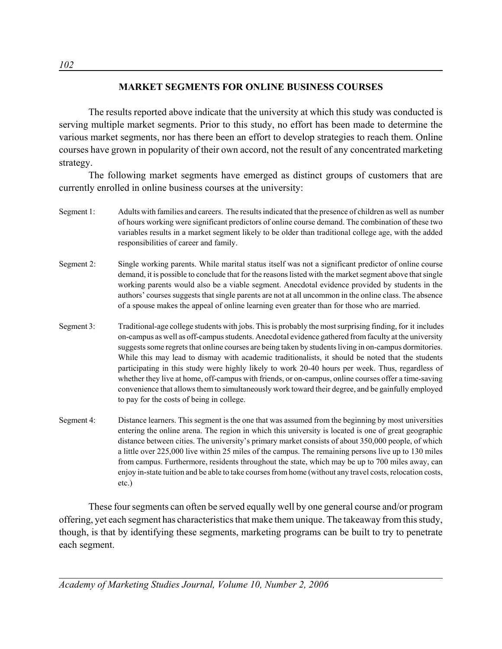### **MARKET SEGMENTS FOR ONLINE BUSINESS COURSES**

The results reported above indicate that the university at which this study was conducted is serving multiple market segments. Prior to this study, no effort has been made to determine the various market segments, nor has there been an effort to develop strategies to reach them. Online courses have grown in popularity of their own accord, not the result of any concentrated marketing strategy.

The following market segments have emerged as distinct groups of customers that are currently enrolled in online business courses at the university:

- Segment 1: Adults with families and careers. The results indicated that the presence of children as well as number of hours working were significant predictors of online course demand. The combination of these two variables results in a market segment likely to be older than traditional college age, with the added responsibilities of career and family.
- Segment 2: Single working parents. While marital status itself was not a significant predictor of online course demand, it is possible to conclude that for the reasons listed with the market segment above that single working parents would also be a viable segment. Anecdotal evidence provided by students in the authors' courses suggests that single parents are not at all uncommon in the online class. The absence of a spouse makes the appeal of online learning even greater than for those who are married.
- Segment 3: Traditional-age college students with jobs. This is probably the most surprising finding, for it includes on-campus as well as off-campus students. Anecdotal evidence gathered from faculty at the university suggests some regrets that online courses are being taken by students living in on-campus dormitories. While this may lead to dismay with academic traditionalists, it should be noted that the students participating in this study were highly likely to work 20-40 hours per week. Thus, regardless of whether they live at home, off-campus with friends, or on-campus, online courses offer a time-saving convenience that allows them to simultaneously work toward their degree, and be gainfully employed to pay for the costs of being in college.
- Segment 4: Distance learners. This segment is the one that was assumed from the beginning by most universities entering the online arena. The region in which this university is located is one of great geographic distance between cities. The university's primary market consists of about 350,000 people, of which a little over 225,000 live within 25 miles of the campus. The remaining persons live up to 130 miles from campus. Furthermore, residents throughout the state, which may be up to 700 miles away, can enjoy in-state tuition and be able to take courses from home (without any travel costs, relocation costs, etc.)

These four segments can often be served equally well by one general course and/or program offering, yet each segment has characteristics that make them unique. The takeaway from this study, though, is that by identifying these segments, marketing programs can be built to try to penetrate each segment.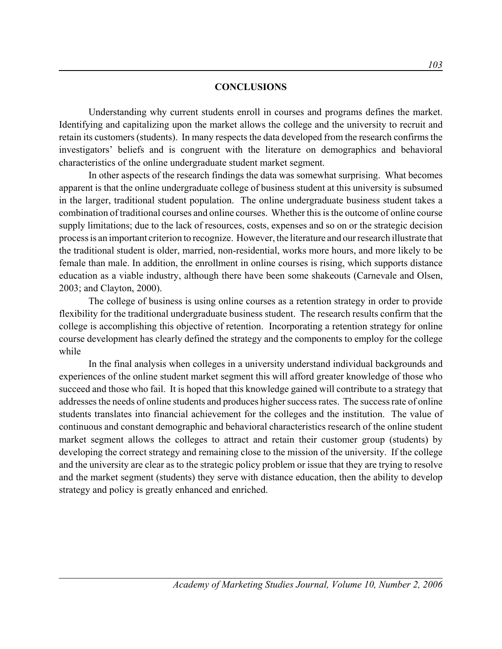#### **CONCLUSIONS**

Understanding why current students enroll in courses and programs defines the market. Identifying and capitalizing upon the market allows the college and the university to recruit and retain its customers (students). In many respects the data developed from the research confirms the investigators' beliefs and is congruent with the literature on demographics and behavioral characteristics of the online undergraduate student market segment.

In other aspects of the research findings the data was somewhat surprising. What becomes apparent is that the online undergraduate college of business student at this university is subsumed in the larger, traditional student population. The online undergraduate business student takes a combination of traditional courses and online courses. Whether this is the outcome of online course supply limitations; due to the lack of resources, costs, expenses and so on or the strategic decision process is an important criterion to recognize. However, the literature and our research illustrate that the traditional student is older, married, non-residential, works more hours, and more likely to be female than male. In addition, the enrollment in online courses is rising, which supports distance education as a viable industry, although there have been some shakeouts (Carnevale and Olsen, 2003; and Clayton, 2000).

The college of business is using online courses as a retention strategy in order to provide flexibility for the traditional undergraduate business student. The research results confirm that the college is accomplishing this objective of retention. Incorporating a retention strategy for online course development has clearly defined the strategy and the components to employ for the college while

In the final analysis when colleges in a university understand individual backgrounds and experiences of the online student market segment this will afford greater knowledge of those who succeed and those who fail. It is hoped that this knowledge gained will contribute to a strategy that addresses the needs of online students and produces higher success rates. The success rate of online students translates into financial achievement for the colleges and the institution. The value of continuous and constant demographic and behavioral characteristics research of the online student market segment allows the colleges to attract and retain their customer group (students) by developing the correct strategy and remaining close to the mission of the university. If the college and the university are clear as to the strategic policy problem or issue that they are trying to resolve and the market segment (students) they serve with distance education, then the ability to develop strategy and policy is greatly enhanced and enriched.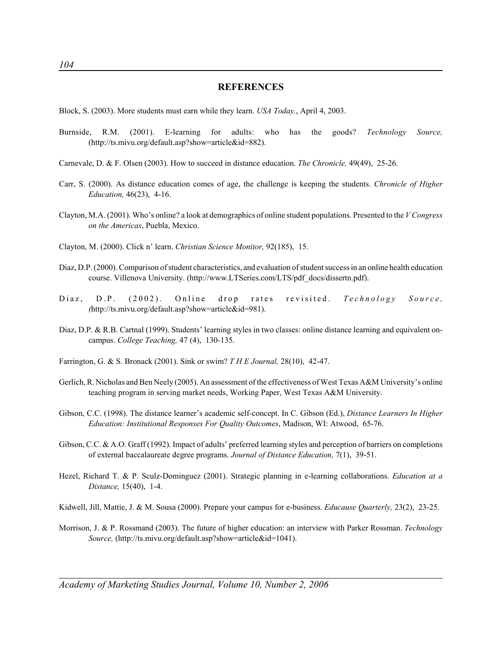#### **REFERENCES**

- Block, S. (2003). More students must earn while they learn. *USA Today.*, April 4, 2003.
- Burnside, R.M. (2001). E-learning for adults: who has the goods? *Technology Source,* (http://ts.mivu.org/default.asp?show=article&id=882).
- Carnevale, D. & F. Olsen (2003). How to succeed in distance education. *The Chronicle,* 49(49), 25-26.
- Carr, S. (2000). As distance education comes of age, the challenge is keeping the students. *Chronicle of Higher Education,* 46(23), 4-16.
- Clayton, M.A. (2001). Who's online? a look at demographics of online student populations. Presented to the *V Congress on the Americas*, Puebla, Mexico.
- Clayton, M. (2000). Click n' learn. *Christian Science Monitor,* 92(185), 15.
- Diaz, D.P. (2000). Comparison of student characteristics, and evaluation of student success in an online health education course. Villenova University. (http://www.LTSeries.com/LTS/pdf\_docs/dissertn.pdf).
- Diaz, D.P. (2002). Online drop rates revisited. *Technology Source, (*http://ts.mivu.org/default.asp?show=article&id=981).
- Diaz, D.P. & R.B. Cartnal (1999). Students' learning styles in two classes: online distance learning and equivalent oncampus. *College Teaching,* 47 (4), 130-135.
- Farrington, G. & S. Bronack (2001). Sink or swim? *T H E Journal,* 28(10), 42-47.
- Gerlich, R. Nicholas and Ben Neely (2005). An assessment of the effectiveness of West Texas A&M University's online teaching program in serving market needs, Working Paper, West Texas A&M University.
- Gibson, C.C. (1998). The distance learner's academic self-concept. In C. Gibson (Ed.), *Distance Learners In Higher Education: Institutional Responses For Quality Outcomes*, Madison, WI: Atwood, 65-76.
- Gibson, C.C. & A.O. Graff (1992). Impact of adults' preferred learning styles and perception of barriers on completions of external baccalaureate degree programs. *Journal of Distance Education,* 7(1), 39-51.
- Hezel, Richard T. & P. Sculz-Dominguez (2001). Strategic planning in e-learning collaborations. *Education at a Distance,* 15(40), 1-4.
- Kidwell, Jill, Mattie, J. & M. Sousa (2000). Prepare your campus for e-business. *Educause Quarterly,* 23(2), 23-25.
- Morrison, J. & P. Rossmand (2003). The future of higher education: an interview with Parker Rossman. *Technology Source,* (http://ts.mivu.org/default.asp?show=article&id=1041).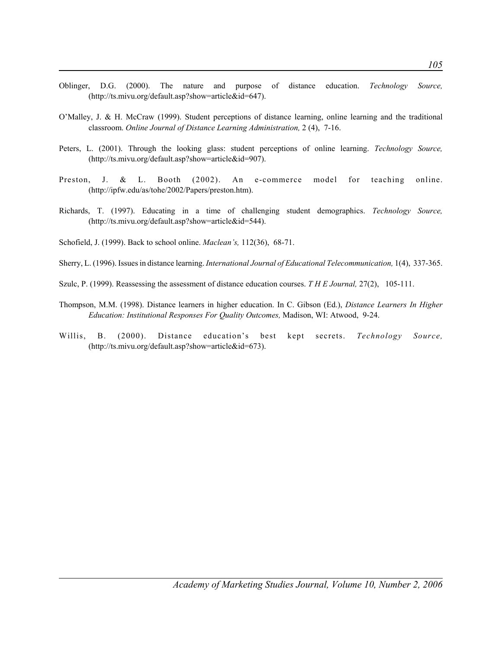- Oblinger, D.G. (2000). The nature and purpose of distance education. *Technology Source,* (http://ts.mivu.org/default.asp?show=article&id=647).
- O'Malley, J. & H. McCraw (1999). Student perceptions of distance learning, online learning and the traditional classroom. *Online Journal of Distance Learning Administration,* 2 (4), 7-16.
- Peters, L. (2001). Through the looking glass: student perceptions of online learning. *Technology Source,* (http://ts.mivu.org/default.asp?show=article&id=907).
- Preston, J. & L. Booth (2002). An e-commerce model for teaching online. (http://ipfw.edu/as/tohe/2002/Papers/preston.htm).
- Richards, T. (1997). Educating in a time of challenging student demographics. *Technology Source,* (http://ts.mivu.org/default.asp?show=article&id=544).
- Schofield, J. (1999). Back to school online. *Maclean's,* 112(36), 68-71.
- Sherry, L. (1996). Issues in distance learning. *International Journal of Educational Telecommunication,* 1(4), 337-365.
- Szulc, P. (1999). Reassessing the assessment of distance education courses. *T H E Journal,* 27(2), 105-111.
- Thompson, M.M. (1998). Distance learners in higher education. In C. Gibson (Ed.), *Distance Learners In Higher Education: Institutional Responses For Quality Outcomes,* Madison, WI: Atwood, 9-24.
- Willis, B. (2000). Distance education's best kept secrets. *Technology Source,* (http://ts.mivu.org/default.asp?show=article&id=673).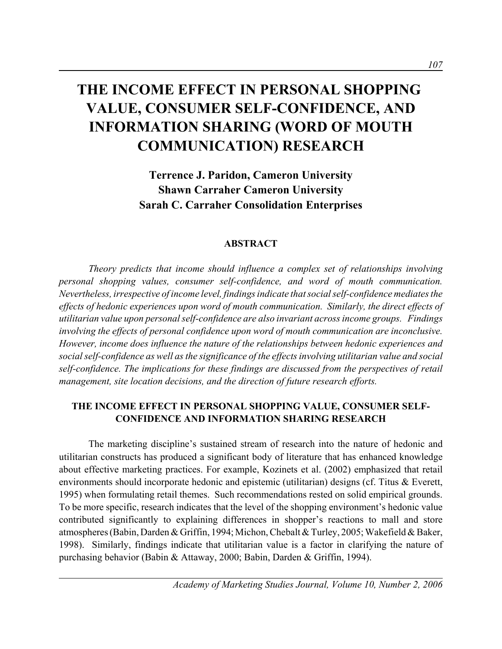# **THE INCOME EFFECT IN PERSONAL SHOPPING VALUE, CONSUMER SELF-CONFIDENCE, AND INFORMATION SHARING (WORD OF MOUTH COMMUNICATION) RESEARCH**

**Terrence J. Paridon, Cameron University Shawn Carraher Cameron University Sarah C. Carraher Consolidation Enterprises**

#### **ABSTRACT**

*Theory predicts that income should influence a complex set of relationships involving personal shopping values, consumer self-confidence, and word of mouth communication. Nevertheless, irrespective of income level, findings indicate that social self-confidence mediates the effects of hedonic experiences upon word of mouth communication. Similarly, the direct effects of utilitarian value upon personal self-confidence are also invariant across income groups. Findings involving the effects of personal confidence upon word of mouth communication are inconclusive. However, income does influence the nature of the relationships between hedonic experiences and social self-confidence as well as the significance of the effects involving utilitarian value and social self-confidence. The implications for these findings are discussed from the perspectives of retail management, site location decisions, and the direction of future research efforts.* 

# **THE INCOME EFFECT IN PERSONAL SHOPPING VALUE, CONSUMER SELF-CONFIDENCE AND INFORMATION SHARING RESEARCH**

The marketing discipline's sustained stream of research into the nature of hedonic and utilitarian constructs has produced a significant body of literature that has enhanced knowledge about effective marketing practices. For example, Kozinets et al. (2002) emphasized that retail environments should incorporate hedonic and epistemic (utilitarian) designs (cf. Titus & Everett, 1995) when formulating retail themes. Such recommendations rested on solid empirical grounds. To be more specific, research indicates that the level of the shopping environment's hedonic value contributed significantly to explaining differences in shopper's reactions to mall and store atmospheres (Babin, Darden & Griffin, 1994; Michon, Chebalt & Turley, 2005; Wakefield & Baker, 1998). Similarly, findings indicate that utilitarian value is a factor in clarifying the nature of purchasing behavior (Babin & Attaway, 2000; Babin, Darden & Griffin, 1994).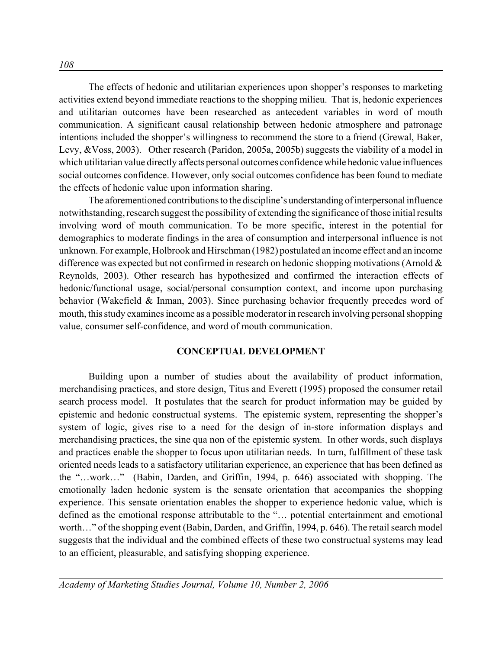The effects of hedonic and utilitarian experiences upon shopper's responses to marketing activities extend beyond immediate reactions to the shopping milieu. That is, hedonic experiences and utilitarian outcomes have been researched as antecedent variables in word of mouth communication. A significant causal relationship between hedonic atmosphere and patronage intentions included the shopper's willingness to recommend the store to a friend (Grewal, Baker, Levy, &Voss, 2003). Other research (Paridon, 2005a, 2005b) suggests the viability of a model in which utilitarian value directly affects personal outcomes confidence while hedonic value influences social outcomes confidence. However, only social outcomes confidence has been found to mediate the effects of hedonic value upon information sharing.

The aforementioned contributions to the discipline's understanding of interpersonal influence notwithstanding, research suggest the possibility of extending the significance of those initial results involving word of mouth communication. To be more specific, interest in the potential for demographics to moderate findings in the area of consumption and interpersonal influence is not unknown. For example, Holbrook and Hirschman (1982) postulated an income effect and an income difference was expected but not confirmed in research on hedonic shopping motivations (Arnold & Reynolds, 2003). Other research has hypothesized and confirmed the interaction effects of hedonic/functional usage, social/personal consumption context, and income upon purchasing behavior (Wakefield & Inman, 2003). Since purchasing behavior frequently precedes word of mouth, this study examines income as a possible moderator in research involving personal shopping value, consumer self-confidence, and word of mouth communication.

### **CONCEPTUAL DEVELOPMENT**

Building upon a number of studies about the availability of product information, merchandising practices, and store design, Titus and Everett (1995) proposed the consumer retail search process model. It postulates that the search for product information may be guided by epistemic and hedonic constructual systems. The epistemic system, representing the shopper's system of logic, gives rise to a need for the design of in-store information displays and merchandising practices, the sine qua non of the epistemic system. In other words, such displays and practices enable the shopper to focus upon utilitarian needs. In turn, fulfillment of these task oriented needs leads to a satisfactory utilitarian experience, an experience that has been defined as the "…work…" (Babin, Darden, and Griffin, 1994, p. 646) associated with shopping. The emotionally laden hedonic system is the sensate orientation that accompanies the shopping experience. This sensate orientation enables the shopper to experience hedonic value, which is defined as the emotional response attributable to the "… potential entertainment and emotional worth…" of the shopping event (Babin, Darden, and Griffin, 1994, p. 646). The retail search model suggests that the individual and the combined effects of these two constructual systems may lead to an efficient, pleasurable, and satisfying shopping experience.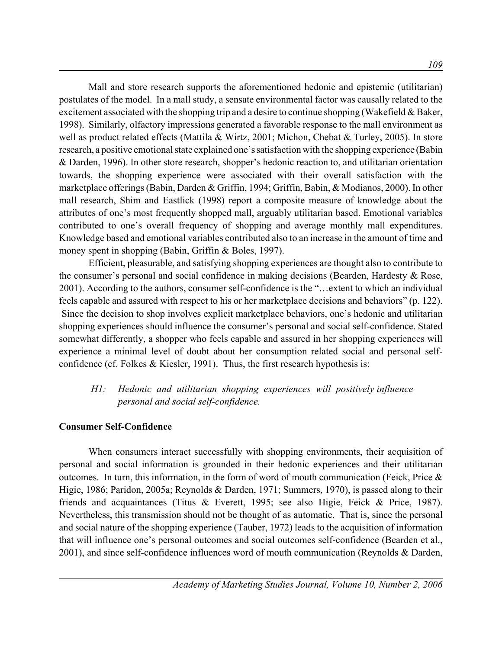Mall and store research supports the aforementioned hedonic and epistemic (utilitarian) postulates of the model. In a mall study, a sensate environmental factor was causally related to the excitement associated with the shopping trip and a desire to continue shopping (Wakefield & Baker, 1998). Similarly, olfactory impressions generated a favorable response to the mall environment as well as product related effects (Mattila & Wirtz, 2001; Michon, Chebat & Turley, 2005). In store research, a positive emotional state explained one's satisfaction with the shopping experience (Babin & Darden, 1996). In other store research, shopper's hedonic reaction to, and utilitarian orientation towards, the shopping experience were associated with their overall satisfaction with the marketplace offerings (Babin, Darden & Griffin, 1994; Griffin, Babin, & Modianos, 2000). In other mall research, Shim and Eastlick (1998) report a composite measure of knowledge about the attributes of one's most frequently shopped mall, arguably utilitarian based. Emotional variables contributed to one's overall frequency of shopping and average monthly mall expenditures. Knowledge based and emotional variables contributed also to an increase in the amount of time and money spent in shopping (Babin, Griffin & Boles, 1997).

Efficient, pleasurable, and satisfying shopping experiences are thought also to contribute to the consumer's personal and social confidence in making decisions (Bearden, Hardesty & Rose, 2001). According to the authors, consumer self-confidence is the "…extent to which an individual feels capable and assured with respect to his or her marketplace decisions and behaviors" (p. 122). Since the decision to shop involves explicit marketplace behaviors, one's hedonic and utilitarian shopping experiences should influence the consumer's personal and social self-confidence. Stated somewhat differently, a shopper who feels capable and assured in her shopping experiences will experience a minimal level of doubt about her consumption related social and personal selfconfidence (cf. Folkes & Kiesler, 1991). Thus, the first research hypothesis is:

# *H1: Hedonic and utilitarian shopping experiences will positively influence personal and social self-confidence.*

## **Consumer Self-Confidence**

When consumers interact successfully with shopping environments, their acquisition of personal and social information is grounded in their hedonic experiences and their utilitarian outcomes. In turn, this information, in the form of word of mouth communication (Feick, Price & Higie, 1986; Paridon, 2005a; Reynolds & Darden, 1971; Summers, 1970), is passed along to their friends and acquaintances (Titus & Everett, 1995; see also Higie, Feick & Price, 1987). Nevertheless, this transmission should not be thought of as automatic. That is, since the personal and social nature of the shopping experience (Tauber, 1972) leads to the acquisition of information that will influence one's personal outcomes and social outcomes self-confidence (Bearden et al., 2001), and since self-confidence influences word of mouth communication (Reynolds & Darden,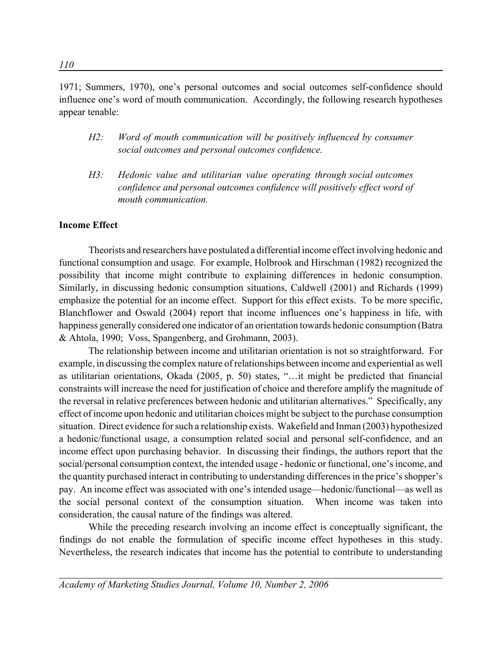1971; Summers, 1970), one's personal outcomes and social outcomes self-confidence should influence one's word of mouth communication. Accordingly, the following research hypotheses appear tenable:

- *H2: Word of mouth communication will be positively influenced by consumer social outcomes and personal outcomes confidence.*
- *H3: Hedonic value and utilitarian value operating through social outcomes confidence and personal outcomes confidence will positively effect word of mouth communication.*

## **Income Effect**

Theorists and researchers have postulated a differential income effect involving hedonic and functional consumption and usage. For example, Holbrook and Hirschman (1982) recognized the possibility that income might contribute to explaining differences in hedonic consumption. Similarly, in discussing hedonic consumption situations, Caldwell (2001) and Richards (1999) emphasize the potential for an income effect. Support for this effect exists. To be more specific, Blanchflower and Oswald (2004) report that income influences one's happiness in life, with happiness generally considered one indicator of an orientation towards hedonic consumption (Batra & Ahtola, 1990; Voss, Spangenberg, and Grohmann, 2003).

The relationship between income and utilitarian orientation is not so straightforward. For example, in discussing the complex nature of relationships between income and experiential as well as utilitarian orientations, Okada (2005, p. 50) states, "…it might be predicted that financial constraints will increase the need for justification of choice and therefore amplify the magnitude of the reversal in relative preferences between hedonic and utilitarian alternatives." Specifically, any effect of income upon hedonic and utilitarian choices might be subject to the purchase consumption situation. Direct evidence for such a relationship exists. Wakefield and Inman (2003) hypothesized a hedonic/functional usage, a consumption related social and personal self-confidence, and an income effect upon purchasing behavior. In discussing their findings, the authors report that the social/personal consumption context, the intended usage - hedonic or functional, one's income, and the quantity purchased interact in contributing to understanding differences in the price's shopper's pay. An income effect was associated with one's intended usage—hedonic/functional—as well as the social personal context of the consumption situation. When income was taken into consideration, the causal nature of the findings was altered.

While the preceding research involving an income effect is conceptually significant, the findings do not enable the formulation of specific income effect hypotheses in this study. Nevertheless, the research indicates that income has the potential to contribute to understanding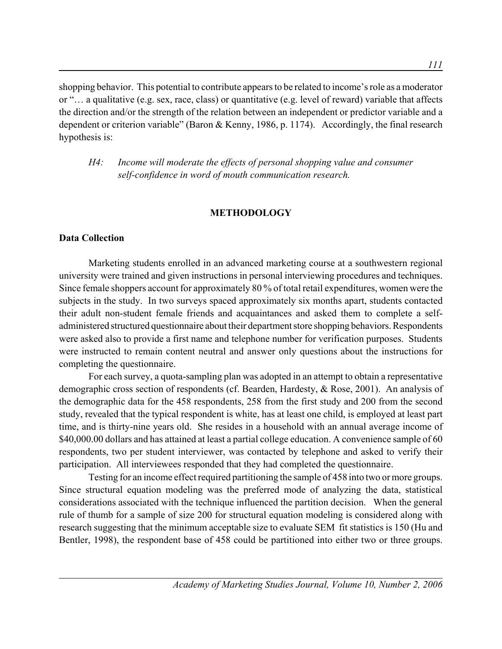shopping behavior. This potential to contribute appears to be related to income's role as a moderator or "… a qualitative (e.g. sex, race, class) or quantitative (e.g. level of reward) variable that affects the direction and/or the strength of the relation between an independent or predictor variable and a dependent or criterion variable" (Baron & Kenny, 1986, p. 1174). Accordingly, the final research hypothesis is:

*H4: Income will moderate the effects of personal shopping value and consumer self-confidence in word of mouth communication research.*

#### **METHODOLOGY**

#### **Data Collection**

Marketing students enrolled in an advanced marketing course at a southwestern regional university were trained and given instructions in personal interviewing procedures and techniques. Since female shoppers account for approximately 80 % of total retail expenditures, women were the subjects in the study. In two surveys spaced approximately six months apart, students contacted their adult non-student female friends and acquaintances and asked them to complete a selfadministered structured questionnaire about their department store shopping behaviors. Respondents were asked also to provide a first name and telephone number for verification purposes. Students were instructed to remain content neutral and answer only questions about the instructions for completing the questionnaire.

For each survey, a quota-sampling plan was adopted in an attempt to obtain a representative demographic cross section of respondents (cf. Bearden, Hardesty, & Rose, 2001). An analysis of the demographic data for the 458 respondents, 258 from the first study and 200 from the second study, revealed that the typical respondent is white, has at least one child, is employed at least part time, and is thirty-nine years old. She resides in a household with an annual average income of \$40,000.00 dollars and has attained at least a partial college education. A convenience sample of 60 respondents, two per student interviewer, was contacted by telephone and asked to verify their participation. All interviewees responded that they had completed the questionnaire.

Testing for an income effect required partitioning the sample of 458 into two or more groups. Since structural equation modeling was the preferred mode of analyzing the data, statistical considerations associated with the technique influenced the partition decision. When the general rule of thumb for a sample of size 200 for structural equation modeling is considered along with research suggesting that the minimum acceptable size to evaluate SEM fit statistics is 150 (Hu and Bentler, 1998), the respondent base of 458 could be partitioned into either two or three groups.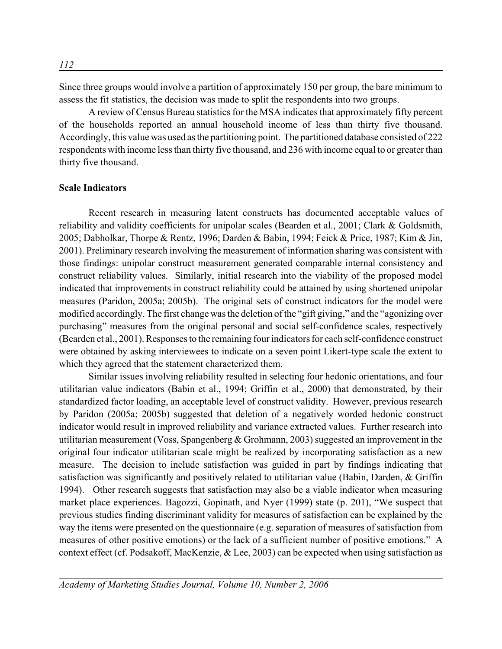Since three groups would involve a partition of approximately 150 per group, the bare minimum to assess the fit statistics, the decision was made to split the respondents into two groups.

A review of Census Bureau statistics for the MSA indicates that approximately fifty percent of the households reported an annual household income of less than thirty five thousand. Accordingly, this value was used as the partitioning point. The partitioned database consisted of 222 respondents with income less than thirty five thousand, and 236 with income equal to or greater than thirty five thousand.

### **Scale Indicators**

Recent research in measuring latent constructs has documented acceptable values of reliability and validity coefficients for unipolar scales (Bearden et al., 2001; Clark & Goldsmith, 2005; Dabholkar, Thorpe & Rentz, 1996; Darden & Babin, 1994; Feick & Price, 1987; Kim & Jin, 2001). Preliminary research involving the measurement of information sharing was consistent with those findings: unipolar construct measurement generated comparable internal consistency and construct reliability values. Similarly, initial research into the viability of the proposed model indicated that improvements in construct reliability could be attained by using shortened unipolar measures (Paridon, 2005a; 2005b). The original sets of construct indicators for the model were modified accordingly. The first change was the deletion of the "gift giving," and the "agonizing over purchasing" measures from the original personal and social self-confidence scales, respectively (Bearden et al., 2001). Responses to the remaining four indicators for each self-confidence construct were obtained by asking interviewees to indicate on a seven point Likert-type scale the extent to which they agreed that the statement characterized them.

Similar issues involving reliability resulted in selecting four hedonic orientations, and four utilitarian value indicators (Babin et al., 1994; Griffin et al., 2000) that demonstrated, by their standardized factor loading, an acceptable level of construct validity. However, previous research by Paridon (2005a; 2005b) suggested that deletion of a negatively worded hedonic construct indicator would result in improved reliability and variance extracted values. Further research into utilitarian measurement (Voss, Spangenberg & Grohmann, 2003) suggested an improvement in the original four indicator utilitarian scale might be realized by incorporating satisfaction as a new measure. The decision to include satisfaction was guided in part by findings indicating that satisfaction was significantly and positively related to utilitarian value (Babin, Darden, & Griffin 1994). Other research suggests that satisfaction may also be a viable indicator when measuring market place experiences. Bagozzi, Gopinath, and Nyer (1999) state (p. 201), "We suspect that previous studies finding discriminant validity for measures of satisfaction can be explained by the way the items were presented on the questionnaire (e.g. separation of measures of satisfaction from measures of other positive emotions) or the lack of a sufficient number of positive emotions." A context effect (cf. Podsakoff, MacKenzie, & Lee, 2003) can be expected when using satisfaction as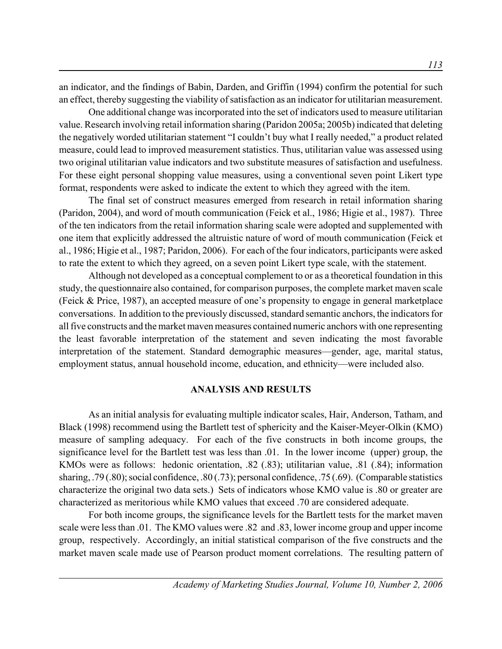an indicator, and the findings of Babin, Darden, and Griffin (1994) confirm the potential for such an effect, thereby suggesting the viability of satisfaction as an indicator for utilitarian measurement.

One additional change was incorporated into the set of indicators used to measure utilitarian value. Research involving retail information sharing (Paridon 2005a; 2005b) indicated that deleting the negatively worded utilitarian statement "I couldn't buy what I really needed," a product related measure, could lead to improved measurement statistics. Thus, utilitarian value was assessed using two original utilitarian value indicators and two substitute measures of satisfaction and usefulness. For these eight personal shopping value measures, using a conventional seven point Likert type format, respondents were asked to indicate the extent to which they agreed with the item.

The final set of construct measures emerged from research in retail information sharing (Paridon, 2004), and word of mouth communication (Feick et al., 1986; Higie et al., 1987). Three of the ten indicators from the retail information sharing scale were adopted and supplemented with one item that explicitly addressed the altruistic nature of word of mouth communication (Feick et al., 1986; Higie et al., 1987; Paridon, 2006). For each of the four indicators, participants were asked to rate the extent to which they agreed, on a seven point Likert type scale, with the statement.

Although not developed as a conceptual complement to or as a theoretical foundation in this study, the questionnaire also contained, for comparison purposes, the complete market maven scale (Feick & Price, 1987), an accepted measure of one's propensity to engage in general marketplace conversations. In addition to the previously discussed, standard semantic anchors, the indicators for all five constructs and the market maven measures contained numeric anchors with one representing the least favorable interpretation of the statement and seven indicating the most favorable interpretation of the statement. Standard demographic measures—gender, age, marital status, employment status, annual household income, education, and ethnicity—were included also.

#### **ANALYSIS AND RESULTS**

As an initial analysis for evaluating multiple indicator scales, Hair, Anderson, Tatham, and Black (1998) recommend using the Bartlett test of sphericity and the Kaiser-Meyer-Olkin (KMO) measure of sampling adequacy. For each of the five constructs in both income groups, the significance level for the Bartlett test was less than .01. In the lower income (upper) group, the KMOs were as follows: hedonic orientation, .82 (.83); utilitarian value, .81 (.84); information sharing, .79 (.80); social confidence, .80 (.73); personal confidence, .75 (.69). (Comparable statistics characterize the original two data sets.) Sets of indicators whose KMO value is .80 or greater are characterized as meritorious while KMO values that exceed .70 are considered adequate.

For both income groups, the significance levels for the Bartlett tests for the market maven scale were less than .01. The KMO values were .82 and .83, lower income group and upper income group, respectively. Accordingly, an initial statistical comparison of the five constructs and the market maven scale made use of Pearson product moment correlations. The resulting pattern of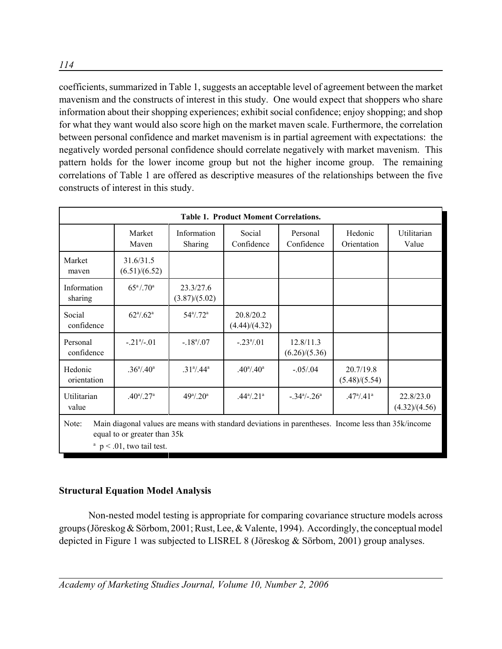coefficients, summarized in Table 1, suggests an acceptable level of agreement between the market mavenism and the constructs of interest in this study. One would expect that shoppers who share information about their shopping experiences; exhibit social confidence; enjoy shopping; and shop for what they want would also score high on the market maven scale. Furthermore, the correlation between personal confidence and market mavenism is in partial agreement with expectations: the negatively worded personal confidence should correlate negatively with market mavenism. This pattern holds for the lower income group but not the higher income group. The remaining correlations of Table 1 are offered as descriptive measures of the relationships between the five constructs of interest in this study.

| <b>Table 1. Product Moment Correlations.</b>                                                                                                 |                                     |                               |                            |                             |                            |                            |  |
|----------------------------------------------------------------------------------------------------------------------------------------------|-------------------------------------|-------------------------------|----------------------------|-----------------------------|----------------------------|----------------------------|--|
|                                                                                                                                              | Market<br>Maven                     | Information<br>Sharing        | Social<br>Confidence       | Personal<br>Confidence      | Hedonic<br>Orientation     | Utilitarian<br>Value       |  |
| Market<br>mayen                                                                                                                              | 31.6/31.5<br>(6.51)/(6.52)          |                               |                            |                             |                            |                            |  |
| Information<br>sharing                                                                                                                       | $65^{\rm a}/.70^{\rm a}$            | 23.3/27.6<br>(3.87)/(5.02)    |                            |                             |                            |                            |  |
| Social<br>confidence                                                                                                                         | $62^{\mathrm{a}}/0.62^{\mathrm{a}}$ | $54^{\circ}$ .72 <sup>a</sup> | 20.8/20.2<br>(4.44)/(4.32) |                             |                            |                            |  |
| Personal<br>confidence                                                                                                                       | $-.21a/-.01$                        | $-.18^{\circ}/.07$            | $-.23^{\circ}/.01$         | 12.8/11.3<br>(6.26)/(5.36)  |                            |                            |  |
| Hedonic<br>orientation                                                                                                                       | $.36^{\circ}/.40^{\circ}$           | $.31^{\circ}/.44^{\circ}$     | $.40^{\rm a}/.40^{\rm a}$  | $-.05/.04$                  | 20.7/19.8<br>(5.48)/(5.54) |                            |  |
| Utilitarian<br>value                                                                                                                         | $.40^{\rm a}/.27^{\rm a}$           | $49^{\circ}/.20^{\circ}$      | $.44^{\circ}/.21^{\circ}$  | $-.34^{\circ}/-.26^{\circ}$ | $.47^{\circ}/.41^{\circ}$  | 22.8/23.0<br>(4.32)/(4.56) |  |
| Main diagonal values are means with standard deviations in parentheses. Income less than 35k/income<br>Note:<br>equal to or greater than 35k |                                     |                               |                            |                             |                            |                            |  |

 $p < .01$ , two tail test.

# **Structural Equation Model Analysis**

Non-nested model testing is appropriate for comparing covariance structure models across groups (Jöreskog & Sörbom, 2001; Rust, Lee, & Valente, 1994). Accordingly, the conceptual model depicted in Figure 1 was subjected to LISREL 8 (Jöreskog & Sörbom, 2001) group analyses.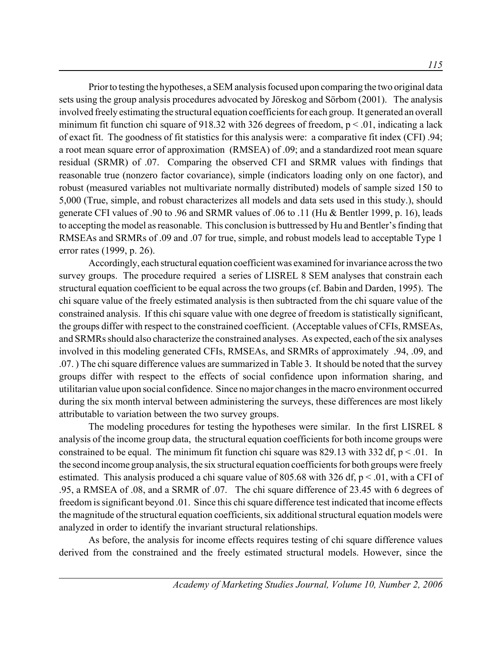Prior to testing the hypotheses, a SEM analysis focused upon comparing the two original data sets using the group analysis procedures advocated by Jöreskog and Sörbom (2001). The analysis involved freely estimating the structural equation coefficients for each group. It generated an overall minimum fit function chi square of 918.32 with 326 degrees of freedom,  $p < 0.01$ , indicating a lack of exact fit. The goodness of fit statistics for this analysis were: a comparative fit index (CFI) .94; a root mean square error of approximation (RMSEA) of .09; and a standardized root mean square residual (SRMR) of .07. Comparing the observed CFI and SRMR values with findings that reasonable true (nonzero factor covariance), simple (indicators loading only on one factor), and robust (measured variables not multivariate normally distributed) models of sample sized 150 to 5,000 (True, simple, and robust characterizes all models and data sets used in this study.), should generate CFI values of .90 to .96 and SRMR values of .06 to .11 (Hu & Bentler 1999, p. 16), leads to accepting the model as reasonable. This conclusion is buttressed by Hu and Bentler's finding that RMSEAs and SRMRs of .09 and .07 for true, simple, and robust models lead to acceptable Type 1 error rates (1999, p. 26).

Accordingly, each structural equation coefficient was examined for invariance across the two survey groups. The procedure required a series of LISREL 8 SEM analyses that constrain each structural equation coefficient to be equal across the two groups (cf. Babin and Darden, 1995). The chi square value of the freely estimated analysis is then subtracted from the chi square value of the constrained analysis. If this chi square value with one degree of freedom is statistically significant, the groups differ with respect to the constrained coefficient. (Acceptable values of CFIs, RMSEAs, and SRMRs should also characterize the constrained analyses. As expected, each of the six analyses involved in this modeling generated CFIs, RMSEAs, and SRMRs of approximately .94, .09, and .07. ) The chi square difference values are summarized in Table 3. It should be noted that the survey groups differ with respect to the effects of social confidence upon information sharing, and utilitarian value upon social confidence. Since no major changes in the macro environment occurred during the six month interval between administering the surveys, these differences are most likely attributable to variation between the two survey groups.

The modeling procedures for testing the hypotheses were similar. In the first LISREL 8 analysis of the income group data, the structural equation coefficients for both income groups were constrained to be equal. The minimum fit function chi square was 829.13 with 332 df,  $p < 01$ . In the second income group analysis, the six structural equation coefficients for both groups were freely estimated. This analysis produced a chi square value of 805.68 with 326 df,  $p < .01$ , with a CFI of .95, a RMSEA of .08, and a SRMR of .07. The chi square difference of 23.45 with 6 degrees of freedom is significant beyond .01. Since this chi square difference test indicated that income effects the magnitude of the structural equation coefficients, six additional structural equation models were analyzed in order to identify the invariant structural relationships.

As before, the analysis for income effects requires testing of chi square difference values derived from the constrained and the freely estimated structural models. However, since the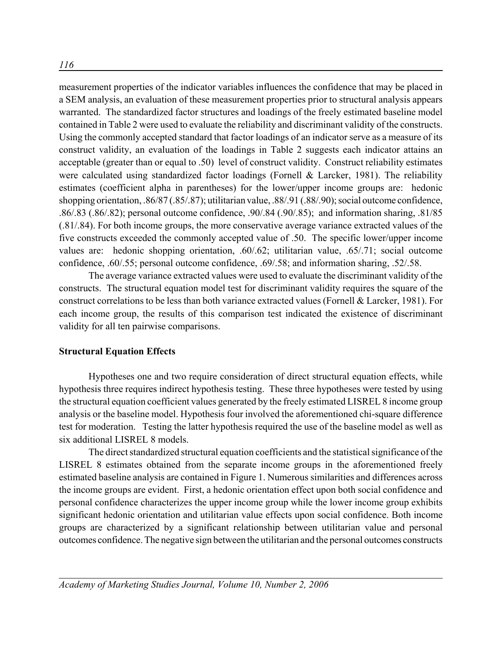measurement properties of the indicator variables influences the confidence that may be placed in a SEM analysis, an evaluation of these measurement properties prior to structural analysis appears warranted. The standardized factor structures and loadings of the freely estimated baseline model contained in Table 2 were used to evaluate the reliability and discriminant validity of the constructs. Using the commonly accepted standard that factor loadings of an indicator serve as a measure of its construct validity, an evaluation of the loadings in Table 2 suggests each indicator attains an acceptable (greater than or equal to .50) level of construct validity. Construct reliability estimates were calculated using standardized factor loadings (Fornell & Larcker, 1981). The reliability estimates (coefficient alpha in parentheses) for the lower/upper income groups are: hedonic shopping orientation, .86/87 (.85/.87); utilitarian value, .88/.91 (.88/.90); social outcome confidence, .86/.83 (.86/.82); personal outcome confidence, .90/.84 (.90/.85); and information sharing, .81/85 (.81/.84). For both income groups, the more conservative average variance extracted values of the five constructs exceeded the commonly accepted value of .50. The specific lower/upper income values are: hedonic shopping orientation, .60/.62; utilitarian value, .65/.71; social outcome confidence, .60/.55; personal outcome confidence, .69/.58; and information sharing, .52/.58.

The average variance extracted values were used to evaluate the discriminant validity of the constructs. The structural equation model test for discriminant validity requires the square of the construct correlations to be less than both variance extracted values (Fornell & Larcker, 1981). For each income group, the results of this comparison test indicated the existence of discriminant validity for all ten pairwise comparisons.

## **Structural Equation Effects**

Hypotheses one and two require consideration of direct structural equation effects, while hypothesis three requires indirect hypothesis testing. These three hypotheses were tested by using the structural equation coefficient values generated by the freely estimated LISREL 8 income group analysis or the baseline model. Hypothesis four involved the aforementioned chi-square difference test for moderation. Testing the latter hypothesis required the use of the baseline model as well as six additional LISREL 8 models.

The direct standardized structural equation coefficients and the statistical significance of the LISREL 8 estimates obtained from the separate income groups in the aforementioned freely estimated baseline analysis are contained in Figure 1. Numerous similarities and differences across the income groups are evident. First, a hedonic orientation effect upon both social confidence and personal confidence characterizes the upper income group while the lower income group exhibits significant hedonic orientation and utilitarian value effects upon social confidence. Both income groups are characterized by a significant relationship between utilitarian value and personal outcomes confidence. The negative sign between the utilitarian and the personal outcomes constructs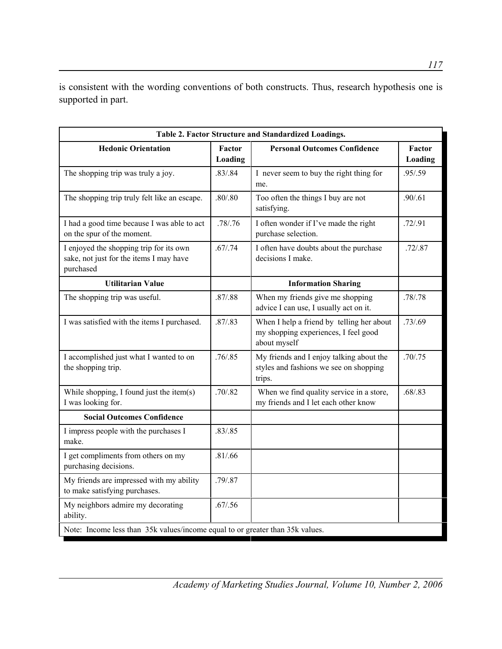is consistent with the wording conventions of both constructs. Thus, research hypothesis one is supported in part.

| Table 2. Factor Structure and Standardized Loadings.                                            |                   |                                                                                                   |                   |  |  |  |
|-------------------------------------------------------------------------------------------------|-------------------|---------------------------------------------------------------------------------------------------|-------------------|--|--|--|
| <b>Hedonic Orientation</b>                                                                      | Factor<br>Loading | <b>Personal Outcomes Confidence</b>                                                               | Factor<br>Loading |  |  |  |
| The shopping trip was truly a joy.                                                              | .83/0.84          | I never seem to buy the right thing for<br>me.                                                    | .95/.59           |  |  |  |
| The shopping trip truly felt like an escape.                                                    | .80/0.80          | Too often the things I buy are not<br>satisfying.                                                 | .90/.61           |  |  |  |
| I had a good time because I was able to act<br>on the spur of the moment.                       | .78/0.76          | I often wonder if I've made the right<br>purchase selection.                                      | .72/.91           |  |  |  |
| I enjoyed the shopping trip for its own<br>sake, not just for the items I may have<br>purchased | .67/0.74          | I often have doubts about the purchase<br>decisions I make.                                       | .72/.87           |  |  |  |
| <b>Utilitarian Value</b>                                                                        |                   | <b>Information Sharing</b>                                                                        |                   |  |  |  |
| The shopping trip was useful.                                                                   | .87/0.88          | When my friends give me shopping<br>advice I can use, I usually act on it.                        | .78/.78           |  |  |  |
| I was satisfied with the items I purchased.                                                     | .87/0.83          | When I help a friend by telling her about<br>my shopping experiences, I feel good<br>about myself | .73/0.69          |  |  |  |
| I accomplished just what I wanted to on<br>the shopping trip.                                   | .76 / .85         | My friends and I enjoy talking about the<br>styles and fashions we see on shopping<br>trips.      | .70/0.75          |  |  |  |
| While shopping, I found just the item(s)<br>I was looking for.                                  | .70/0.82          | When we find quality service in a store,<br>my friends and I let each other know                  | .68/0.83          |  |  |  |
| <b>Social Outcomes Confidence</b>                                                               |                   |                                                                                                   |                   |  |  |  |
| I impress people with the purchases I<br>make.                                                  | .83/.85           |                                                                                                   |                   |  |  |  |
| I get compliments from others on my<br>purchasing decisions.                                    | .81/.66           |                                                                                                   |                   |  |  |  |
| My friends are impressed with my ability<br>to make satisfying purchases.                       | .79/0.87          |                                                                                                   |                   |  |  |  |
| My neighbors admire my decorating<br>ability.                                                   | .67/0.56          |                                                                                                   |                   |  |  |  |
| Note: Income less than 35k values/income equal to or greater than 35k values.                   |                   |                                                                                                   |                   |  |  |  |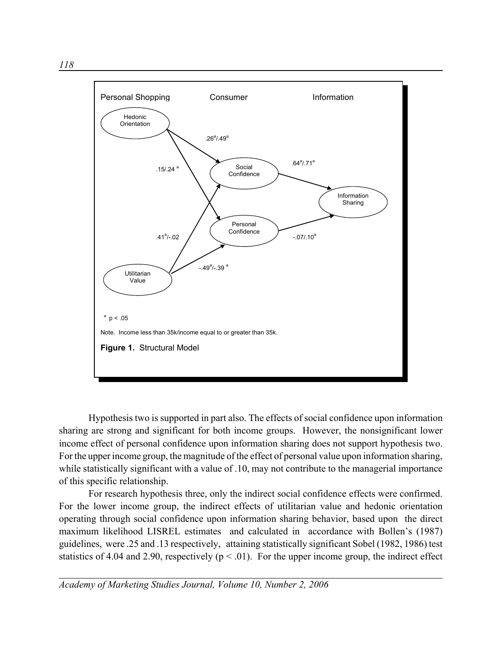

Hypothesis two is supported in part also. The effects of social confidence upon information sharing are strong and significant for both income groups. However, the nonsignificant lower income effect of personal confidence upon information sharing does not support hypothesis two. For the upper income group, the magnitude of the effect of personal value upon information sharing, while statistically significant with a value of .10, may not contribute to the managerial importance of this specific relationship.

For research hypothesis three, only the indirect social confidence effects were confirmed. For the lower income group, the indirect effects of utilitarian value and hedonic orientation operating through social confidence upon information sharing behavior, based upon the direct maximum likelihood LISREL estimates and calculated in accordance with Bollen's (1987) guidelines, were .25 and .13 respectively, attaining statistically significant Sobel (1982, 1986) test statistics of 4.04 and 2.90, respectively ( $p < .01$ ). For the upper income group, the indirect effect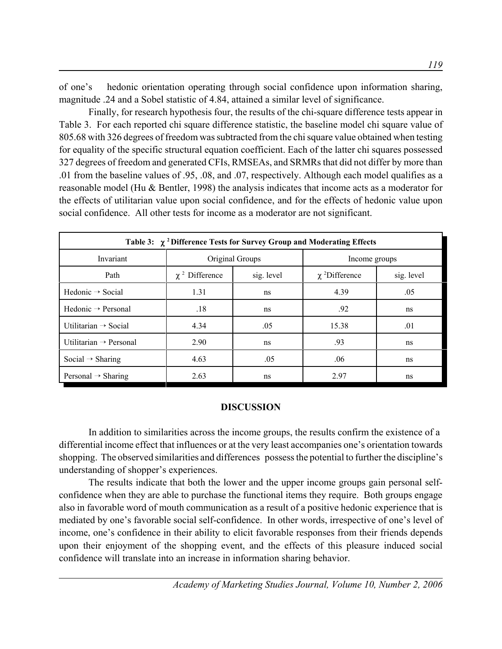of one's hedonic orientation operating through social confidence upon information sharing, magnitude .24 and a Sobel statistic of 4.84, attained a similar level of significance.

Finally, for research hypothesis four, the results of the chi-square difference tests appear in Table 3. For each reported chi square difference statistic, the baseline model chi square value of 805.68 with 326 degrees of freedom was subtracted from the chi square value obtained when testing for equality of the specific structural equation coefficient. Each of the latter chi squares possessed 327 degrees of freedom and generated CFIs, RMSEAs, and SRMRs that did not differ by more than .01 from the baseline values of .95, .08, and .07, respectively. Although each model qualifies as a reasonable model (Hu & Bentler, 1998) the analysis indicates that income acts as a moderator for the effects of utilitarian value upon social confidence, and for the effects of hedonic value upon social confidence. All other tests for income as a moderator are not significant.

| Table 3: $\chi$ <sup>2</sup> Difference Tests for Survey Group and Moderating Effects |                     |            |                                |            |  |  |
|---------------------------------------------------------------------------------------|---------------------|------------|--------------------------------|------------|--|--|
| Invariant                                                                             | Original Groups     |            | Income groups                  |            |  |  |
| Path                                                                                  | $\chi^2$ Difference | sig. level | $\chi$ <sup>2</sup> Difference | sig. level |  |  |
| Hedonic $\rightarrow$ Social                                                          | 1.31                | ns         | 4.39                           | .05        |  |  |
| Hedonic $\rightarrow$ Personal                                                        | .18                 | ns         | .92                            | ns         |  |  |
| Utilitarian $\rightarrow$ Social                                                      | 4.34                | .05        | 15.38                          | .01        |  |  |
| Utilitarian $\rightarrow$ Personal                                                    | 2.90                | ns         | .93                            | ns         |  |  |
| Social $\rightarrow$ Sharing                                                          | 4.63                | .05        | .06                            | ns         |  |  |
| Personal $\rightarrow$ Sharing                                                        | 2.63                | ns         | 2.97                           | ns         |  |  |

## **DISCUSSION**

In addition to similarities across the income groups, the results confirm the existence of a differential income effect that influences or at the very least accompanies one's orientation towards shopping. The observed similarities and differences possess the potential to further the discipline's understanding of shopper's experiences.

The results indicate that both the lower and the upper income groups gain personal selfconfidence when they are able to purchase the functional items they require. Both groups engage also in favorable word of mouth communication as a result of a positive hedonic experience that is mediated by one's favorable social self-confidence. In other words, irrespective of one's level of income, one's confidence in their ability to elicit favorable responses from their friends depends upon their enjoyment of the shopping event, and the effects of this pleasure induced social confidence will translate into an increase in information sharing behavior.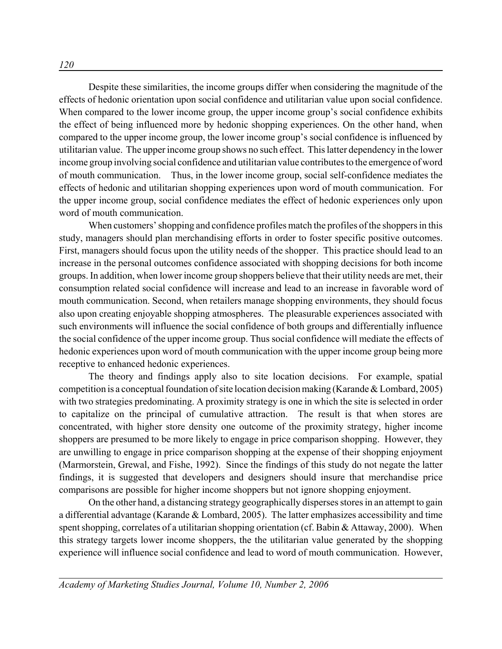Despite these similarities, the income groups differ when considering the magnitude of the effects of hedonic orientation upon social confidence and utilitarian value upon social confidence. When compared to the lower income group, the upper income group's social confidence exhibits the effect of being influenced more by hedonic shopping experiences. On the other hand, when compared to the upper income group, the lower income group's social confidence is influenced by utilitarian value. The upper income group shows no such effect. This latter dependency in the lower income group involving social confidence and utilitarian value contributes to the emergence of word of mouth communication. Thus, in the lower income group, social self-confidence mediates the effects of hedonic and utilitarian shopping experiences upon word of mouth communication. For the upper income group, social confidence mediates the effect of hedonic experiences only upon word of mouth communication.

When customers' shopping and confidence profiles match the profiles of the shoppers in this study, managers should plan merchandising efforts in order to foster specific positive outcomes. First, managers should focus upon the utility needs of the shopper. This practice should lead to an increase in the personal outcomes confidence associated with shopping decisions for both income groups. In addition, when lower income group shoppers believe that their utility needs are met, their consumption related social confidence will increase and lead to an increase in favorable word of mouth communication. Second, when retailers manage shopping environments, they should focus also upon creating enjoyable shopping atmospheres. The pleasurable experiences associated with such environments will influence the social confidence of both groups and differentially influence the social confidence of the upper income group. Thus social confidence will mediate the effects of hedonic experiences upon word of mouth communication with the upper income group being more receptive to enhanced hedonic experiences.

The theory and findings apply also to site location decisions. For example, spatial competition is a conceptual foundation of site location decision making (Karande & Lombard, 2005) with two strategies predominating. A proximity strategy is one in which the site is selected in order to capitalize on the principal of cumulative attraction. The result is that when stores are concentrated, with higher store density one outcome of the proximity strategy, higher income shoppers are presumed to be more likely to engage in price comparison shopping. However, they are unwilling to engage in price comparison shopping at the expense of their shopping enjoyment (Marmorstein, Grewal, and Fishe, 1992). Since the findings of this study do not negate the latter findings, it is suggested that developers and designers should insure that merchandise price comparisons are possible for higher income shoppers but not ignore shopping enjoyment.

On the other hand, a distancing strategy geographically disperses stores in an attempt to gain a differential advantage (Karande & Lombard, 2005). The latter emphasizes accessibility and time spent shopping, correlates of a utilitarian shopping orientation (cf. Babin & Attaway, 2000). When this strategy targets lower income shoppers, the the utilitarian value generated by the shopping experience will influence social confidence and lead to word of mouth communication. However,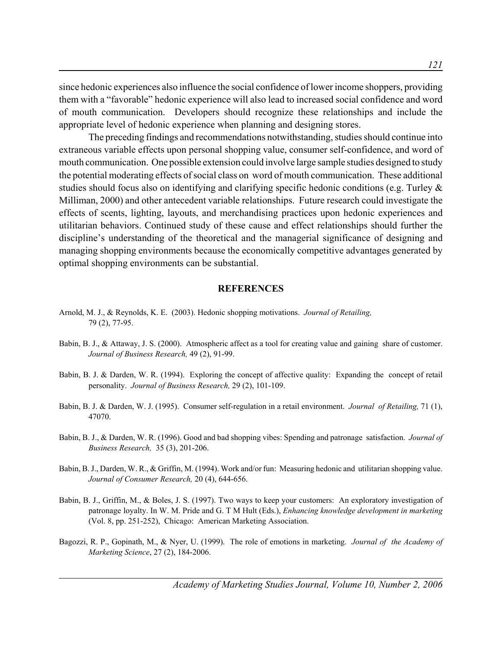since hedonic experiences also influence the social confidence of lower income shoppers, providing them with a "favorable" hedonic experience will also lead to increased social confidence and word of mouth communication. Developers should recognize these relationships and include the appropriate level of hedonic experience when planning and designing stores.

The preceding findings and recommendations notwithstanding, studies should continue into extraneous variable effects upon personal shopping value, consumer self-confidence, and word of mouth communication. One possible extension could involve large sample studies designed to study the potential moderating effects of social class on word of mouth communication. These additional studies should focus also on identifying and clarifying specific hedonic conditions (e.g. Turley & Milliman, 2000) and other antecedent variable relationships. Future research could investigate the effects of scents, lighting, layouts, and merchandising practices upon hedonic experiences and utilitarian behaviors. Continued study of these cause and effect relationships should further the discipline's understanding of the theoretical and the managerial significance of designing and managing shopping environments because the economically competitive advantages generated by optimal shopping environments can be substantial.

#### **REFERENCES**

- Arnold, M. J., & Reynolds, K. E. (2003). Hedonic shopping motivations. *Journal of Retailing,* 79 (2), 77-95.
- Babin, B. J., & Attaway, J. S. (2000). Atmospheric affect as a tool for creating value and gaining share of customer. *Journal of Business Research,* 49 (2), 91-99.
- Babin, B. J. & Darden, W. R. (1994). Exploring the concept of affective quality: Expanding the concept of retail personality. *Journal of Business Research,* 29 (2), 101-109.
- Babin, B. J. & Darden, W. J. (1995). Consumer self-regulation in a retail environment. *Journal of Retailing,* 71 (1), 47070.
- Babin, B. J., & Darden, W. R. (1996). Good and bad shopping vibes: Spending and patronage satisfaction. *Journal of Business Research,* 35 (3), 201-206.
- Babin, B. J., Darden, W. R., & Griffin, M. (1994). Work and/or fun: Measuring hedonic and utilitarian shopping value. *Journal of Consumer Research,* 20 (4), 644-656.
- Babin, B. J., Griffin, M., & Boles, J. S. (1997). Two ways to keep your customers: An exploratory investigation of patronage loyalty. In W. M. Pride and G. T M Hult (Eds.), *Enhancing knowledge development in marketing* (Vol. 8, pp. 251-252), Chicago: American Marketing Association.
- Bagozzi, R. P., Gopinath, M., & Nyer, U. (1999). The role of emotions in marketing. *Journal of the Academy of Marketing Science*, 27 (2), 184-2006.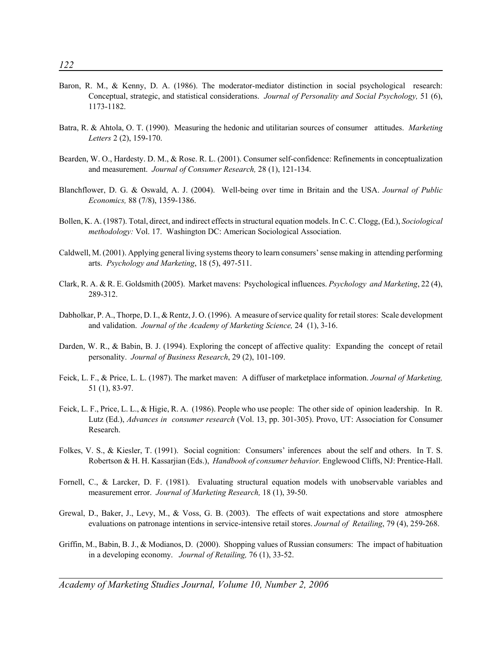- Baron, R. M., & Kenny, D. A. (1986). The moderator-mediator distinction in social psychological research: Conceptual, strategic, and statistical considerations. *Journal of Personality and Social Psychology,* 51 (6), 1173-1182.
- Batra, R. & Ahtola, O. T. (1990). Measuring the hedonic and utilitarian sources of consumer attitudes. *Marketing Letters* 2 (2), 159-170.
- Bearden, W. O., Hardesty. D. M., & Rose. R. L. (2001). Consumer self-confidence: Refinements in conceptualization and measurement. *Journal of Consumer Research,* 28 (1), 121-134.
- Blanchflower, D. G. & Oswald, A. J. (2004). Well-being over time in Britain and the USA. *Journal of Public Economics,* 88 (7/8), 1359-1386.
- Bollen, K. A. (1987). Total, direct, and indirect effects in structural equation models. In C. C. Clogg, (Ed.), *Sociological methodology:* Vol. 17. Washington DC: American Sociological Association.
- Caldwell, M. (2001). Applying general living systems theory to learn consumers' sense making in attending performing arts. *Psychology and Marketing*, 18 (5), 497-511.
- Clark, R. A. & R. E. Goldsmith (2005). Market mavens: Psychological influences. *Psychology and Marketing*, 22 (4), 289-312.
- Dabholkar, P. A., Thorpe, D. I., & Rentz, J. O. (1996). A measure of service quality for retail stores: Scale development and validation. *Journal of the Academy of Marketing Science,* 24 (1), 3-16.
- Darden, W. R., & Babin, B. J. (1994). Exploring the concept of affective quality: Expanding the concept of retail personality. *Journal of Business Research*, 29 (2), 101-109.
- Feick, L. F., & Price, L. L. (1987). The market maven: A diffuser of marketplace information. *Journal of Marketing,* 51 (1), 83-97.
- Feick, L. F., Price, L. L., & Higie, R. A. (1986). People who use people: The other side of opinion leadership. In R. Lutz (Ed.), *Advances in consumer research* (Vol. 13, pp. 301-305). Provo, UT: Association for Consumer Research.
- Folkes, V. S., & Kiesler, T. (1991). Social cognition: Consumers' inferences about the self and others. In T. S. Robertson & H. H. Kassarjian (Eds.), *Handbook of consumer behavior.* Englewood Cliffs, NJ: Prentice-Hall.
- Fornell, C., & Larcker, D. F. (1981). Evaluating structural equation models with unobservable variables and measurement error. *Journal of Marketing Research,* 18 (1), 39-50.
- Grewal, D., Baker, J., Levy, M., & Voss, G. B. (2003). The effects of wait expectations and store atmosphere evaluations on patronage intentions in service-intensive retail stores. *Journal of Retailing*, 79 (4), 259-268.
- Griffin, M., Babin, B. J., & Modianos, D. (2000). Shopping values of Russian consumers: The impact of habituation in a developing economy. *Journal of Retailing,* 76 (1), 33-52.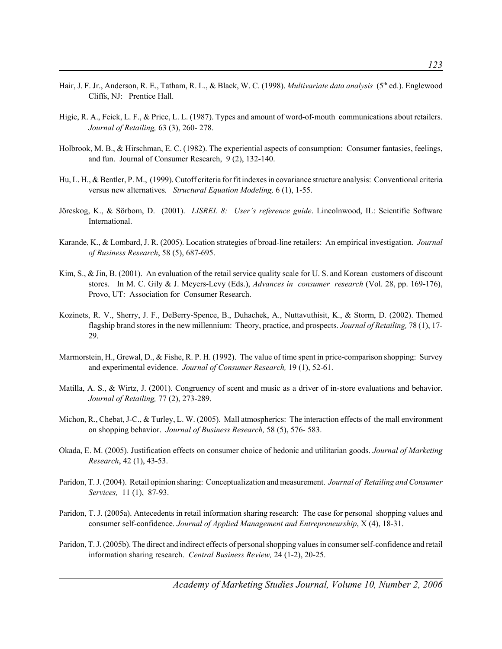- Hair, J. F. Jr., Anderson, R. E., Tatham, R. L., & Black, W. C. (1998). *Multivariate data analysis* (5th ed.). Englewood Cliffs, NJ: Prentice Hall.
- Higie, R. A., Feick, L. F., & Price, L. L. (1987). Types and amount of word-of-mouth communications about retailers. *Journal of Retailing,* 63 (3), 260- 278.
- Holbrook, M. B., & Hirschman, E. C. (1982). The experiential aspects of consumption: Consumer fantasies, feelings, and fun. Journal of Consumer Research, 9 (2), 132-140.
- Hu, L. H., & Bentler, P. M., (1999). Cutoff criteria for fit indexes in covariance structure analysis: Conventional criteria versus new alternatives*. Structural Equation Modeling,* 6 (1), 1-55.
- Jöreskog, K., & Sörbom, D. (2001). *LISREL 8: User's reference guide*. Lincolnwood, IL: Scientific Software International.
- Karande, K., & Lombard, J. R. (2005). Location strategies of broad-line retailers: An empirical investigation. *Journal of Business Research*, 58 (5), 687-695.
- Kim, S., & Jin, B. (2001). An evaluation of the retail service quality scale for U.S. and Korean customers of discount stores. In M. C. Gily & J. Meyers-Levy (Eds.), *Advances in consumer research* (Vol. 28, pp. 169-176), Provo, UT: Association for Consumer Research.
- Kozinets, R. V., Sherry, J. F., DeBerry-Spence, B., Duhachek, A., Nuttavuthisit, K., & Storm, D. (2002). Themed flagship brand stores in the new millennium: Theory, practice, and prospects. *Journal of Retailing,* 78 (1), 17- 29.
- Marmorstein, H., Grewal, D., & Fishe, R. P. H. (1992). The value of time spent in price-comparison shopping: Survey and experimental evidence. *Journal of Consumer Research,* 19 (1), 52-61.
- Matilla, A. S., & Wirtz, J. (2001). Congruency of scent and music as a driver of in-store evaluations and behavior. *Journal of Retailing,* 77 (2), 273-289.
- Michon, R., Chebat, J-C., & Turley, L. W. (2005). Mall atmospherics: The interaction effects of the mall environment on shopping behavior. *Journal of Business Research,* 58 (5), 576- 583.
- Okada, E. M. (2005). Justification effects on consumer choice of hedonic and utilitarian goods. *Journal of Marketing Research*, 42 (1), 43-53.
- Paridon, T. J. (2004). Retail opinion sharing: Conceptualization and measurement. *Journal of Retailing and Consumer Services,* 11 (1), 87-93.
- Paridon, T. J. (2005a). Antecedents in retail information sharing research: The case for personal shopping values and consumer self-confidence. *Journal of Applied Management and Entrepreneurship*, X (4), 18-31.
- Paridon, T. J. (2005b). The direct and indirect effects of personal shopping values in consumer self-confidence and retail information sharing research. *Central Business Review,* 24 (1-2), 20-25.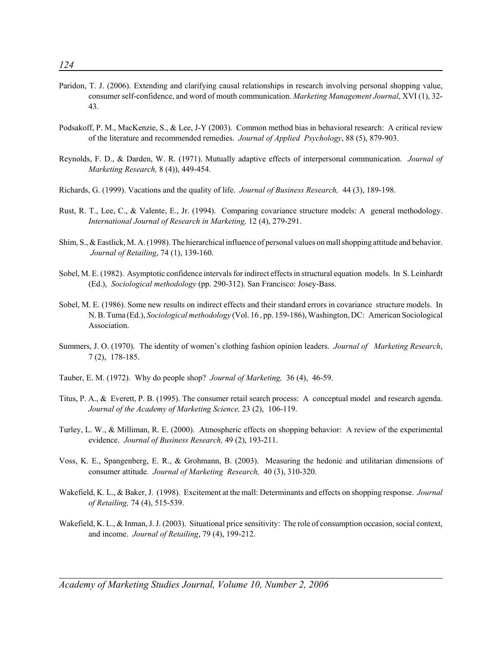- Paridon, T. J. (2006). Extending and clarifying causal relationships in research involving personal shopping value, consumer self-confidence, and word of mouth communication. *Marketing Management Journal*, XVI (1), 32- 43.
- Podsakoff, P. M., MacKenzie, S., & Lee, J-Y (2003). Common method bias in behavioral research: A critical review of the literature and recommended remedies. *Journal of Applied Psychology*, 88 (5), 879-903.
- Reynolds, F. D., & Darden, W. R. (1971). Mutually adaptive effects of interpersonal communication. *Journal of Marketing Research,* 8 (4)), 449-454.
- Richards, G. (1999). Vacations and the quality of life. *Journal of Business Research,* 44 (3), 189-198.
- Rust, R. T., Lee, C., & Valente, E., Jr. (1994). Comparing covariance structure models: A general methodology. *International Journal of Research in Marketing,* 12 (4), 279-291.
- Shim, S., & Eastlick, M. A. (1998). The hierarchical influence of personal values on mall shopping attitude and behavior. *Journal of Retailing*, 74 (1), 139-160.
- Sobel, M. E. (1982). Asymptotic confidence intervals for indirect effects in structural equation models. In S. Leinhardt (Ed.), *Sociological methodology* (pp. 290-312). San Francisco: Josey-Bass.
- Sobel, M. E. (1986). Some new results on indirect effects and their standard errors in covariance structure models. In N. B. Tuma (Ed.), *Sociological methodology* (Vol. 16 , pp. 159-186), Washington, DC: American Sociological Association.
- Summers, J. O. (1970). The identity of women's clothing fashion opinion leaders. *Journal of Marketing Research*, 7 (2), 178-185.
- Tauber, E. M. (1972). Why do people shop? *Journal of Marketing,* 36 (4), 46-59.
- Titus, P. A., & Everett, P. B. (1995). The consumer retail search process: A conceptual model and research agenda. *Journal of the Academy of Marketing Science,* 23 (2), 106-119.
- Turley, L. W., & Milliman, R. E. (2000). Atmospheric effects on shopping behavior: A review of the experimental evidence. *Journal of Business Research,* 49 (2), 193-211.
- Voss, K. E., Spangenberg, E. R., & Grohmann, B. (2003). Measuring the hedonic and utilitarian dimensions of consumer attitude. *Journal of Marketing Research,* 40 (3), 310-320.
- Wakefield, K. L., & Baker, J. (1998). Excitement at the mall: Determinants and effects on shopping response. *Journal of Retailing,* 74 (4), 515-539.
- Wakefield, K. L., & Inman, J. J. (2003). Situational price sensitivity: The role of consumption occasion, social context, and income. *Journal of Retailing*, 79 (4), 199-212.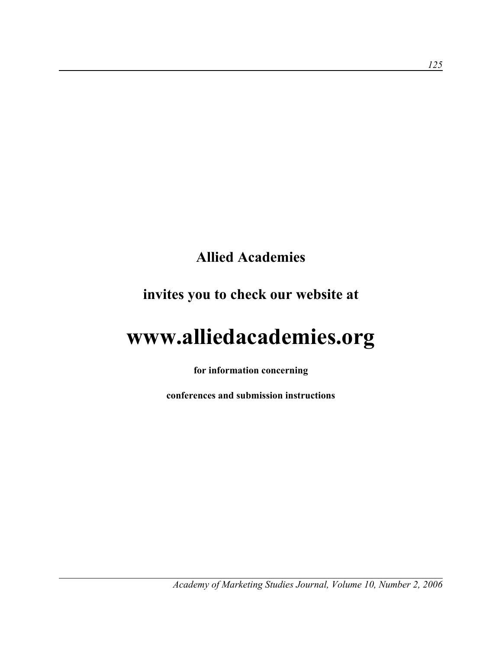# **Allied Academies**

# **invites you to check our website at**

# **www.alliedacademies.org**

**for information concerning**

**conferences and submission instructions**